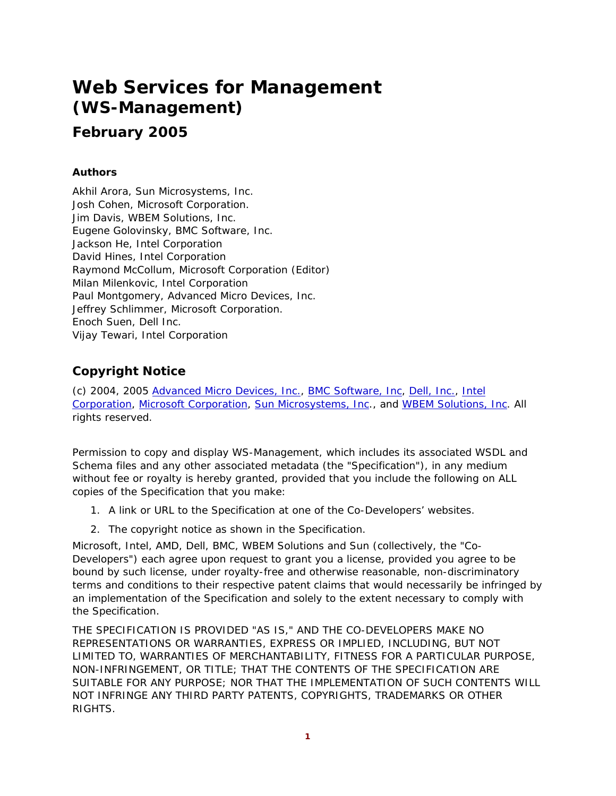# **Web Services for Management (WS-Management)**

# **February 2005**

### **Authors**

Akhil Arora, Sun Microsystems, Inc. Josh Cohen, Microsoft Corporation. Jim Davis, WBEM Solutions, Inc. Eugene Golovinsky, BMC Software, Inc. Jackson He, Intel Corporation David Hines, Intel Corporation Raymond McCollum, Microsoft Corporation (Editor) Milan Milenkovic, Intel Corporation Paul Montgomery, Advanced Micro Devices, Inc. Jeffrey Schlimmer, Microsoft Corporation. Enoch Suen, Dell Inc. Vijay Tewari, Intel Corporation

### **Copyright Notice**

(c) 2004, 2005 Advanced Micro Devices, Inc., BMC Software, Inc, Dell, Inc., Intel Corporation, Microsoft Corporation, Sun Microsystems, Inc., and WBEM Solutions, Inc. All rights reserved.

Permission to copy and display WS-Management, which includes its associated WSDL and Schema files and any other associated metadata (the "Specification"), in any medium without fee or royalty is hereby granted, provided that you include the following on ALL copies of the Specification that you make:

- 1. A link or URL to the Specification at one of the Co-Developers' websites.
- 2. The copyright notice as shown in the Specification.

Microsoft, Intel, AMD, Dell, BMC, WBEM Solutions and Sun (collectively, the "Co-Developers") each agree upon request to grant you a license, provided you agree to be bound by such license, under royalty-free and otherwise reasonable, non-discriminatory terms and conditions to their respective patent claims that would necessarily be infringed by an implementation of the Specification and solely to the extent necessary to comply with the Specification.

THE SPECIFICATION IS PROVIDED "AS IS," AND THE CO-DEVELOPERS MAKE NO REPRESENTATIONS OR WARRANTIES, EXPRESS OR IMPLIED, INCLUDING, BUT NOT LIMITED TO, WARRANTIES OF MERCHANTABILITY, FITNESS FOR A PARTICULAR PURPOSE, NON-INFRINGEMENT, OR TITLE; THAT THE CONTENTS OF THE SPECIFICATION ARE SUITABLE FOR ANY PURPOSE; NOR THAT THE IMPLEMENTATION OF SUCH CONTENTS WILL NOT INFRINGE ANY THIRD PARTY PATENTS, COPYRIGHTS, TRADEMARKS OR OTHER RIGHTS.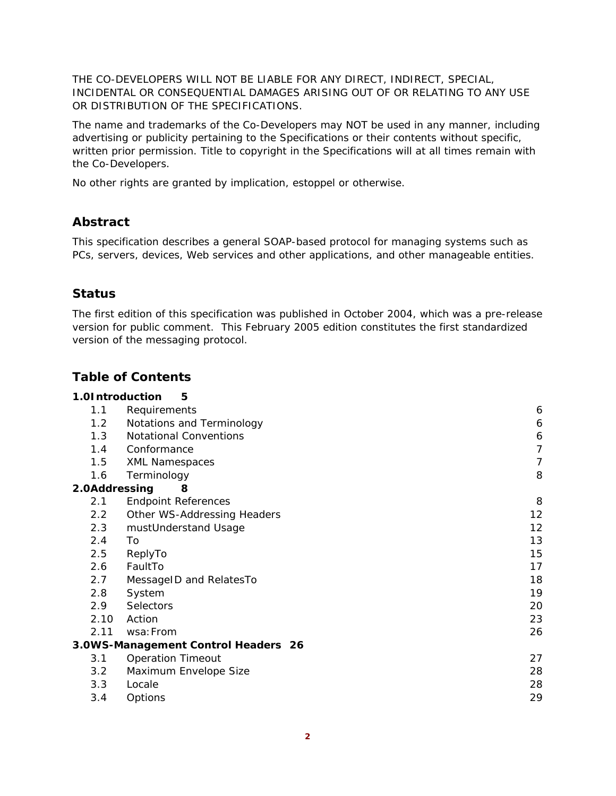THE CO-DEVELOPERS WILL NOT BE LIABLE FOR ANY DIRECT, INDIRECT, SPECIAL, INCIDENTAL OR CONSEQUENTIAL DAMAGES ARISING OUT OF OR RELATING TO ANY USE OR DISTRIBUTION OF THE SPECIFICATIONS.

The name and trademarks of the Co-Developers may NOT be used in any manner, including advertising or publicity pertaining to the Specifications or their contents without specific, written prior permission. Title to copyright in the Specifications will at all times remain with the Co-Developers.

No other rights are granted by implication, estoppel or otherwise.

### **Abstract**

This specification describes a general SOAP-based protocol for managing systems such as PCs, servers, devices, Web services and other applications, and other manageable entities.

### **Status**

The first edition of this specification was published in October 2004, which was a pre-release version for public comment. This February 2005 edition constitutes the first standardized version of the messaging protocol.

### **Table of Contents**

| 1.0Introduction | 5                                   |                   |
|-----------------|-------------------------------------|-------------------|
| 1.1             | Requirements                        | 6                 |
| 1.2             | Notations and Terminology           | 6                 |
| 1.3             | <b>Notational Conventions</b>       | 6                 |
| 1.4             | Conformance                         | 7                 |
| 1.5             | <b>XML Namespaces</b>               | 7                 |
| 1.6             | Terminology                         | 8                 |
| 2.0Addressing   | 8                                   |                   |
| 2.1             | <b>Endpoint References</b>          | 8                 |
| $2.2^{\circ}$   | Other WS-Addressing Headers         | $12 \overline{ }$ |
| 2.3             | mustUnderstand Usage                | 12                |
| 2.4             | To                                  | 13                |
| 2.5             | ReplyTo                             | 15                |
| 2.6             | FaultTo                             | 17                |
| 2.7             | MessageID and RelatesTo             | 18                |
| 2.8             | System                              | 19                |
| 2.9             | Selectors                           | 20                |
| 2.10            | Action                              | 23                |
| 2.11            | wsa: From                           | 26                |
|                 | 3.0WS-Management Control Headers 26 |                   |
| 3.1             | <b>Operation Timeout</b>            | 27                |
| 3.2             | Maximum Envelope Size               | 28                |
| 3.3             | Locale                              | 28                |
| 3.4             | Options                             | 29                |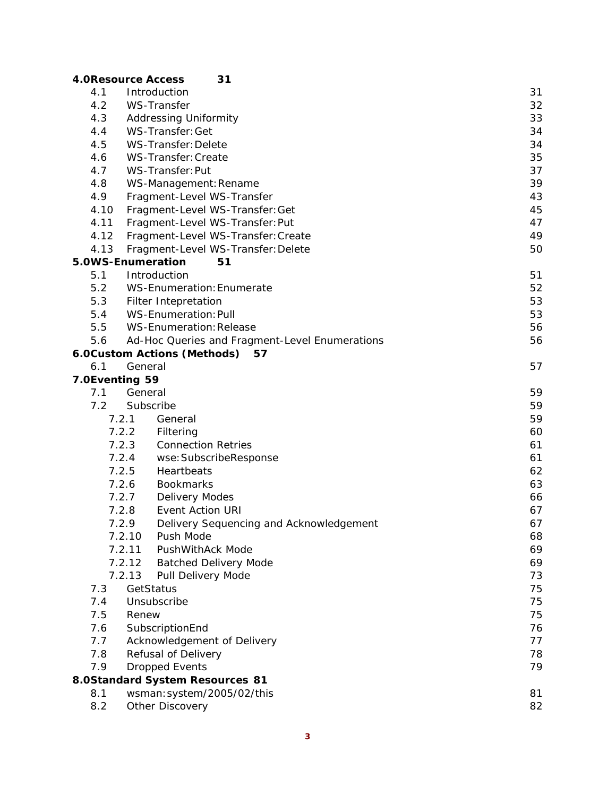|                | 31<br><b>4.0Resource Access</b>                  |    |
|----------------|--------------------------------------------------|----|
| 4.1            | Introduction                                     | 31 |
| 4.2            | <b>WS-Transfer</b>                               | 32 |
| 4.3            | <b>Addressing Uniformity</b>                     | 33 |
| 4.4            | WS-Transfer: Get                                 | 34 |
| 4.5            | WS-Transfer: Delete                              | 34 |
| 4.6            | WS-Transfer: Create                              | 35 |
| 4.7            | WS-Transfer: Put                                 | 37 |
| 4.8            | WS-Management: Rename                            | 39 |
| 4.9            | Fragment-Level WS-Transfer                       | 43 |
| 4.10           | Fragment-Level WS-Transfer: Get                  | 45 |
| 4.11           | Fragment-Level WS-Transfer: Put                  | 47 |
| 4.12           | Fragment-Level WS-Transfer: Create               | 49 |
| 4.13           | Fragment-Level WS-Transfer: Delete               | 50 |
|                | 5.0WS-Enumeration<br>51                          |    |
| 5.1            | Introduction                                     | 51 |
| 5.2            | WS-Enumeration: Enumerate                        | 52 |
| 5.3            | Filter Intepretation                             | 53 |
| 5.4            | <b>WS-Enumeration: Pull</b>                      | 53 |
| 5.5            | <b>WS-Enumeration: Release</b>                   | 56 |
| 5.6            | Ad-Hoc Queries and Fragment-Level Enumerations   | 56 |
|                | 6.0Custom Actions (Methods)<br>57                |    |
| 6.1            | General                                          | 57 |
| 7.0Eventing 59 |                                                  |    |
| 7.1            | General                                          | 59 |
| 7.2            | Subscribe                                        | 59 |
|                | 7.2.1<br>General                                 | 59 |
|                | 7.2.2<br>Filtering                               | 60 |
|                | 7.2.3<br><b>Connection Retries</b>               | 61 |
|                | 7.2.4<br>wse: SubscribeResponse                  | 61 |
| 7.2.5          | Heartbeats                                       | 62 |
|                | 7.2.6<br><b>Bookmarks</b>                        | 63 |
|                | <b>Delivery Modes</b><br>7.2.7                   | 66 |
|                | 7.2.8<br><b>Event Action URI</b>                 | 67 |
|                | Delivery Sequencing and Acknowledgement<br>7.2.9 | 67 |
|                | 7.2.10<br>Push Mode                              | 68 |
|                | 7.2.11<br><b>PushWithAck Mode</b>                | 69 |
|                | 7.2.12<br><b>Batched Delivery Mode</b>           | 69 |
|                | 7.2.13<br>Pull Delivery Mode                     | 73 |
| 7.3            | GetStatus                                        | 75 |
| 7.4            | Unsubscribe                                      | 75 |
| 7.5            | Renew                                            | 75 |
| 7.6            | SubscriptionEnd                                  | 76 |
| 7.7            | Acknowledgement of Delivery                      | 77 |
| 7.8            | Refusal of Delivery                              | 78 |
| 7.9            | <b>Dropped Events</b>                            | 79 |
|                | 8.0Standard System Resources 81                  |    |
| 8.1            | wsman: system/2005/02/this                       | 81 |
| 8.2            | Other Discovery                                  | 82 |

#### **3**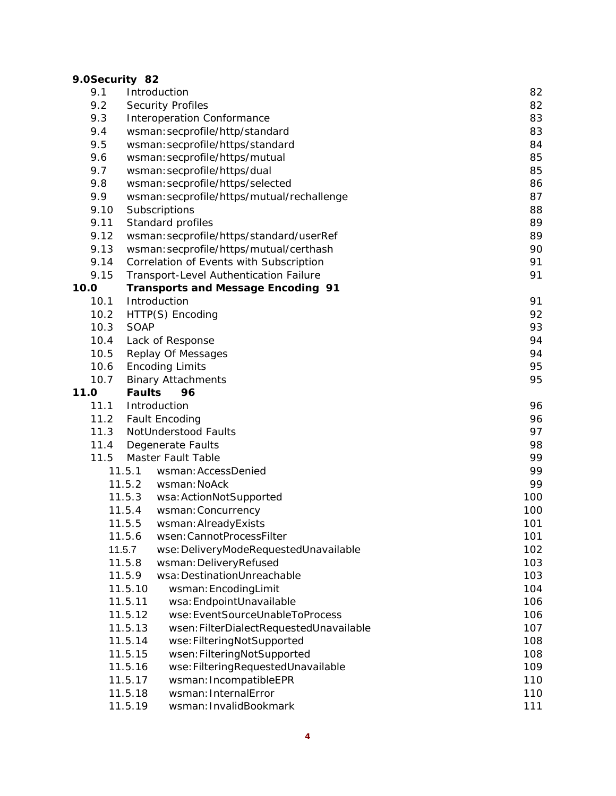### **9.0Security 82**

| 9.1  | Introduction                                       | 82  |
|------|----------------------------------------------------|-----|
| 9.2  | <b>Security Profiles</b>                           | 82  |
| 9.3  | <b>Interoperation Conformance</b>                  | 83  |
| 9.4  | wsman: secprofile/http/standard                    | 83  |
| 9.5  | wsman: secprofile/https/standard                   | 84  |
| 9.6  | wsman: secprofile/https/mutual                     | 85  |
| 9.7  | wsman: secprofile/https/dual                       | 85  |
| 9.8  | wsman: secprofile/https/selected                   | 86  |
| 9.9  | wsman: secprofile/https/mutual/rechallenge         | 87  |
| 9.10 | Subscriptions                                      | 88  |
| 9.11 | Standard profiles                                  | 89  |
| 9.12 | wsman: secprofile/https/standard/userRef           | 89  |
| 9.13 | wsman: secprofile/https/mutual/certhash            | 90  |
| 9.14 | Correlation of Events with Subscription            | 91  |
| 9.15 | Transport-Level Authentication Failure             | 91  |
| 10.0 | <b>Transports and Message Encoding 91</b>          |     |
| 10.1 | Introduction                                       | 91  |
| 10.2 | HTTP(S) Encoding                                   | 92  |
| 10.3 | SOAP                                               | 93  |
| 10.4 | Lack of Response                                   | 94  |
| 10.5 | <b>Replay Of Messages</b>                          | 94  |
| 10.6 | <b>Encoding Limits</b>                             | 95  |
| 10.7 | <b>Binary Attachments</b>                          | 95  |
| 11.0 | <b>Faults</b><br>96                                |     |
| 11.1 | Introduction                                       | 96  |
| 11.2 | <b>Fault Encoding</b>                              | 96  |
| 11.3 | NotUnderstood Faults                               | 97  |
| 11.4 | Degenerate Faults                                  | 98  |
| 11.5 | Master Fault Table                                 | 99  |
|      | 11.5.1<br>wsman: AccessDenied                      | 99  |
|      | 11.5.2<br>wsman: NoAck                             | 99  |
|      | 11.5.3<br>wsa: ActionNotSupported                  | 100 |
|      | 11.5.4<br>wsman: Concurrency                       | 100 |
|      | 11.5.5<br>wsman: AlreadyExists                     | 101 |
|      | 11.5.6<br>wsen: CannotProcessFilter                | 101 |
|      | 11.5.7<br>wse: DeliveryModeRequestedUnavailable    | 102 |
|      | 11.5.8<br>wsman: DeliveryRefused                   | 103 |
|      | 11.5.9<br>wsa: DestinationUnreachable              | 103 |
|      | 11.5.10<br>wsman: EncodingLimit                    | 104 |
|      | 11.5.11<br>wsa: EndpointUnavailable                | 106 |
|      | wse: EventSourceUnableToProcess<br>11.5.12         | 106 |
|      | wsen: FilterDialectRequestedUnavailable<br>11.5.13 | 107 |
|      | 11.5.14<br>wse: FilteringNotSupported              | 108 |
|      | 11.5.15<br>wsen: FilteringNotSupported             | 108 |
|      | 11.5.16<br>wse: Filtering Requested Unavailable    | 109 |
|      | wsman: IncompatibleEPR<br>11.5.17                  | 110 |
|      | wsman: InternalError<br>11.5.18                    | 110 |
|      | wsman: InvalidBookmark<br>11.5.19                  | 111 |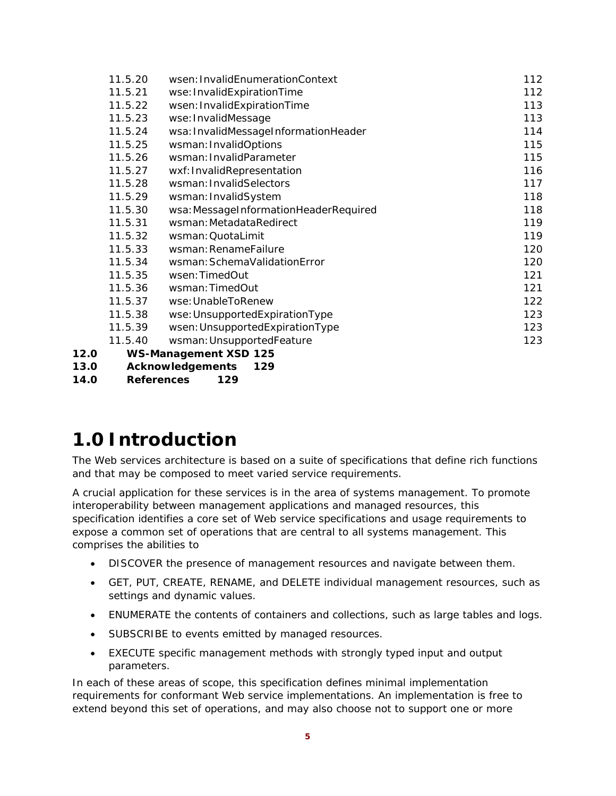|      | 11.5.20 | wsen: InvalidEnumerationContext       | 112 |
|------|---------|---------------------------------------|-----|
|      | 11.5.21 | wse: InvalidExpirationTime            | 112 |
|      | 11.5.22 | wsen: InvalidExpirationTime           | 113 |
|      | 11.5.23 | wse: InvalidMessage                   | 113 |
|      | 11.5.24 | wsa: InvalidMessageInformationHeader  | 114 |
|      | 11.5.25 | wsman: InvalidOptions                 | 115 |
|      | 11.5.26 | wsman: InvalidParameter               | 115 |
|      | 11.5.27 | wxf: InvalidRepresentation            | 116 |
|      | 11.5.28 | wsman: InvalidSelectors               | 117 |
|      | 11.5.29 | wsman: InvalidSystem                  | 118 |
|      | 11.5.30 | wsa: MessageInformationHeaderRequired | 118 |
|      | 11.5.31 | wsman: MetadataRedirect               | 119 |
|      | 11.5.32 | wsman: QuotaLimit                     | 119 |
|      | 11.5.33 | wsman: RenameFailure                  | 120 |
|      | 11.5.34 | wsman: SchemaValidationError          | 120 |
|      | 11.5.35 | wsen: TimedOut                        | 121 |
|      | 11.5.36 | wsman: TimedOut                       | 121 |
|      | 11.5.37 | wse: UnableToRenew                    | 122 |
|      | 11.5.38 | wse: UnsupportedExpirationType        | 123 |
|      | 11.5.39 | wsen: UnsupportedExpirationType       | 123 |
|      | 11.5.40 | wsman: UnsupportedFeature             | 123 |
| 12.0 |         | <b>WS-Management XSD 125</b>          |     |
| 13.0 |         | <b>Acknowledgements</b><br>129        |     |

**14.0 References 129**

# **1.0 Introduction**

The Web services architecture is based on a suite of specifications that define rich functions and that may be composed to meet varied service requirements.

A crucial application for these services is in the area of systems management. To promote interoperability between management applications and managed resources, this specification identifies a core set of Web service specifications and usage requirements to expose a common set of operations that are central to all systems management. This comprises the abilities to

- DISCOVER the presence of management resources and navigate between them.
- GET, PUT, CREATE, RENAME, and DELETE individual management resources, such as settings and dynamic values.
- ENUMERATE the contents of containers and collections, such as large tables and logs.
- SUBSCRIBE to events emitted by managed resources.
- EXECUTE specific management methods with strongly typed input and output parameters.

In each of these areas of scope, this specification defines minimal implementation requirements for conformant Web service implementations. An implementation is free to extend beyond this set of operations, and may also choose not to support one or more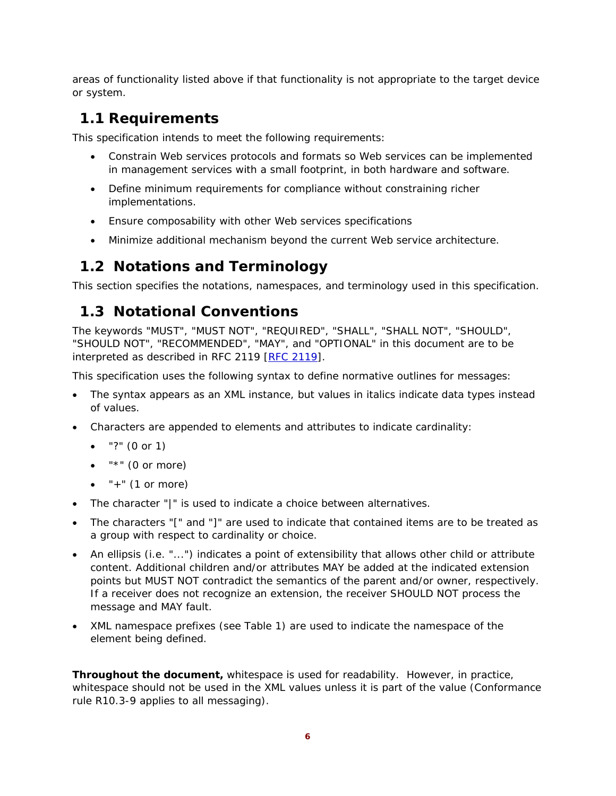areas of functionality listed above if that functionality is not appropriate to the target device or system.

# **1.1 Requirements**

This specification intends to meet the following requirements:

- Constrain Web services protocols and formats so Web services can be implemented in management services with a small footprint, in both hardware and software.
- Define minimum requirements for compliance without constraining richer implementations.
- Ensure composability with other Web services specifications
- Minimize additional mechanism beyond the current Web service architecture.

# **1.2 Notations and Terminology**

This section specifies the notations, namespaces, and terminology used in this specification.

# **1.3 Notational Conventions**

The keywords "MUST", "MUST NOT", "REQUIRED", "SHALL", "SHALL NOT", "SHOULD", "SHOULD NOT", "RECOMMENDED", "MAY", and "OPTIONAL" in this document are to be interpreted as described in RFC 2119 [RFC 2119].

This specification uses the following syntax to define normative outlines for messages:

- The syntax appears as an XML instance, but values in italics indicate data types instead of values.
- Characters are appended to elements and attributes to indicate cardinality:
	- "?" (0 or 1)
	- $\bullet$  "\*" (0 or more)
	- $\bullet$  "+" (1 or more)
- The character "|" is used to indicate a choice between alternatives.
- The characters "[" and "]" are used to indicate that contained items are to be treated as a group with respect to cardinality or choice.
- An ellipsis (i.e. "...") indicates a point of extensibility that allows other child or attribute content. Additional children and/or attributes MAY be added at the indicated extension points but MUST NOT contradict the semantics of the parent and/or owner, respectively. If a receiver does not recognize an extension, the receiver SHOULD NOT process the message and MAY fault.
- XML namespace prefixes (see Table 1) are used to indicate the namespace of the element being defined.

**Throughout the document,** whitespace is used for readability. However, in practice, whitespace should not be used in the XML values unless it is part of the value (Conformance rule R10.3-9 applies to all messaging).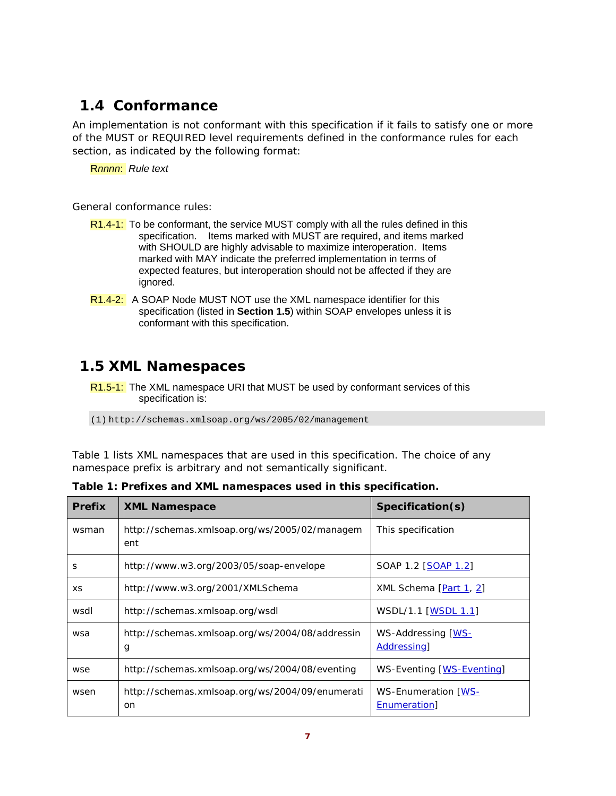# **1.4 Conformance**

An implementation is not conformant with this specification if it fails to satisfy one or more of the MUST or REQUIRED level requirements defined in the conformance rules for each section, as indicated by the following format:

R*nnnn*: *Rule text* 

General conformance rules:

- R1.4-1: To be conformant, the service MUST comply with all the rules defined in this specification. Items marked with MUST are required, and items marked with SHOULD are highly advisable to maximize interoperation. Items marked with MAY indicate the preferred implementation in terms of expected features, but interoperation should not be affected if they are ignored.
- R1.4-2: A SOAP Node MUST NOT use the XML namespace identifier for this specification (listed in **Section 1.5**) within SOAP envelopes unless it is conformant with this specification.

# **1.5 XML Namespaces**

R1.5-1: The XML namespace URI that MUST be used by conformant services of this specification is:

(1) http://schemas.xmlsoap.org/ws/2005/02/management

Table 1 lists XML namespaces that are used in this specification. The choice of any namespace prefix is arbitrary and not semantically significant.

| <b>Prefix</b> | <b>XML Namespace</b>                                   | Specification(s)                          |
|---------------|--------------------------------------------------------|-------------------------------------------|
| wsman         | http://schemas.xmlsoap.org/ws/2005/02/managem<br>ent   | This specification                        |
| S             | http://www.w3.org/2003/05/soap-envelope                | SOAP 1.2 [SOAP 1.2]                       |
| XS            | http://www.w3.org/2001/XMLSchema                       | XML Schema [Part 1, 2]                    |
| wsdl          | http://schemas.xmlsoap.org/wsdl                        | WSDL/1.1 [WSDL 1.1]                       |
| wsa           | http://schemas.xmlsoap.org/ws/2004/08/addressin<br>g   | WS-Addressing [WS-<br>Addressing          |
| wse           | http://schemas.xmlsoap.org/ws/2004/08/eventing         | WS-Eventing [WS-Eventing]                 |
| wsen          | http://schemas.xmlsoap.org/ws/2004/09/enumerati<br>on. | WS-Enumeration [WS-<br><b>Enumeration</b> |

**Table 1: Prefixes and XML namespaces used in this specification.**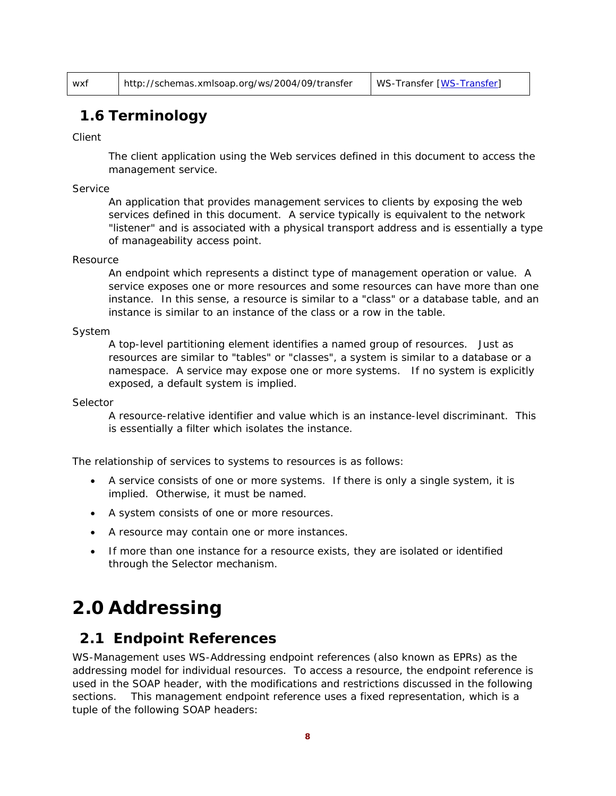## **1.6 Terminology**

Client

The client application using the Web services defined in this document to access the management service.

#### Service

An application that provides management services to clients by exposing the web services defined in this document. A service typically is equivalent to the network "listener" and is associated with a physical transport address and is essentially a type of manageability access point.

#### Resource

An endpoint which represents a distinct type of management operation or value. A service exposes one or more resources and some resources can have more than one instance. In this sense, a resource is similar to a "class" or a database table, and an instance is similar to an instance of the class or a row in the table.

#### System

A top-level partitioning element identifies a named group of resources. Just as resources are similar to "tables" or "classes", a system is similar to a database or a namespace. A service may expose one or more systems. If no system is explicitly exposed, a default system is implied.

#### Selector

A resource-relative identifier and value which is an instance-level discriminant. This is essentially a filter which isolates the instance.

The relationship of services to systems to resources is as follows:

- A service consists of one or more systems. If there is only a single system, it is implied. Otherwise, it must be named.
- A system consists of one or more resources.
- A resource may contain one or more instances.
- If more than one instance for a resource exists, they are isolated or identified through the Selector mechanism.

# **2.0 Addressing**

### **2.1 Endpoint References**

WS-Management uses WS-Addressing *endpoint references* (also known as *EPRs*) as the addressing model for individual resources. To access a resource, the endpoint reference is used in the SOAP header, with the modifications and restrictions discussed in the following sections. This management endpoint reference uses a fixed representation, which is a tuple of the following SOAP headers: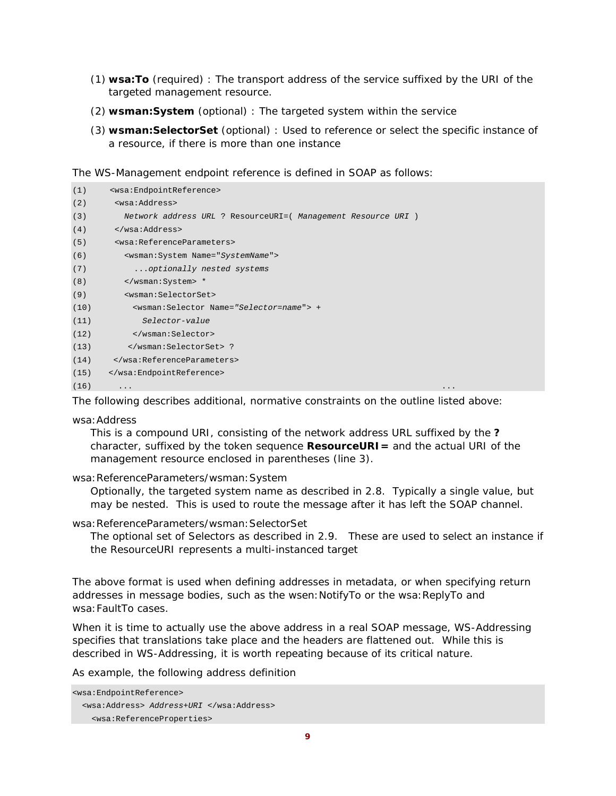- (1) **wsa:To** (required) : The transport address of the service suffixed by the URI of the targeted management resource.
- (2) **wsman:System** (optional) : The targeted system within the service
- (3) **wsman:SelectorSet** (optional) : Used to reference or select the specific instance of a resource, if there is more than one instance

The WS-Management endpoint reference is defined in SOAP as follows:

| (1)  | <wsa:endpointreference></wsa:endpointreference>               |
|------|---------------------------------------------------------------|
| (2)  | <wsa:address></wsa:address>                                   |
| (3)  | Network address URL ? ResourceURI=( Management Resource URI ) |
| (4)  |                                                               |
| (5)  | <wsa:referenceparameters></wsa:referenceparameters>           |
| (6)  | <wsman: name="SystemName" system=""></wsman:>                 |
| (7)  | optionally nested systems                                     |
| (8)  | *                                                             |
| (9)  | <wsman:selectorset></wsman:selectorset>                       |
| (10) | <wsman:selector name="Selector=name"> +</wsman:selector>      |
| (11) | Selector-value                                                |
| (12) |                                                               |
| (13) | ?                                                             |
| (14) |                                                               |
| (15) |                                                               |
| (16) | .<br>$\ddotsc$                                                |
|      |                                                               |

The following describes additional, normative constraints on the outline listed above:

#### wsa:Address

This is a compound URI, consisting of the network address URL suffixed by the **?**  character, suffixed by the token sequence **ResourceURI=** and the actual URI of the management resource enclosed in parentheses (line 3).

#### wsa:ReferenceParameters/wsman:System

Optionally, the targeted system name as described in 2.8. Typically a single value, but may be nested. This is used to route the message after it has left the SOAP channel.

#### wsa:ReferenceParameters/wsman:SelectorSet

The optional set of Selectors as described in 2.9. These are used to select an instance if the ResourceURI represents a multi-instanced target

The above format is used when defining addresses in metadata, or when specifying return addresses in message bodies, such as the wsen:NotifyTo or the wsa:ReplyTo and wsa:FaultTo cases.

When it is time to actually use the above address in a real SOAP message, WS-Addressing specifies that translations take place and the headers are flattened out. While this is described in WS-Addressing, it is worth repeating because of its critical nature.

As example, the following address definition

```
<wsa:EndpointReference> 
   <wsa:Address> Address+URI </wsa:Address> 
     <wsa:ReferenceProperties>
```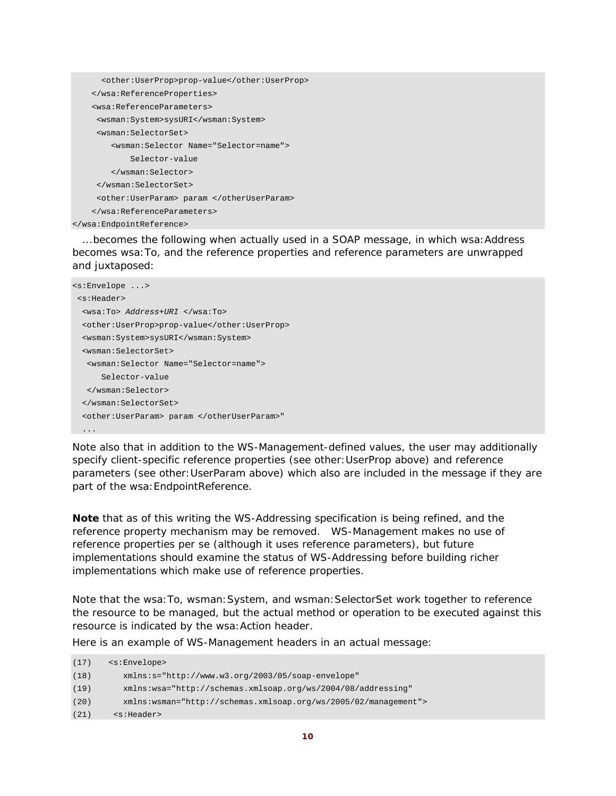```
 <other:UserProp>prop-value</other:UserProp> 
     </wsa:ReferenceProperties> 
     <wsa:ReferenceParameters> 
      <wsman:System>sysURI</wsman:System> 
      <wsman:SelectorSet> 
         <wsman:Selector Name="Selector=name"> 
             Selector-value 
         </wsman:Selector> 
      </wsman:SelectorSet> 
      <other:UserParam> param </otherUserParam> 
     </wsa:ReferenceParameters> 
</wsa:EndpointReference>
```
...becomes the following when actually used in a SOAP message, in which wsa: Address becomes wsa:To, and the reference properties and reference parameters are unwrapped and juxtaposed:

```
<s:Envelope ...> 
 <s:Header> 
  <wsa:To> Address+URI </wsa:To> 
  <other:UserProp>prop-value</other:UserProp> 
   <wsman:System>sysURI</wsman:System> 
   <wsman:SelectorSet> 
   <wsman:Selector Name="Selector=name"> 
       Selector-value 
   </wsman:Selector> 
   </wsman:SelectorSet> 
   <other:UserParam> param </otherUserParam>" 
   ...
```
Note also that in addition to the WS-Management-defined values, the user may additionally specify client-specific reference properties (see *other:UserProp* above) and reference parameters (see *other:UserParam* above) which also are included in the message if they are part of the wsa: EndpointReference.

**Note** that as of this writing the WS-Addressing specification is being refined, and the reference property mechanism may be removed. WS-Management makes no use of reference properties per se (although it uses reference parameters), but future implementations should examine the status of WS-Addressing before building richer implementations which make use of reference properties.

Note that the wsa:To, wsman:System, and wsman:SelectorSet work together to *reference*  the resource to be managed, but the actual *method* or *operation* to be executed against this resource is indicated by the wsa:Action header.

Here is an example of WS-Management headers in an actual message:

| (17) | <s:envelope></s:envelope>                                        |
|------|------------------------------------------------------------------|
| (18) | $xmlns:s="http://www.w3.org/2003/05/soap-envelope"$              |
| (19) | xmlns:wsa="http://schemas.xmlsoap.org/ws/2004/08/addressing"     |
| (20) | $xmlns:wsman="http://schemas.xmlsoap.org/ws/2005/02/manaqement"$ |
| (21) | <s:header></s:header>                                            |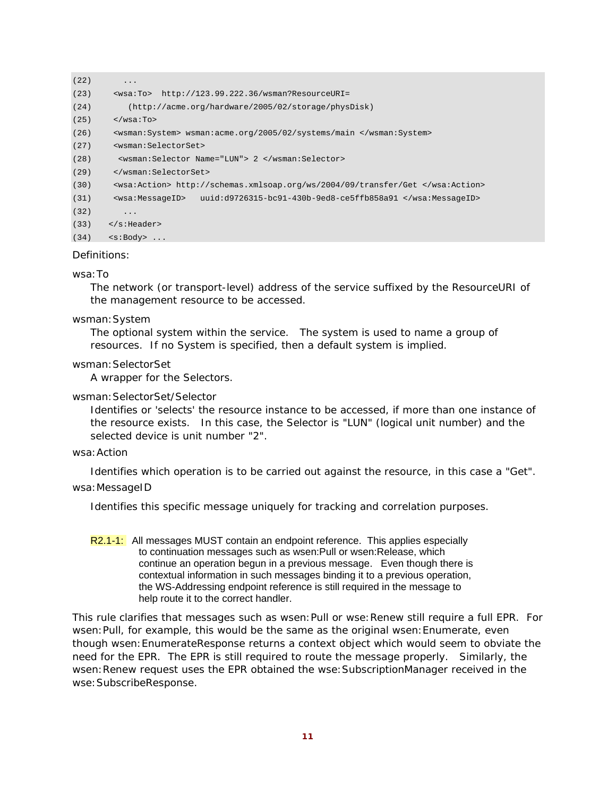```
(22) ...
(23) <wsa:To> http://123.99.222.36/wsman?ResourceURI= 
(24) (http://acme.org/hardware/2005/02/storage/physDisk) 
(25) \langle/wsa:To>
(26) <wsman:System> wsman:acme.org/2005/02/systems/main </wsman:System> 
(27) <wsman:SelectorSet> 
(28) <wsman:Selector Name="LUN"> 2 </wsman:Selector> 
(29) </wsman:SelectorSet> 
(30) <wsa:Action> http://schemas.xmlsoap.org/ws/2004/09/transfer/Get </wsa:Action> 
(31) <wsa:MessageID> uuid:d9726315-bc91-430b-9ed8-ce5ffb858a91 </wsa:MessageID> 
(32) ...
(33) \langle s: Header>
(34) \leq \leq \geq \leq \leq \leq \leq \leq \leq \leq \leq \leq \leq \leq \leq \leq \leq \leq \leq \leq \leq \leq \leq \leq \leq \leq \leq \leq \leq \leq \leq \leq \leq \leq \leq \leq
```
#### Definitions:

#### wsa:To

The network (or transport-level) address of the service suffixed by the ResourceURI of the management resource to be accessed.

#### wsman:System

The optional system within the service. The system is used to name a group of resources. If no System is specified, then a default system is implied.

#### wsman:SelectorSet

A wrapper for the Selectors.

#### wsman:SelectorSet/Selector

Identifies or 'selects' the resource instance to be accessed, if more than one instance of the resource exists. In this case, the Selector is "LUN" (logical unit number) and the selected device is unit number "2".

#### wsa:Action

Identifies which operation is to be carried out against the resource, in this case a "Get".

#### wsa:MessageID

Identifies this specific message uniquely for tracking and correlation purposes.

R2.1-1: All messages MUST contain an endpoint reference. This applies especially to continuation messages such as wsen:Pull or wsen:Release, which continue an operation begun in a previous message. Even though there is contextual information in such messages binding it to a previous operation, the WS-Addressing endpoint reference is still required in the message to help route it to the correct handler.

This rule clarifies that messages such as wsen:Pull or wse:Renew still require a full EPR. For wsen:Pull, for example, this would be the same as the original wsen:Enumerate, even though wsen:EnumerateResponse returns a context object which would seem to obviate the need for the EPR. The EPR is still required to route the message properly. Similarly, the wsen:Renew request uses the EPR obtained the wse:SubscriptionManager received in the wse:SubscribeResponse.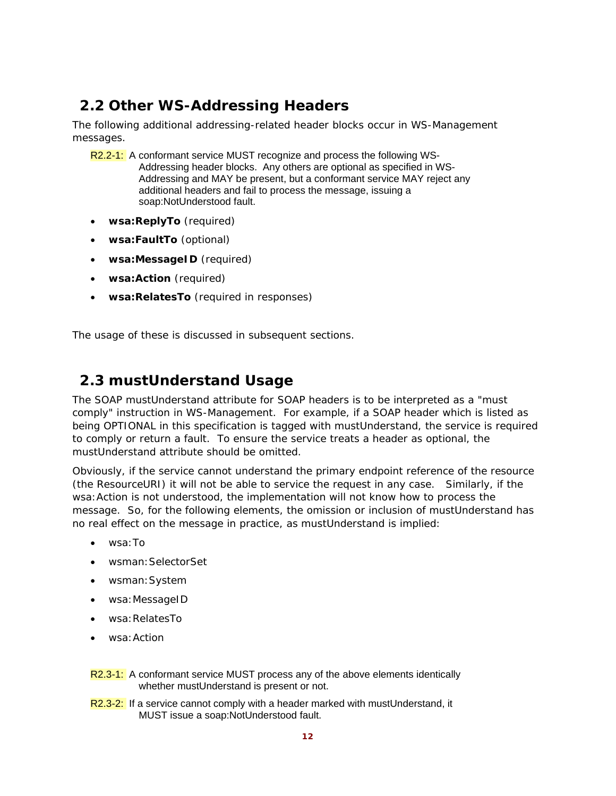# **2.2 Other WS-Addressing Headers**

The following additional addressing-related header blocks occur in WS-Management messages.

- R2.2-1: A conformant service MUST recognize and process the following WS-Addressing header blocks. Any others are optional as specified in WS-Addressing and MAY be present, but a conformant service MAY reject any additional headers and fail to process the message, issuing a soap:NotUnderstood fault.
- **wsa:ReplyTo** (required)
- **wsa:FaultTo** (optional)
- **wsa:MessageID** (required)
- **wsa:Action** (required)
- **wsa:RelatesTo** (required in responses)

The usage of these is discussed in subsequent sections.

# **2.3 mustUnderstand Usage**

The SOAP *mustUnderstand* attribute for SOAP headers is to be interpreted as a "must comply" instruction in WS-Management. For example, if a SOAP header which is listed as being OPTIONAL in this specification is tagged with *mustUnderstand*, the service is required to comply or return a fault. To ensure the service treats a header as optional, the *mustUnderstand* attribute should be omitted.

Obviously, if the service cannot understand the primary endpoint reference of the resource (the *ResourceURI*) it will not be able to service the request in any case. Similarly, if the wsa:Action is not understood, the implementation will not know how to process the message. So, for the following elements, the omission or inclusion of *mustUnderstand* has no real effect on the message in practice, as *mustUnderstand* is implied:

- wsa:To
- wsman:SelectorSet
- wsman:System
- wsa:MessageID
- wsa:RelatesTo
- wsa:Action

R2.3-1: A conformant service MUST process any of the above elements identically whether mustUnderstand is present or not.

R2.3-2: If a service cannot comply with a header marked with mustUnderstand, it MUST issue a soap:NotUnderstood fault.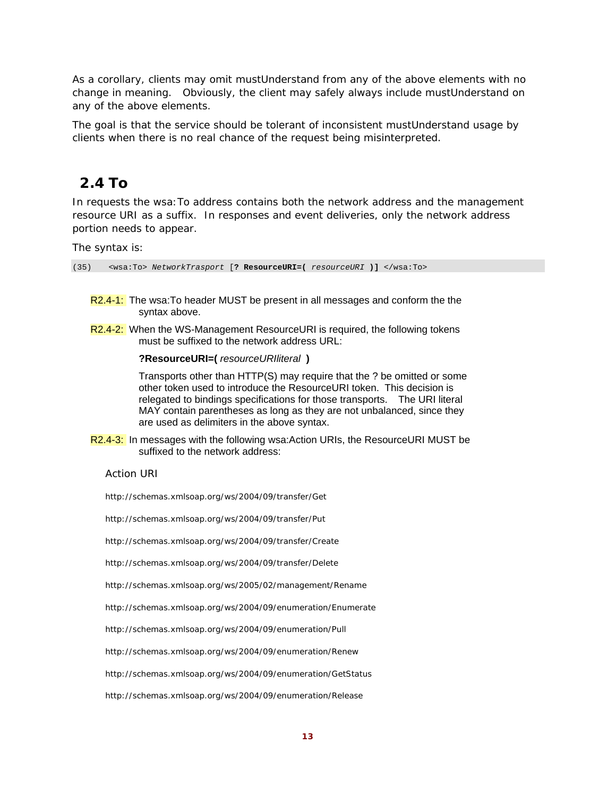As a corollary, clients may omit mustUnderstand from any of the above elements with no change in meaning. Obviously, the client may safely always include mustUnderstand on any of the above elements.

The goal is that the service should be tolerant of inconsistent mustUnderstand usage by clients when there is no real chance of the request being misinterpreted.

# **2.4 To**

In requests the wsa:To address contains both the network address and the management resource URI as a suffix. In responses and event deliveries, only the network address portion needs to appear.

The syntax is:

(35) <wsa:To> *NetworkTrasport* [**? ResourceURI=(** *resourceURI* **)]** </wsa:To>

- R2.4-1: The wsa: To header MUST be present in all messages and conform the the syntax above.
- R2.4-2: When the WS-Management ResourceURI is required, the following tokens must be suffixed to the network address URL:

#### **?ResourceURI=(** *resourceURIliteral* **)**

 Transports other than HTTP(S) may require that the ? be omitted or some other token used to introduce the ResourceURI token. This decision is relegated to bindings specifications for those transports. The URI literal MAY contain parentheses as long as they are not unbalanced, since they are used as delimiters in the above syntax.

R2.4-3: In messages with the following wsa:Action URIs, the ResourceURI MUST be suffixed to the network address:

Action URI

http://schemas.xmlsoap.org/ws/2004/09/transfer/Get

http://schemas.xmlsoap.org/ws/2004/09/transfer/Put

- http://schemas.xmlsoap.org/ws/2004/09/transfer/Create
- http://schemas.xmlsoap.org/ws/2004/09/transfer/Delete
- http://schemas.xmlsoap.org/ws/2005/02/management/Rename
- http://schemas.xmlsoap.org/ws/2004/09/enumeration/Enumerate
- http://schemas.xmlsoap.org/ws/2004/09/enumeration/Pull
- http://schemas.xmlsoap.org/ws/2004/09/enumeration/Renew
- http://schemas.xmlsoap.org/ws/2004/09/enumeration/GetStatus

http://schemas.xmlsoap.org/ws/2004/09/enumeration/Release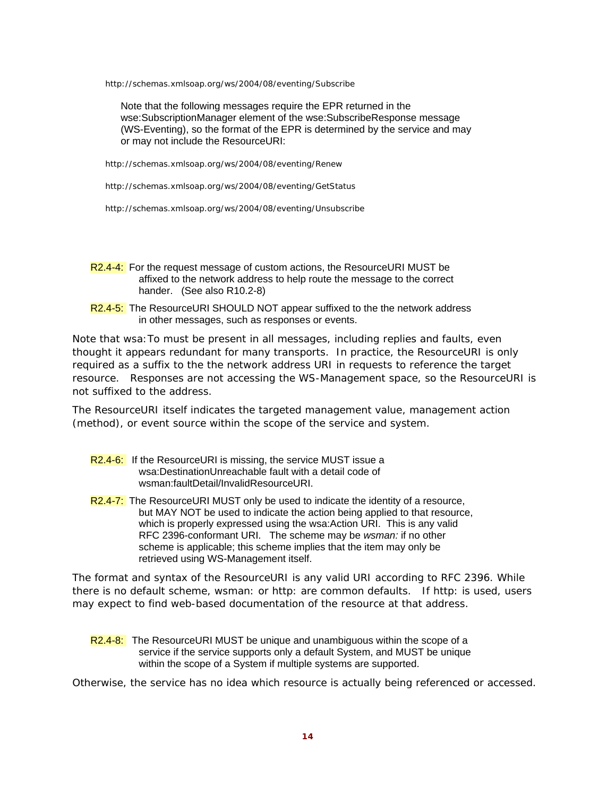http://schemas.xmlsoap.org/ws/2004/08/eventing/Subscribe

 Note that the following messages require the EPR returned in the wse:SubscriptionManager element of the wse:SubscribeResponse message (WS-Eventing), so the format of the EPR is determined by the service and may or may not include the ResourceURI:

http://schemas.xmlsoap.org/ws/2004/08/eventing/Renew

http://schemas.xmlsoap.org/ws/2004/08/eventing/GetStatus

http://schemas.xmlsoap.org/ws/2004/08/eventing/Unsubscribe

- R2.4-4: For the request message of custom actions, the ResourceURI MUST be affixed to the network address to help route the message to the correct hander. (See also R10.2-8)
- R2.4-5: The ResourceURI SHOULD NOT appear suffixed to the the network address in other messages, such as responses or events.

Note that wsa:To must be present in *all* messages, including replies and faults, even thought it appears redundant for many transports. In practice, the ResourceURI is only required as a suffix to the the network address URI in requests to reference the target resource. Responses are not accessing the WS-Management space, so the ResourceURI is not suffixed to the address.

The ResourceURI itself indicates the targeted management value, management action (method), or event source within the scope of the service and system.

- R2.4-6: If the ResourceURI is missing, the service MUST issue a wsa:DestinationUnreachable fault with a detail code of wsman:faultDetail/InvalidResourceURI.
- R2.4-7: The ResourceURI MUST only be used to indicate the identity of a resource, but MAY NOT be used to indicate the action being applied to that resource, which is properly expressed using the wsa:Action URI. This is any valid RFC 2396-conformant URI. The scheme may be *wsman:* if no other scheme is applicable; this scheme implies that the item may only be retrieved using WS-Management itself.

The format and syntax of the ResourceURI is any valid URI according to RFC 2396. While there is no default scheme, wsman: or http: are common defaults. If http: is used, users may expect to find web-based documentation of the resource at that address.

R2.4-8: The ResourceURI MUST be unique and unambiguous within the scope of a service if the service supports only a default System, and MUST be unique within the scope of a System if multiple systems are supported.

Otherwise, the service has no idea which resource is actually being referenced or accessed.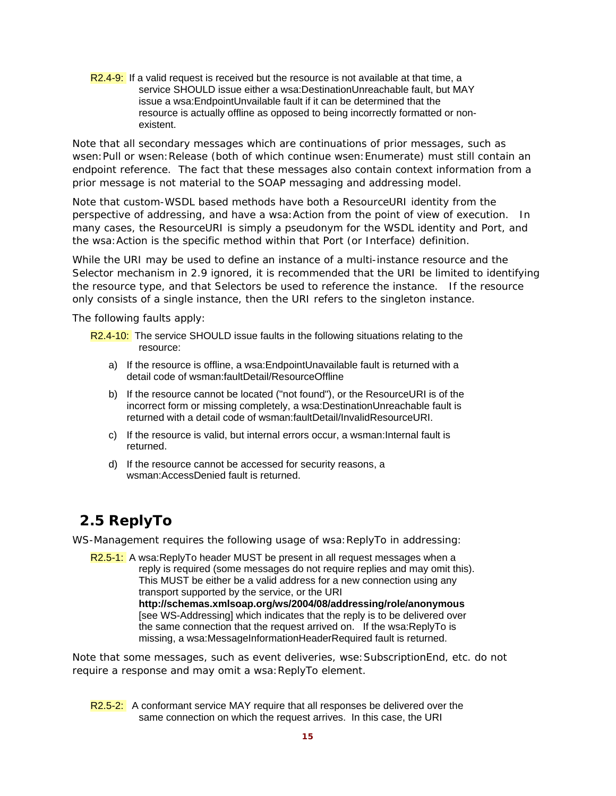R2.4-9: If a valid request is received but the resource is not available at that time, a service SHOULD issue either a wsa:DestinationUnreachable fault, but MAY issue a wsa:EndpointUnvailable fault if it can be determined that the resource is actually offline as opposed to being incorrectly formatted or nonexistent.

Note that all secondary messages which are continuations of prior messages, such as wsen:Pull or wsen:Release (both of which continue wsen:Enumerate) must still contain an endpoint reference. The fact that these messages also contain context information from a prior message is not material to the SOAP messaging and addressing model.

Note that custom-WSDL based methods have both a ResourceURI identity from the perspective of addressing, and have a wsa:Action from the point of view of execution. In many cases, the ResourceURI is simply a pseudonym for the WSDL identity and Port, and the wsa:Action is the specific method within that Port (or Interface) definition.

While the URI may be used to define an instance of a multi-instance resource and the Selector mechanism in 2.9 ignored, it is recommended that the URI be limited to identifying the resource type, and that Selectors be used to reference the instance. If the resource only consists of a single instance, then the URI refers to the singleton instance.

The following faults apply:

- R2.4-10: The service SHOULD issue faults in the following situations relating to the resource:
	- a) If the resource is offline, a wsa:EndpointUnavailable fault is returned with a detail code of wsman:faultDetail/ResourceOffline
	- b) If the resource cannot be located ("not found"), or the ResourceURI is of the incorrect form or missing completely, a wsa:DestinationUnreachable fault is returned with a detail code of wsman:faultDetail/InvalidResourceURI.
	- c) If the resource is valid, but internal errors occur, a wsman:Internal fault is returned.
	- d) If the resource cannot be accessed for security reasons, a wsman:AccessDenied fault is returned.

# **2.5 ReplyTo**

WS-Management requires the following usage of *wsa: ReplyTo* in addressing:

R2.5-1: A wsa:ReplyTo header MUST be present in all request messages when a reply is required (some messages do not require replies and may omit this). This MUST be either be a valid address for a new connection using any transport supported by the service, or the URI **http://schemas.xmlsoap.org/ws/2004/08/addressing/role/anonymous**  [see WS-Addressing] which indicates that the reply is to be delivered over the same connection that the request arrived on. If the wsa:ReplyTo is missing, a wsa:MessageInformationHeaderRequired fault is returned.

Note that some messages, such as event deliveries, wse:SubscriptionEnd, etc. do not require a response and may omit a wsa: ReplyTo element.

R2.5-2: A conformant service MAY require that all responses be delivered over the same connection on which the request arrives. In this case, the URI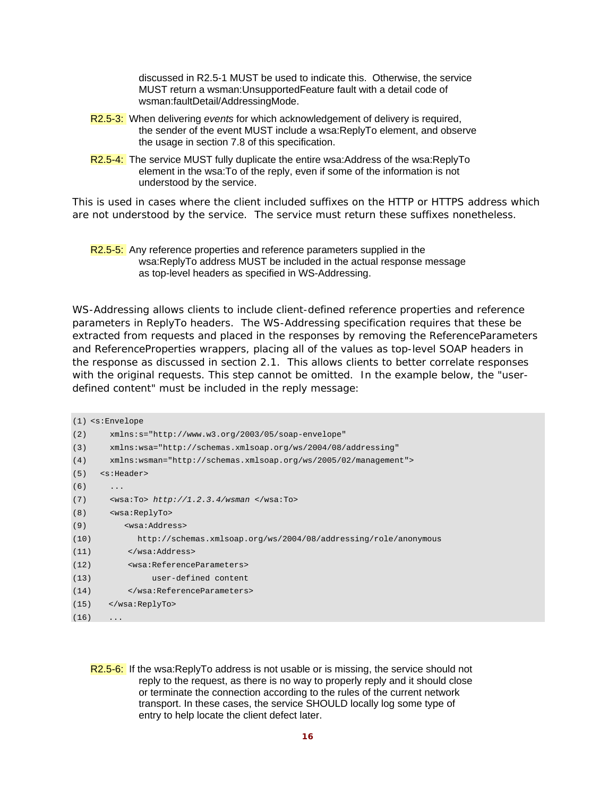discussed in R2.5-1 MUST be used to indicate this. Otherwise, the service MUST return a wsman:UnsupportedFeature fault with a detail code of wsman:faultDetail/AddressingMode.

- R2.5-3: When delivering *events* for which acknowledgement of delivery is required, the sender of the event MUST include a wsa:ReplyTo element, and observe the usage in section 7.8 of this specification.
- R2.5-4: The service MUST fully duplicate the entire wsa:Address of the wsa:ReplyTo element in the wsa:To of the reply, even if some of the information is not understood by the service.

This is used in cases where the client included suffixes on the HTTP or HTTPS address which are not understood by the service. The service must return these suffixes nonetheless.

#### R2.5-5: Any reference properties and reference parameters supplied in the wsa:ReplyTo address MUST be included in the actual response message as top-level headers as specified in WS-Addressing.

WS-Addressing allows clients to include client-defined reference properties and reference parameters in *ReplyTo* headers. The WS-Addressing specification requires that these be extracted from requests and placed in the responses by removing the *ReferenceParameters* and *ReferenceProperties* wrappers, placing all of the values as top-level SOAP headers in the response as discussed in section 2.1. This allows clients to better correlate responses with the original requests. This step cannot be omitted. In the example below, the "userdefined content" must be included in the reply message:

```
(1) <s:Envelope 
(2) xmlns:s="http://www.w3.org/2003/05/soap-envelope" 
(3) xmlns:wsa="http://schemas.xmlsoap.org/ws/2004/08/addressing" 
(4) xmlns:wsman="http://schemas.xmlsoap.org/ws/2005/02/management"> 
(5) <s:Header> 
(6) ...
(7) <wsa:To> http://1.2.3.4/wsman </wsa:To> 
(8) <wsa:ReplyTo> 
(9) <wsa:Address> 
(10) http://schemas.xmlsoap.org/ws/2004/08/addressing/role/anonymous 
(11) </wsa:Address> 
(12) <wsa:ReferenceParameters> 
(13) user-defined content 
(14) </wsa:ReferenceParameters> 
(15) </wsa:ReplyTo> 
(16)
```
R2.5-6: If the wsa:ReplyTo address is not usable or is missing, the service should not reply to the request, as there is no way to properly reply and it should close or terminate the connection according to the rules of the current network transport. In these cases, the service SHOULD locally log some type of entry to help locate the client defect later.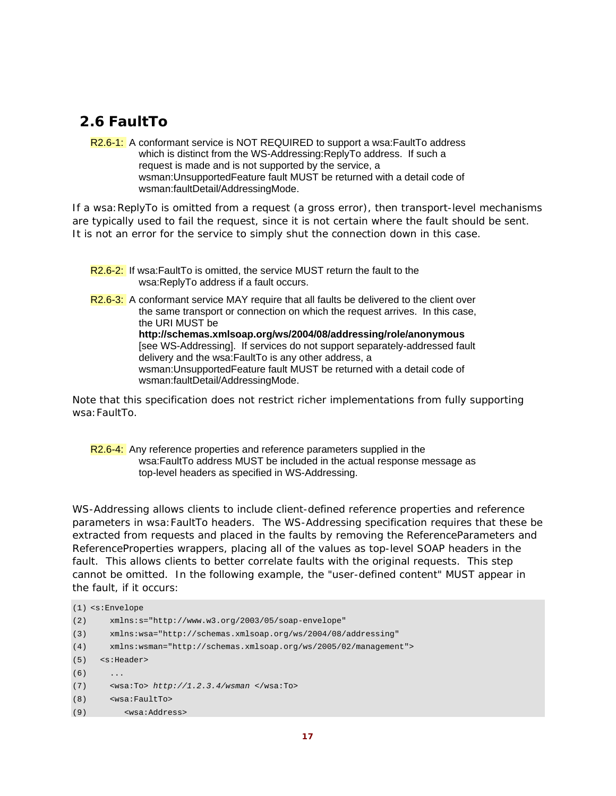# **2.6 FaultTo**

R2.6-1: A conformant service is NOT REQUIRED to support a wsa: FaultTo address which is distinct from the WS-Addressing:ReplyTo address. If such a request is made and is not supported by the service, a wsman:UnsupportedFeature fault MUST be returned with a detail code of wsman:faultDetail/AddressingMode.

If a wsa:ReplyTo is omitted from a request (a gross error), then transport-level mechanisms are typically used to fail the request, since it is not certain where the fault should be sent. It is not an error for the service to simply shut the connection down in this case.

R2.6-2: If wsa:FaultTo is omitted, the service MUST return the fault to the wsa:ReplyTo address if a fault occurs.

R<sub>2.6</sub>-3: A conformant service MAY require that all faults be delivered to the client over the same transport or connection on which the request arrives. In this case, the URI MUST be **http://schemas.xmlsoap.org/ws/2004/08/addressing/role/anonymous** [see WS-Addressing]. If services do not support separately-addressed fault delivery and the wsa:FaultTo is any other address, a wsman:UnsupportedFeature fault MUST be returned with a detail code of wsman:faultDetail/AddressingMode.

Note that this specification does not restrict richer implementations from fully supporting wsa:FaultTo.

R2.6-4: Any reference properties and reference parameters supplied in the wsa:FaultTo address MUST be included in the actual response message as top-level headers as specified in WS-Addressing.

WS-Addressing allows clients to include client-defined reference properties and reference parameters in *wsa:FaultTo* headers. The WS-Addressing specification requires that these be extracted from requests and placed in the faults by removing the *ReferenceParameters* and *ReferenceProperties* wrappers, placing all of the values as top-level SOAP headers in the fault. This allows clients to better correlate faults with the original requests. This step cannot be omitted. In the following example, the "user-defined content" MUST appear in the fault, if it occurs:

```
(1) <s:Envelope 
(2) xmlns:s="http://www.w3.org/2003/05/soap-envelope" 
(3) xmlns:wsa="http://schemas.xmlsoap.org/ws/2004/08/addressing" 
(4) xmlns:wsman="http://schemas.xmlsoap.org/ws/2005/02/management"> 
(5) <s:Header> 
(6) ...
(7) <wsa:To> http://1.2.3.4/wsman </wsa:To> 
(8) <wsa:FaultTo> 
(9) <wsa:Address>
```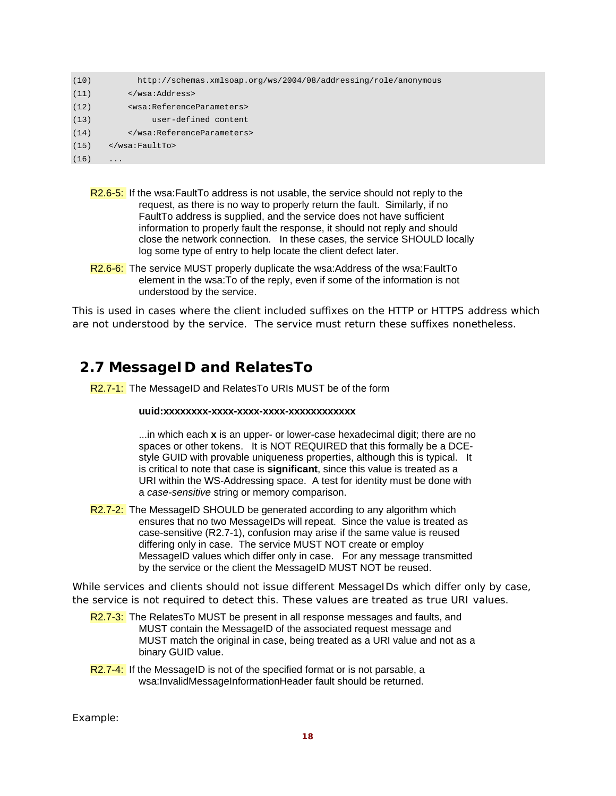| (10) | http://schemas.xmlsoap.org/ws/2004/08/addressing/role/anonymous |
|------|-----------------------------------------------------------------|
| (11) |                                                                 |
| (12) | <wsa:referenceparameters></wsa:referenceparameters>             |
| (13) | user-defined content                                            |
| (14) |                                                                 |
| (15) | $\langle$ /wsa:FaultTo>                                         |
| (16) | $\cdot$                                                         |
|      |                                                                 |

- R2.6-5: If the wsa:FaultTo address is not usable, the service should not reply to the request, as there is no way to properly return the fault. Similarly, if no FaultTo address is supplied, and the service does not have sufficient information to properly fault the response, it should not reply and should close the network connection. In these cases, the service SHOULD locally log some type of entry to help locate the client defect later.
- R2.6-6: The service MUST properly duplicate the wsa:Address of the wsa:FaultTo element in the wsa:To of the reply, even if some of the information is not understood by the service.

This is used in cases where the client included suffixes on the HTTP or HTTPS address which are not understood by the service. The service must return these suffixes nonetheless.

### **2.7 MessageID and RelatesTo**

R2.7-1: The MessageID and RelatesTo URIs MUST be of the form

#### **uuid:xxxxxxxx-xxxx-xxxx-xxxx-xxxxxxxxxxxx**

...in which each **x** is an upper- or lower-case hexadecimal digit; there are no spaces or other tokens. It is NOT REQUIRED that this formally be a DCEstyle GUID with provable uniqueness properties, although this is typical. It is critical to note that case is **significant**, since this value is treated as a URI within the WS-Addressing space. A test for identity must be done with a *case-sensitive* string or memory comparison.

R2.7-2: The MessageID SHOULD be generated according to any algorithm which ensures that no two MessageIDs will repeat. Since the value is treated as case-sensitive (R2.7-1), confusion may arise if the same value is reused differing only in case. The service MUST NOT create or employ MessageID values which differ only in case. For any message transmitted by the service or the client the MessageID MUST NOT be reused.

While services and clients should not issue different MessageIDs which differ only by case, the service is not required to detect this. These values are treated as true URI values.

- R2.7-3: The RelatesTo MUST be present in all response messages and faults, and MUST contain the MessageID of the associated request message and MUST match the original in case, being treated as a URI value and not as a binary GUID value.
- $R2.7-4$ : If the MessageID is not of the specified format or is not parsable, a wsa:InvalidMessageInformationHeader fault should be returned.

Example: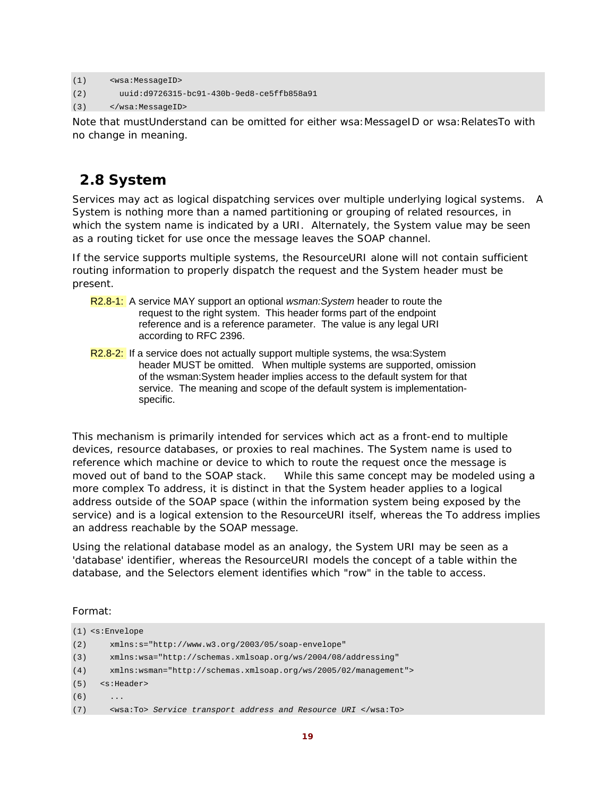```
(1) <wsa:MessageID> 
(2) uuid:d9726315-bc91-430b-9ed8-ce5ffb858a91 
(3) </wsa:MessageID>
```
Note that mustUnderstand can be omitted for either wsa: MessageID or wsa: RelatesTo with no change in meaning.

## **2.8 System**

Services may act as logical dispatching services over multiple underlying logical systems. A System is nothing more than a named partitioning or grouping of related resources, in which the system name is indicated by a URI. Alternately, the System value may be seen as a routing ticket for use once the message leaves the SOAP channel.

If the service supports multiple systems, the *ResourceURI* alone will not contain sufficient routing information to properly dispatch the request and the System header must be present.

- R2.8-1: A service MAY support an optional *wsman:System* header to route the request to the right system. This header forms part of the endpoint reference and is a reference parameter. The value is any legal URI according to RFC 2396.
- R2.8-2: If a service does not actually support multiple systems, the wsa:System header MUST be omitted. When multiple systems are supported, omission of the wsman:System header implies access to the default system for that service. The meaning and scope of the default system is implementationspecific.

This mechanism is primarily intended for services which act as a front-end to multiple devices, resource databases, or proxies to real machines. The *System* name is used to reference which machine or device to which to route the request once the message is moved out of band to the SOAP stack. While this same concept may be modeled using a more complex *To* address, it is distinct in that the *System* header applies to a logical address outside of the SOAP space (within the information system being exposed by the service) and is a logical extension to the ResourceURI itself, whereas the *To* address implies an address reachable by the SOAP message.

Using the relational database model as an analogy, the System URI may be seen as a 'database' identifier, whereas the *ResourceURI* models the concept of a table within the database, and the Selectors element identifies which "row" in the table to access.

Format:

```
(1) <s:Envelope 
(2) xmlns:s="http://www.w3.org/2003/05/soap-envelope" 
(3) xmlns:wsa="http://schemas.xmlsoap.org/ws/2004/08/addressing" 
(4) xmlns:wsman="http://schemas.xmlsoap.org/ws/2005/02/management"> 
(5) <s:Header> 
(6)(7) <wsa:To> Service transport address and Resource URI </wsa:To>
```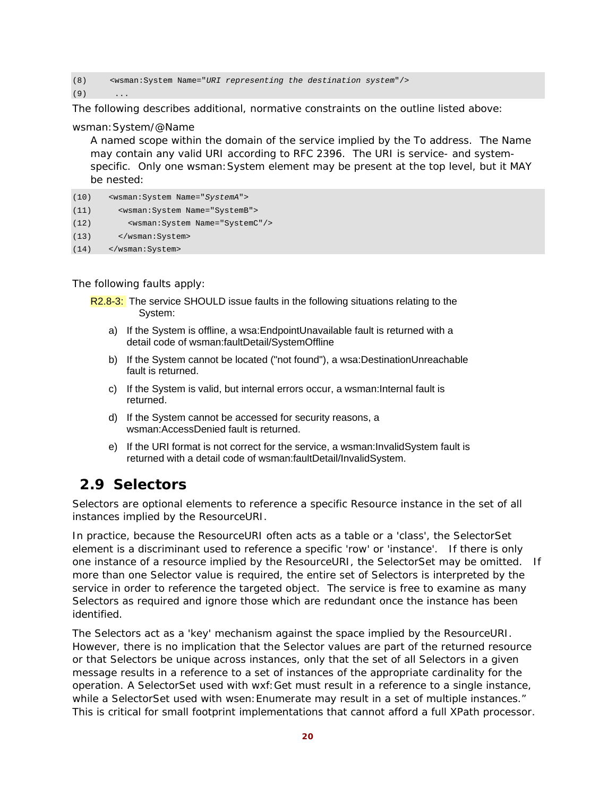(8) <wsman:System Name="*URI representing the destination system*"/>

 $(9)$ 

The following describes additional, normative constraints on the outline listed above:

#### wsman:System/@Name

A named scope within the domain of the service implied by the *To* address. The Name may contain any valid URI according to RFC 2396. The URI is service- and systemspecific. Only one wsman:System element may be present at the top level, but it MAY be nested:

```
(10) <wsman:System Name="SystemA"> 
(11) <wsman:System Name="SystemB"> 
(12) <wsman:System Name="SystemC"/> 
(13) </wsman:System> 
(14) </wsman:System>
```
The following faults apply:

- R2.8-3: The service SHOULD issue faults in the following situations relating to the System:
	- a) If the System is offline, a wsa:EndpointUnavailable fault is returned with a detail code of wsman:faultDetail/SystemOffline
	- b) If the System cannot be located ("not found"), a wsa:DestinationUnreachable fault is returned.
	- c) If the System is valid, but internal errors occur, a wsman:Internal fault is returned.
	- d) If the System cannot be accessed for security reasons, a wsman:AccessDenied fault is returned.
	- e) If the URI format is not correct for the service, a wsman:InvalidSystem fault is returned with a detail code of wsman:faultDetail/InvalidSystem.

### **2.9 Selectors**

Selectors are optional elements to reference a specific Resource instance in the set of all instances implied by the *ResourceURI.* 

In practice, because the *ResourceURI* often acts as a table or a 'class', the SelectorSet element is a discriminant used to reference a specific 'row' or 'instance'. If there is only one instance of a resource implied by the *ResourceURI,* the SelectorSet may be omitted. If more than one Selector value is required, the entire set of Selectors is interpreted by the service in order to reference the targeted object. The service is free to examine as many Selectors as required and ignore those which are redundant once the instance has been identified.

The Selectors act as a 'key' mechanism against the space implied by the ResourceURI. However, there is no implication that the Selector values are part of the returned resource or that Selectors be unique across instances, only that the set of all Selectors in a given message results in a reference to a set of instances of the appropriate cardinality for the operation. A SelectorSet used with wxf:Get must result in a reference to a single instance, while a SelectorSet used with wsen: Enumerate may result in a set of multiple instances." This is critical for small footprint implementations that cannot afford a full XPath processor.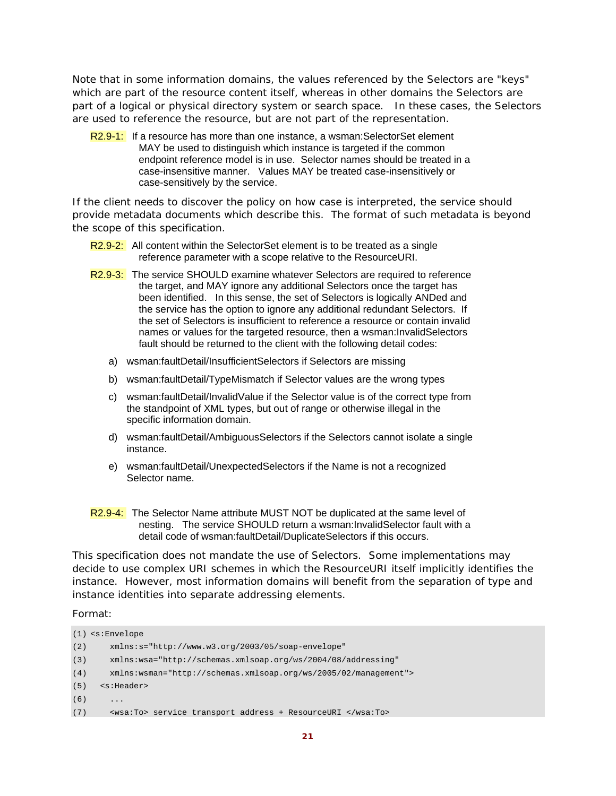Note that in some information domains, the values referenced by the Selectors are "keys" which are part of the resource content itself, whereas in other domains the Selectors are part of a logical or physical directory system or search space. In these cases, the Selectors are used to reference the resource, but are not part of the representation.

R2.9-1: If a resource has more than one instance, a wsman: SelectorSet element MAY be used to distinguish which instance is targeted if the common endpoint reference model is in use. Selector names should be treated in a case-insensitive manner. Values MAY be treated case-insensitively or case-sensitively by the service.

If the client needs to discover the policy on how case is interpreted, the service should provide metadata documents which describe this. The format of such metadata is beyond the scope of this specification.

- R2.9-2: All content within the SelectorSet element is to be treated as a single reference parameter with a scope relative to the ResourceURI.
- R2.9-3: The service SHOULD examine whatever Selectors are required to reference the target, and MAY ignore any additional Selectors once the target has been identified. In this sense, the set of Selectors is logically ANDed and the service has the option to ignore any additional redundant Selectors. If the set of Selectors is insufficient to reference a resource or contain invalid names or values for the targeted resource, then a wsman:InvalidSelectors fault should be returned to the client with the following detail codes:
	- a) wsman:faultDetail/InsufficientSelectors if Selectors are missing
	- b) wsman:faultDetail/TypeMismatch if Selector values are the wrong types
	- c) wsman:faultDetail/InvalidValue if the Selector value is of the correct type from the standpoint of XML types, but out of range or otherwise illegal in the specific information domain.
	- d) wsman:faultDetail/AmbiguousSelectors if the Selectors cannot isolate a single instance.
	- e) wsman:faultDetail/UnexpectedSelectors if the Name is not a recognized Selector name.
- R2.9-4: The Selector Name attribute MUST NOT be duplicated at the same level of nesting. The service SHOULD return a wsman:InvalidSelector fault with a detail code of wsman:faultDetail/DuplicateSelectors if this occurs.

This specification does not mandate the use of Selectors. Some implementations may decide to use complex URI schemes in which the ResourceURI itself implicitly identifies the instance. However, most information domains will benefit from the separation of type and instance identities into separate addressing elements.

Format:

```
(1) <s:Envelope 
(2) xmlns:s="http://www.w3.org/2003/05/soap-envelope" 
(3) xmlns:wsa="http://schemas.xmlsoap.org/ws/2004/08/addressing" 
(4) xmlns:wsman="http://schemas.xmlsoap.org/ws/2005/02/management"> 
(5) <s:Header> 
(6)(7) <wsa:To> service transport address + ResourceURI </wsa:To>
```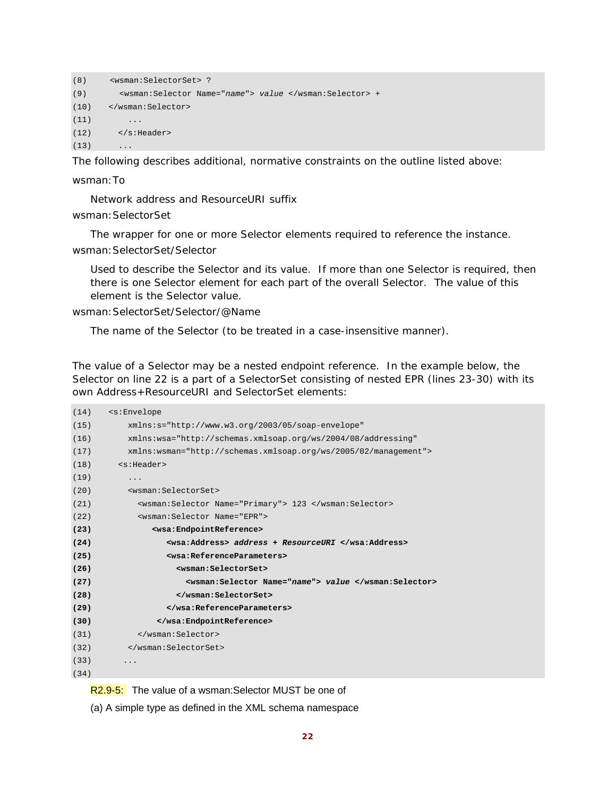```
(8) <wsman:SelectorSet> ? 
(9) <wsman:Selector Name="name"> value </wsman:Selector> + 
(10) </wsman:Selector> 
(11) ...
(12) \langle s: Header>
(13) ...
```
The following describes additional, normative constraints on the outline listed above:

wsman:To

Network address and ResourceURI suffix

wsman:SelectorSet

The wrapper for one or more Selector elements required to reference the instance. wsman: SelectorSet/Selector

Used to describe the Selector and its value. If more than one Selector is required, then there is one Selector element for each part of the overall Selector. The value of this element is the Selector value.

wsman:SelectorSet/Selector/@Name

The name of the Selector (to be treated in a case-insensitive manner).

The value of a Selector may be a nested endpoint reference. In the example below, the Selector on line 22 is a part of a SelectorSet consisting of nested EPR (lines 23-30) with its own Address+ResourceURI and SelectorSet elements:

| (14) | <s:envelope< th=""></s:envelope<>                                |
|------|------------------------------------------------------------------|
| (15) | $xmlns:s="http://www.w3.org/2003/05/soap-envelope"$              |
| (16) | xmlns:wsa="http://schemas.xmlsoap.org/ws/2004/08/addressing"     |
| (17) | $xmlns:wsman="http://schemas.xmlsoap.org/ws/2005/02/manaqement"$ |
| (18) | <s:header></s:header>                                            |
| (19) | $\ddots$                                                         |
| (20) | <wsman:selectorset></wsman:selectorset>                          |
| (21) | <wsman:selector name="Primary"> 123 </wsman:selector>            |
| (22) | <wsman: name="EPR" selector=""></wsman:>                         |
| (23) | <wsa:endpointreference></wsa:endpointreference>                  |
| (24) | <wsa:address> address + ResourceURI </wsa:address>               |
| (25) | <wsa:referenceparameters></wsa:referenceparameters>              |
| (26) | <wsman:selectorset></wsman:selectorset>                          |
| (27) | <wsman:selector name="name"> value </wsman:selector>             |
| (28) |                                                                  |
| (29) |                                                                  |
| (30) |                                                                  |
| (31) |                                                                  |
| (32) |                                                                  |
| (33) | .                                                                |
| (34) |                                                                  |
|      |                                                                  |

R<sub>2.9-5</sub>: The value of a wsman: Selector MUST be one of

(a) A simple type as defined in the XML schema namespace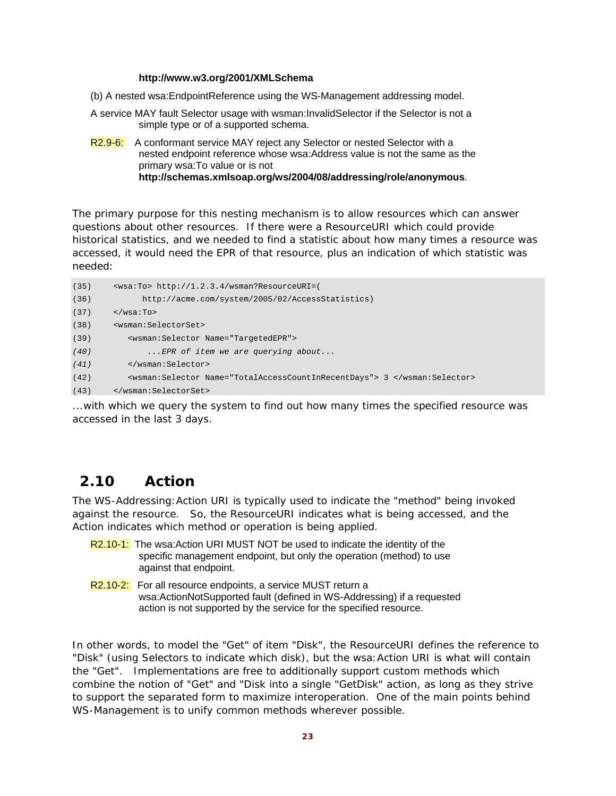#### **http://www.w3.org/2001/XMLSchema**

- (b) A nested wsa:EndpointReference using the WS-Management addressing model.
- A service MAY fault Selector usage with wsman:InvalidSelector if the Selector is not a simple type or of a supported schema.
- R2.9-6: A conformant service MAY reject any Selector or nested Selector with a nested endpoint reference whose wsa:Address value is not the same as the primary wsa:To value or is not **http://schemas.xmlsoap.org/ws/2004/08/addressing/role/anonymous**.

The primary purpose for this nesting mechanism is to allow resources which can answer questions about other resources. If there were a ResourceURI which could provide historical statistics, and we needed to find a statistic about how many times a resource was accessed, it would need the EPR of that resource, plus an indication of which statistic was needed:

```
(35) <wsa:To> http://1.2.3.4/wsman?ResourceURI=( 
(36) http://acme.com/system/2005/02/AccessStatistics) 
(37) \langle/wsa:To>
(38) <wsman:SelectorSet> 
(39) <wsman:Selector Name="TargetedEPR"> 
(40) ...EPR of item we are querying about... 
(41) </wsman:Selector>
(42) <wsman:Selector Name="TotalAccessCountInRecentDays"> 3 </wsman:Selector> 
(43) </wsman:SelectorSet>
```
...with which we query the system to find out how many times the specified resource was accessed in the last 3 days.

### **2.10 Action**

The WS-Addressing:Action URI is typically used to indicate the "method" being invoked against the resource. So, the ResourceURI indicates *what* is being accessed, and the Action indicates *which method or operation* is being applied.

- R2.10-1: The wsa:Action URI MUST NOT be used to indicate the identity of the specific management endpoint, but only the operation (method) to use against that endpoint.
- R2.10-2: For all resource endpoints, a service MUST return a wsa:ActionNotSupported fault (defined in WS-Addressing) if a requested action is not supported by the service for the specified resource.

In other words, to model the "Get" of item "Disk", the ResourceURI defines the reference to "Disk" (using Selectors to indicate which disk), but the wsa: Action URI is what will contain the "Get". Implementations are free to additionally support custom methods which combine the notion of "Get" and "Disk into a single "GetDisk" action, as long as they strive to support the separated form to maximize interoperation. One of the main points behind WS-Management is to unify common methods wherever possible.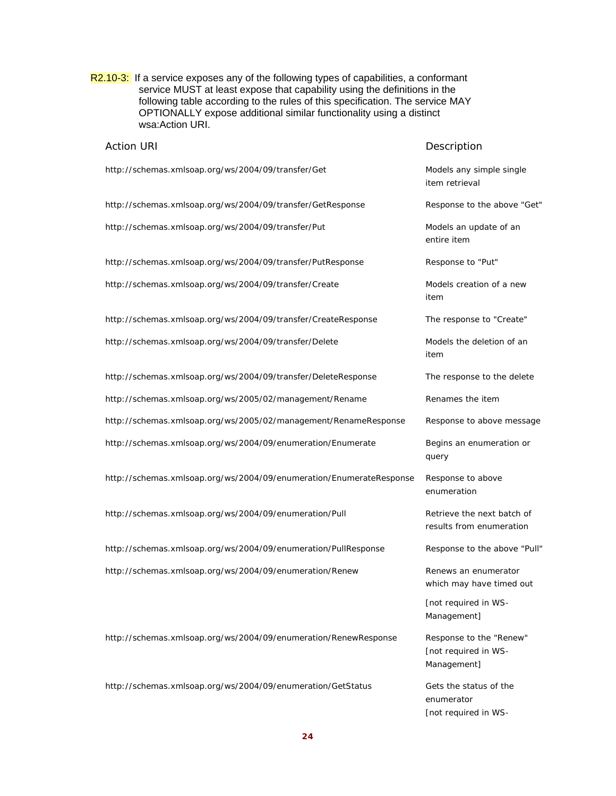R2.10-3: If a service exposes any of the following types of capabilities, a conformant service MUST at least expose that capability using the definitions in the following table according to the rules of this specification. The service MAY OPTIONALLY expose additional similar functionality using a distinct wsa:Action URI.

| <b>Action URI</b>                                                   | Description                                                    |
|---------------------------------------------------------------------|----------------------------------------------------------------|
| http://schemas.xmlsoap.org/ws/2004/09/transfer/Get                  | Models any simple single<br>item retrieval                     |
| http://schemas.xmlsoap.org/ws/2004/09/transfer/GetResponse          | Response to the above "Get"                                    |
| http://schemas.xmlsoap.org/ws/2004/09/transfer/Put                  | Models an update of an<br>entire item                          |
| http://schemas.xmlsoap.org/ws/2004/09/transfer/PutResponse          | Response to "Put"                                              |
| http://schemas.xmlsoap.org/ws/2004/09/transfer/Create               | Models creation of a new<br>item                               |
| http://schemas.xmlsoap.org/ws/2004/09/transfer/CreateResponse       | The response to "Create"                                       |
| http://schemas.xmlsoap.org/ws/2004/09/transfer/Delete               | Models the deletion of an<br>item                              |
| http://schemas.xmlsoap.org/ws/2004/09/transfer/DeleteResponse       | The response to the delete                                     |
| http://schemas.xmlsoap.org/ws/2005/02/management/Rename             | Renames the item                                               |
| http://schemas.xmlsoap.org/ws/2005/02/management/RenameResponse     | Response to above message                                      |
| http://schemas.xmlsoap.org/ws/2004/09/enumeration/Enumerate         | Begins an enumeration or<br>query                              |
| http://schemas.xmlsoap.org/ws/2004/09/enumeration/EnumerateResponse | Response to above<br>enumeration                               |
| http://schemas.xmlsoap.org/ws/2004/09/enumeration/Pull              | Retrieve the next batch of<br>results from enumeration         |
| http://schemas.xmlsoap.org/ws/2004/09/enumeration/PullResponse      | Response to the above "Pull"                                   |
| http://schemas.xmlsoap.org/ws/2004/09/enumeration/Renew             | Renews an enumerator<br>which may have timed out               |
|                                                                     | [not required in WS-<br>Management]                            |
| http://schemas.xmlsoap.org/ws/2004/09/enumeration/RenewResponse     | Response to the "Renew"<br>[not required in WS-<br>Management] |
| http://schemas.xmlsoap.org/ws/2004/09/enumeration/GetStatus         | Gets the status of the<br>enumerator<br>[not required in WS-   |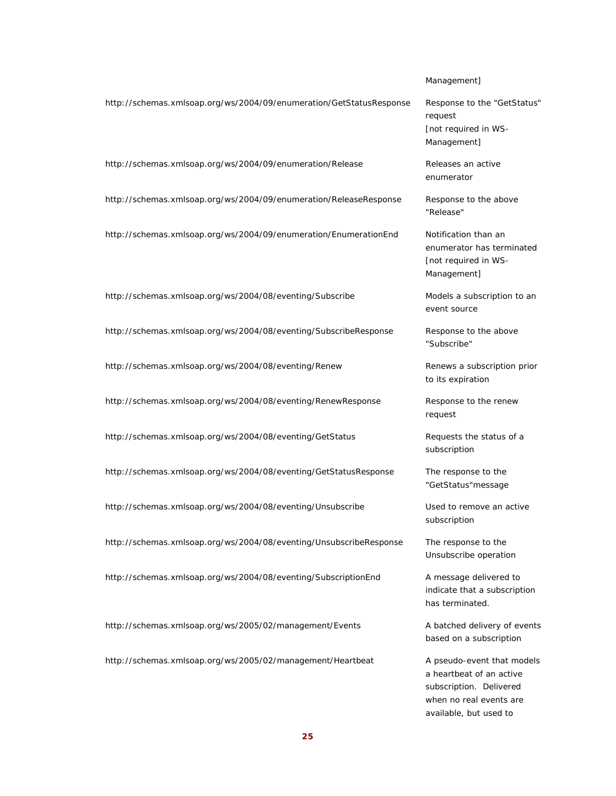#### Management]

http://schemas.xmlsoap.org/ws/2004/09/enumeration/GetStatusResponse Response to the "GetStatus" request [not required in WS-Management] http://schemas.xmlsoap.org/ws/2004/09/enumeration/Release Releases an active enumerator

http://schemas.xmlsoap.org/ws/2004/09/enumeration/ReleaseResponse Response to the above

http://schemas.xmlsoap.org/ws/2004/09/enumeration/EnumerationEnd Notification than an

http://schemas.xmlsoap.org/ws/2004/08/eventing/Subscribe Models a subscription to an

http://schemas.xmlsoap.org/ws/2004/08/eventing/SubscribeResponse Response to the above

http://schemas.xmlsoap.org/ws/2004/08/eventing/Renew Renews a subscription prior

http://schemas.xmlsoap.org/ws/2004/08/eventing/RenewResponse Response to the renew

http://schemas.xmlsoap.org/ws/2004/08/eventing/GetStatus Requests the status of a

http://schemas.xmlsoap.org/ws/2004/08/eventing/GetStatusResponse The response to the

http://schemas.xmlsoap.org/ws/2004/08/eventing/Unsubscribe Used to remove an active

http://schemas.xmlsoap.org/ws/2004/08/eventing/UnsubscribeResponse The response to the

http://schemas.xmlsoap.org/ws/2004/08/eventing/SubscriptionEnd A message delivered to

http://schemas.xmlsoap.org/ws/2005/02/management/Events A batched delivery of events

http://schemas.xmlsoap.org/ws/2005/02/management/Heartbeat A pseudo-event that models

"Release"

enumerator has terminated [not required in WS-Management]

event source

"Subscribe"

to its expiration

request

subscription

"GetStatus"message

subscription

Unsubscribe operation

indicate that a subscription has terminated.

based on a subscription

a heartbeat of an active subscription. Delivered when no real events are available, but used to

**25**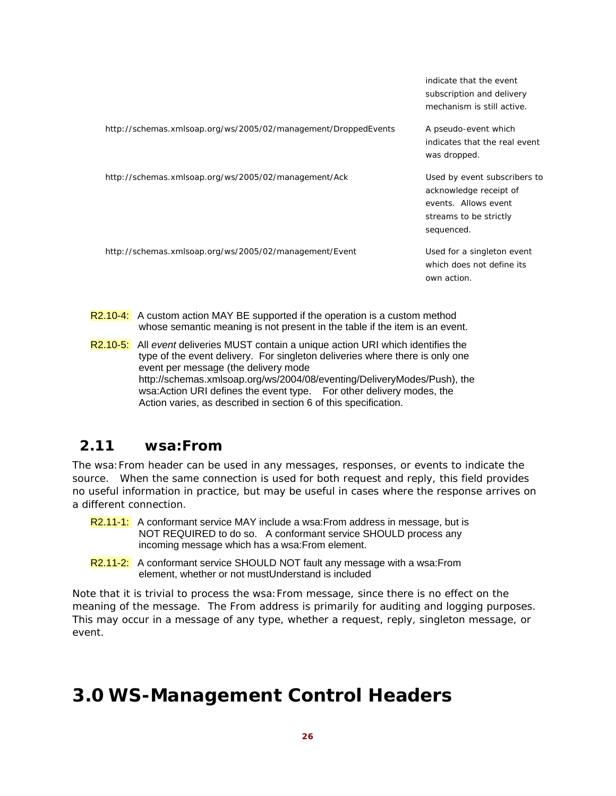|                                                                | indicate that the event<br>subscription and delivery<br>mechanism is still active.                                     |
|----------------------------------------------------------------|------------------------------------------------------------------------------------------------------------------------|
| http://schemas.xmlsoap.org/ws/2005/02/management/DroppedEvents | A pseudo-event which<br>indicates that the real event<br>was dropped.                                                  |
| http://schemas.xmlsoap.org/ws/2005/02/management/Ack           | Used by event subscribers to<br>acknowledge receipt of<br>events. Allows event<br>streams to be strictly<br>sequenced. |
| http://schemas.xmlsoap.org/ws/2005/02/management/Event         | Used for a singleton event<br>which does not define its<br>own action.                                                 |

- R2.10-4: A custom action MAY BE supported if the operation is a custom method whose semantic meaning is not present in the table if the item is an event.
- R2.10-5: All *event* deliveries MUST contain a unique action URI which identifies the type of the event delivery. For singleton deliveries where there is only one event per message (the delivery mode http://schemas.xmlsoap.org/ws/2004/08/eventing/DeliveryModes/Push), the wsa:Action URI defines the event type. For other delivery modes, the Action varies, as described in section 6 of this specification.

### **2.11 wsa:From**

The wsa:From header can be used in any messages, responses, or events to indicate the source. When the same connection is used for both request and reply, this field provides no useful information in practice, but may be useful in cases where the response arrives on a different connection.

- R2.11-1: A conformant service MAY include a wsa:From address in message, but is NOT REQUIRED to do so. A conformant service SHOULD process any incoming message which has a wsa:From element.
- R2.11-2: A conformant service SHOULD NOT fault any message with a wsa: From element, whether or not mustUnderstand is included

Note that it is trivial to process the wsa:From message, since there is no effect on the meaning of the message. The *From* address is primarily for auditing and logging purposes. This may occur in a message of any type, whether a request, reply, singleton message, or event.

# **3.0 WS-Management Control Headers**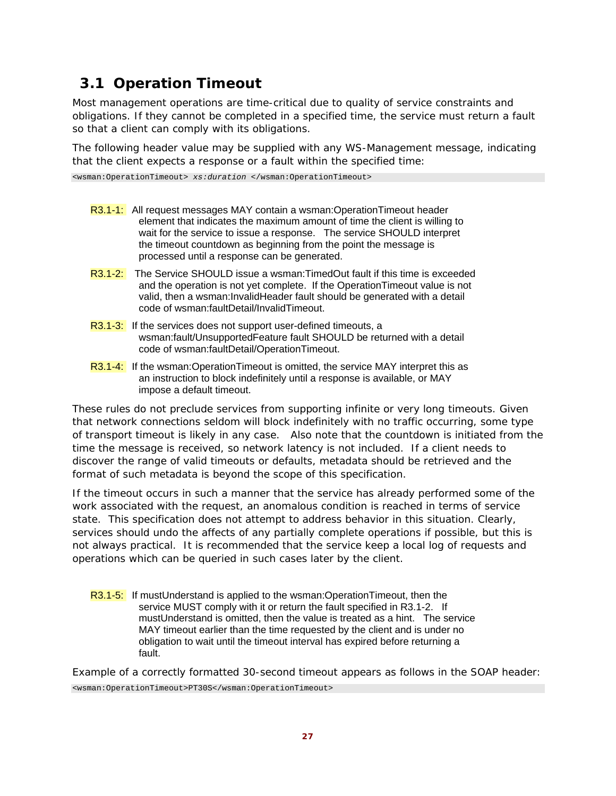# **3.1 Operation Timeout**

Most management operations are time-critical due to quality of service constraints and obligations. If they cannot be completed in a specified time, the service must return a fault so that a client can comply with its obligations.

The following header value may be supplied with any WS-Management message, indicating that the client expects a response or a fault within the specified time:

<wsman:OperationTimeout> *xs:duration* </wsman:OperationTimeout>

- R3.1-1: All request messages MAY contain a wsman:OperationTimeout header element that indicates the maximum amount of time the client is willing to wait for the service to issue a response. The service SHOULD interpret the timeout countdown as beginning from the point the message is processed until a response can be generated.
- R3.1-2: The Service SHOULD issue a wsman: TimedOut fault if this time is exceeded and the operation is not yet complete. If the OperationTimeout value is not valid, then a wsman:InvalidHeader fault should be generated with a detail code of wsman:faultDetail/InvalidTimeout.
- R3.1-3: If the services does not support user-defined timeouts, a wsman:fault/UnsupportedFeature fault SHOULD be returned with a detail code of wsman:faultDetail/OperationTimeout.
- R3.1-4: If the wsman:OperationTimeout is omitted, the service MAY interpret this as an instruction to block indefinitely until a response is available, or MAY impose a default timeout.

These rules do not preclude services from supporting infinite or very long timeouts. Given that network connections seldom will block indefinitely with no traffic occurring, some type of transport timeout is likely in any case. Also note that the countdown is initiated from the time the message is received, so network latency is not included. If a client needs to discover the range of valid timeouts or defaults, metadata should be retrieved and the format of such metadata is beyond the scope of this specification.

If the timeout occurs in such a manner that the service has already performed some of the work associated with the request, an anomalous condition is reached in terms of service state. This specification does not attempt to address behavior in this situation. Clearly, services should undo the affects of any partially complete operations if possible, but this is not always practical. It is recommended that the service keep a local log of requests and operations which can be queried in such cases later by the client.

R3.1-5: If mustUnderstand is applied to the wsman:OperationTimeout, then the service MUST comply with it or return the fault specified in R3.1-2. If mustUnderstand is omitted, then the value is treated as a hint. The service MAY timeout earlier than the time requested by the client and is under no obligation to wait until the timeout interval has expired before returning a fault.

Example of a correctly formatted 30-second timeout appears as follows in the SOAP header:

<wsman:OperationTimeout>PT30S</wsman:OperationTimeout>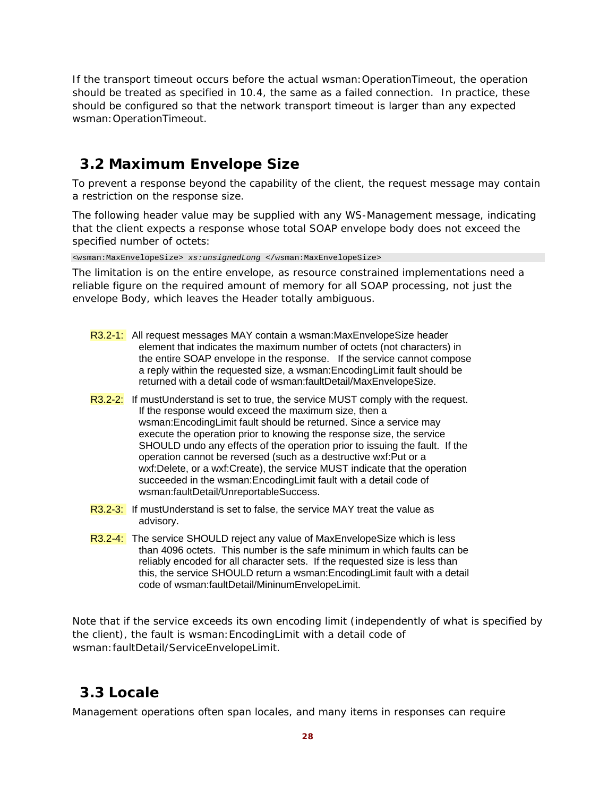If the transport timeout occurs before the actual wsman:OperationTimeout, the operation should be treated as specified in 10.4, the same as a failed connection. In practice, these should be configured so that the network transport timeout is larger than any expected wsman:OperationTimeout.

## **3.2 Maximum Envelope Size**

To prevent a response beyond the capability of the client, the request message may contain a restriction on the response size.

The following header value may be supplied with any WS-Management message, indicating that the client expects a response whose total SOAP envelope body does not exceed the specified number of octets:

<wsman:MaxEnvelopeSize> *xs:unsignedLong* </wsman:MaxEnvelopeSize>

The limitation is on the entire envelope, as resource constrained implementations need a reliable figure on the required amount of memory for all SOAP processing, not just the envelope Body, which leaves the Header totally ambiguous.

- R3.2-1: All request messages MAY contain a wsman:MaxEnvelopeSize header element that indicates the maximum number of octets (not characters) in the entire SOAP envelope in the response. If the service cannot compose a reply within the requested size, a wsman:EncodingLimit fault should be returned with a detail code of wsman:faultDetail/MaxEnvelopeSize.
- R3.2-2: If mustUnderstand is set to true, the service MUST comply with the request. If the response would exceed the maximum size, then a wsman:EncodingLimit fault should be returned. Since a service may execute the operation prior to knowing the response size, the service SHOULD undo any effects of the operation prior to issuing the fault. If the operation cannot be reversed (such as a destructive wxf:Put or a wxf:Delete, or a wxf:Create), the service MUST indicate that the operation succeeded in the wsman:EncodingLimit fault with a detail code of wsman:faultDetail/UnreportableSuccess.
- $R3.2-3$ : If mustUnderstand is set to false, the service MAY treat the value as advisory.
- R3.2-4: The service SHOULD reject any value of MaxEnvelopeSize which is less than 4096 octets. This number is the safe minimum in which faults can be reliably encoded for all character sets. If the requested size is less than this, the service SHOULD return a wsman:EncodingLimit fault with a detail code of wsman:faultDetail/MininumEnvelopeLimit.

Note that if the service exceeds its own encoding limit (independently of what is specified by the client), the fault is wsman:EncodingLimit with a detail code of wsman:faultDetail/ServiceEnvelopeLimit.

### **3.3 Locale**

Management operations often span locales, and many items in responses can require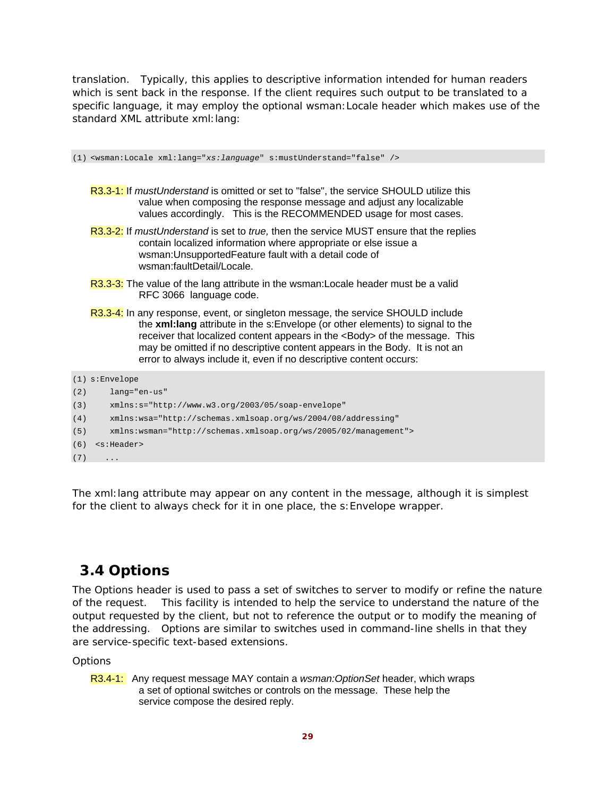translation. Typically, this applies to descriptive information intended for human readers which is sent back in the response. If the client requires such output to be translated to a specific language, it may employ the optional wsman:Locale header which makes use of the standard XML attribute xml:lang:

(1) <wsman:Locale xml:lang="*xs:language*" s:mustUnderstand="false" />

- R3.3-1: If *mustUnderstand* is omitted or set to "false", the service SHOULD utilize this value when composing the response message and adjust any localizable values accordingly. This is the RECOMMENDED usage for most cases.
- R3.3-2: If *mustUnderstand* is set to *true,* then the service MUST ensure that the replies contain localized information where appropriate or else issue a wsman:UnsupportedFeature fault with a detail code of wsman:faultDetail/Locale.
- R3.3-3: The value of the lang attribute in the wsman: Locale header must be a valid RFC 3066 language code.
- R3.3-4: In any response, event, or singleton message, the service SHOULD include the **xml:lang** attribute in the s:Envelope (or other elements) to signal to the receiver that localized content appears in the <Body> of the message. This may be omitted if no descriptive content appears in the Body. It is not an error to always include it, even if no descriptive content occurs:

```
(1) s:Envelope 
(2) lang="en-us" 
(3) xmlns:s="http://www.w3.org/2003/05/soap-envelope" 
(4) xmlns:wsa="http://schemas.xmlsoap.org/ws/2004/08/addressing" 
(5) xmlns:wsman="http://schemas.xmlsoap.org/ws/2005/02/management"> 
(6) <s:Header> 
(7)
```
The xml:lang attribute may appear on any content in the message, although it is simplest for the client to always check for it in one place, the s:Envelope wrapper.

### **3.4 Options**

The *Options* header is used to pass a set of switches to server to modify or refine the nature of the request. This facility is intended to help the service to understand the nature of the output requested by the client, but *not* to reference the output or to modify the meaning of the addressing. Options are similar to switches used in command-line shells in that they are service-specific text-based extensions.

**Options** 

R3.4-1: Any request message MAY contain a *wsman:OptionSet* header, which wraps a set of optional switches or controls on the message. These help the service compose the desired reply.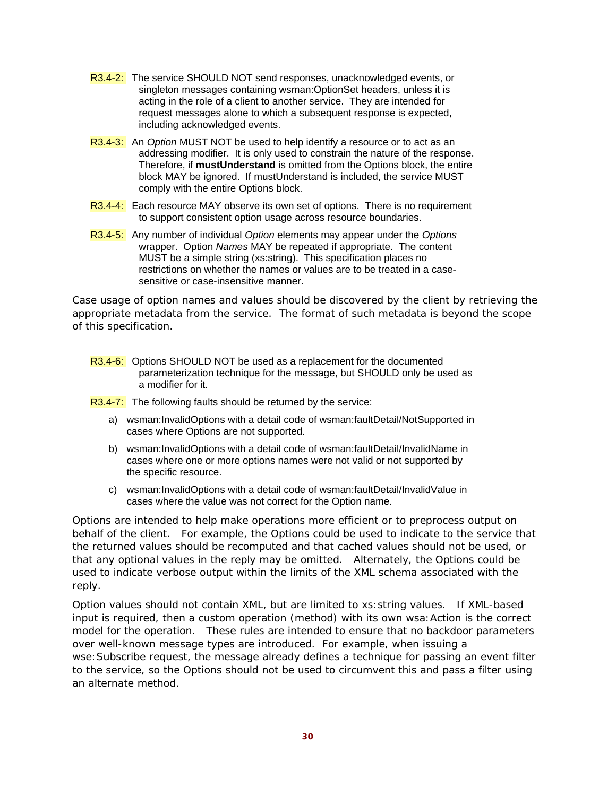- R3.4-2: The service SHOULD NOT send responses, unacknowledged events, or singleton messages containing wsman:OptionSet headers, unless it is acting in the role of a client to another service. They are intended for request messages alone to which a subsequent response is expected, including acknowledged events.
- R3.4-3: An *Option* MUST NOT be used to help identify a resource or to act as an addressing modifier. It is only used to constrain the nature of the response. Therefore, if **mustUnderstand** is omitted from the Options block, the entire block MAY be ignored. If mustUnderstand is included, the service MUST comply with the entire Options block.
- R3.4-4: Each resource MAY observe its own set of options. There is no requirement to support consistent option usage across resource boundaries.
- R3.4-5: Any number of individual *Option* elements may appear under the *Options*  wrapper. Option *Names* MAY be repeated if appropriate. The content MUST be a simple string (xs:string). This specification places no restrictions on whether the names or values are to be treated in a casesensitive or case-insensitive manner.

Case usage of option names and values should be discovered by the client by retrieving the appropriate metadata from the service. The format of such metadata is beyond the scope of this specification.

R3.4-6: Options SHOULD NOT be used as a replacement for the documented parameterization technique for the message, but SHOULD only be used as a modifier for it.

R3.4-7: The following faults should be returned by the service:

- a) wsman:InvalidOptions with a detail code of wsman:faultDetail/NotSupported in cases where Options are not supported.
- b) wsman:InvalidOptions with a detail code of wsman:faultDetail/InvalidName in cases where one or more options names were not valid or not supported by the specific resource.
- c) wsman:InvalidOptions with a detail code of wsman:faultDetail/InvalidValue in cases where the value was not correct for the Option name.

Options are intended to help make operations more efficient or to preprocess output on behalf of the client. For example, the Options could be used to indicate to the service that the returned values should be recomputed and that cached values should not be used, or that any optional values in the reply may be omitted. Alternately, the *Options* could be used to indicate verbose output within the limits of the XML schema associated with the reply.

Option values should not contain XML, but are limited to xs:string values. If XML-based input is required, then a custom operation (method) with its own wsa:Action is the correct model for the operation. These rules are intended to ensure that no backdoor parameters over well-known message types are introduced. For example, when issuing a wse:Subscribe request, the message already defines a technique for passing an event filter to the service, so the *Options* should not be used to circumvent this and pass a filter using an alternate method.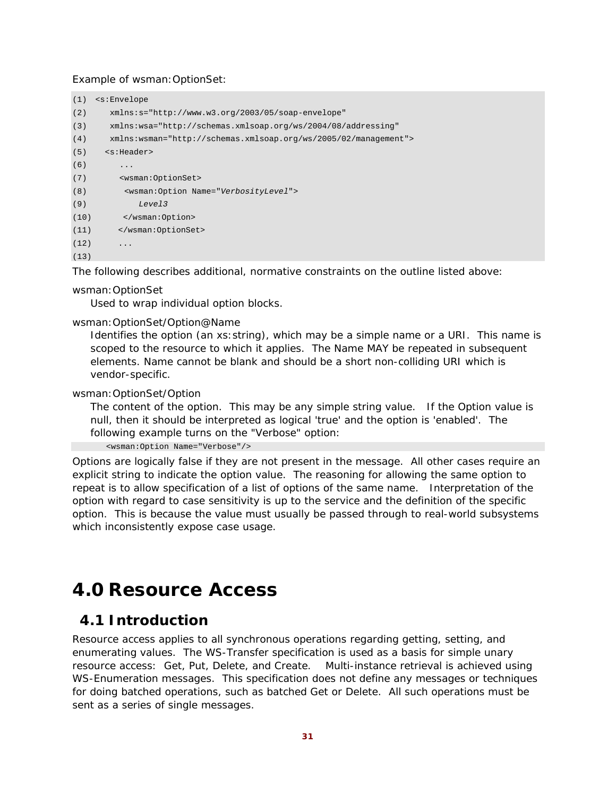#### Example of wsman:OptionSet:

| (1)  | <s:envelope< th=""></s:envelope<>                               |
|------|-----------------------------------------------------------------|
| (2)  | $xmlns:s="http://www.w3.org/2003/05/soap-envelope"$             |
| (3)  | xmlns:wsa="http://schemas.xmlsoap.org/ws/2004/08/addressing"    |
| (4)  | xmlns:wsman="http://schemas.xmlsoap.org/ws/2005/02/management"> |
| (5)  | <s:header></s:header>                                           |
| (6)  | .                                                               |
| (7)  | <wsman:optionset></wsman:optionset>                             |
| (8)  | <wsman:option name="VerbosityLevel"></wsman:option>             |
| (9)  | Level3                                                          |
| (10) |                                                                 |
| (11) |                                                                 |
| (12) | $\ddots$ .                                                      |
| (13) |                                                                 |

The following describes additional, normative constraints on the outline listed above:

#### wsman:OptionSet

Used to wrap individual option blocks.

#### wsman:OptionSet/Option@Name

Identifies the option (an xs:string), which may be a simple name or a URI. This name is scoped to the resource to which it applies. The Name MAY be repeated in subsequent elements. Name cannot be blank and should be a short non-colliding URI which is vendor-specific.

#### wsman:OptionSet/Option

The content of the option. This may be any simple string value. If the Option value is null, then it should be interpreted as logical 'true' and the option is 'enabled'. The following example turns on the "Verbose" option:

<wsman:Option Name="Verbose"/>

Options are logically false if they are not present in the message. All other cases require an explicit string to indicate the option value. The reasoning for allowing the same option to repeat is to allow specification of a list of options of the same name. Interpretation of the option with regard to case sensitivity is up to the service and the definition of the specific option. This is because the value must usually be passed through to real-world subsystems which inconsistently expose case usage.

# **4.0 Resource Access**

### **4.1 Introduction**

Resource access applies to all synchronous operations regarding getting, setting, and enumerating values. The WS-Transfer specification is used as a basis for simple unary resource access: Get, Put, Delete, and Create. Multi-instance retrieval is achieved using WS-Enumeration messages. This specification does not define any messages or techniques for doing batched operations, such as batched Get or Delete. All such operations must be sent as a series of single messages.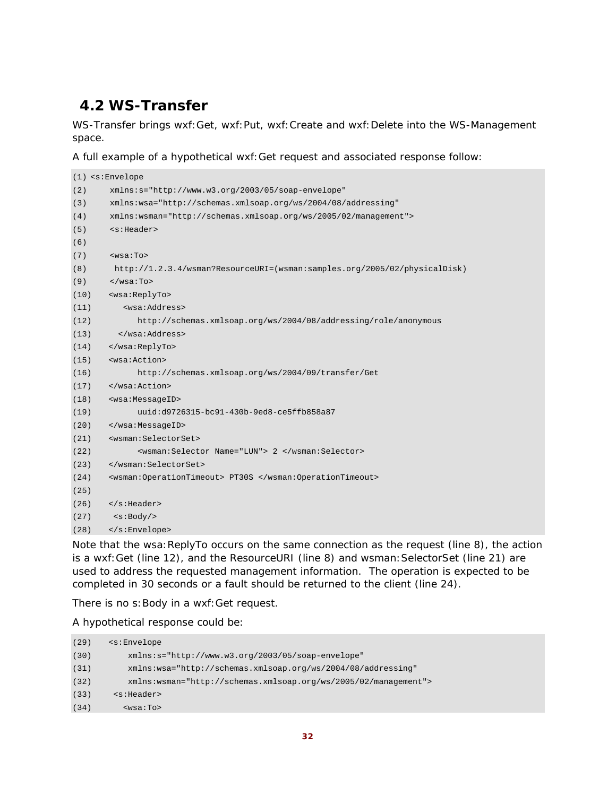# **4.2 WS-Transfer**

WS-Transfer brings wxf:Get, wxf:Put, wxf:Create and wxf:Delete into the WS-Management space.

A full example of a hypothetical wxf:Get request and associated response follow:

```
(1) <s:Envelope 
(2) xmlns:s="http://www.w3.org/2003/05/soap-envelope" 
(3) xmlns:wsa="http://schemas.xmlsoap.org/ws/2004/08/addressing" 
(4) xmlns:wsman="http://schemas.xmlsoap.org/ws/2005/02/management"> 
(5) <s:Header> 
(6) 
(7) <wsa:To> 
(8) http://1.2.3.4/wsman?ResourceURI=(wsman:samples.org/2005/02/physicalDisk) 
(9) </wsa:To>
(10) <wsa:ReplyTo> 
(11) <wsa:Address> 
(12) http://schemas.xmlsoap.org/ws/2004/08/addressing/role/anonymous 
(13) </wsa:Address> 
(14) </wsa:ReplyTo> 
(15) <wsa:Action> 
(16) http://schemas.xmlsoap.org/ws/2004/09/transfer/Get 
(17) </wsa:Action> 
(18) <wsa:MessageID> 
(19) uuid:d9726315-bc91-430b-9ed8-ce5ffb858a87 
(20) </wsa:MessageID> 
(21) <wsman:SelectorSet> 
(22) <wsman:Selector Name="LUN"> 2 </wsman:Selector> 
(23) </wsman:SelectorSet> 
(24) <wsman:OperationTimeout> PT30S </wsman:OperationTimeout> 
(25)
(26) </s:Header> 
(27) <s:Body/> 
(28) </s:Envelope>
```
Note that the wsa:ReplyTo occurs on the same connection as the request (line 8), the action is a wxf:Get (line 12), and the ResourceURI (line 8) and wsman: SelectorSet (line 21) are used to address the requested management information. The operation is expected to be completed in 30 seconds or a fault should be returned to the client (line 24).

There is no s: Body in a wxf: Get request.

A hypothetical response could be:

| (29) | <s:envelope< th=""></s:envelope<>                                |
|------|------------------------------------------------------------------|
| (30) | $xmlns:s="http://www.w3.org/2003/05/soap-envelope"$              |
| (31) | xmlns:wsa="http://schemas.xmlsoap.org/ws/2004/08/addressing"     |
| (32) | $xmlns:wsman="http://schemas.xmlsoap.org/ws/2005/02/manaqement"$ |
| (33) | $<$ s:Header>                                                    |
| (34) | $wsa:To>$                                                        |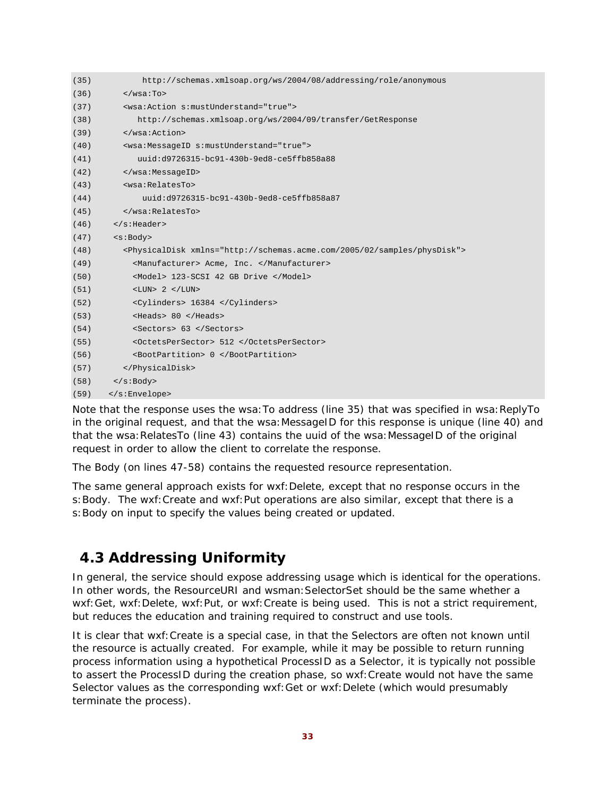| (35) | http://schemas.xmlsoap.org/ws/2004/08/addressing/role/anonymous                        |
|------|----------------------------------------------------------------------------------------|
| (36) | $\langle$ /wsa:To>                                                                     |
| (37) | <wsa:action s:mustunderstand="true"></wsa:action>                                      |
| (38) | http://schemas.xmlsoap.org/ws/2004/09/transfer/GetResponse                             |
| (39) |                                                                                        |
| (40) | <wsa:messageid s:mustunderstand="true"></wsa:messageid>                                |
| (41) | uuid:d9726315-bc91-430b-9ed8-ce5ffb858a88                                              |
| (42) |                                                                                        |
| (43) | <wsa:relatesto></wsa:relatesto>                                                        |
| (44) | uuid:d9726315-bc91-430b-9ed8-ce5ffb858a87                                              |
| (45) |                                                                                        |
| (46) | $\langle$ s:Header>                                                                    |
| (47) | $<$ s:Body>                                                                            |
| (48) | <physicaldisk xmlns="http://schemas.acme.com/2005/02/samples/physDisk"></physicaldisk> |
| (49) | <manufacturer> Acme, Inc. </manufacturer>                                              |
| (50) | <model> 123-SCSI 42 GB Drive </model>                                                  |
| (51) | $\langle LUN> 2 \langle LUN>$                                                          |
| (52) | <cylinders> 16384 </cylinders>                                                         |
| (53) | <heads> 80 </heads>                                                                    |
| (54) | <sectors> 63 </sectors>                                                                |
| (55) | <octetspersector> 512 </octetspersector>                                               |
| (56) | <bootpartition> 0 </bootpartition>                                                     |
| (57) |                                                                                        |
| (58) | $\langle$ s:Body>                                                                      |
| (59) |                                                                                        |

Note that the response uses the wsa: To address (line 35) that was specified in wsa: ReplyTo in the original request, and that the wsa: MessageID for this response is unique (line 40) and that the wsa: RelatesTo (line 43) contains the uuid of the wsa: MessageID of the original request in order to allow the client to correlate the response.

The Body (on lines 47-58) contains the requested resource representation.

The same general approach exists for wxf:Delete, except that no response occurs in the s: Body. The wxf: Create and wxf: Put operations are also similar, except that there is a s:Body on input to specify the values being created or updated.

### **4.3 Addressing Uniformity**

In general, the service should expose addressing usage which is identical for the operations. In other words, the ResourceURI and wsman:SelectorSet should be the same whether a wxf:Get, wxf:Delete, wxf:Put, or wxf:Create is being used. This is not a strict requirement, but reduces the education and training required to construct and use tools.

It is clear that wxf:Create is a special case, in that the Selectors are often not known until the resource is actually created. For example, while it may be possible to return running process information using a hypothetical *ProcessID* as a Selector, it is typically not possible to assert the *ProcessID* during the creation phase, so wxf:Create would not have the same Selector values as the corresponding wxf:Get or wxf:Delete (which would presumably terminate the process).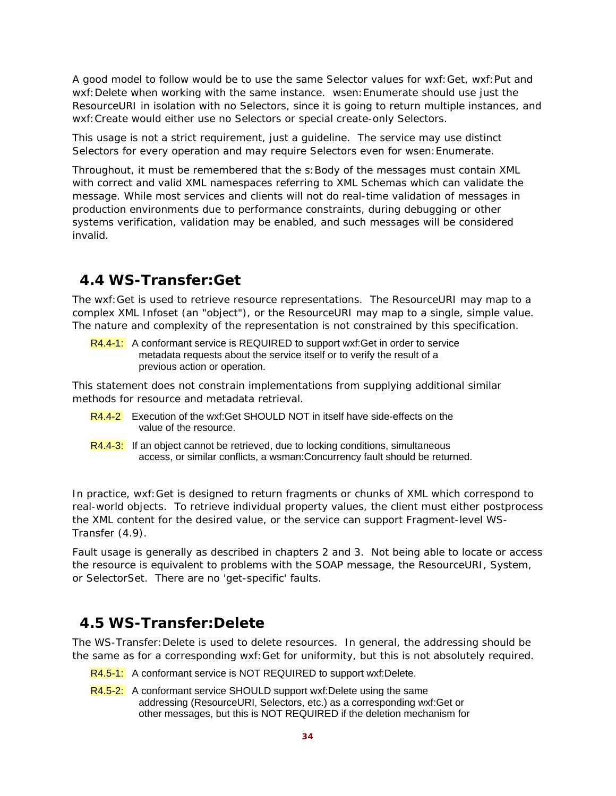A good model to follow would be to use the same Selector values for wxf:Get, wxf:Put and wxf:Delete when working with the same instance. wsen:Enumerate should use just the ResourceURI in isolation with no Selectors, since it is going to return multiple instances, and wxf:Create would either use no Selectors or special create-only Selectors.

This usage is not a strict requirement, just a guideline. The service may use distinct Selectors for every operation and may require Selectors even for wsen:Enumerate.

Throughout, it must be remembered that the s:Body of the messages must contain XML with correct and valid XML namespaces referring to XML Schemas which can validate the message. While most services and clients will not do real-time validation of messages in production environments due to performance constraints, during debugging or other systems verification, validation may be enabled, and such messages will be considered invalid.

### **4.4 WS-Transfer:Get**

The wxf:Get is used to retrieve resource representations. The ResourceURI may map to a complex XML Infoset (an "object"), or the ResourceURI may map to a single, simple value. The nature and complexity of the representation is not constrained by this specification.

R4.4-1: A conformant service is REQUIRED to support wxf: Get in order to service metadata requests about the service itself or to verify the result of a previous action or operation.

This statement does not constrain implementations from supplying additional similar methods for resource and metadata retrieval.

- R4.4-2 Execution of the wxf:Get SHOULD NOT in itself have side-effects on the value of the resource.
- $R<sub>4.4-3</sub>$ : If an object cannot be retrieved, due to locking conditions, simultaneous access, or similar conflicts, a wsman:Concurrency fault should be returned.

In practice, wxf:Get is designed to return fragments or chunks of XML which correspond to real-world objects. To retrieve individual property values, the client must either postprocess the XML content for the desired value, or the service can support Fragment-level WS-Transfer (4.9).

Fault usage is generally as described in chapters 2 and 3. Not being able to locate or access the resource is equivalent to problems with the SOAP message, the ResourceURI, System, or SelectorSet. There are no 'get-specific' faults.

### **4.5 WS-Transfer:Delete**

The WS-Transfer:Delete is used to delete resources. In general, the addressing should be the same as for a corresponding wxf:Get for uniformity, but this is not absolutely required.

- R4.5-1: A conformant service is NOT REQUIRED to support wxf:Delete.
- R4.5-2: A conformant service SHOULD support wxf:Delete using the same addressing (ResourceURI, Selectors, etc.) as a corresponding wxf:Get or other messages, but this is NOT REQUIRED if the deletion mechanism for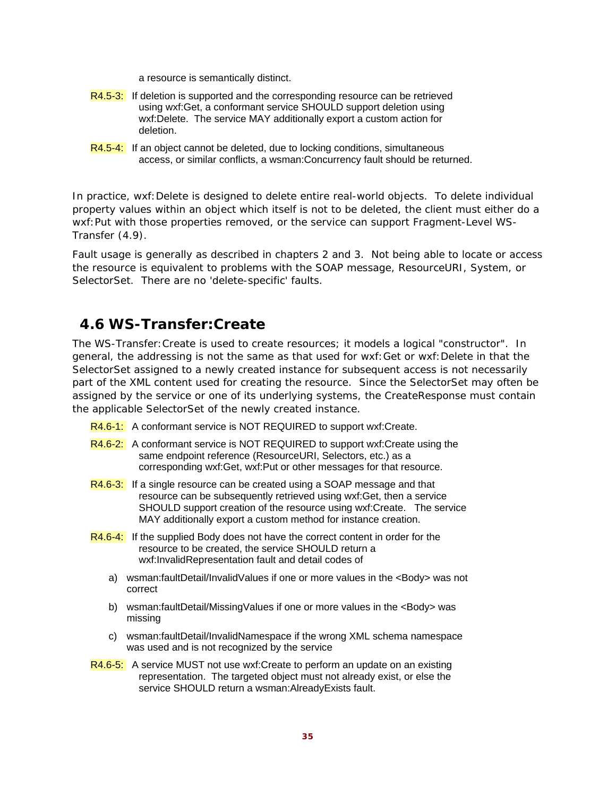a resource is semantically distinct.

- R4.5-3: If deletion is supported and the corresponding resource can be retrieved using wxf:Get, a conformant service SHOULD support deletion using wxf:Delete. The service MAY additionally export a custom action for deletion.
- R4.5-4: If an object cannot be deleted, due to locking conditions, simultaneous access, or similar conflicts, a wsman:Concurrency fault should be returned.

In practice, wxf:Delete is designed to delete entire real-world objects. To delete individual property values within an object which itself is not to be deleted, the client must either do a wxf:Put with those properties removed, or the service can support Fragment-Level WS-Transfer (4.9).

Fault usage is generally as described in chapters 2 and 3. Not being able to locate or access the resource is equivalent to problems with the SOAP message, ResourceURI, System, or SelectorSet. There are no 'delete-specific' faults.

# **4.6 WS-Transfer:Create**

The WS-Transfer:Create is used to create resources; it models a logical "constructor". In general, the addressing is not the same as that used for wxf:Get or wxf:Delete in that the SelectorSet assigned to a newly created instance for subsequent access is not necessarily part of the XML content used for creating the resource. Since the SelectorSet may often be assigned by the service or one of its underlying systems, the CreateResponse must contain the applicable SelectorSet of the newly created instance.

- R4.6-1: A conformant service is NOT REQUIRED to support wxf:Create.
- R4.6-2: A conformant service is NOT REQUIRED to support wxf: Create using the same endpoint reference (ResourceURI, Selectors, etc.) as a corresponding wxf:Get, wxf:Put or other messages for that resource.
- R4.6-3: If a single resource can be created using a SOAP message and that resource can be subsequently retrieved using wxf:Get, then a service SHOULD support creation of the resource using wxf:Create. The service MAY additionally export a custom method for instance creation.
- R4.6-4: If the supplied Body does not have the correct content in order for the resource to be created, the service SHOULD return a wxf:InvalidRepresentation fault and detail codes of
	- a) wsman:faultDetail/InvalidValues if one or more values in the <Body> was not correct
	- b) wsman:faultDetail/MissingValues if one or more values in the <Body> was missing
	- c) wsman:faultDetail/InvalidNamespace if the wrong XML schema namespace was used and is not recognized by the service
- R4.6-5: A service MUST not use wxf: Create to perform an update on an existing representation. The targeted object must not already exist, or else the service SHOULD return a wsman:AlreadyExists fault.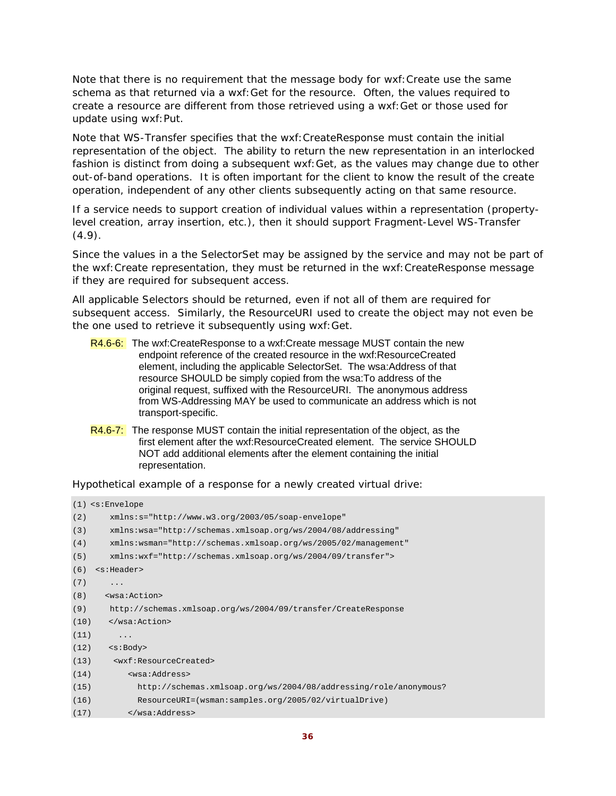Note that there is no requirement that the message body for wxf:Create use the same schema as that returned via a wxf:Get for the resource. Often, the values required to create a resource are different from those retrieved using a wxf:Get or those used for update using wxf:Put.

Note that WS-Transfer specifies that the wxf:CreateResponse must contain the initial representation of the object. The ability to return the new representation in an interlocked fashion is distinct from doing a subsequent wxf:Get, as the values may change due to other out-of-band operations. It is often important for the client to know the result of the create operation, independent of any other clients subsequently acting on that same resource.

If a service needs to support creation of individual values within a representation (propertylevel creation, array insertion, etc.), then it should support Fragment-Level WS-Transfer  $(4.9).$ 

Since the values in a the SelectorSet may be assigned by the service and may not be part of the wxf:Create representation, they must be returned in the wxf:CreateResponse message if they are required for subsequent access.

All applicable Selectors should be returned, even if not all of them are required for subsequent access. Similarly, the ResourceURI used to create the object may not even be the one used to retrieve it subsequently using wxf:Get.

- R4.6-6: The wxf:CreateResponse to a wxf:Create message MUST contain the new endpoint reference of the created resource in the wxf:ResourceCreated element, including the applicable SelectorSet. The wsa:Address of that resource SHOULD be simply copied from the wsa:To address of the original request, suffixed with the ResourceURI. The anonymous address from WS-Addressing MAY be used to communicate an address which is not transport-specific.
- R4.6-7: The response MUST contain the initial representation of the object, as the first element after the wxf:ResourceCreated element. The service SHOULD NOT add additional elements after the element containing the initial representation.

Hypothetical example of a response for a newly created virtual drive:

```
(1) <s:Envelope 
(2) xmlns:s="http://www.w3.org/2003/05/soap-envelope" 
(3) xmlns:wsa="http://schemas.xmlsoap.org/ws/2004/08/addressing" 
(4) xmlns:wsman="http://schemas.xmlsoap.org/ws/2005/02/management" 
(5) xmlns:wxf="http://schemas.xmlsoap.org/ws/2004/09/transfer"> 
(6) <s:Header> 
(7) ...
(8) <wsa:Action> 
(9) http://schemas.xmlsoap.org/ws/2004/09/transfer/CreateResponse 
(10) </wsa:Action> 
(11) ...
(12) <s:Body> 
(13) <wxf:ResourceCreated> 
(14) <wsa:Address> 
(15) http://schemas.xmlsoap.org/ws/2004/08/addressing/role/anonymous? 
(16) ResourceURI=(wsman:samples.org/2005/02/virtualDrive) 
(17) </wsa:Address>
```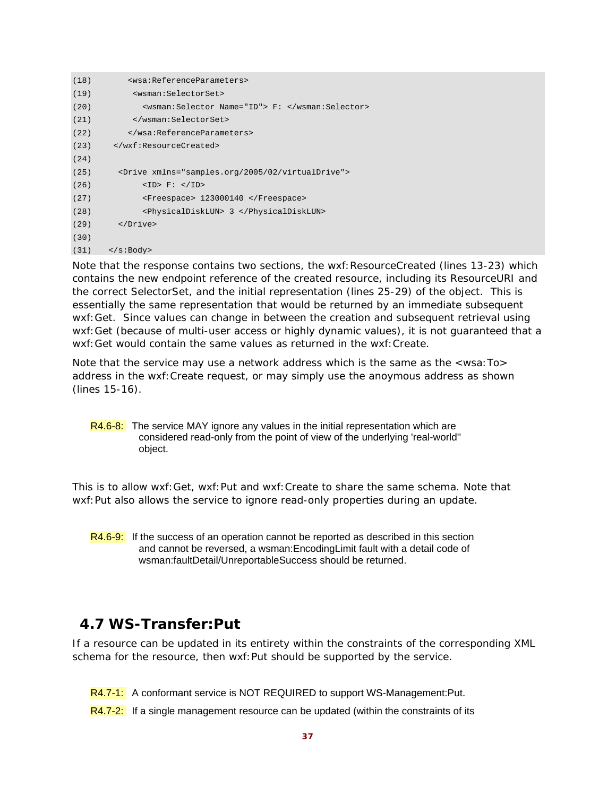```
(18) <wsa:ReferenceParameters> 
(19) <wsman:SelectorSet> 
(20) <wsman:Selector Name="ID"> F: </wsman:Selector> 
(21) </wsman:SelectorSet> 
(22) </wsa:ReferenceParameters> 
(23) </wxf:ResourceCreated> 
(24)
(25) <Drive xmlns="samples.org/2005/02/virtualDrive"> 
(26) <ID> F: </ID> 
(27) <Freespace> 123000140 </Freespace> 
(28) <PhysicalDiskLUN> 3 </PhysicalDiskLUN> 
(29) </Drive> 
(30)
(31) \langle s:Body>
```
Note that the response contains two sections, the wxf: ResourceCreated (lines 13-23) which contains the new endpoint reference of the created resource, including its ResourceURI and the correct SelectorSet, and the initial representation (lines 25-29) of the object. This is essentially the same representation that would be returned by an immediate subsequent wxf:Get. Since values can change in between the creation and subsequent retrieval using wxf:Get (because of multi-user access or highly dynamic values), it is not guaranteed that a wxf:Get would contain the same values as returned in the wxf:Create.

Note that the service may use a network address which is the same as the <wsa:To> address in the wxf:Create request, or may simply use the anoymous address as shown (lines 15-16).

R4.6-8: The service MAY ignore any values in the initial representation which are considered read-only from the point of view of the underlying 'real-world'' object.

This is to allow wxf:Get, wxf:Put and wxf:Create to share the same schema. Note that wxf: Put also allows the service to ignore read-only properties during an update.

R4.6-9: If the success of an operation cannot be reported as described in this section and cannot be reversed, a wsman:EncodingLimit fault with a detail code of wsman:faultDetail/UnreportableSuccess should be returned.

# **4.7 WS-Transfer:Put**

If a resource can be updated in its entirety within the constraints of the corresponding XML schema for the resource, then wxf:Put should be supported by the service.

R4.7-1: A conformant service is NOT REQUIRED to support WS-Management:Put.

 $R4.7-2$ : If a single management resource can be updated (within the constraints of its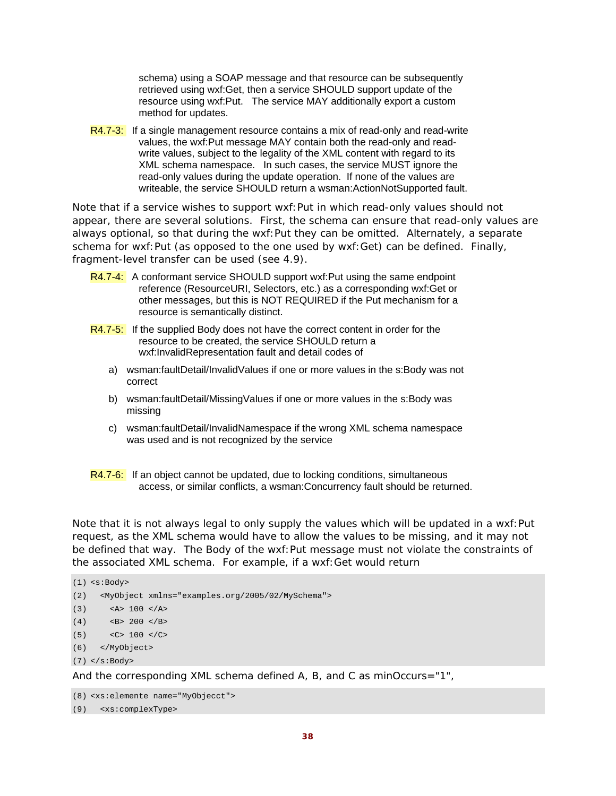schema) using a SOAP message and that resource can be subsequently retrieved using wxf:Get, then a service SHOULD support update of the resource using wxf:Put. The service MAY additionally export a custom method for updates.

R4.7-3: If a single management resource contains a mix of read-only and read-write values, the wxf:Put message MAY contain both the read-only and readwrite values, subject to the legality of the XML content with regard to its XML schema namespace. In such cases, the service MUST ignore the read-only values during the update operation. If none of the values are writeable, the service SHOULD return a wsman:ActionNotSupported fault.

Note that if a service wishes to support wxf: Put in which read-only values should not appear, there are several solutions. First, the schema can ensure that read-only values are always optional, so that during the wxf:Put they can be omitted. Alternately, a separate schema for wxf:Put (as opposed to the one used by wxf:Get) can be defined. Finally, fragment-level transfer can be used (see 4.9).

- R4.7-4: A conformant service SHOULD support wxf: Put using the same endpoint reference (ResourceURI, Selectors, etc.) as a corresponding wxf:Get or other messages, but this is NOT REQUIRED if the Put mechanism for a resource is semantically distinct.
- R4.7-5: If the supplied Body does not have the correct content in order for the resource to be created, the service SHOULD return a wxf:InvalidRepresentation fault and detail codes of
	- a) wsman:faultDetail/InvalidValues if one or more values in the s:Body was not correct
	- b) wsman:faultDetail/MissingValues if one or more values in the s:Body was missing
	- c) wsman:faultDetail/InvalidNamespace if the wrong XML schema namespace was used and is not recognized by the service

R4.7-6: If an object cannot be updated, due to locking conditions, simultaneous access, or similar conflicts, a wsman:Concurrency fault should be returned.

Note that it is not always legal to only supply the values which will be updated in a wxf:Put request, as the XML schema would have to allow the values to be missing, and it may not be defined that way. The Body of the wxf:Put message must not violate the constraints of the associated XML schema. For example, if a wxf:Get would return

```
(1) <s:Body> 
(2) <MyObject xmlns="examples.org/2005/02/MySchema"> 
(3) \leq A > 100 \leq A >(4) \leq B > 200 \leq /B >(5) < C> 100 < /C>
(6) </MyObject> 
(7) </s:Body>
```
And the corresponding XML schema defined A, B, and C as minOccurs="1",

```
(8) <xs:elemente name="MyObjecct">
```

```
(9) <xs:complexType>
```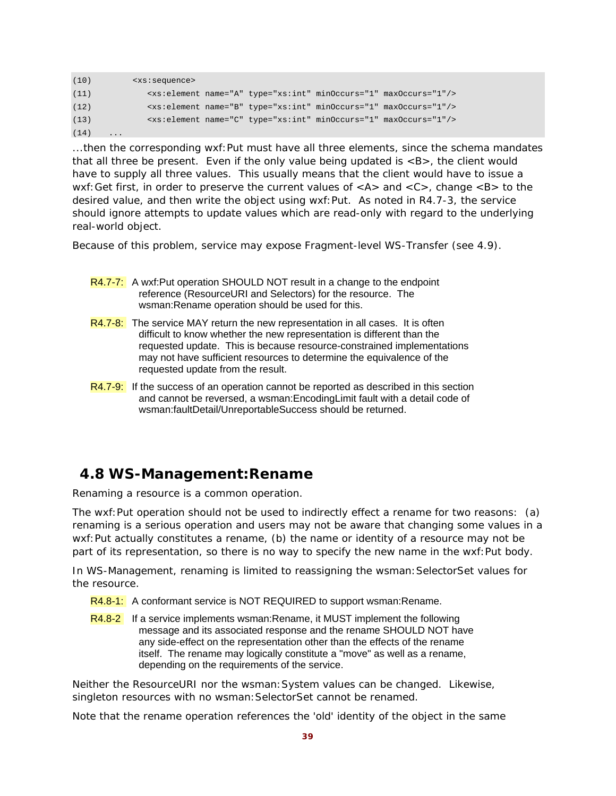| (10) | $<$ x $s$ : sequence>   |  |                                                                              |  |
|------|-------------------------|--|------------------------------------------------------------------------------|--|
| (11) |                         |  | <xs:element maxoccurs="1" minoccurs="1" name="A" type="xs:int"></xs:element> |  |
| (12) |                         |  | <xs:element maxoccurs="1" minoccurs="1" name="B" type="xs:int"></xs:element> |  |
| (13) |                         |  | <xs:element maxoccurs="1" minoccurs="1" name="C" type="xs:int"></xs:element> |  |
| (14) | $\cdot$ $\cdot$ $\cdot$ |  |                                                                              |  |

...then the corresponding wxf:Put must have all three elements, since the schema mandates that all three be present. Even if the only value being updated is  $\langle B \rangle$ , the client would have to supply all three values. This usually means that the client would have to issue a wxf: Get first, in order to preserve the current values of  $< A >$  and  $< C >$ , change  $< B >$  to the desired value, and then write the object using wxf:Put. As noted in R4.7-3, the service should ignore attempts to update values which are read-only with regard to the underlying real-world object.

Because of this problem, service may expose Fragment-level WS-Transfer (see 4.9).

- R4.7-7: A wxf:Put operation SHOULD NOT result in a change to the endpoint reference (ResourceURI and Selectors) for the resource. The wsman:Rename operation should be used for this.
- $R4.7-8$ : The service MAY return the new representation in all cases. It is often difficult to know whether the new representation is different than the requested update. This is because resource-constrained implementations may not have sufficient resources to determine the equivalence of the requested update from the result.
- R4.7-9: If the success of an operation cannot be reported as described in this section and cannot be reversed, a wsman:EncodingLimit fault with a detail code of wsman:faultDetail/UnreportableSuccess should be returned.

## **4.8 WS-Management:Rename**

Renaming a resource is a common operation.

The wxf:Put operation should not be used to indirectly effect a rename for two reasons: (a) renaming is a serious operation and users may not be aware that changing some values in a wxf: Put actually constitutes a rename, (b) the name or identity of a resource may not be part of its representation, so there is no way to specify the new name in the wxf:Put body.

In WS-Management, renaming is limited to reassigning the wsman:SelectorSet values for the resource.

- R4.8-1: A conformant service is NOT REQUIRED to support wsman: Rename.
- R4.8-2 If a service implements wsman:Rename, it MUST implement the following message and its associated response and the rename SHOULD NOT have any side-effect on the representation other than the effects of the rename itself. The rename may logically constitute a "move" as well as a rename, depending on the requirements of the service.

Neither the ResourceURI nor the wsman:System values can be changed. Likewise, singleton resources with no wsman: SelectorSet cannot be renamed.

Note that the rename operation references the 'old' identity of the object in the same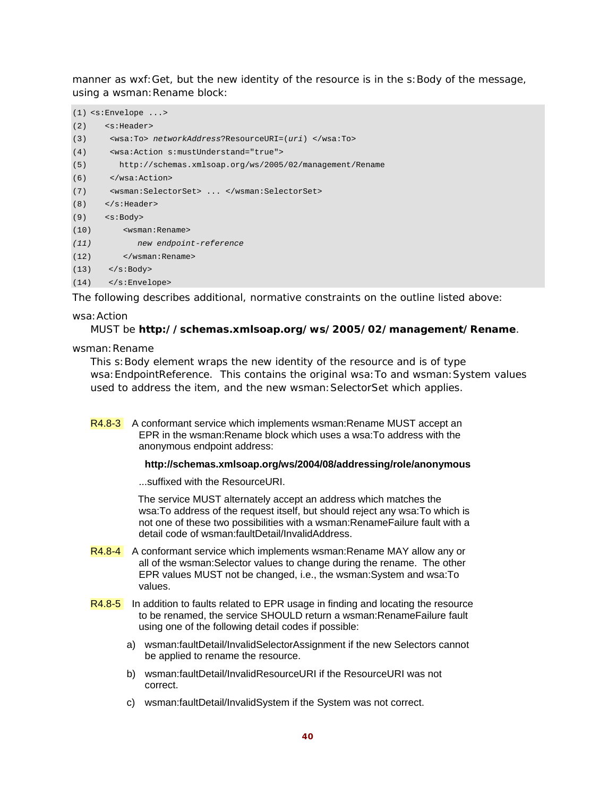manner as wxf:Get, but the new identity of the resource is in the s:Body of the message, using a wsman: Rename block:

```
(1) <s:Envelope ...> 
(2) <s:Header> 
(3) <wsa:To> networkAddress?ResourceURI=(uri) </wsa:To> 
(4) <wsa:Action s:mustUnderstand="true"> 
(5) http://schemas.xmlsoap.org/ws/2005/02/management/Rename 
(6) </wsa:Action> 
(7) <wsman:SelectorSet> ... </wsman:SelectorSet> 
(8) \times /s: Header>
(9) <s:Body> 
(10) <wsman:Rename> 
(11) new endpoint-reference 
(12) </wsman:Rename> 
(13) </s:Body>
(14) </s:Envelope>
```
The following describes additional, normative constraints on the outline listed above:

#### wsa:Action

#### MUST be **http://schemas.xmlsoap.org/ws/2005/02/management/Rename**.

wsman: Rename

This s:Body element wraps the new identity of the resource and is of type wsa:EndpointReference. This contains the original wsa:To and wsman:System values used to address the item, and the *new* wsman:SelectorSet which applies.

R4.8-3 A conformant service which implements wsman:Rename MUST accept an EPR in the wsman:Rename block which uses a wsa:To address with the anonymous endpoint address:

#### **http://schemas.xmlsoap.org/ws/2004/08/addressing/role/anonymous**

...suffixed with the ResourceURI.

 The service MUST alternately accept an address which matches the wsa:To address of the request itself, but should reject any wsa:To which is not one of these two possibilities with a wsman:RenameFailure fault with a detail code of wsman:faultDetail/InvalidAddress.

- R4.8-4 A conformant service which implements wsman:Rename MAY allow any or all of the wsman:Selector values to change during the rename. The other EPR values MUST not be changed, i.e., the wsman:System and wsa:To values.
- R4.8-5 In addition to faults related to EPR usage in finding and locating the resource to be renamed, the service SHOULD return a wsman:RenameFailure fault using one of the following detail codes if possible:
	- a) wsman:faultDetail/InvalidSelectorAssignment if the new Selectors cannot be applied to rename the resource.
	- b) wsman:faultDetail/InvalidResourceURI if the ResourceURI was not correct.
	- c) wsman:faultDetail/InvalidSystem if the System was not correct.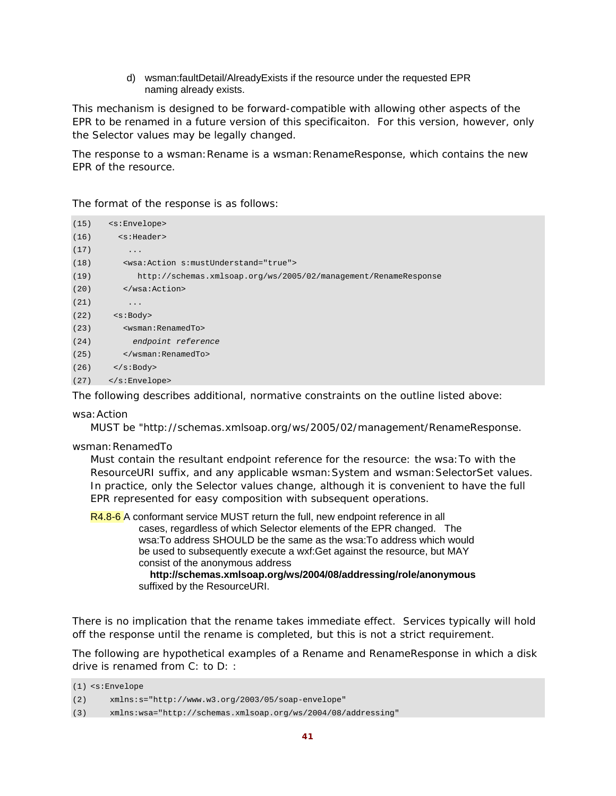d) wsman:faultDetail/AlreadyExists if the resource under the requested EPR naming already exists.

This mechanism is designed to be forward-compatible with allowing other aspects of the EPR to be renamed in a future version of this specificaiton. For this version, however, only the Selector values may be legally changed.

The response to a wsman: Rename is a wsman: RenameResponse, which contains the new EPR of the resource.

The format of the response is as follows:

| (15) | $<$ s: Envelope>                                                |
|------|-----------------------------------------------------------------|
| (16) | <s:header></s:header>                                           |
| (17) | $\cdot$                                                         |
| (18) | <wsa: action="" mustunderstand="true" s:=""></wsa:>             |
| (19) | http://schemas.xmlsoap.org/ws/2005/02/management/RenameResponse |
| (20) | $\langle$ /wsa:Action>                                          |
| (21) | $\ddots$                                                        |
| (22) | < s : Body                                                      |
| (23) | <wsman:renamedto></wsman:renamedto>                             |
| (24) | endpoint reference                                              |
| (25) |                                                                 |
| (26) | $\langle$ s:Body>                                               |
| (27) | $\langle$ s:Envelope>                                           |

The following describes additional, normative constraints on the outline listed above:

#### wsa:Action

MUST be "http://schemas.xmlsoap.org/ws/2005/02/management/RenameResponse.

#### wsman:RenamedTo

Must contain the resultant endpoint reference for the resource: the wsa:To with the ResourceURI suffix, and any applicable wsman: System and wsman: SelectorSet values. In practice, only the Selector values change, although it is convenient to have the full EPR represented for easy composition with subsequent operations.

R4.8-6 A conformant service MUST return the full, new endpoint reference in all cases, regardless of which Selector elements of the EPR changed. The wsa:To address SHOULD be the same as the wsa:To address which would be used to subsequently execute a wxf:Get against the resource, but MAY consist of the anonymous address

> **http://schemas.xmlsoap.org/ws/2004/08/addressing/role/anonymous**  suffixed by the ResourceURI.

There is no implication that the rename takes immediate effect. Services typically will hold off the response until the rename is completed, but this is not a strict requirement.

The following are hypothetical examples of a Rename and RenameResponse in which a disk drive is renamed from C: to D: :

(1) <s:Envelope

(3) xmlns:wsa="http://schemas.xmlsoap.org/ws/2004/08/addressing"

<sup>(2)</sup> xmlns:s="http://www.w3.org/2003/05/soap-envelope"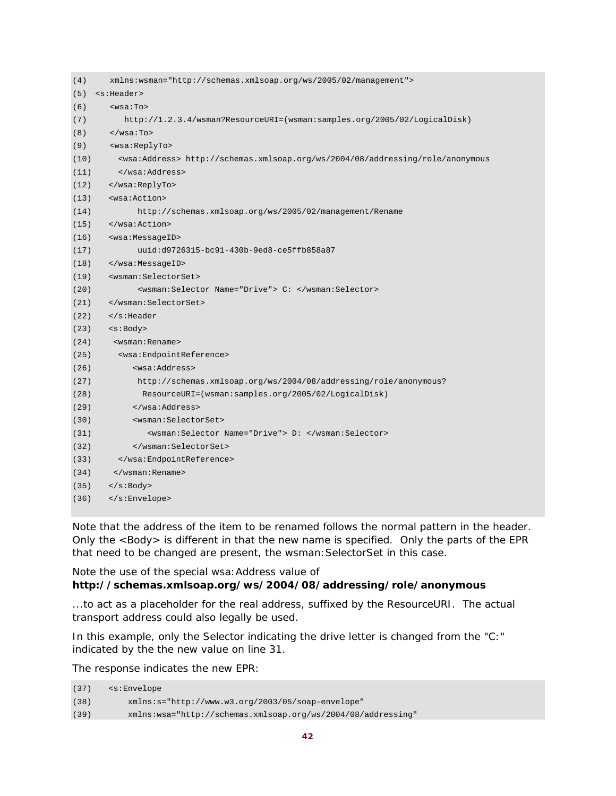| (4)  | xmlns:wsman="http://schemas.xmlsoap.org/ws/2005/02/management">                             |
|------|---------------------------------------------------------------------------------------------|
| (5)  | <s:header></s:header>                                                                       |
| (6)  | $wsa:To$                                                                                    |
| (7)  | http://1.2.3.4/wsman?ResourceURI=(wsman:samples.org/2005/02/LogicalDisk)                    |
| (8)  | $\langle$ /wsa:To>                                                                          |
| (9)  | <wsa:replyto></wsa:replyto>                                                                 |
| (10) | <wsa:address> http://schemas.xmlsoap.org/ws/2004/08/addressing/role/anonymous</wsa:address> |
| (11) |                                                                                             |
| (12) |                                                                                             |
| (13) | <wsa:action></wsa:action>                                                                   |
| (14) | http://schemas.xmlsoap.org/ws/2005/02/management/Rename                                     |
| (15) |                                                                                             |
| (16) | <wsa:messageid></wsa:messageid>                                                             |
| (17) | uuid:d9726315-bc91-430b-9ed8-ce5ffb858a87                                                   |
| (18) |                                                                                             |
| (19) | <wsman:selectorset></wsman:selectorset>                                                     |
| (20) | <wsman:selector name="Drive"> C: </wsman:selector>                                          |
| (21) |                                                                                             |
| (22) | $\langle$ s:Header                                                                          |
| (23) | $<$ s:Body>                                                                                 |
| (24) | <wsman: rename=""></wsman:>                                                                 |
| (25) | <wsa:endpointreference></wsa:endpointreference>                                             |
| (26) | <wsa:address></wsa:address>                                                                 |
| (27) | http://schemas.xmlsoap.org/ws/2004/08/addressing/role/anonymous?                            |
| (28) | ResourceURI=(wsman:samples.org/2005/02/LogicalDisk)                                         |
| (29) |                                                                                             |
| (30) | <wsman:selectorset></wsman:selectorset>                                                     |
| (31) | <wsman:selector name="Drive"> D: </wsman:selector>                                          |
| (32) |                                                                                             |
| (33) |                                                                                             |
| (34) | $\langle$ /wsman:Rename>                                                                    |
| (35) | $\langle$ s:Body>                                                                           |
| (36) |                                                                                             |

Note that the address of the item to be renamed follows the normal pattern in the header. Only the <Body> is different in that the new name is specified. Only the parts of the EPR that need to be changed are present, the wsman: SelectorSet in this case.

#### Note the use of the special wsa:Address value of **http://schemas.xmlsoap.org/ws/2004/08/addressing/role/anonymous**

...to act as a placeholder for the real address, suffixed by the ResourceURI. The actual transport address could also legally be used.

In this example, only the Selector indicating the drive letter is changed from the "C:" indicated by the the new value on line 31.

The response indicates the new EPR:

| (37) | <s:envelope< th=""></s:envelope<>                            |
|------|--------------------------------------------------------------|
| (38) | $xmlns:s="http://www.w3.org/2003/05/soap-envelope"$          |
| (39) | xmlns:wsa="http://schemas.xmlsoap.org/ws/2004/08/addressing" |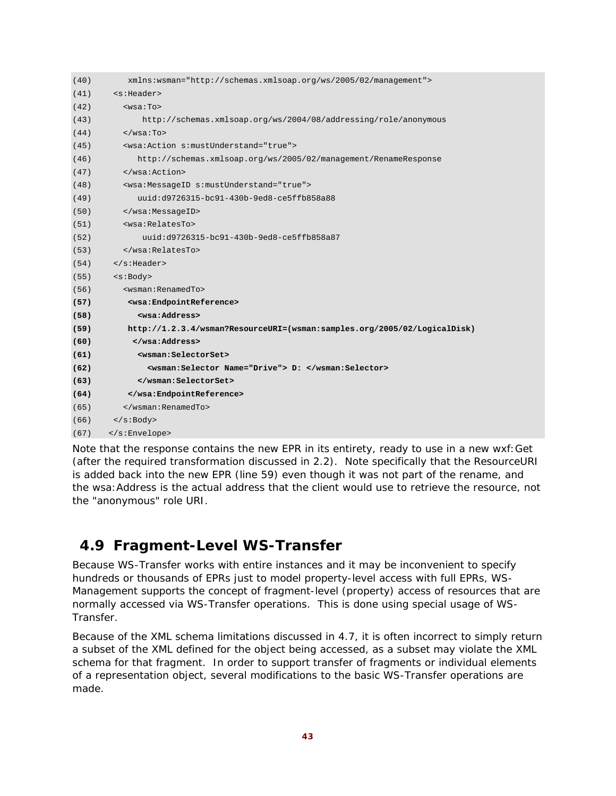| (40) | xmlns:wsman="http://schemas.xmlsoap.org/ws/2005/02/management">          |
|------|--------------------------------------------------------------------------|
| (41) | <s:header></s:header>                                                    |
| (42) | $wsa:To>$                                                                |
| (43) | http://schemas.xmlsoap.org/ws/2004/08/addressing/role/anonymous          |
| (44) | $\langle$ /wsa:To>                                                       |
| (45) | <wsa:action s:mustunderstand="true"></wsa:action>                        |
| (46) | http://schemas.xmlsoap.org/ws/2005/02/management/RenameResponse          |
| (47) |                                                                          |
| (48) | <wsa:messageid s:mustunderstand="true"></wsa:messageid>                  |
| (49) | uuid:d9726315-bc91-430b-9ed8-ce5ffb858a88                                |
| (50) |                                                                          |
| (51) | <wsa:relatesto></wsa:relatesto>                                          |
| (52) | uuid:d9726315-bc91-430b-9ed8-ce5ffb858a87                                |
| (53) |                                                                          |
| (54) | $\langle$ s:Header>                                                      |
| (55) | $<$ s:Body>                                                              |
| (56) | <wsman:renamedto></wsman:renamedto>                                      |
| (57) | <wsa:endpointreference></wsa:endpointreference>                          |
| (58) | <wsa:address></wsa:address>                                              |
| (59) | http://1.2.3.4/wsman?ResourceURI=(wsman:samples.org/2005/02/LogicalDisk) |
| (60) |                                                                          |
| (61) | <wsman:selectorset></wsman:selectorset>                                  |
| (62) | <wsman:selector name="Drive"> D: </wsman:selector>                       |
| (63) |                                                                          |
| (64) |                                                                          |
| (65) |                                                                          |
| (66) | $\langle$ s:Body>                                                        |
| (67) |                                                                          |

Note that the response contains the new EPR in its entirety, ready to use in a new wxf:Get (after the required transformation discussed in 2.2). Note specifically that the ResourceURI is added back into the new EPR (line 59) even though it was not part of the rename, and the wsa:Address is the actual address that the client would use to retrieve the resource, not the "anonymous" role URI.

# **4.9 Fragment-Level WS-Transfer**

Because WS-Transfer works with entire instances and it may be inconvenient to specify hundreds or thousands of EPRs just to model property-level access with full EPRs, WS-Management supports the concept of fragment-level (property) access of resources that are normally accessed via WS-Transfer operations. This is done using special usage of WS-Transfer.

Because of the XML schema limitations discussed in 4.7, it is often incorrect to simply return a subset of the XML defined for the object being accessed, as a subset may violate the XML schema for that fragment. In order to support transfer of fragments or individual elements of a representation object, several modifications to the basic WS-Transfer operations are made.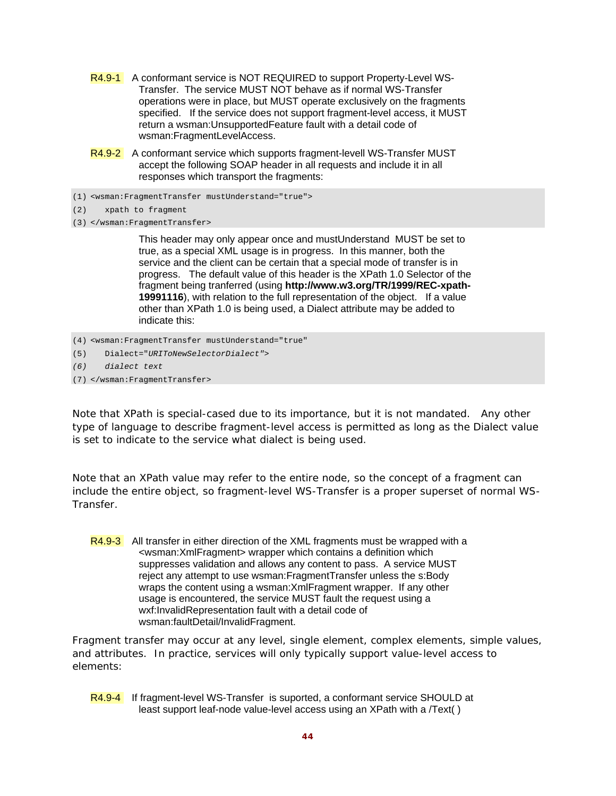- R4.9-1 A conformant service is NOT REQUIRED to support Property-Level WS-Transfer. The service MUST NOT behave as if normal WS-Transfer operations were in place, but MUST operate exclusively on the fragments specified. If the service does not support fragment-level access, it MUST return a wsman:UnsupportedFeature fault with a detail code of wsman:FragmentLevelAccess.
- R4.9-2 A conformant service which supports fragment-levell WS-Transfer MUST accept the following SOAP header in all requests and include it in all responses which transport the fragments:
- (1) <wsman:FragmentTransfer mustUnderstand="true">
- (2) xpath to fragment
- (3) </wsman:FragmentTransfer>

 This header may only appear once and mustUnderstand MUST be set to true, as a special XML usage is in progress. In this manner, both the service and the client can be certain that a special mode of transfer is in progress. The default value of this header is the XPath 1.0 Selector of the fragment being tranferred (using **http://www.w3.org/TR/1999/REC-xpath-19991116**), with relation to the full representation of the object. If a value other than XPath 1.0 is being used, a Dialect attribute may be added to indicate this:

- (4) <wsman:FragmentTransfer mustUnderstand="true"
- (5) Dialect="*URIToNewSelectorDialect"*>
- *(6) dialect text*
- (7) </wsman:FragmentTransfer>

Note that XPath is special-cased due to its importance, but it is not mandated. Any other type of language to describe fragment-level access is permitted as long as the Dialect value is set to indicate to the service what dialect is being used.

Note that an XPath value may refer to the entire node, so the concept of a fragment can include the entire object, so fragment-level WS-Transfer is a proper superset of normal WS-Transfer.

R4.9-3 All transfer in either direction of the XML fragments must be wrapped with a <wsman:XmlFragment> wrapper which contains a definition which suppresses validation and allows any content to pass. A service MUST reject any attempt to use wsman:FragmentTransfer unless the s:Body wraps the content using a wsman:XmlFragment wrapper. If any other usage is encountered, the service MUST fault the request using a wxf:InvalidRepresentation fault with a detail code of wsman:faultDetail/InvalidFragment.

Fragment transfer may occur at any level, single element, complex elements, simple values, and attributes. In practice, services will only typically support value-level access to elements:

R4.9-4 If fragment-level WS-Transfer is suported, a conformant service SHOULD at least support leaf-node value-level access using an XPath with a /Text( )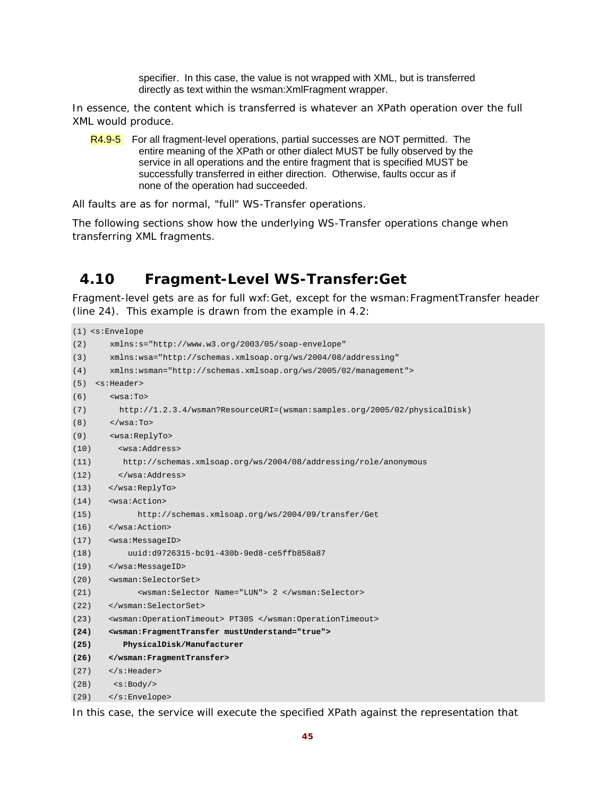specifier. In this case, the value is not wrapped with XML, but is transferred directly as text within the wsman:XmlFragment wrapper.

In essence, the content which is transferred is whatever an XPath operation over the full XML would produce.

R4.9-5 For all fragment-level operations, partial successes are NOT permitted. The entire meaning of the XPath or other dialect MUST be fully observed by the service in all operations and the entire fragment that is specified MUST be successfully transferred in either direction. Otherwise, faults occur as if none of the operation had succeeded.

All faults are as for normal, "full" WS-Transfer operations.

The following sections show how the underlying WS-Transfer operations change when transferring XML fragments.

# **4.10 Fragment-Level WS-Transfer:Get**

Fragment-level gets are as for full wxf:Get, except for the wsman:FragmentTransfer header (line 24). This example is drawn from the example in 4.2:

```
(1) <s:Envelope 
(2) xmlns:s="http://www.w3.org/2003/05/soap-envelope" 
(3) xmlns:wsa="http://schemas.xmlsoap.org/ws/2004/08/addressing" 
(4) xmlns:wsman="http://schemas.xmlsoap.org/ws/2005/02/management"> 
(5) <s:Header> 
(6) \leqwsa:To>
(7) http://1.2.3.4/wsman?ResourceURI=(wsman:samples.org/2005/02/physicalDisk) 
(8) \times/wsa:To>
(9) <wsa:ReplyTo> 
(10) <wsa:Address> 
(11) http://schemas.xmlsoap.org/ws/2004/08/addressing/role/anonymous 
(12) </wsa:Address> 
(13) </wsa:ReplyTo> 
(14) <wsa:Action> 
(15) http://schemas.xmlsoap.org/ws/2004/09/transfer/Get 
(16) </wsa:Action> 
(17) <wsa:MessageID> 
(18) uuid:d9726315-bc91-430b-9ed8-ce5ffb858a87 
(19) </wsa:MessageID> 
(20) <wsman:SelectorSet> 
(21) <wsman:Selector Name="LUN"> 2 </wsman:Selector> 
(22) </wsman:SelectorSet> 
(23) <wsman:OperationTimeout> PT30S </wsman:OperationTimeout> 
(24) <wsman:FragmentTransfer mustUnderstand="true"> 
(25) PhysicalDisk/Manufacturer 
(26) </wsman:FragmentTransfer> 
(27) </s:Header> 
(28) <s:Body/> 
(29) </s:Envelope>
```
In this case, the service will execute the specified XPath against the representation that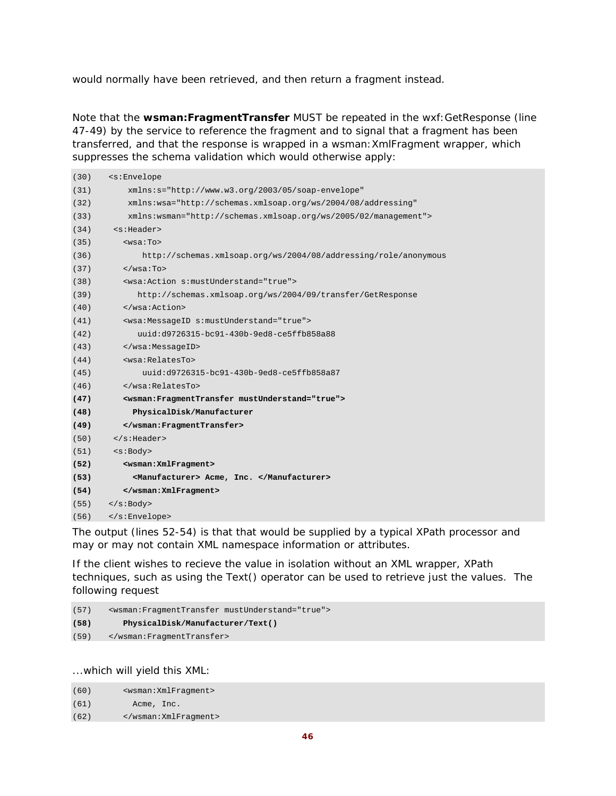would normally have been retrieved, and then return a fragment instead.

Note that the **wsman:FragmentTransfer** MUST be repeated in the wxf:GetResponse (line 47-49) by the service to reference the fragment and to signal that a fragment has been transferred, and that the response is wrapped in a wsman:XmlFragment wrapper, which suppresses the schema validation which would otherwise apply:

| (30) | <s:envelope< th=""></s:envelope<>                               |
|------|-----------------------------------------------------------------|
| (31) | xmlns:s="http://www.w3.org/2003/05/soap-envelope"               |
| (32) | xmlns:wsa="http://schemas.xmlsoap.org/ws/2004/08/addressing"    |
| (33) | xmlns:wsman="http://schemas.xmlsoap.org/ws/2005/02/management"> |
| (34) | <s:header></s:header>                                           |
| (35) | $wsa:To>$                                                       |
| (36) | http://schemas.xmlsoap.org/ws/2004/08/addressing/role/anonymous |
| (37) | $\langle$ /wsa:To>                                              |
| (38) | <wsa:action s:mustunderstand="true"></wsa:action>               |
| (39) | http://schemas.xmlsoap.org/ws/2004/09/transfer/GetResponse      |
| (40) |                                                                 |
| (41) | <wsa:messageid s:mustunderstand="true"></wsa:messageid>         |
| (42) | uuid:d9726315-bc91-430b-9ed8-ce5ffb858a88                       |
| (43) |                                                                 |
| (44) | swsa:RelatesTo>                                                 |
| (45) | uuid:d9726315-bc91-430b-9ed8-ce5ffb858a87                       |
| (46) | $\langle$ /wsa:RelatesTo>                                       |
| (47) | <wsman: fragmenttransfer="" mustunderstand="true"></wsman:>     |
| (48) | PhysicalDisk/Manufacturer                                       |
| (49) |                                                                 |
| (50) | $\langle$ s:Header>                                             |
| (51) | <s:body></s:body>                                               |
| (52) | <wsman: xmlfragment=""></wsman:>                                |
| (53) | <manufacturer> Acme, Inc. </manufacturer>                       |
| (54) |                                                                 |
| (55) | $\langle$ s:Body>                                               |
| (56) |                                                                 |

The output (lines 52-54) is that that would be supplied by a typical XPath processor and may or may not contain XML namespace information or attributes.

If the client wishes to recieve the value in isolation without an XML wrapper, XPath techniques, such as using the Text() operator can be used to retrieve just the values. The following request

(57) <wsman:FragmentTransfer mustUnderstand="true"> **(58) PhysicalDisk/Manufacturer/Text()**  (59) </wsman:FragmentTransfer>

...which will yield this XML:

| (60) | <wsman: xmlfraqment=""></wsman:> |
|------|----------------------------------|
| (61) | Acme, Inc.                       |
| (62) |                                  |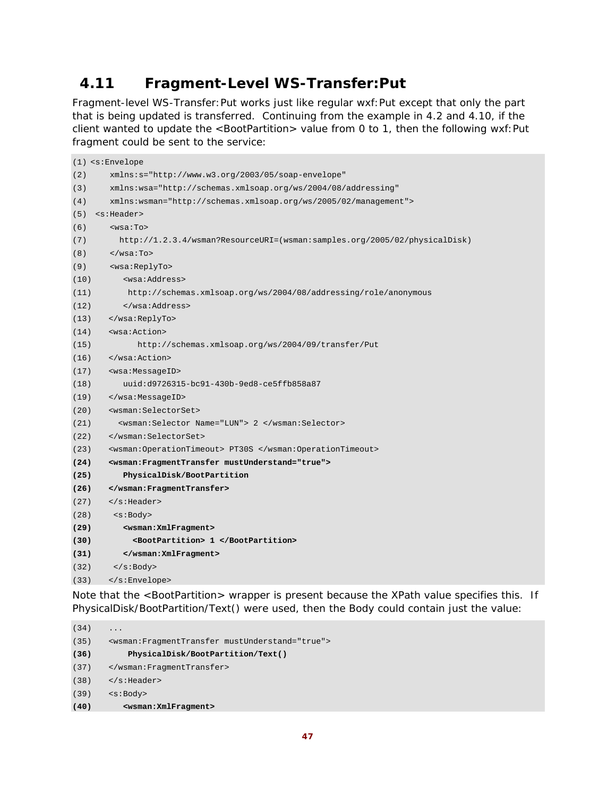# **4.11 Fragment-Level WS-Transfer:Put**

Fragment-level WS-Transfer:Put works just like regular wxf:Put except that only the part that is being updated is transferred. Continuing from the example in 4.2 and 4.10, if the client wanted to update the <BootPartition> value from 0 to 1, then the following wxf:Put fragment could be sent to the service:

|      | $(1)$ <s:envelope< th=""></s:envelope<>                                   |
|------|---------------------------------------------------------------------------|
| (2)  | $xmlns:s="http://www.w3.org/2003/05/soap-envelope"$                       |
| (3)  | xmlns:wsa="http://schemas.xmlsoap.org/ws/2004/08/addressing"              |
| (4)  | xmlns:wsman="http://schemas.xmlsoap.org/ws/2005/02/management">           |
| (5)  | <s:header></s:header>                                                     |
| (6)  | $wsa:To>$                                                                 |
| (7)  | http://1.2.3.4/wsman?ResourceURI=(wsman:samples.org/2005/02/physicalDisk) |
| (8)  | $\langle$ /wsa:To>                                                        |
| (9)  | <wsa:replyto></wsa:replyto>                                               |
| (10) | <wsa:address></wsa:address>                                               |
| (11) | http://schemas.xmlsoap.org/ws/2004/08/addressing/role/anonymous           |
| (12) |                                                                           |
| (13) |                                                                           |
| (14) | <wsa:action></wsa:action>                                                 |
| (15) | http://schemas.xmlsoap.org/ws/2004/09/transfer/Put                        |
| (16) | $\langle$ /wsa:Action>                                                    |
| (17) | <wsa:messageid></wsa:messageid>                                           |
| (18) | uuid:d9726315-bc91-430b-9ed8-ce5ffb858a87                                 |
| (19) |                                                                           |
| (20) | <wsman:selectorset></wsman:selectorset>                                   |
| (21) | <wsman:selector name="LUN"> 2 </wsman:selector>                           |
| (22) |                                                                           |
| (23) | <wsman:operationtimeout> PT30S </wsman:operationtimeout>                  |
| (24) | <wsman:fragmenttransfer mustunderstand="true"></wsman:fragmenttransfer>   |
| (25) | PhysicalDisk/BootPartition                                                |
| (26) |                                                                           |
| (27) | $\langle$ s:Header>                                                       |
| (28) | $<$ s:Body>                                                               |
| (29) | <wsman: xmlfragment=""></wsman:>                                          |
| (30) | <bootpartition> 1 </bootpartition>                                        |
| (31) |                                                                           |
| (32) | $\langle$ s:Body>                                                         |
| (33) |                                                                           |

Note that the <BootPartition> wrapper is present because the XPath value specifies this. If PhysicalDisk/BootPartition/Text() were used, then the Body could contain just the value:

 $(34)$  ... (35) <wsman:FragmentTransfer mustUnderstand="true"> **(36) PhysicalDisk/BootPartition/Text()**  (37) </wsman:FragmentTransfer> (38) </s:Header> (39) <s:Body> **(40) <wsman:XmlFragment>**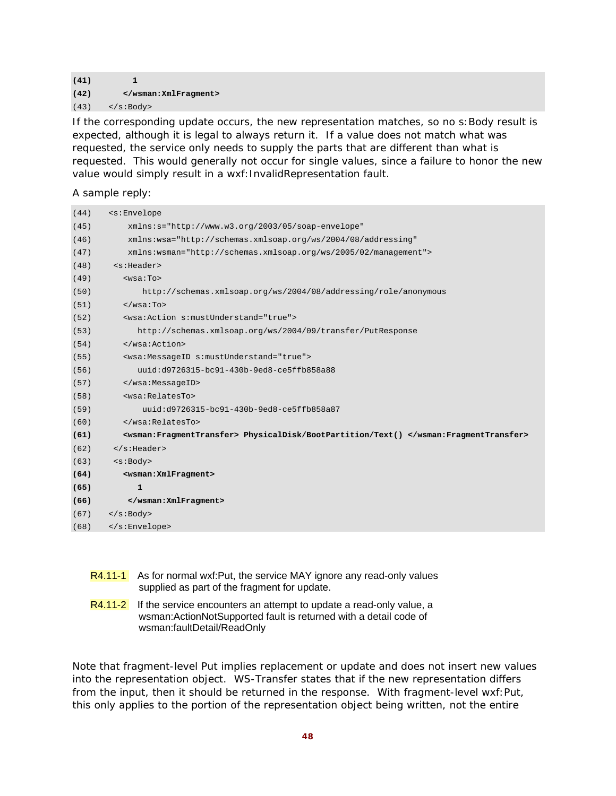#### $(41)$  1 **(42) </wsman:XmlFragment>**   $(43)$  </s:Body>

If the corresponding update occurs, the new representation matches, so no s:Body result is expected, although it is legal to always return it. If a value does not match what was requested, the service only needs to supply the parts that are different than what is requested. This would generally not occur for single values, since a failure to honor the new value would simply result in a wxf: InvalidRepresentation fault.

A sample reply:

| (44) | <s:envelope< th=""></s:envelope<>                                                    |
|------|--------------------------------------------------------------------------------------|
| (45) | xmlns:s="http://www.w3.org/2003/05/soap-envelope"                                    |
| (46) | xmlns:wsa="http://schemas.xmlsoap.org/ws/2004/08/addressing"                         |
| (47) | xmlns:wsman="http://schemas.xmlsoap.org/ws/2005/02/management">                      |
| (48) | <s:header></s:header>                                                                |
| (49) | $wsa:To>$                                                                            |
| (50) | http://schemas.xmlsoap.org/ws/2004/08/addressing/role/anonymous                      |
| (51) | $\langle$ /wsa:To>                                                                   |
| (52) | <wsa: action="" mustunderstand="true" s:=""></wsa:>                                  |
| (53) | http://schemas.xmlsoap.org/ws/2004/09/transfer/PutResponse                           |
| (54) |                                                                                      |
| (55) | <wsa:messageid s:mustunderstand="true"></wsa:messageid>                              |
| (56) | uuid:d9726315-bc91-430b-9ed8-ce5ffb858a88                                            |
| (57) |                                                                                      |
| (58) | <wsa:relatesto></wsa:relatesto>                                                      |
| (59) | uuid:d9726315-bc91-430b-9ed8-ce5ffb858a87                                            |
| (60) |                                                                                      |
| (61) | <wsman:fragmenttransfer> PhysicalDisk/BootPartition/Text() </wsman:fragmenttransfer> |
| (62) | $\langle$ s:Header>                                                                  |
| (63) | < s : Body                                                                           |
| (64) | <wsman: xmlfragment=""></wsman:>                                                     |
| (65) | 1                                                                                    |
| (66) |                                                                                      |
| (67) | $\langle$ s:Body>                                                                    |
| (68) |                                                                                      |

- R4.11-1 As for normal wxf:Put, the service MAY ignore any read-only values supplied as part of the fragment for update.
- R4.11-2 If the service encounters an attempt to update a read-only value, a wsman:ActionNotSupported fault is returned with a detail code of wsman:faultDetail/ReadOnly

Note that fragment-level Put implies replacement or update and does not insert new values into the representation object. WS-Transfer states that if the new representation differs from the input, then it should be returned in the response. With fragment-level wxf: Put, this only applies to the portion of the representation object being written, not the entire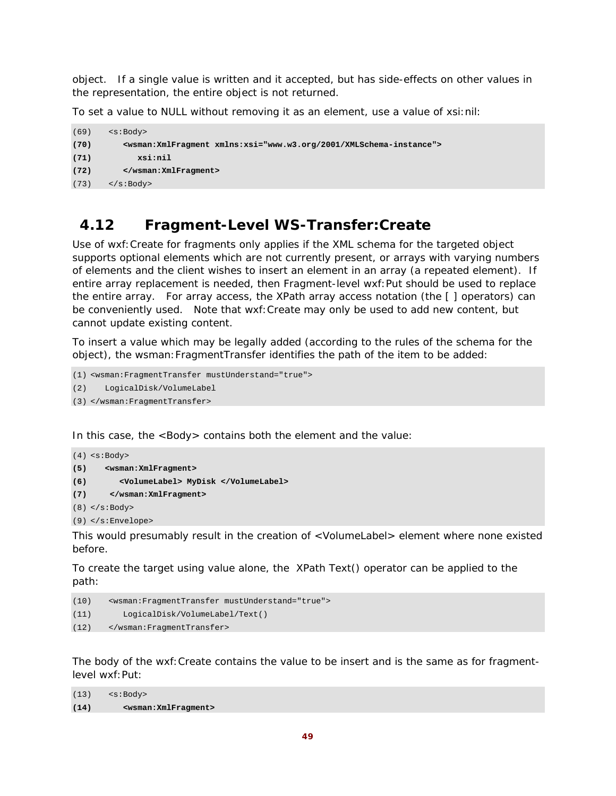object. If a single value is written and it accepted, but has side-effects on other values in the representation, the entire object is *not* returned.

To set a value to NULL without removing it as an element, use a value of xsi:nil:

```
(69) <s:Body> 
(70) <wsman:XmlFragment xmlns:xsi="www.w3.org/2001/XMLSchema-instance"> 
(71) xsi:nil 
(72) </wsman:XmlFragment> 
(73) </s:Body>
```
## **4.12 Fragment-Level WS-Transfer:Create**

Use of wxf:Create for fragments only applies if the XML schema for the targeted object supports optional elements which are not currently present, or arrays with varying numbers of elements and the client wishes to insert an element in an array (a repeated element). If entire array replacement is needed, then Fragment-level wxf:Put should be used to replace the entire array. For array access, the XPath array access notation (the [ ] operators) can be conveniently used. Note that wxf:Create may only be used to add new content, but cannot update existing content.

To insert a value which may be legally added (according to the rules of the schema for the object), the wsman:FragmentTransfer identifies the path of the item to be added:

```
(1) <wsman:FragmentTransfer mustUnderstand="true">
```

```
(2) LogicalDisk/VolumeLabel
```

```
(3) </wsman:FragmentTransfer>
```
In this case, the <Body> contains both the element and the value:

```
(4) <s:Body> 
(5) <wsman:XmlFragment> 
(6) <VolumeLabel> MyDisk </VolumeLabel> 
(7) </wsman:XmlFragment> 
(8) </s:Body>
```

```
(9) </s:Envelope>
```
This would presumably result in the creation of <VolumeLabel> element where none existed before.

To create the target using value alone, the XPath Text() operator can be applied to the path:

```
(10) <wsman:FragmentTransfer mustUnderstand="true"> 
(11) LogicalDisk/VolumeLabel/Text() 
(12) </wsman:FragmentTransfer>
```
The body of the wxf:Create contains the value to be insert and is the same as for fragmentlevel wxf:Put:

```
(13) <s:Body> 
(14) <wsman:XmlFragment>
```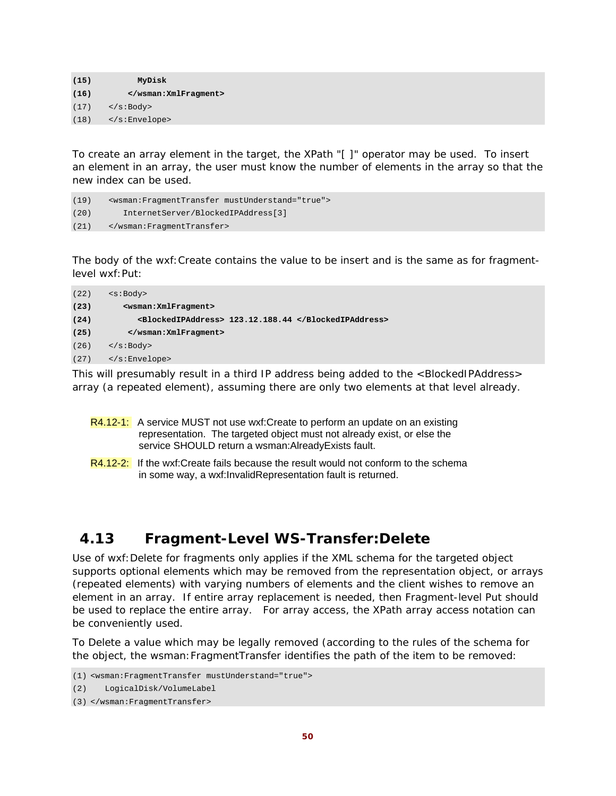**(15) MyDisk (16) </wsman:XmlFragment>**   $(17)$  </s:Body> (18) </s:Envelope>

To create an array element in the target, the XPath "[ ]" operator may be used. To insert an element in an array, the user must know the number of elements in the array so that the new index can be used.

```
(19) <wsman:FragmentTransfer mustUnderstand="true"> 
(20) InternetServer/BlockedIPAddress[3] 
(21) </wsman:FragmentTransfer>
```
The body of the wxf:Create contains the value to be insert and is the same as for fragmentlevel wxf:Put:

| (22) | $<$ s:Body>                                          |
|------|------------------------------------------------------|
| (23) | <wsman: xmlfragment=""></wsman:>                     |
| (24) | <blockedipaddress> 123.12.188.44 </blockedipaddress> |
| (25) |                                                      |
| (26) | $\langle$ s:Body>                                    |
| (27) | $\langle$ s:Envelope>                                |

This will presumably result in a third IP address being added to the <BlockedIPAddress> array (a repeated element), assuming there are only two elements at that level already.

- R4.12-1: A service MUST not use wxf: Create to perform an update on an existing representation. The targeted object must not already exist, or else the service SHOULD return a wsman:AlreadyExists fault.
- R4.12-2: If the wxf:Create fails because the result would not conform to the schema in some way, a wxf:InvalidRepresentation fault is returned.

# **4.13 Fragment-Level WS-Transfer:Delete**

Use of wxf:Delete for fragments only applies if the XML schema for the targeted object supports optional elements which may be removed from the representation object, or arrays (repeated elements) with varying numbers of elements and the client wishes to remove an element in an array. If entire array replacement is needed, then Fragment-level Put should be used to replace the entire array. For array access, the XPath array access notation can be conveniently used.

To Delete a value which may be legally removed (according to the rules of the schema for the object, the wsman:FragmentTransfer identifies the path of the item to be removed:

<sup>(1)</sup> <wsman:FragmentTransfer mustUnderstand="true">

<sup>(2)</sup> LogicalDisk/VolumeLabel

<sup>(3)</sup> </wsman:FragmentTransfer>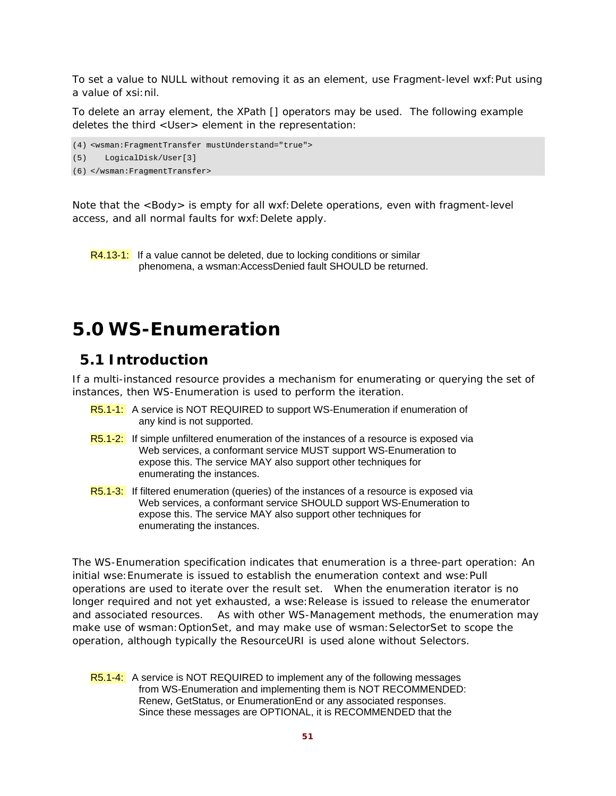To set a value to NULL without removing it as an element, use Fragment-level wxf:Put using a value of xsi:nil.

To delete an array element, the XPath [] operators may be used. The following example deletes the third <User> element in the representation:

(4) <wsman:FragmentTransfer mustUnderstand="true">

(5) LogicalDisk/User[3]

```
(6) </wsman:FragmentTransfer>
```
Note that the <Body> is empty for all wxf:Delete operations, even with fragment-level access, and all normal faults for wxf:Delete apply.

R4.13-1: If a value cannot be deleted, due to locking conditions or similar phenomena, a wsman:AccessDenied fault SHOULD be returned.

# **5.0 WS-Enumeration**

# **5.1 Introduction**

If a multi-instanced resource provides a mechanism for enumerating or querying the set of instances, then WS-Enumeration is used to perform the iteration.

- R5.1-1: A service is NOT REQUIRED to support WS-Enumeration if enumeration of any kind is not supported.
- R5.1-2: If simple unfiltered enumeration of the instances of a resource is exposed via Web services, a conformant service MUST support WS-Enumeration to expose this. The service MAY also support other techniques for enumerating the instances.
- R5.1-3: If filtered enumeration (queries) of the instances of a resource is exposed via Web services, a conformant service SHOULD support WS-Enumeration to expose this. The service MAY also support other techniques for enumerating the instances.

The WS-Enumeration specification indicates that enumeration is a three-part operation: An initial wse:Enumerate is issued to establish the enumeration context and wse:Pull operations are used to iterate over the result set. When the enumeration iterator is no longer required and not yet exhausted, a wse:Release is issued to release the enumerator and associated resources. As with other WS-Management methods, the enumeration may make use of wsman:OptionSet, and may make use of wsman:SelectorSet to scope the operation, although typically the ResourceURI is used alone without Selectors.

R5.1-4: A service is NOT REQUIRED to implement any of the following messages from WS-Enumeration and implementing them is NOT RECOMMENDED: Renew, GetStatus, or EnumerationEnd or any associated responses. Since these messages are OPTIONAL, it is RECOMMENDED that the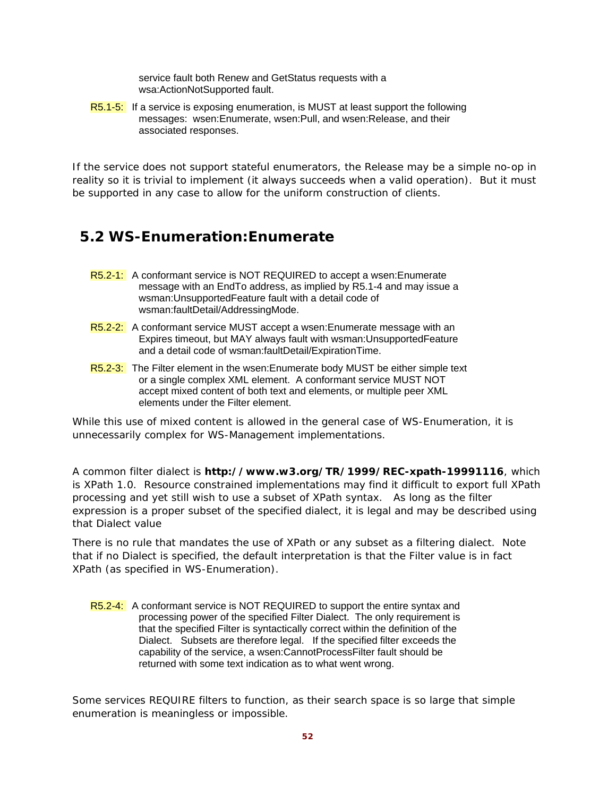service fault both Renew and GetStatus requests with a wsa:ActionNotSupported fault.

R5.1-5: If a service is exposing enumeration, is MUST at least support the following messages: wsen:Enumerate, wsen:Pull, and wsen:Release, and their associated responses.

If the service does not support stateful enumerators, the Release may be a simple no-op in reality so it is trivial to implement (it always succeeds when a valid operation). But it must be supported in any case to allow for the uniform construction of clients.

# **5.2 WS-Enumeration:Enumerate**

- R5.2-1: A conformant service is NOT REQUIRED to accept a wsen: Enumerate message with an EndTo address, as implied by R5.1-4 and may issue a wsman:UnsupportedFeature fault with a detail code of wsman:faultDetail/AddressingMode.
- R5.2-2: A conformant service MUST accept a wsen: Enumerate message with an Expires timeout, but MAY always fault with wsman:UnsupportedFeature and a detail code of wsman:faultDetail/ExpirationTime.
- R5.2-3: The Filter element in the wsen: Enumerate body MUST be either simple text or a single complex XML element. A conformant service MUST NOT accept mixed content of both text and elements, or multiple peer XML elements under the Filter element.

While this use of mixed content is allowed in the general case of WS-Enumeration, it is unnecessarily complex for WS-Management implementations.

A common filter dialect is **http://www.w3.org/TR/1999/REC-xpath-19991116**, which is XPath 1.0. Resource constrained implementations may find it difficult to export full XPath processing and yet still wish to use a subset of XPath syntax. As long as the filter expression is a proper subset of the specified dialect, it is legal and may be described using that Dialect value

There is no rule that mandates the use of XPath or any subset as a filtering dialect. Note that if no Dialect is specified, the default interpretation is that the Filter value is in fact XPath (as specified in WS-Enumeration).

R5.2-4: A conformant service is NOT REQUIRED to support the entire syntax and processing power of the specified Filter Dialect. The only requirement is that the specified Filter is syntactically correct within the definition of the Dialect. Subsets are therefore legal. If the specified filter exceeds the capability of the service, a wsen:CannotProcessFilter fault should be returned with some text indication as to what went wrong.

Some services REQUIRE filters to function, as their search space is so large that simple enumeration is meaningless or impossible.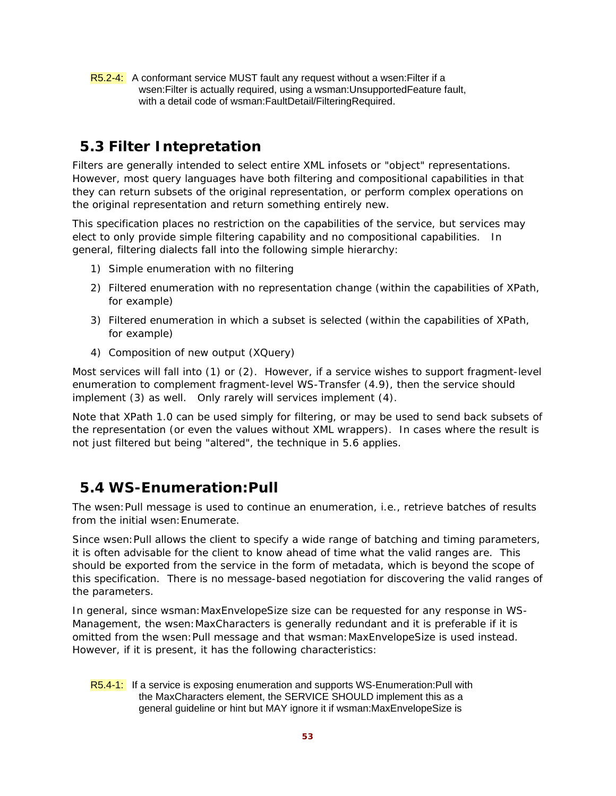R5.2-4: A conformant service MUST fault any request without a wsen: Filter if a wsen:Filter is actually required, using a wsman:UnsupportedFeature fault, with a detail code of wsman:FaultDetail/FilteringRequired.

# **5.3 Filter Intepretation**

Filters are generally intended to select entire XML infosets or "object" representations. However, most query languages have both filtering and compositional capabilities in that they can return subsets of the original representation, or perform complex operations on the original representation and return something entirely new.

This specification places no restriction on the capabilities of the service, but services may elect to only provide simple filtering capability and no compositional capabilities. In general, filtering dialects fall into the following simple hierarchy:

- 1) Simple enumeration with no filtering
- 2) Filtered enumeration with no representation change (within the capabilities of XPath, for example)
- 3) Filtered enumeration in which a subset is selected (within the capabilities of XPath, for example)
- 4) Composition of new output (XQuery)

Most services will fall into (1) or (2). However, if a service wishes to support fragment-level enumeration to complement fragment-level WS-Transfer (4.9), then the service should implement (3) as well. Only rarely will services implement (4).

Note that XPath 1.0 can be used simply for filtering, or may be used to send back subsets of the representation (or even the values without XML wrappers). In cases where the result is not just filtered but being "altered", the technique in 5.6 applies.

# **5.4 WS-Enumeration:Pull**

The wsen:Pull message is used to continue an enumeration, i.e., retrieve batches of results from the initial wsen: Enumerate.

Since wsen: Pull allows the client to specify a wide range of batching and timing parameters, it is often advisable for the client to know ahead of time what the valid ranges are. This should be exported from the service in the form of metadata, which is beyond the scope of this specification. There is no message-based negotiation for discovering the valid ranges of the parameters.

In general, since wsman:MaxEnvelopeSize size can be requested for any response in WS-Management, the wsen:MaxCharacters is generally redundant and it is preferable if it is omitted from the wsen: Pull message and that wsman: MaxEnvelopeSize is used instead. However, if it is present, it has the following characteristics:

R5.4-1: If a service is exposing enumeration and supports WS-Enumeration: Pull with the MaxCharacters element, the SERVICE SHOULD implement this as a general guideline or hint but MAY ignore it if wsman:MaxEnvelopeSize is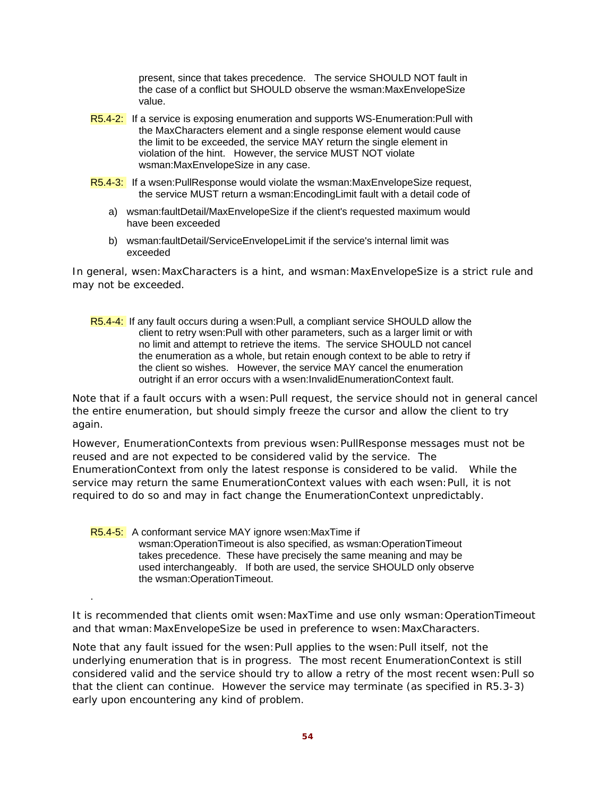present, since that takes precedence. The service SHOULD NOT fault in the case of a conflict but SHOULD observe the wsman:MaxEnvelopeSize value.

- R5.4-2: If a service is exposing enumeration and supports WS-Enumeration: Pull with the MaxCharacters element and a single response element would cause the limit to be exceeded, the service MAY return the single element in violation of the hint. However, the service MUST NOT violate wsman:MaxEnvelopeSize in any case.
- R5.4-3: If a wsen:PullResponse would violate the wsman:MaxEnvelopeSize request, the service MUST return a wsman:EncodingLimit fault with a detail code of
	- a) wsman:faultDetail/MaxEnvelopeSize if the client's requested maximum would have been exceeded
	- b) wsman:faultDetail/ServiceEnvelopeLimit if the service's internal limit was exceeded

In general, wsen:MaxCharacters is a hint, and wsman:MaxEnvelopeSize is a strict rule and may not be exceeded.

R5.4-4: If any fault occurs during a wsen: Pull, a compliant service SHOULD allow the client to retry wsen:Pull with other parameters, such as a larger limit or with no limit and attempt to retrieve the items. The service SHOULD not cancel the enumeration as a whole, but retain enough context to be able to retry if the client so wishes. However, the service MAY cancel the enumeration outright if an error occurs with a wsen:InvalidEnumerationContext fault.

Note that if a fault occurs with a wsen: Pull request, the service should not in general cancel the entire enumeration, but should simply freeze the cursor and allow the client to try again.

However, EnumerationContexts from previous wsen:PullResponse messages must not be reused and are not expected to be considered valid by the service. The EnumerationContext from only the latest response is considered to be valid. While the service may return the same EnumerationContext values with each wsen:Pull, it is not required to do so and may in fact change the EnumerationContext unpredictably.

R5.4-5: A conformant service MAY ignore wsen: MaxTime if wsman:OperationTimeout is also specified, as wsman:OperationTimeout takes precedence. These have precisely the same meaning and may be used interchangeably. If both are used, the service SHOULD only observe the wsman:OperationTimeout.

.

It is recommended that clients omit wsen: MaxTime and use only wsman: OperationTimeout and that wman:MaxEnvelopeSize be used in preference to wsen:MaxCharacters.

Note that any fault issued for the wsen:Pull applies to the wsen:Pull itself, not the underlying enumeration that is in progress. The most recent EnumerationContext is still considered valid and the service should try to allow a retry of the most recent wsen:Pull so that the client can continue. However the service may terminate (as specified in R5.3-3) early upon encountering any kind of problem.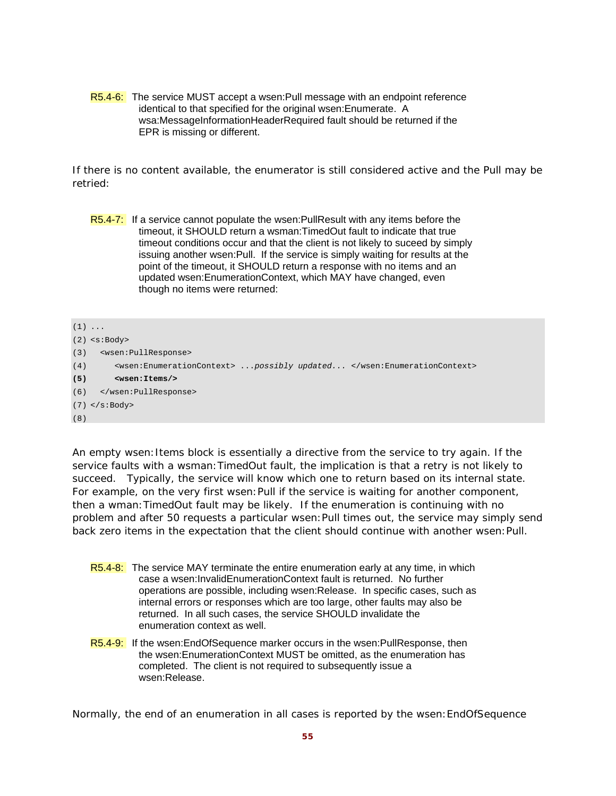R5.4-6: The service MUST accept a wsen:Pull message with an endpoint reference identical to that specified for the original wsen:Enumerate. A wsa:MessageInformationHeaderRequired fault should be returned if the EPR is missing or different.

If there is no content available, the enumerator is still considered active and the Pull may be retried:

```
R5.4-7: If a service cannot populate the wsen: PullResult with any items before the
          timeout, it SHOULD return a wsman:TimedOut fault to indicate that true 
          timeout conditions occur and that the client is not likely to suceed by simply 
          issuing another wsen:Pull. If the service is simply waiting for results at the 
          point of the timeout, it SHOULD return a response with no items and an 
          updated wsen:EnumerationContext, which MAY have changed, even 
          though no items were returned:
```

```
(1) \ldots(2) <s:Body> 
(3) <wsen:PullResponse> 
(4) <wsen:EnumerationContext> ...possibly updated... </wsen:EnumerationContext> 
(5) <wsen:Items/> 
(6) </wsen:PullResponse> 
(7) </s:Body> 
(8)
```
An empty wsen: Items block is essentially a directive from the service to try again. If the service faults with a wsman:TimedOut fault, the implication is that a retry is not likely to succeed. Typically, the service will know which one to return based on its internal state. For example, on the very first wsen: Pull if the service is waiting for another component, then a wman:TimedOut fault may be likely. If the enumeration is continuing with no problem and after 50 requests a particular wsen:Pull times out, the service may simply send back zero items in the expectation that the client should continue with another wsen:Pull.

- R5.4-8: The service MAY terminate the entire enumeration early at any time, in which case a wsen:InvalidEnumerationContext fault is returned. No further operations are possible, including wsen:Release. In specific cases, such as internal errors or responses which are too large, other faults may also be returned. In all such cases, the service SHOULD invalidate the enumeration context as well.
- R5.4-9: If the wsen: End Of Sequence marker occurs in the wsen: Pull Response, then the wsen:EnumerationContext MUST be omitted, as the enumeration has completed. The client is not required to subsequently issue a wsen:Release.

Normally, the end of an enumeration in all cases is reported by the wsen:EndOfSequence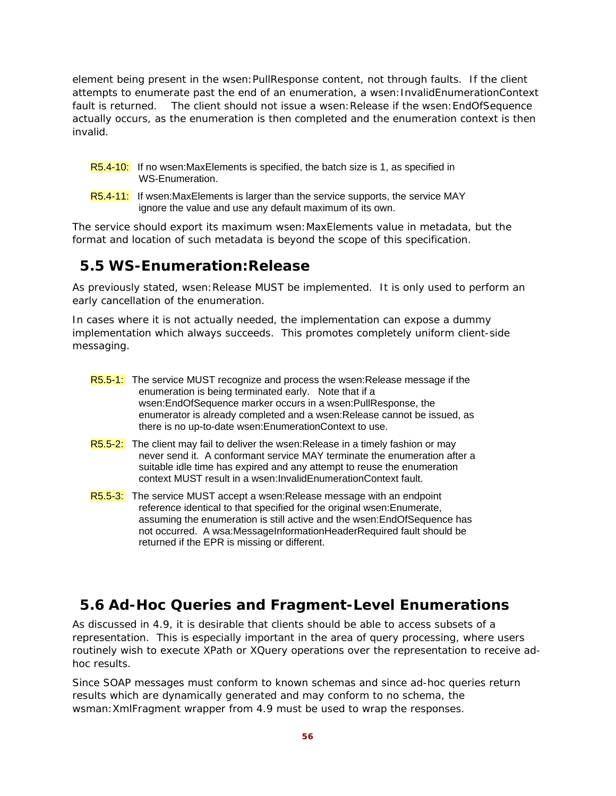element being present in the wsen:PullResponse content, not through faults. If the client attempts to enumerate past the end of an enumeration, a wsen:InvalidEnumerationContext fault is returned. The client should not issue a wsen: Release if the wsen: EndOfSequence actually occurs, as the enumeration is then completed and the enumeration context is then invalid.

- R5.4-10: If no wsen: MaxElements is specified, the batch size is 1, as specified in WS-Enumeration.
- R5.4-11: If wsen:MaxElements is larger than the service supports, the service MAY ignore the value and use any default maximum of its own.

The service should export its maximum wsen:MaxElements value in metadata, but the format and location of such metadata is beyond the scope of this specification.

# **5.5 WS-Enumeration:Release**

As previously stated, wsen: Release MUST be implemented. It is only used to perform an early cancellation of the enumeration.

In cases where it is not actually needed, the implementation can expose a dummy implementation which always succeeds. This promotes completely uniform client-side messaging.

- R5.5-1: The service MUST recognize and process the wsen: Release message if the enumeration is being terminated early. Note that if a wsen:EndOfSequence marker occurs in a wsen:PullResponse, the enumerator is already completed and a wsen:Release cannot be issued, as there is no up-to-date wsen:EnumerationContext to use.
- R5.5-2: The client may fail to deliver the wsen: Release in a timely fashion or may never send it. A conformant service MAY terminate the enumeration after a suitable idle time has expired and any attempt to reuse the enumeration context MUST result in a wsen:InvalidEnumerationContext fault.
- R5.5-3: The service MUST accept a wsen: Release message with an endpoint reference identical to that specified for the original wsen:Enumerate, assuming the enumeration is still active and the wsen:EndOfSequence has not occurred. A wsa:MessageInformationHeaderRequired fault should be returned if the EPR is missing or different.

# **5.6 Ad-Hoc Queries and Fragment-Level Enumerations**

As discussed in 4.9, it is desirable that clients should be able to access subsets of a representation. This is especially important in the area of query processing, where users routinely wish to execute XPath or XQuery operations over the representation to receive adhoc results.

Since SOAP messages must conform to known schemas and since ad-hoc queries return results which are dynamically generated and may conform to no schema, the wsman:XmlFragment wrapper from 4.9 must be used to wrap the responses.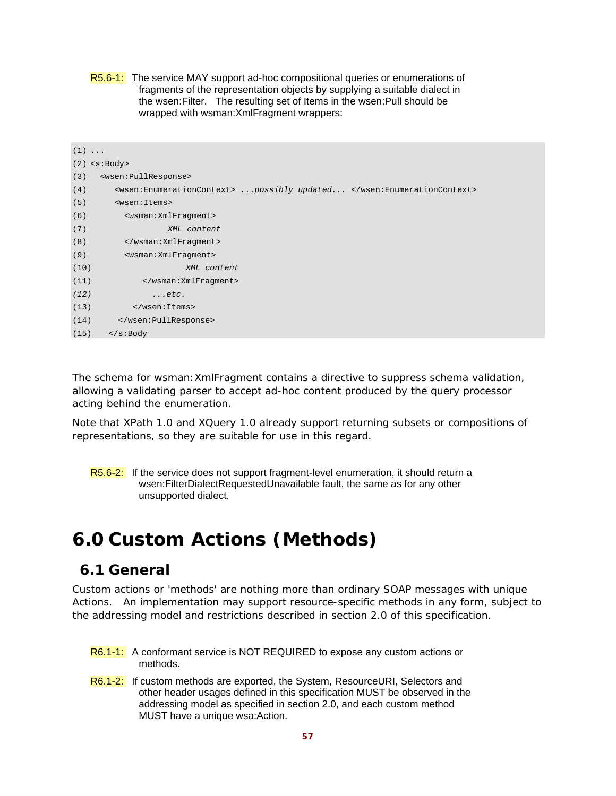| <b>R5.6-1:</b> The service MAY support ad-hoc compositional queries or enumerations of |
|----------------------------------------------------------------------------------------|
| fragments of the representation objects by supplying a suitable dialect in             |
| the wsen: Filter. The resulting set of Items in the wsen: Pull should be               |
| wrapped with wsman: XmlFragment wrappers:                                              |

|      | $(1) \ldots$                                                          |
|------|-----------------------------------------------------------------------|
|      | $(2)$ <s:body></s:body>                                               |
| (3)  | <wsen: pullresponse=""></wsen:>                                       |
| (4)  | <wsen:enumerationcontext> possibly updated </wsen:enumerationcontext> |
| (5)  | <wsen: items=""></wsen:>                                              |
| (6)  | <wsman: xmlfragment=""></wsman:>                                      |
| (7)  | XML content                                                           |
| (8)  |                                                                       |
| (9)  | <wsman: xmlfragment=""></wsman:>                                      |
| (10) | XML content                                                           |
| (11) |                                                                       |
| (12) | $\ldots$ etc.                                                         |
| (13) |                                                                       |
| (14) |                                                                       |
| (15) | $\langle$ s:Body                                                      |

The schema for wsman:XmlFragment contains a directive to suppress schema validation, allowing a validating parser to accept ad-hoc content produced by the query processor acting behind the enumeration.

Note that XPath 1.0 and XQuery 1.0 already support returning subsets or compositions of representations, so they are suitable for use in this regard.

R5.6-2: If the service does not support fragment-level enumeration, it should return a wsen:FilterDialectRequestedUnavailable fault, the same as for any other unsupported dialect.

# **6.0 Custom Actions (Methods)**

# **6.1 General**

Custom actions or 'methods' are nothing more than ordinary SOAP messages with unique Actions. An implementation may support resource-specific methods in any form, subject to the addressing model and restrictions described in section 2.0 of this specification.

- R6.1-1: A conformant service is NOT REQUIRED to expose any custom actions or methods.
- R6.1-2: If custom methods are exported, the System, ResourceURI, Selectors and other header usages defined in this specification MUST be observed in the addressing model as specified in section 2.0, and each custom method MUST have a unique wsa:Action.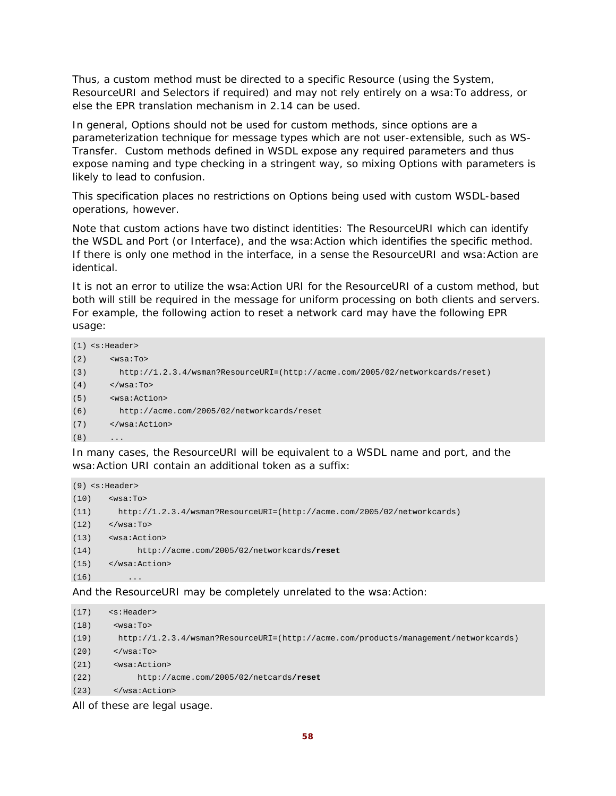Thus, a custom method must be directed to a specific Resource (using the System, ResourceURI and Selectors if required) and may not rely entirely on a wsa:To address, or else the EPR translation mechanism in 2.14 can be used.

In general, Options should not be used for custom methods, since options are a parameterization technique for message types which are not user-extensible, such as WS-Transfer. Custom methods defined in WSDL expose any required parameters and thus expose naming and type checking in a stringent way, so mixing Options with parameters is likely to lead to confusion.

This specification places no restrictions on Options being used with custom WSDL-based operations, however.

Note that custom actions have two distinct identities: The ResourceURI which can identify the WSDL and Port (or Interface), and the wsa:Action which identifies the specific method. If there is only one method in the interface, in a sense the ResourceURI and wsa: Action are identical.

It is not an error to utilize the wsa:Action URI for the ResourceURI of a custom method, but both will still be required in the message for uniform processing on both clients and servers. For example, the following action to reset a network card may have the following EPR usage:

```
(1) <s:Header> 
(2) \leq \sqrt{8a}: To >(3) http://1.2.3.4/wsman?ResourceURI=(http://acme.com/2005/02/networkcards/reset) 
(4) </wsa:To>
(5) <wsa:Action> 
(6) http://acme.com/2005/02/networkcards/reset 
(7) </wsa:Action> 
(8)
```
In many cases, the ResourceURI will be equivalent to a WSDL name and port, and the wsa:Action URI contain an additional token as a suffix:

```
(9) <s:Header> 
(10) <wsa:To> 
(11) http://1.2.3.4/wsman?ResourceURI=(http://acme.com/2005/02/networkcards) 
(12) </wsa:To>
(13) <wsa:Action> 
(14) http://acme.com/2005/02/networkcards/reset
(15) </wsa:Action> 
(16) ...
```
And the ResourceURI may be completely unrelated to the wsa:Action:

```
(17) <s:Header> 
(18) <wsa:To>
(19) http://1.2.3.4/wsman?ResourceURI=(http://acme.com/products/management/networkcards) 
(20) \langle/wsa:To>
(21) <wsa:Action> 
(22) http://acme.com/2005/02/netcards/reset
(23) </wsa:Action>
```
All of these are legal usage.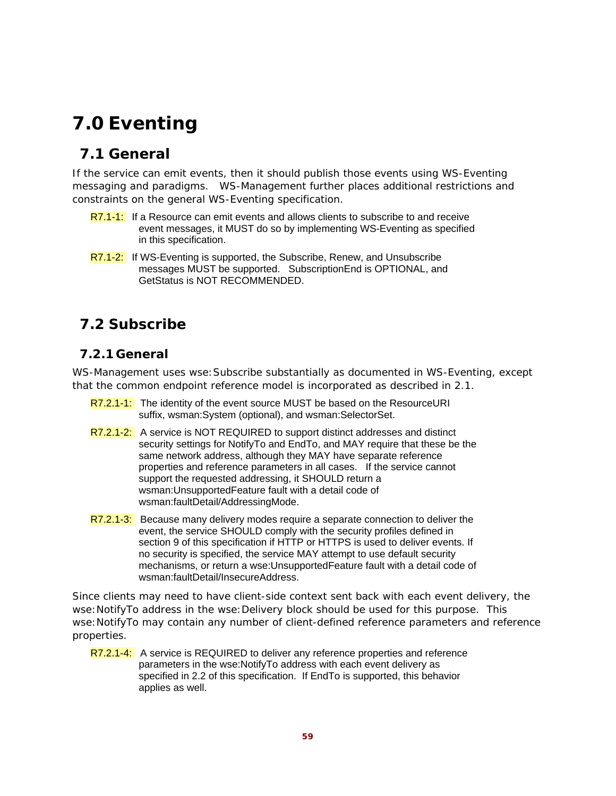# **7.0 Eventing**

# **7.1 General**

If the service can emit events, then it should publish those events using WS-Eventing messaging and paradigms. WS-Management further places additional restrictions and constraints on the general WS-Eventing specification.

- R7.1-1: If a Resource can emit events and allows clients to subscribe to and receive event messages, it MUST do so by implementing WS-Eventing as specified in this specification.
- R7.1-2: If WS-Eventing is supported, the Subscribe, Renew, and Unsubscribe messages MUST be supported. SubscriptionEnd is OPTIONAL, and GetStatus is NOT RECOMMENDED.

# **7.2 Subscribe**

## **7.2.1 General**

WS-Management uses wse:Subscribe substantially as documented in WS-Eventing, except that the common endpoint reference model is incorporated as described in 2.1.

- R7.2.1-1: The identity of the event source MUST be based on the ResourceURI suffix, wsman:System (optional), and wsman:SelectorSet.
- R7.2.1-2: A service is NOT REQUIRED to support distinct addresses and distinct security settings for NotifyTo and EndTo, and MAY require that these be the same network address, although they MAY have separate reference properties and reference parameters in all cases. If the service cannot support the requested addressing, it SHOULD return a wsman:UnsupportedFeature fault with a detail code of wsman:faultDetail/AddressingMode.
- R7.2.1-3: Because many delivery modes require a separate connection to deliver the event, the service SHOULD comply with the security profiles defined in section 9 of this specification if HTTP or HTTPS is used to deliver events. If no security is specified, the service MAY attempt to use default security mechanisms, or return a wse:UnsupportedFeature fault with a detail code of wsman:faultDetail/InsecureAddress.

Since clients may need to have client-side context sent back with each event delivery, the wse: NotifyTo address in the wse: Delivery block should be used for this purpose. This wse:NotifyTo may contain any number of client-defined reference parameters and reference properties.

R7.2.1-4: A service is REQUIRED to deliver any reference properties and reference parameters in the wse:NotifyTo address with each event delivery as specified in 2.2 of this specification. If EndTo is supported, this behavior applies as well.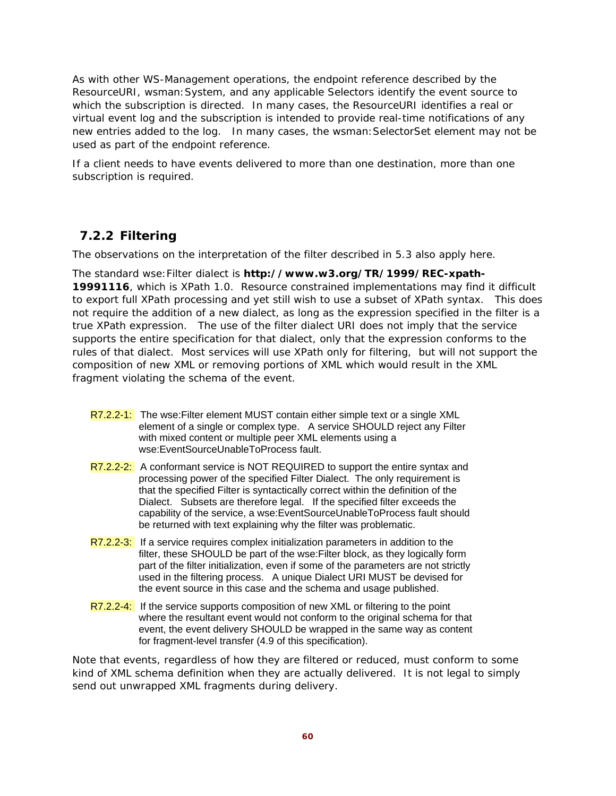As with other WS-Management operations, the endpoint reference described by the ResourceURI, wsman:System, and any applicable Selectors identify the event source to which the subscription is directed. In many cases, the ResourceURI identifies a real or virtual event log and the subscription is intended to provide real-time notifications of any new entries added to the log. In many cases, the wsman:SelectorSet element may not be used as part of the endpoint reference.

If a client needs to have events delivered to more than one destination, more than one subscription is required.

## **7.2.2 Filtering**

The observations on the interpretation of the filter described in 5.3 also apply here.

The standard wse:Filter dialect is **http://www.w3.org/TR/1999/REC-xpath-19991116**, which is XPath 1.0. Resource constrained implementations may find it difficult to export full XPath processing and yet still wish to use a subset of XPath syntax. This does not require the addition of a new dialect, as long as the expression specified in the filter is a true XPath expression. The use of the filter dialect URI does not imply that the service supports the entire specification for that dialect, only that the expression conforms to the rules of that dialect. Most services will use XPath only for filtering, but will not support the composition of new XML or removing portions of XML which would result in the XML fragment violating the schema of the event.

- R7.2.2-1: The wse: Filter element MUST contain either simple text or a single XML element of a single or complex type. A service SHOULD reject any Filter with mixed content or multiple peer XML elements using a wse:EventSourceUnableToProcess fault.
- R7.2.2-2: A conformant service is NOT REQUIRED to support the entire syntax and processing power of the specified Filter Dialect. The only requirement is that the specified Filter is syntactically correct within the definition of the Dialect. Subsets are therefore legal. If the specified filter exceeds the capability of the service, a wse:EventSourceUnableToProcess fault should be returned with text explaining why the filter was problematic.
- R7.2.2-3: If a service requires complex initialization parameters in addition to the filter, these SHOULD be part of the wse:Filter block, as they logically form part of the filter initialization, even if some of the parameters are not strictly used in the filtering process. A unique Dialect URI MUST be devised for the event source in this case and the schema and usage published.
- R7.2.2-4: If the service supports composition of new XML or filtering to the point where the resultant event would not conform to the original schema for that event, the event delivery SHOULD be wrapped in the same way as content for fragment-level transfer (4.9 of this specification).

Note that events, regardless of how they are filtered or reduced, must conform to some kind of XML schema definition when they are actually delivered. It is not legal to simply send out unwrapped XML fragments during delivery.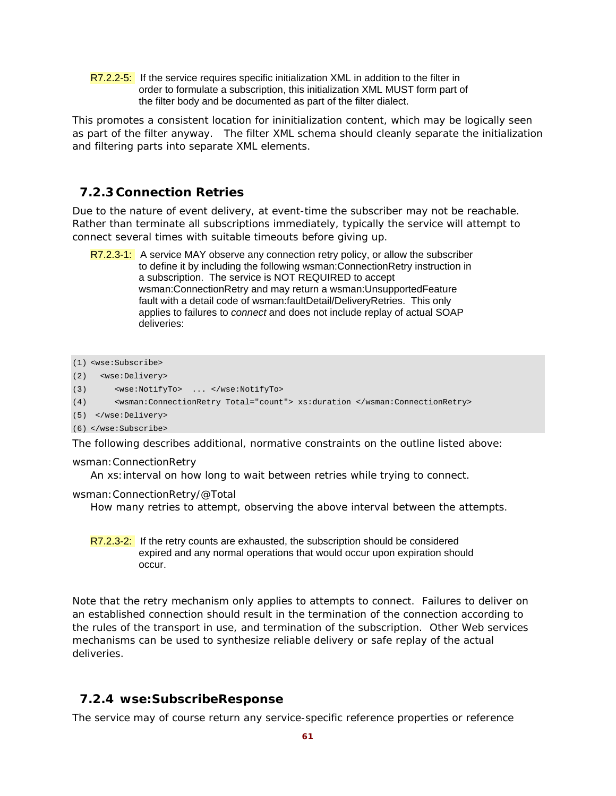R7.2.2-5: If the service requires specific initialization XML in addition to the filter in order to formulate a subscription, this initialization XML MUST form part of the filter body and be documented as part of the filter dialect.

This promotes a consistent location for ininitialization content, which may be logically seen as part of the filter anyway. The filter XML schema should cleanly separate the initialization and filtering parts into separate XML elements.

### **7.2.3 Connection Retries**

Due to the nature of event delivery, at event-time the subscriber may not be reachable. Rather than terminate all subscriptions immediately, typically the service will attempt to connect several times with suitable timeouts before giving up.

R7.2.3-1: A service MAY observe any connection retry policy, or allow the subscriber to define it by including the following wsman:ConnectionRetry instruction in a subscription. The service is NOT REQUIRED to accept wsman:ConnectionRetry and may return a wsman:UnsupportedFeature fault with a detail code of wsman:faultDetail/DeliveryRetries. This only applies to failures to *connect* and does not include replay of actual SOAP deliveries:

```
(1) <wse:Subscribe> 
(2) <wse:Delivery> 
(3) <wse:NotifyTo> ... </wse:NotifyTo> 
(4) <wsman:ConnectionRetry Total="count"> xs:duration </wsman:ConnectionRetry> 
(5) </wse:Delivery>
```
(6) </wse:Subscribe>

The following describes additional, normative constraints on the outline listed above:

#### wsman:ConnectionRetry

An xs:interval on how long to wait between retries while trying to connect.

wsman:ConnectionRetry/@Total

How many retries to attempt, observing the above interval between the attempts.

 $R7.2.3-2$ : If the retry counts are exhausted, the subscription should be considered expired and any normal operations that would occur upon expiration should occur.

Note that the retry mechanism only applies to attempts to connect. Failures to deliver on an established connection should result in the termination of the connection according to the rules of the transport in use, and termination of the subscription. Other Web services mechanisms can be used to synthesize reliable delivery or safe replay of the actual deliveries.

### **7.2.4 wse:SubscribeResponse**

The service may of course return any service-specific reference properties or reference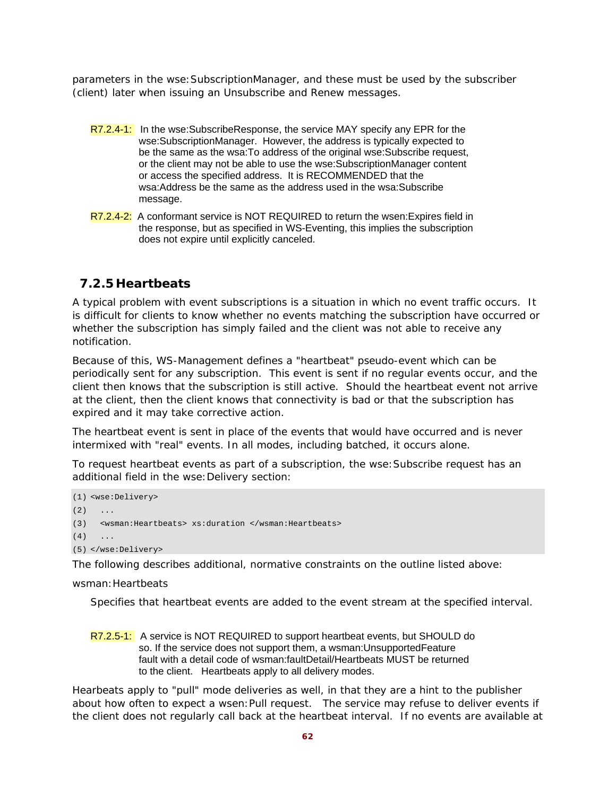parameters in the wse:SubscriptionManager, and these must be used by the subscriber (client) later when issuing an Unsubscribe and Renew messages.

- R7.2.4-1: In the wse:SubscribeResponse, the service MAY specify any EPR for the wse:SubscriptionManager. However, the address is typically expected to be the same as the wsa:To address of the original wse:Subscribe request, or the client may not be able to use the wse:SubscriptionManager content or access the specified address. It is RECOMMENDED that the wsa:Address be the same as the address used in the wsa:Subscribe message.
- R7.2.4-2: A conformant service is NOT REQUIRED to return the wsen: Expires field in the response, but as specified in WS-Eventing, this implies the subscription does not expire until explicitly canceled.

### **7.2.5 Heartbeats**

A typical problem with event subscriptions is a situation in which no event traffic occurs. It is difficult for clients to know whether no events matching the subscription have occurred or whether the subscription has simply failed and the client was not able to receive any notification.

Because of this, WS-Management defines a "heartbeat" pseudo-event which can be periodically sent for any subscription. This event is sent if no regular events occur, and the client then knows that the subscription is still active. Should the heartbeat event not arrive at the client, then the client knows that connectivity is bad or that the subscription has expired and it may take corrective action.

The heartbeat event is sent *in place of* the events that would have occurred and is *never*  intermixed with "real" events. In all modes, including batched, it occurs alone.

To request heartbeat events as part of a subscription, the wse:Subscribe request has an additional field in the wse: Delivery section:

```
(1) <wse:Delivery> 
(2) ...
(3) <wsman:Heartbeats> xs:duration </wsman:Heartbeats> 
(4) ...
(5) </wse:Delivery>
```
The following describes additional, normative constraints on the outline listed above:

wsman: Heartbeats

Specifies that heartbeat events are added to the event stream at the specified interval.

R7.2.5-1: A service is NOT REQUIRED to support heartbeat events, but SHOULD do so. If the service does not support them, a wsman:UnsupportedFeature fault with a detail code of wsman:faultDetail/Heartbeats MUST be returned to the client. Heartbeats apply to all delivery modes.

Hearbeats apply to "pull" mode deliveries as well, in that they are a hint to the publisher about how often to expect a wsen:Pull request. The service may refuse to deliver events if the client does not regularly call back at the heartbeat interval. If no events are available at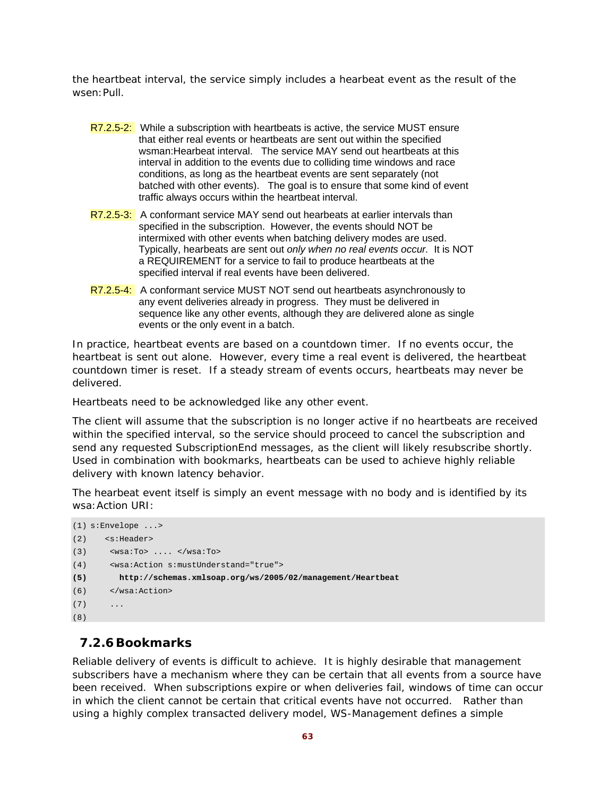the heartbeat interval, the service simply includes a hearbeat event as the result of the wsen:Pull.

- R7.2.5-2: While a subscription with heartbeats is active, the service MUST ensure that either real events or heartbeats are sent out within the specified wsman:Hearbeat interval. The service MAY send out heartbeats at this interval in addition to the events due to colliding time windows and race conditions, as long as the heartbeat events are sent separately (not batched with other events). The goal is to ensure that some kind of event traffic always occurs within the heartbeat interval.
- R7.2.5-3: A conformant service MAY send out hearbeats at earlier intervals than specified in the subscription. However, the events should NOT be intermixed with other events when batching delivery modes are used. Typically, hearbeats are sent out *only when no real events occur.* It is NOT a REQUIREMENT for a service to fail to produce heartbeats at the specified interval if real events have been delivered.
- R7.2.5-4: A conformant service MUST NOT send out heartbeats asynchronously to any event deliveries already in progress. They must be delivered in sequence like any other events, although they are delivered alone as single events or the only event in a batch.

In practice, heartbeat events are based on a countdown timer. If no events occur, the heartbeat is sent out alone. However, every time a real event is delivered, the heartbeat countdown timer is reset. If a steady stream of events occurs, heartbeats may never be delivered.

Heartbeats need to be acknowledged like any other event.

The client will assume that the subscription is no longer active if no heartbeats are received within the specified interval, so the service should proceed to cancel the subscription and send any requested SubscriptionEnd messages, as the client will likely resubscribe shortly. Used in combination with bookmarks, heartbeats can be used to achieve highly reliable delivery with known latency behavior.

The hearbeat event itself is simply an event message with no body and is identified by its wsa:Action URI:

```
(1) s:Envelope ...> 
(2) <s:Header> 
(3) <wsa:To> .... </wsa:To>
(4) <wsa:Action s:mustUnderstand="true"> 
(5) http://schemas.xmlsoap.org/ws/2005/02/management/Heartbeat 
(6) </wsa:Action> 
(7)(8)
```
### **7.2.6Bookmarks**

Reliable delivery of events is difficult to achieve. It is highly desirable that management subscribers have a mechanism where they can be certain that all events from a source have been received. When subscriptions expire or when deliveries fail, windows of time can occur in which the client cannot be certain that critical events have not occurred. Rather than using a highly complex transacted delivery model, WS-Management defines a simple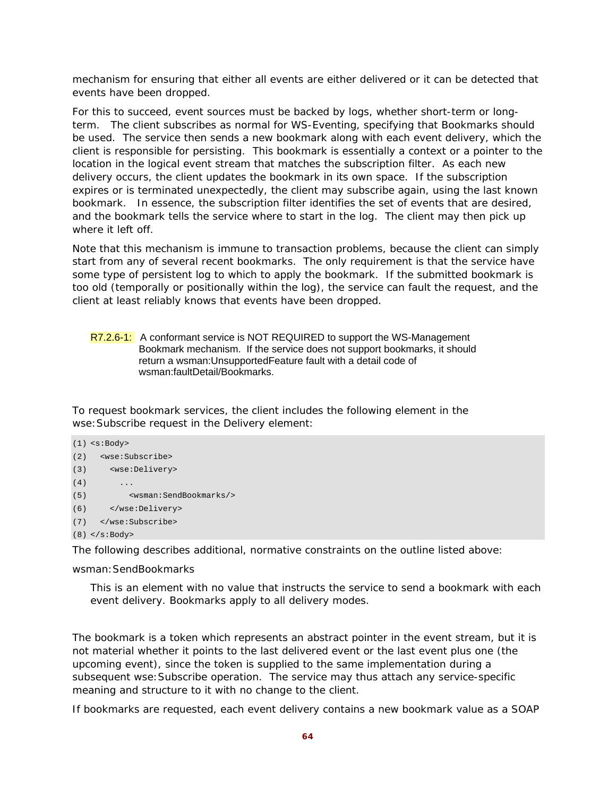mechanism for ensuring that either all events are either delivered or it can be detected that events have been dropped.

For this to succeed, event sources must be backed by logs, whether short-term or longterm. The client subscribes as normal for WS-Eventing, specifying that Bookmarks should be used. The service then sends a new bookmark along with each event delivery, which the client is responsible for persisting. This bookmark is essentially a context or a pointer to the location in the logical event stream that matches the subscription filter. As each new delivery occurs, the client updates the bookmark in its own space. If the subscription expires or is terminated unexpectedly, the client may subscribe again, using the last known bookmark. In essence, the subscription filter identifies the set of events that are desired, and the bookmark tells the service where to start in the log. The client may then pick up where it left off.

Note that this mechanism is immune to transaction problems, because the client can simply start from any of several recent bookmarks. The only requirement is that the service have some type of persistent log to which to apply the bookmark. If the submitted bookmark is too old (temporally or positionally within the log), the service can fault the request, and the client at least reliably knows that events have been dropped.

R7.2.6-1: A conformant service is NOT REQUIRED to support the WS-Management Bookmark mechanism. If the service does not support bookmarks, it should return a wsman:UnsupportedFeature fault with a detail code of wsman:faultDetail/Bookmarks.

To request bookmark services, the client includes the following element in the wse:Subscribe request in the Delivery element:

```
(1) <s:Body> 
(2) <wse:Subscribe> 
(3) <wse:Delivery> 
(4) ...
(5) <wsman:SendBookmarks/> 
(6) </wse:Delivery> 
(7) </wse:Subscribe> 
(8) </s:Body>
```
The following describes additional, normative constraints on the outline listed above:

wsman:SendBookmarks

This is an element with no value that instructs the service to send a bookmark with each event delivery. Bookmarks apply to all delivery modes.

The bookmark is a token which represents an abstract pointer in the event stream, but it is not material whether it points to the last delivered event or the last event plus one (the upcoming event), since the token is supplied to the same implementation during a subsequent wse:Subscribe operation. The service may thus attach any service-specific meaning and structure to it with no change to the client.

If bookmarks are requested, each event delivery contains a new bookmark value as a SOAP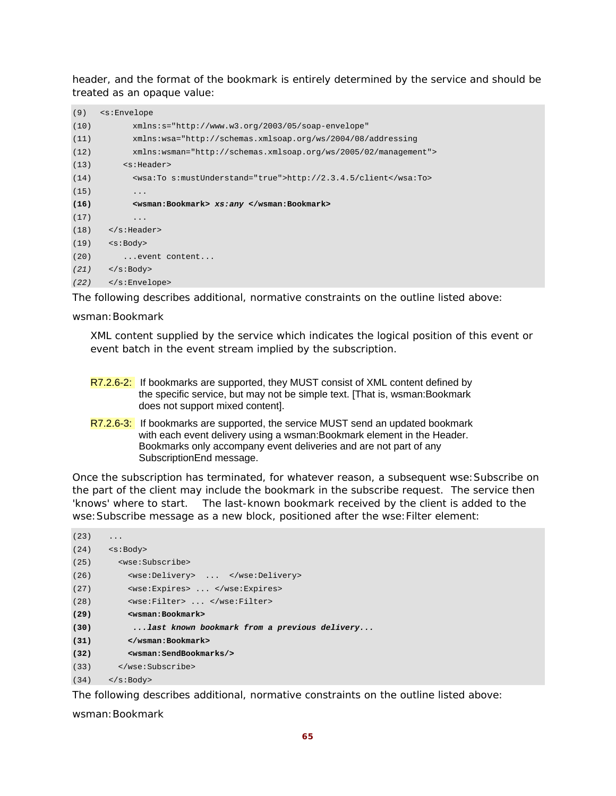header, and the format of the bookmark is entirely determined by the service and should be treated as an opaque value:

| (9)  | <s:envelope< th=""></s:envelope<>                                |
|------|------------------------------------------------------------------|
| (10) | $xmlns:s="http://www.w3.org/2003/05/soap-envelope"$              |
| (11) | xmlns:wsa="http://schemas.xmlsoap.org/ws/2004/08/addressing      |
| (12) | $xmlns:wsman="http://schemas.xmlsoap.org/ws/2005/02/manaqement"$ |
| (13) | $<$ s:Header>                                                    |
| (14) | <wsa:to s:mustunderstand="true">http://2.3.4.5/client</wsa:to>   |
| (15) | .                                                                |
| (16) | <wsman:bookmark> xs:any </wsman:bookmark>                        |
| (17) | $\cdot$                                                          |
| (18) | $\langle$ s:Header>                                              |
| (19) | $<$ s:Body>                                                      |
| (20) | event content                                                    |
| (21) | $\langle s:Body\rangle$                                          |
| (22) | $\langle$ s:Envelope>                                            |

The following describes additional, normative constraints on the outline listed above:

#### wsman:Bookmark

XML content supplied by the service which indicates the logical position of this event or event batch in the event stream implied by the subscription.

- R7.2.6-2: If bookmarks are supported, they MUST consist of XML content defined by the specific service, but may not be simple text. [That is, wsman:Bookmark does not support mixed content].
- R7.2.6-3: If bookmarks are supported, the service MUST send an updated bookmark with each event delivery using a wsman:Bookmark element in the Header. Bookmarks only accompany event deliveries and are not part of any SubscriptionEnd message.

Once the subscription has terminated, for whatever reason, a subsequent wse:Subscribe on the part of the client may include the bookmark in the subscribe request. The service then 'knows' where to start. The last-known bookmark received by the client is added to the wse:Subscribe message as a new block, positioned after the wse:Filter element:

```
(23) \t...(24) \leq \leq \geq \leq \leq \leq \leq \leq \leq \leq \leq \leq \leq \leq \leq \leq \leq \leq \leq \leq \leq \leq \leq \leq \leq \leq \leq \leq \leq \leq \leq \leq \leq \leq \leq \leq(25) <wse:Subscribe> 
(26) <wse:Delivery> ... </wse:Delivery> 
(27) <wse:Expires> ... </wse:Expires> 
(28) <wse:Filter> ... </wse:Filter> 
(29) <wsman:Bookmark> 
(30) ...last known bookmark from a previous delivery... 
(31) </wsman:Bookmark> 
(32) <wsman:SendBookmarks/> 
(33) </wse:Subscribe> 
(34) </s:Body>
```
The following describes additional, normative constraints on the outline listed above:

wsman:Bookmark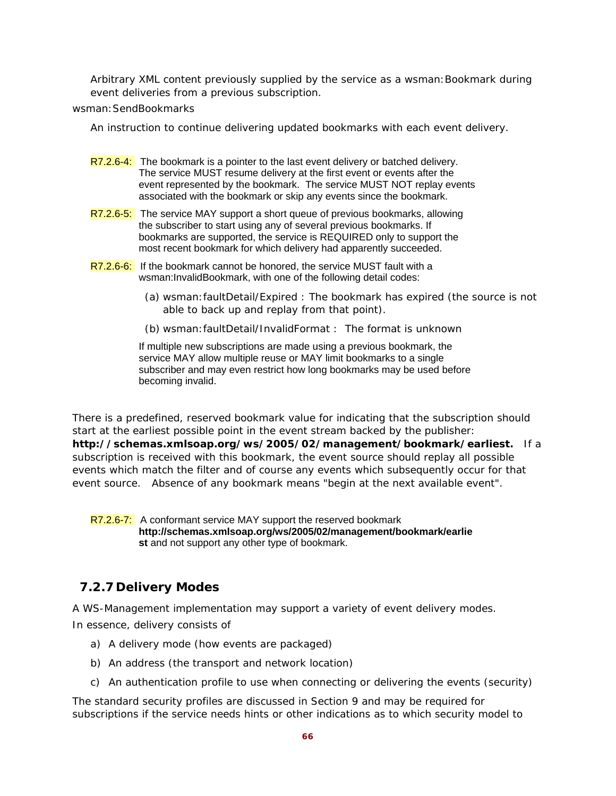Arbitrary XML content previously supplied by the service as a wsman:Bookmark during event deliveries from a previous subscription.

wsman: SendBookmarks

An instruction to continue delivering updated bookmarks with each event delivery.

- $R7.2.6-4$ : The bookmark is a pointer to the last event delivery or batched delivery. The service MUST resume delivery at the first event or events after the event represented by the bookmark. The service MUST NOT replay events associated with the bookmark or skip any events since the bookmark.
- R7.2.6-5: The service MAY support a short queue of previous bookmarks, allowing the subscriber to start using any of several previous bookmarks. If bookmarks are supported, the service is REQUIRED only to support the most recent bookmark for which delivery had apparently succeeded.
- R7.2.6-6: If the bookmark cannot be honored, the service MUST fault with a wsman:InvalidBookmark, with one of the following detail codes:
	- (a) wsman:faultDetail/Expired : The bookmark has expired (the source is not able to back up and replay from that point).
	- (b) wsman:faultDetail/InvalidFormat : The format is unknown

 If multiple new subscriptions are made using a previous bookmark, the service MAY allow multiple reuse or MAY limit bookmarks to a single subscriber and may even restrict how long bookmarks may be used before becoming invalid.

There is a predefined, reserved bookmark value for indicating that the subscription should start at the earliest possible point in the event stream backed by the publisher: **http://schemas.xmlsoap.org/ws/2005/02/management/bookmark/earliest.** If a subscription is received with this bookmark, the event source should replay all possible events which match the filter and of course any events which subsequently occur for that event source. Absence of any bookmark means "begin at the next available event".

R7.2.6-7: A conformant service MAY support the reserved bookmark **http://schemas.xmlsoap.org/ws/2005/02/management/bookmark/earlie st** and not support any other type of bookmark.

## **7.2.7 Delivery Modes**

A WS-Management implementation may support a variety of event delivery modes. In essence, delivery consists of

- a) A delivery mode (how events are packaged)
- b) An address (the transport and network location)
- c) An authentication profile to use when connecting or delivering the events (security)

The standard security profiles are discussed in Section 9 and may be required for subscriptions if the service needs hints or other indications as to which security model to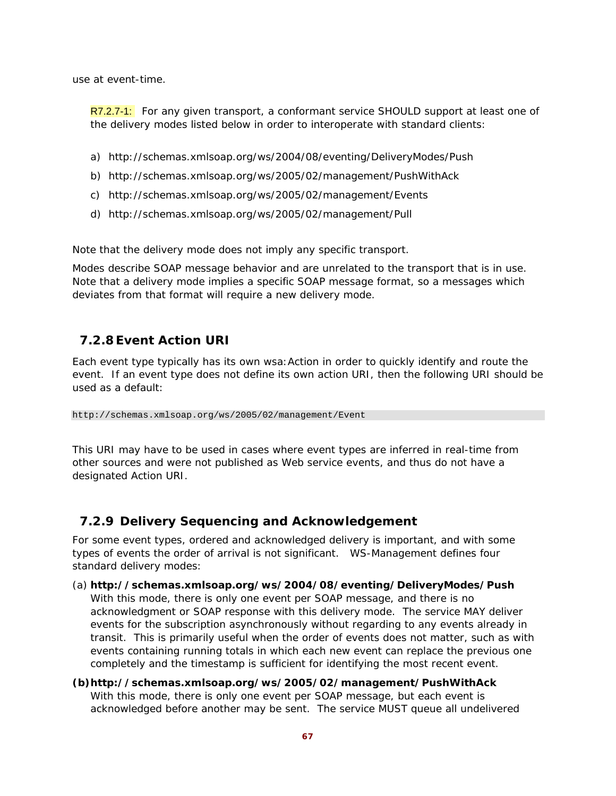use at event-time.

R7.2.7-1: For any given transport, a conformant service SHOULD support at least one of the delivery modes listed below in order to interoperate with standard clients:

- a) http://schemas.xmlsoap.org/ws/2004/08/eventing/DeliveryModes/Push
- b) http://schemas.xmlsoap.org/ws/2005/02/management/PushWithAck
- c) http://schemas.xmlsoap.org/ws/2005/02/management/Events
- d) http://schemas.xmlsoap.org/ws/2005/02/management/Pull

Note that the delivery mode does *not imply* any specific transport.

Modes describe SOAP message behavior and are unrelated to the transport that is in use. Note that a delivery mode implies a specific SOAP message format, so a messages which deviates from that format will require a new delivery mode.

# **7.2.8 Event Action URI**

Each event type typically has its own wsa:Action in order to quickly identify and route the event. If an event type does not define its own action URI, then the following URI should be used as a default:

http://schemas.xmlsoap.org/ws/2005/02/management/Event

This URI may have to be used in cases where event types are inferred in real-time from other sources and were not published as Web service events, and thus do not have a designated Action URI.

## **7.2.9 Delivery Sequencing and Acknowledgement**

For some event types, ordered and acknowledged delivery is important, and with some types of events the order of arrival is not significant. WS-Management defines four standard delivery modes:

- (a) **http://schemas.xmlsoap.org/ws/2004/08/eventing/DeliveryModes/Push**  With this mode, there is only one event per SOAP message, and there is no acknowledgment or SOAP response with this delivery mode. The service MAY deliver events for the subscription asynchronously without regarding to any events already in transit. This is primarily useful when the order of events does not matter, such as with events containing running totals in which each new event can replace the previous one completely and the timestamp is sufficient for identifying the most recent event.
- **(b)http://schemas.xmlsoap.org/ws/2005/02/management/PushWithAck**  With this mode, there is only one event per SOAP message, but each event is acknowledged before another may be sent. The service MUST queue all undelivered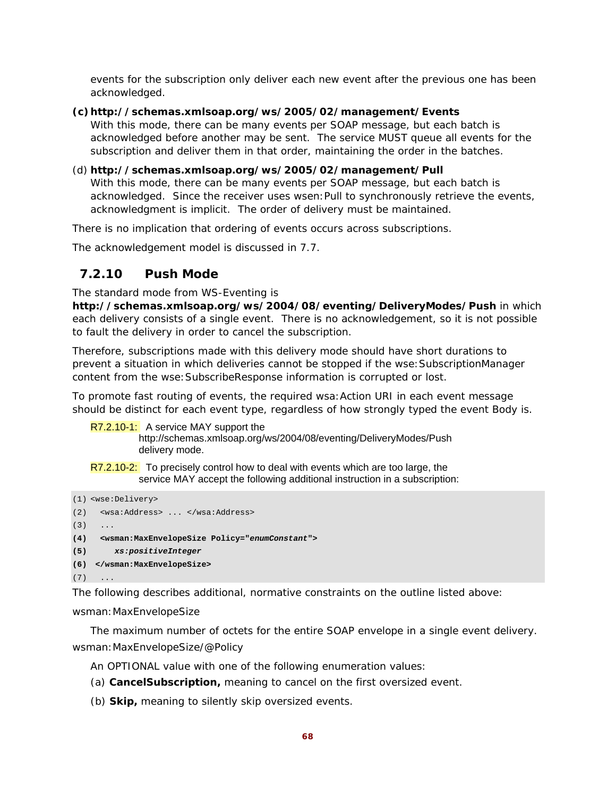events for the subscription only deliver each new event after the previous one has been acknowledged.

### **(c)http://schemas.xmlsoap.org/ws/2005/02/management/Events**

With this mode, there can be many events per SOAP message, but each batch is acknowledged before another may be sent. The service MUST queue all events for the subscription and deliver them in that order, maintaining the order in the batches.

#### (d) **http://schemas.xmlsoap.org/ws/2005/02/management/Pull**

With this mode, there can be many events per SOAP message, but each batch is acknowledged. Since the receiver uses wsen:Pull to synchronously retrieve the events, acknowledgment is implicit. The order of delivery must be maintained.

There is no implication that ordering of events occurs across subscriptions.

The acknowledgement model is discussed in 7.7.

### **7.2.10 Push Mode**

The standard mode from WS-Eventing is

**http://schemas.xmlsoap.org/ws/2004/08/eventing/DeliveryModes/Push** in which each delivery consists of a single event. There is no acknowledgement, so it is not possible to fault the delivery in order to cancel the subscription.

Therefore, subscriptions made with this delivery mode should have short durations to prevent a situation in which deliveries cannot be stopped if the wse: SubscriptionManager content from the wse:SubscribeResponse information is corrupted or lost.

To promote fast routing of events, the required wsa: Action URI in each event message should be distinct for each event type, regardless of how strongly typed the event Body is.

R7.2.10-1: A service MAY support the

http://schemas.xmlsoap.org/ws/2004/08/eventing/DeliveryModes/Push delivery mode.

R7.2.10-2: To precisely control how to deal with events which are too large, the service MAY accept the following additional instruction in a subscription:

```
(1) <wse:Delivery> 
(2) <wsa:Address> ... </wsa:Address> 
(3) \quad \ldots(4) <wsman:MaxEnvelopeSize Policy="enumConstant"> 
(5) xs:positiveInteger 
(6) </wsman:MaxEnvelopeSize> 
(7) \quad \ldots
```
The following describes additional, normative constraints on the outline listed above:

wsman:MaxEnvelopeSize

The maximum number of octets for the entire SOAP envelope in a single event delivery. wsman:MaxEnvelopeSize/@Policy

An OPTIONAL value with one of the following enumeration values:

- (a) **CancelSubscription,** meaning to cancel on the first oversized event.
- (b) **Skip,** meaning to silently skip oversized events.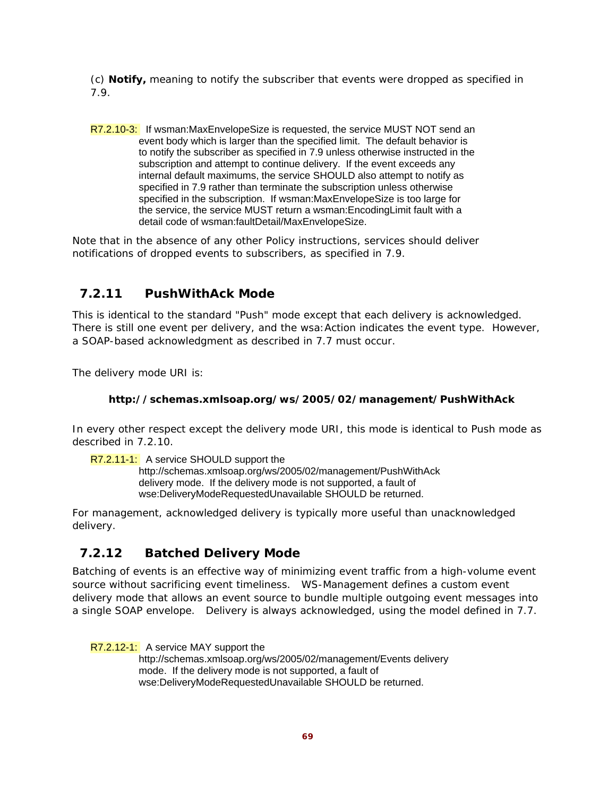(c) **Notify,** meaning to notify the subscriber that events were dropped as specified in 7.9.

R7.2.10-3: If wsman:MaxEnvelopeSize is requested, the service MUST NOT send an event body which is larger than the specified limit. The default behavior is to notify the subscriber as specified in 7.9 unless otherwise instructed in the subscription and attempt to continue delivery. If the event exceeds any internal default maximums, the service SHOULD also attempt to notify as specified in 7.9 rather than terminate the subscription unless otherwise specified in the subscription. If wsman:MaxEnvelopeSize is too large for the service, the service MUST return a wsman:EncodingLimit fault with a detail code of wsman:faultDetail/MaxEnvelopeSize.

Note that in the absence of any other Policy instructions, services should deliver notifications of dropped events to subscribers, as specified in 7.9.

## **7.2.11 PushWithAck Mode**

This is identical to the standard "Push" mode except that each delivery is acknowledged. There is still one event per delivery, and the wsa:Action indicates the event type. However, a SOAP-based acknowledgment as described in 7.7 must occur.

The delivery mode URI is:

### **http://schemas.xmlsoap.org/ws/2005/02/management/PushWithAck**

In every other respect except the delivery mode URI, this mode is identical to Push mode as described in 7.2.10.

R7.2.11-1: A service SHOULD support the

http://schemas.xmlsoap.org/ws/2005/02/management/PushWithAck delivery mode. If the delivery mode is not supported, a fault of wse:DeliveryModeRequestedUnavailable SHOULD be returned.

For management, acknowledged delivery is typically more useful than unacknowledged delivery.

## **7.2.12 Batched Delivery Mode**

Batching of events is an effective way of minimizing event traffic from a high-volume event source without sacrificing event timeliness. WS-Management defines a custom event delivery mode that allows an event source to bundle multiple outgoing event messages into a single SOAP envelope. Delivery is always acknowledged, using the model defined in 7.7.

R7.2.12-1: A service MAY support the

http://schemas.xmlsoap.org/ws/2005/02/management/Events delivery mode. If the delivery mode is not supported, a fault of wse:DeliveryModeRequestedUnavailable SHOULD be returned.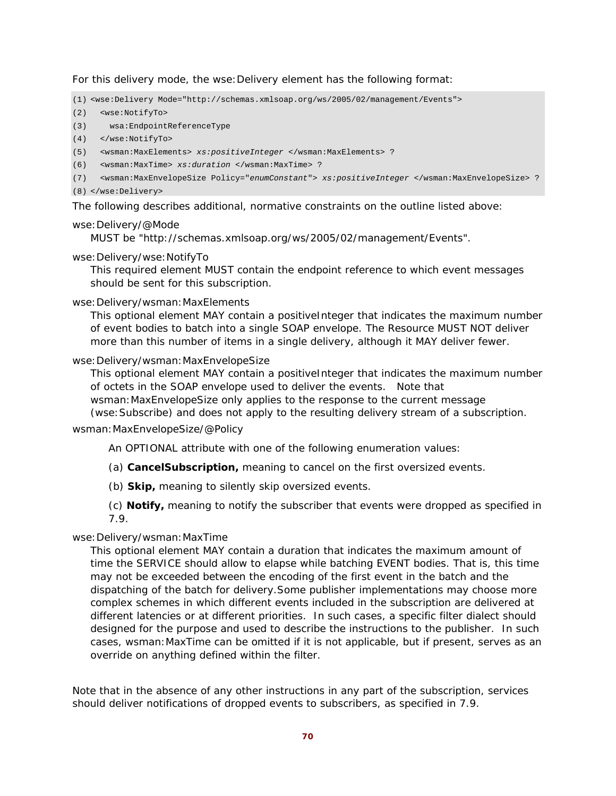For this delivery mode, the wse:Delivery element has the following format:

(1) <wse:Delivery Mode="http://schemas.xmlsoap.org/ws/2005/02/management/Events">

- (2) <wse:NotifyTo>
- (3) wsa:EndpointReferenceType
- (4) </wse:NotifyTo>
- (5) <wsman:MaxElements> *xs:positiveInteger* </wsman:MaxElements> ?
- (6) <wsman:MaxTime> *xs:duration* </wsman:MaxTime> ?
- (7) <wsman:MaxEnvelopeSize Policy="*enumConstant*"> *xs:positiveInteger* </wsman:MaxEnvelopeSize> ?
- (8) </wse:Delivery>

The following describes additional, normative constraints on the outline listed above:

#### wse:Delivery/@Mode

MUST be "http://schemas.xmlsoap.org/ws/2005/02/management/Events".

#### wse:Delivery/wse:NotifyTo

This required element MUST contain the endpoint reference to which event messages should be sent for this subscription.

#### wse:Delivery/wsman:MaxElements

This optional element MAY contain a positiveInteger that indicates the maximum number of event bodies to batch into a single SOAP envelope. The Resource MUST NOT deliver more than this number of items in a single delivery, although it MAY deliver fewer.

#### wse:Delivery/wsman:MaxEnvelopeSize

This optional element MAY contain a positiveInteger that indicates the maximum number of octets in the SOAP envelope used to deliver the events. Note that wsman:MaxEnvelopeSize only applies to the response to the current message (wse:Subscribe) and does not apply to the resulting delivery stream of a subscription.

#### wsman:MaxEnvelopeSize/@Policy

- An OPTIONAL attribute with one of the following enumeration values:
- (a) **CancelSubscription,** meaning to cancel on the first oversized events.
- (b) **Skip,** meaning to silently skip oversized events.

(c) **Notify,** meaning to notify the subscriber that events were dropped as specified in 7.9.

### wse:Delivery/wsman:MaxTime

This optional element MAY contain a duration that indicates the maximum amount of time the SERVICE should allow to elapse while batching EVENT bodies. That is, this time may not be exceeded between the encoding of the first event in the batch and the dispatching of the batch for delivery.Some publisher implementations may choose more complex schemes in which different events included in the subscription are delivered at different latencies or at different priorities. In such cases, a specific filter dialect should designed for the purpose and used to describe the instructions to the publisher. In such cases, wsman:MaxTime can be omitted if it is not applicable, but if present, serves as an override on anything defined within the filter.

Note that in the absence of any other instructions in any part of the subscription, services should deliver notifications of dropped events to subscribers, as specified in 7.9.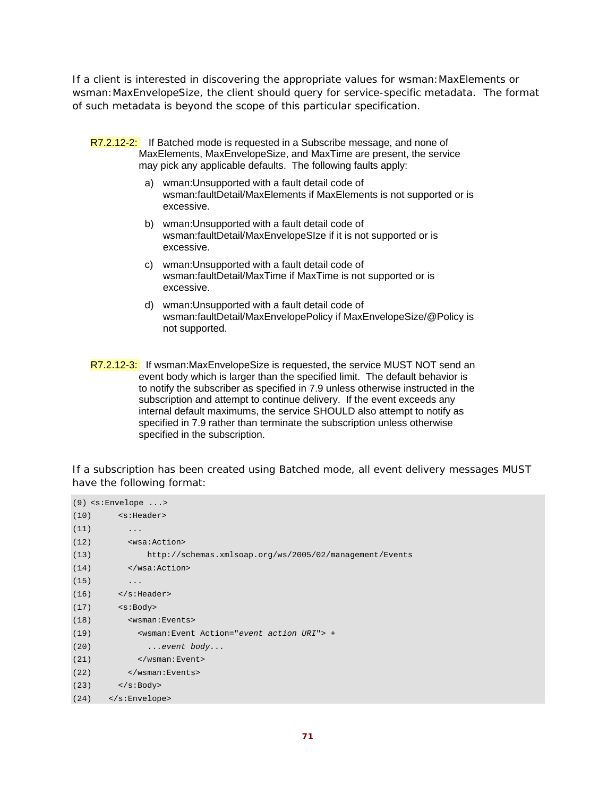If a client is interested in discovering the appropriate values for wsman:MaxElements or wsman:MaxEnvelopeSize, the client should query for service-specific metadata. The format of such metadata is beyond the scope of this particular specification.

- R7.2.12-2: If Batched mode is requested in a Subscribe message, and none of MaxElements, MaxEnvelopeSize, and MaxTime are present, the service may pick any applicable defaults. The following faults apply:
	- a) wman:Unsupported with a fault detail code of wsman:faultDetail/MaxElements if MaxElements is not supported or is excessive.
	- b) wman:Unsupported with a fault detail code of wsman:faultDetail/MaxEnvelopeSIze if it is not supported or is excessive.
	- c) wman:Unsupported with a fault detail code of wsman:faultDetail/MaxTime if MaxTime is not supported or is excessive.
	- d) wman:Unsupported with a fault detail code of wsman:faultDetail/MaxEnvelopePolicy if MaxEnvelopeSize/@Policy is not supported.
- R7.2.12-3: If wsman:MaxEnvelopeSize is requested, the service MUST NOT send an event body which is larger than the specified limit. The default behavior is to notify the subscriber as specified in 7.9 unless otherwise instructed in the subscription and attempt to continue delivery. If the event exceeds any internal default maximums, the service SHOULD also attempt to notify as specified in 7.9 rather than terminate the subscription unless otherwise specified in the subscription.

If a subscription has been created using Batched mode, all event delivery messages MUST have the following format:

|      | $(9)$ <s:envelope></s:envelope>                         |
|------|---------------------------------------------------------|
|      | $(10)$ $\leq$ S: Header>                                |
| (11) | .                                                       |
| (12) | <wsa:action></wsa:action>                               |
| (13) | http://schemas.xmlsoap.org/ws/2005/02/management/Events |
| (14) |                                                         |
| (15) | .                                                       |
| (16) | $\langle$ s:Header>                                     |
| (17) | <s:body></s:body>                                       |
| (18) | <wsman: events=""></wsman:>                             |
| (19) | <wsman: action="event action URI" event=""> +</wsman:>  |
| (20) | event body                                              |
| (21) | $\langle$ /wsman:Event>                                 |
| (22) |                                                         |
|      | $(23)$                                                  |
|      | $(24)$                                                  |
|      |                                                         |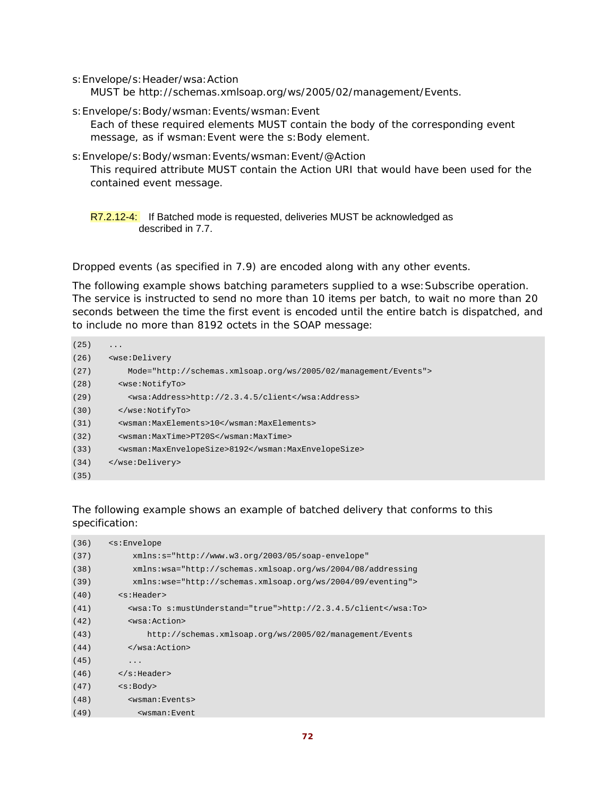s:Envelope/s:Header/wsa:Action MUST be http://schemas.xmlsoap.org/ws/2005/02/management/Events.

- s:Envelope/s:Body/wsman:Events/wsman:Event Each of these required elements MUST contain the body of the corresponding event message, as if wsman:Event were the s:Body element.
- s:Envelope/s:Body/wsman:Events/wsman:Event/@Action This required attribute MUST contain the Action URI that would have been used for the contained event message.

R7.2.12-4: If Batched mode is requested, deliveries MUST be acknowledged as described in 7.7.

Dropped events (as specified in 7.9) are encoded along with any other events.

The following example shows batching parameters supplied to a wse: Subscribe operation. The service is instructed to send no more than 10 items per batch, to wait no more than 20 seconds between the time the first event is encoded until the entire batch is dispatched, and to include no more than 8192 octets in the SOAP message:

```
(25) \t...(26) <wse:Delivery 
(27) Mode="http://schemas.xmlsoap.org/ws/2005/02/management/Events"> 
(28) <wse:NotifyTo> 
(29) <wsa:Address>http://2.3.4.5/client</wsa:Address> 
(30) </wse:NotifyTo> 
(31) <wsman:MaxElements>10</wsman:MaxElements> 
(32) <wsman:MaxTime>PT20S</wsman:MaxTime> 
(33) <wsman:MaxEnvelopeSize>8192</wsman:MaxEnvelopeSize> 
(34) </wse:Delivery> 
(35)
```
### The following example shows an example of batched delivery that conforms to this specification:

| (36) | $\leq$ s: Envelope                                             |
|------|----------------------------------------------------------------|
| (37) | $xmlns:s="http://www.w3.org/2003/05/soap-envelope"$            |
| (38) | xmlns:wsa="http://schemas.xmlsoap.org/ws/2004/08/addressing    |
| (39) | xmlns:wse="http://schemas.xmlsoap.org/ws/2004/09/eventing">    |
| (40) | $<$ s:Header>                                                  |
| (41) | <wsa:to s:mustunderstand="true">http://2.3.4.5/client</wsa:to> |
| (42) | <wsa:action></wsa:action>                                      |
| (43) | http://schemas.xmlsoap.org/ws/2005/02/management/Events        |
| (44) |                                                                |
| (45) | $\ddotsc$                                                      |
| (46) | $\langle$ s:Header>                                            |
| (47) | $<$ s:Body>                                                    |
| (48) | <wsman:events></wsman:events>                                  |
| (49) | <wsman:event< td=""></wsman:event<>                            |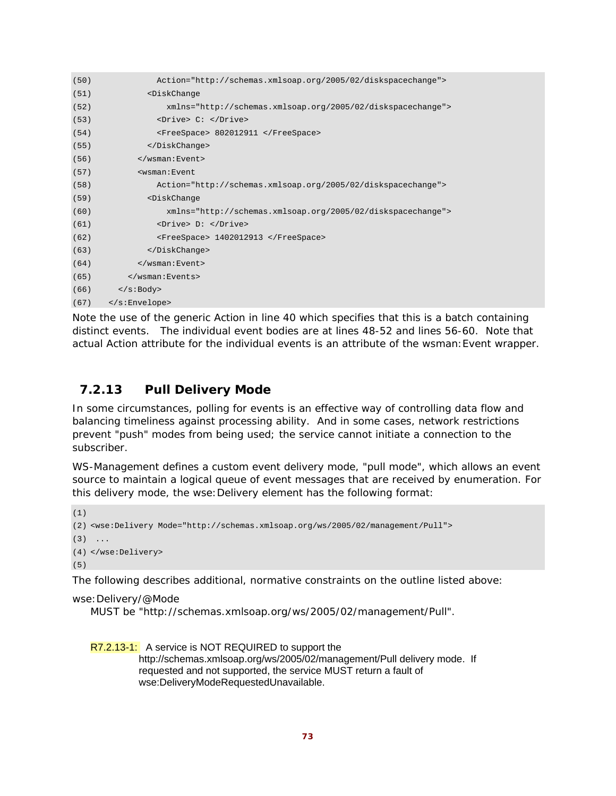```
(50) Action="http://schemas.xmlsoap.org/2005/02/diskspacechange"> 
(51) <DiskChange 
(52) xmlns="http://schemas.xmlsoap.org/2005/02/diskspacechange"> 
(53) <Drive> C: </Drive> 
(54) <FreeSpace> 802012911 </FreeSpace> 
(55) </DiskChange> 
(56) </wsman:Event> 
(57) <wsman:Event 
(58) Action="http://schemas.xmlsoap.org/2005/02/diskspacechange"> 
(59) <DiskChange 
(60) xmlns="http://schemas.xmlsoap.org/2005/02/diskspacechange"> 
(61) <Drive> D: </Drive> 
(62) <FreeSpace> 1402012913 </FreeSpace> 
(63) </DiskChange> 
(64) </wsman:Event> 
(65) </wsman:Events> 
(66) </s:Body> 
(67) </s:Envelope>
```
Note the use of the generic Action in line 40 which specifies that this is a batch containing distinct events. The individual event bodies are at lines 48-52 and lines 56-60. Note that actual Action attribute for the individual events is an attribute of the wsman:Event wrapper.

### **7.2.13 Pull Delivery Mode**

In some circumstances, polling for events is an effective way of controlling data flow and balancing timeliness against processing ability. And in some cases, network restrictions prevent "push" modes from being used; the service cannot initiate a connection to the subscriber.

WS-Management defines a custom event delivery mode, "pull mode", which allows an event source to maintain a logical queue of event messages that are received by enumeration. For this delivery mode, the wse:Delivery element has the following format:

```
(1)
(2) <wse:Delivery Mode="http://schemas.xmlsoap.org/ws/2005/02/management/Pull"> 
(3) \ldots(4) </wse:Delivery> 
(5)
```
The following describes additional, normative constraints on the outline listed above:

wse:Delivery/@Mode

MUST be "http://schemas.xmlsoap.org/ws/2005/02/management/Pull".

R7.2.13-1: A service is NOT REQUIRED to support the http://schemas.xmlsoap.org/ws/2005/02/management/Pull delivery mode. If requested and not supported, the service MUST return a fault of wse:DeliveryModeRequestedUnavailable.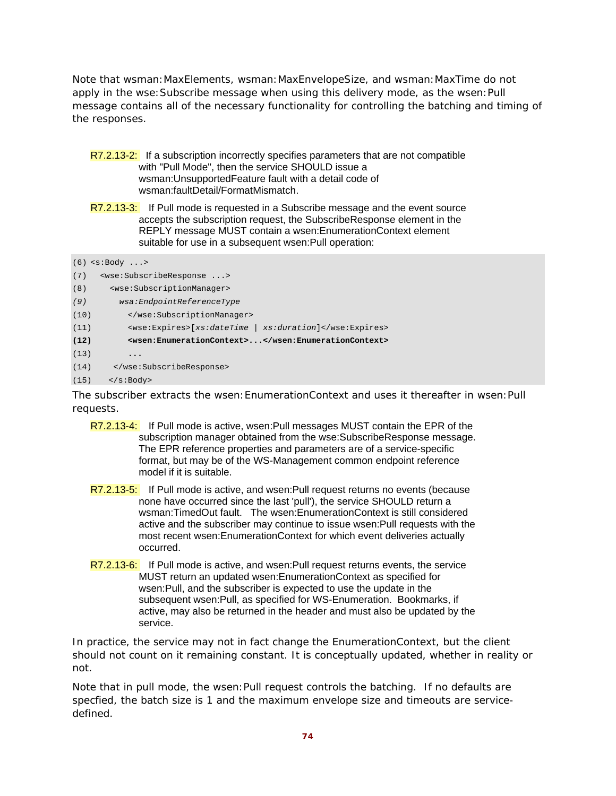Note that wsman:MaxElements, wsman:MaxEnvelopeSize, and wsman:MaxTime do not apply in the wse: Subscribe message when using this delivery mode, as the wsen: Pull message contains all of the necessary functionality for controlling the batching and timing of the responses.

- R7.2.13-2: If a subscription incorrectly specifies parameters that are not compatible with "Pull Mode", then the service SHOULD issue a wsman:UnsupportedFeature fault with a detail code of wsman:faultDetail/FormatMismatch.
- R7.2.13-3: If Pull mode is requested in a Subscribe message and the event source accepts the subscription request, the SubscribeResponse element in the REPLY message MUST contain a wsen:EnumerationContext element suitable for use in a subsequent wsen:Pull operation:

|      | $(6)$ <s:body></s:body>                                |
|------|--------------------------------------------------------|
| (7)  | <wse:subscriberesponse></wse:subscriberesponse>        |
| (8)  | <wse:subscriptionmanager></wse:subscriptionmanager>    |
| (9)  | wsa:EndpointReferenceType                              |
| (10) |                                                        |
| (11) | <wse:expires>[xs:dateTime   xs:duration]</wse:expires> |
| (12) | <wsen:enumerationcontext></wsen:enumerationcontext>    |
| (13) | $\ddot{\phantom{0}}\bullet\bullet\bullet$              |
| (14) |                                                        |
| (15) | $\langle$ s:Body>                                      |

The subscriber extracts the wsen: EnumerationContext and uses it thereafter in wsen: Pull requests.

- R7.2.13-4: If Pull mode is active, wsen:Pull messages MUST contain the EPR of the subscription manager obtained from the wse:SubscribeResponse message. The EPR reference properties and parameters are of a service-specific format, but may be of the WS-Management common endpoint reference model if it is suitable.
- R7.2.13-5: If Pull mode is active, and wsen: Pull request returns no events (because none have occurred since the last 'pull'), the service SHOULD return a wsman:TimedOut fault. The wsen:EnumerationContext is still considered active and the subscriber may continue to issue wsen:Pull requests with the most recent wsen:EnumerationContext for which event deliveries actually occurred.
- R7.2.13-6: If Pull mode is active, and wsen:Pull request returns events, the service MUST return an updated wsen:EnumerationContext as specified for wsen:Pull, and the subscriber is expected to use the update in the subsequent wsen:Pull, as specified for WS-Enumeration. Bookmarks, if active, may also be returned in the header and must also be updated by the service.

In practice, the service may not in fact change the EnumerationContext, but the client should not count on it remaining constant. It is conceptually updated, whether in reality or not.

Note that in pull mode, the wsen:Pull request controls the batching. If no defaults are specfied, the batch size is 1 and the maximum envelope size and timeouts are servicedefined.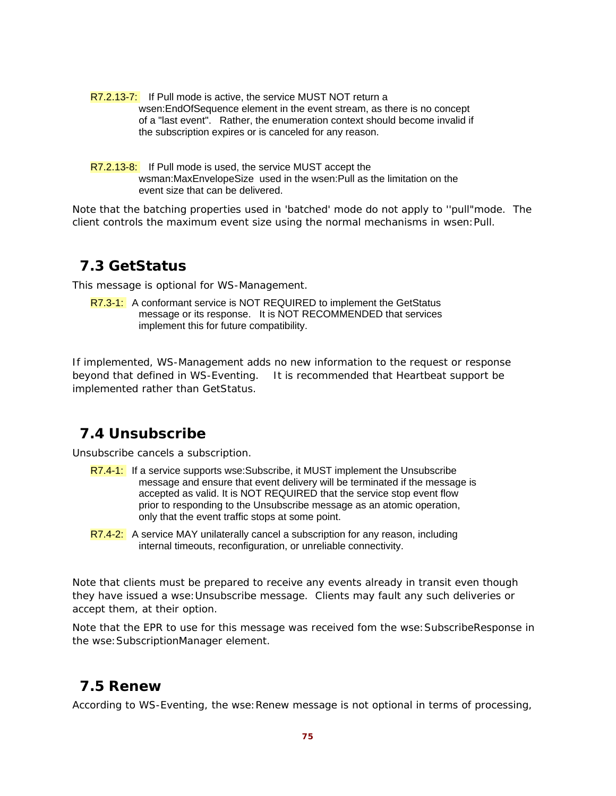- R7.2.13-7: If Pull mode is active, the service MUST NOT return a wsen:EndOfSequence element in the event stream, as there is no concept of a "last event". Rather, the enumeration context should become invalid if the subscription expires or is canceled for any reason.
- R7.2.13-8: If Pull mode is used, the service MUST accept the wsman:MaxEnvelopeSize used in the wsen:Pull as the limitation on the event size that can be delivered.

Note that the batching properties used in 'batched' mode do not apply to ''pull"mode. The client controls the maximum event size using the normal mechanisms in wsen:Pull.

## **7.3 GetStatus**

This message is optional for WS-Management.

R7.3-1: A conformant service is NOT REQUIRED to implement the GetStatus message or its response. It is NOT RECOMMENDED that services implement this for future compatibility.

If implemented, WS-Management adds no new information to the request or response beyond that defined in WS-Eventing. It is recommended that Heartbeat support be implemented rather than GetStatus.

## **7.4 Unsubscribe**

Unsubscribe cancels a subscription.

- R7.4-1: If a service supports wse: Subscribe, it MUST implement the Unsubscribe message and ensure that event delivery will be terminated if the message is accepted as valid. It is NOT REQUIRED that the service stop event flow prior to responding to the Unsubscribe message as an atomic operation, only that the event traffic stops at some point.
- R7.4-2: A service MAY unilaterally cancel a subscription for any reason, including internal timeouts, reconfiguration, or unreliable connectivity.

Note that clients must be prepared to receive any events already in transit even though they have issued a wse:Unsubscribe message. Clients may fault any such deliveries or accept them, at their option.

Note that the EPR to use for this message was received fom the wse:SubscribeResponse in the wse:SubscriptionManager element.

## **7.5 Renew**

According to WS-Eventing, the wse: Renew message is not optional in terms of processing,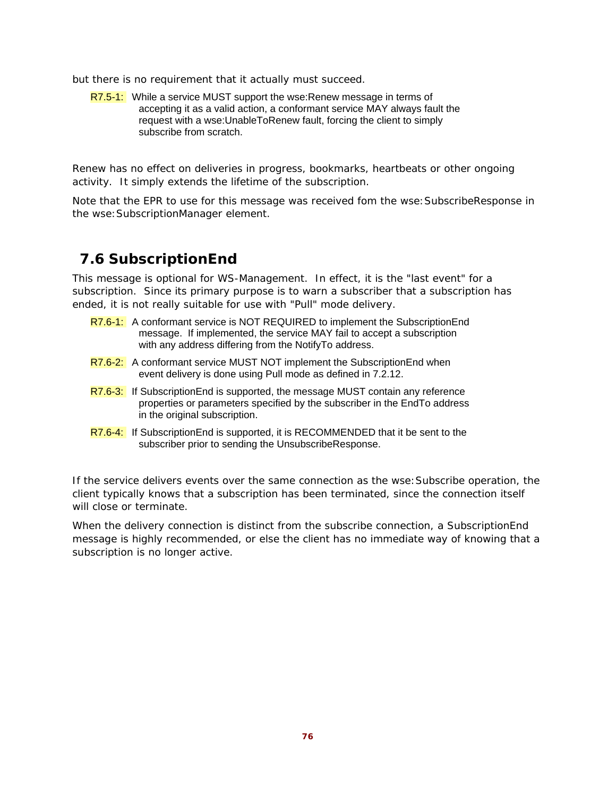but there is no requirement that it actually must succeed.

R7.5-1: While a service MUST support the wse: Renew message in terms of accepting it as a valid action, a conformant service MAY always fault the request with a wse:UnableToRenew fault, forcing the client to simply subscribe from scratch.

Renew has no effect on deliveries in progress, bookmarks, heartbeats or other ongoing activity. It simply extends the lifetime of the subscription.

Note that the EPR to use for this message was received fom the wse: SubscribeResponse in the wse:SubscriptionManager element.

## **7.6 SubscriptionEnd**

This message is optional for WS-Management. In effect, it is the "last event" for a subscription. Since its primary purpose is to warn a subscriber that a subscription has ended, it is not really suitable for use with "Pull" mode delivery.

- R7.6-1: A conformant service is NOT REQUIRED to implement the SubscriptionEnd message. If implemented, the service MAY fail to accept a subscription with any address differing from the NotifyTo address.
- R7.6-2: A conformant service MUST NOT implement the SubscriptionEnd when event delivery is done using Pull mode as defined in 7.2.12.
- R7.6-3: If Subscription End is supported, the message MUST contain any reference properties or parameters specified by the subscriber in the EndTo address in the original subscription.
- R7.6-4: If Subscription End is supported, it is RECOMMENDED that it be sent to the subscriber prior to sending the UnsubscribeResponse.

If the service delivers events over the same connection as the wse: Subscribe operation, the client typically knows that a subscription has been terminated, since the connection itself will close or terminate.

When the delivery connection is distinct from the subscribe connection, a SubscriptionEnd message is highly recommended, or else the client has no immediate way of knowing that a subscription is no longer active.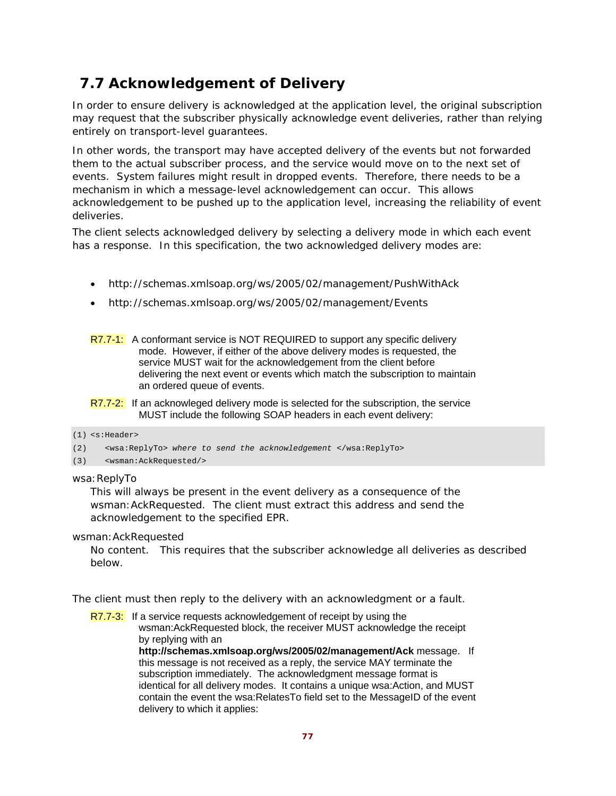# **7.7 Acknowledgement of Delivery**

In order to ensure delivery is acknowledged at the application level, the original subscription may request that the subscriber physically acknowledge event deliveries, rather than relying entirely on transport-level guarantees.

In other words, the transport may have accepted delivery of the events but not forwarded them to the actual subscriber process, and the service would move on to the next set of events. System failures might result in dropped events. Therefore, there needs to be a mechanism in which a message-level acknowledgement can occur. This allows acknowledgement to be pushed up to the application level, increasing the reliability of event deliveries.

The client selects acknowledged delivery by selecting a delivery mode in which each event has a response. In this specification, the two acknowledged delivery modes are:

- http://schemas.xmlsoap.org/ws/2005/02/management/PushWithAck
- http://schemas.xmlsoap.org/ws/2005/02/management/Events

R7.7-1: A conformant service is NOT REQUIRED to support any specific delivery mode. However, if either of the above delivery modes is requested, the service MUST wait for the acknowledgement from the client before delivering the next event or events which match the subscription to maintain an ordered queue of events.

R7.7-2: If an acknowleged delivery mode is selected for the subscription, the service MUST include the following SOAP headers in each event delivery:

#### (1) <s:Header>

(2) <wsa:ReplyTo> *where to send the acknowledgement* </wsa:ReplyTo>

#### (3) <wsman:AckRequested/>

wsa: ReplyTo

This will always be present in the event delivery as a consequence of the wsman:AckRequested. The client must extract this address and send the acknowledgement to the specified EPR.

wsman:AckRequested

No content. This requires that the subscriber acknowledge all deliveries as described below.

The client must then reply to the delivery with an acknowledgment or a fault.

R7.7-3: If a service requests acknowledgement of receipt by using the wsman:AckRequested block, the receiver MUST acknowledge the receipt by replying with an

**http://schemas.xmlsoap.org/ws/2005/02/management/Ack** message. If this message is not received as a reply, the service MAY terminate the subscription immediately. The acknowledgment message format is identical for all delivery modes. It contains a unique wsa:Action, and MUST contain the event the wsa:RelatesTo field set to the MessageID of the event delivery to which it applies: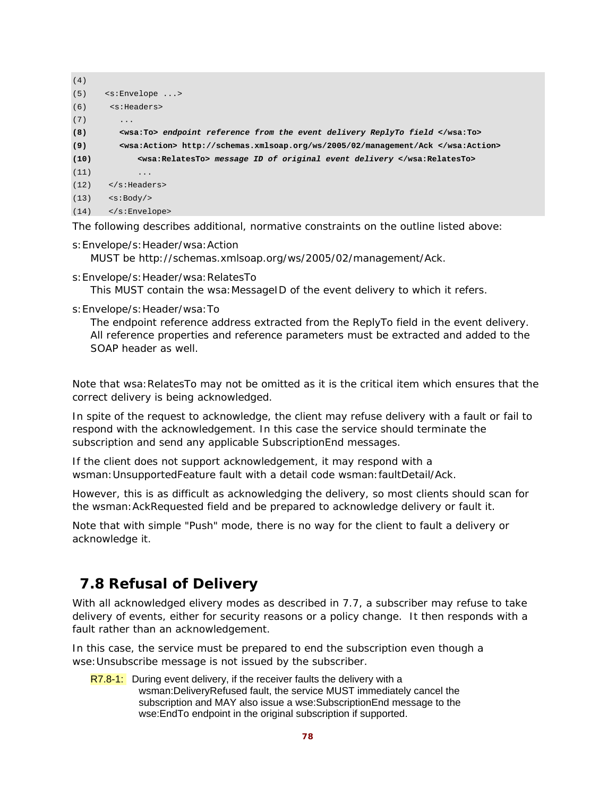| (4)  |                                                                                 |
|------|---------------------------------------------------------------------------------|
| (5)  | $\leq$ :Envelope >                                                              |
| (6)  | <s:headers></s:headers>                                                         |
| (7)  | $\ddots$                                                                        |
| (8)  | <wsa:to> endpoint reference from the event delivery ReplyTo field </wsa:to>     |
| (9)  | <wsa:action> http://schemas.xmlsoap.org/ws/2005/02/management/Ack </wsa:action> |
| (10) | <wsa:relatesto> message ID of original event delivery </wsa:relatesto>          |
| (11) | .                                                                               |
| (12) | $\langle$ s:Headers>                                                            |
| (13) | < s: Body                                                                       |
| (14) | $\langle$ s:Envelope>                                                           |

The following describes additional, normative constraints on the outline listed above:

- s:Envelope/s:Header/wsa:Action MUST be http://schemas.xmlsoap.org/ws/2005/02/management/Ack.
- s:Envelope/s:Header/wsa:RelatesTo

This MUST contain the wsa: MessageID of the event delivery to which it refers.

s:Envelope/s:Header/wsa:To

The endpoint reference address extracted from the ReplyTo field in the event delivery. All reference properties and reference parameters must be extracted and added to the SOAP header as well.

Note that wsa:RelatesTo may not be omitted as it is the critical item which ensures that the correct delivery is being acknowledged.

In spite of the request to acknowledge, the client may refuse delivery with a fault or fail to respond with the acknowledgement. In this case the service should terminate the subscription and send any applicable SubscriptionEnd messages.

If the client does not support acknowledgement, it may respond with a wsman:UnsupportedFeature fault with a detail code wsman:faultDetail/Ack.

However, this is as difficult as acknowledging the delivery, so most clients should scan for the wsman:AckRequested field and be prepared to acknowledge delivery or fault it.

Note that with simple "Push" mode, there is no way for the client to fault a delivery or acknowledge it.

## **7.8 Refusal of Delivery**

With all acknowledged elivery modes as described in 7.7, a subscriber may refuse to take delivery of events, either for security reasons or a policy change. It then responds with a fault rather than an acknowledgement.

In this case, the service must be prepared to end the subscription even though a wse:Unsubscribe message is not issued by the subscriber.

 $R7.8-1$ : During event delivery, if the receiver faults the delivery with a wsman:DeliveryRefused fault, the service MUST immediately cancel the subscription and MAY also issue a wse:SubscriptionEnd message to the wse:EndTo endpoint in the original subscription if supported.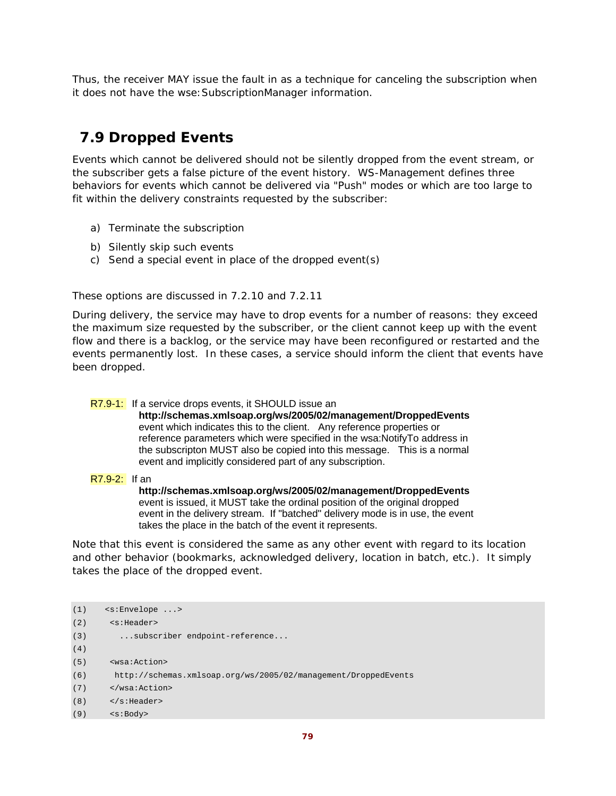Thus, the receiver MAY issue the fault in as a technique for canceling the subscription when it does not have the wse:SubscriptionManager information.

# **7.9 Dropped Events**

Events which cannot be delivered should not be silently dropped from the event stream, or the subscriber gets a false picture of the event history. WS-Management defines three behaviors for events which cannot be delivered via "Push" modes or which are too large to fit within the delivery constraints requested by the subscriber:

- a) Terminate the subscription
- b) Silently skip such events
- c) Send a special event in place of the dropped event(s)

These options are discussed in 7.2.10 and 7.2.11

During delivery, the service may have to drop events for a number of reasons: they exceed the maximum size requested by the subscriber, or the client cannot keep up with the event flow and there is a backlog, or the service may have been reconfigured or restarted and the events permanently lost. In these cases, a service should inform the client that events have been dropped.

### R7.9-1: If a service drops events, it SHOULD issue an

**http://schemas.xmlsoap.org/ws/2005/02/management/DroppedEvents** event which indicates this to the client. Any reference properties or reference parameters which were specified in the wsa:NotifyTo address in the subscripton MUST also be copied into this message. This is a normal event and implicitly considered part of any subscription.

### R7.9-2: If an

**http://schemas.xmlsoap.org/ws/2005/02/management/DroppedEvents**  event is issued, it MUST take the ordinal position of the original dropped event in the delivery stream. If "batched" delivery mode is in use, the event takes the place in the batch of the event it represents.

Note that this event is considered the same as any other event with regard to its location and other behavior (bookmarks, acknowledged delivery, location in batch, etc.). It simply takes the place of the dropped event.

```
(1) <s:Envelope ...> 
(2) <s:Header> 
(3) ...subscriber endpoint-reference... 
(4)
(5) <wsa:Action> 
(6) http://schemas.xmlsoap.org/ws/2005/02/management/DroppedEvents 
(7) </wsa:Action> 
(8) </s:Header> 
(9) <s:Body>
```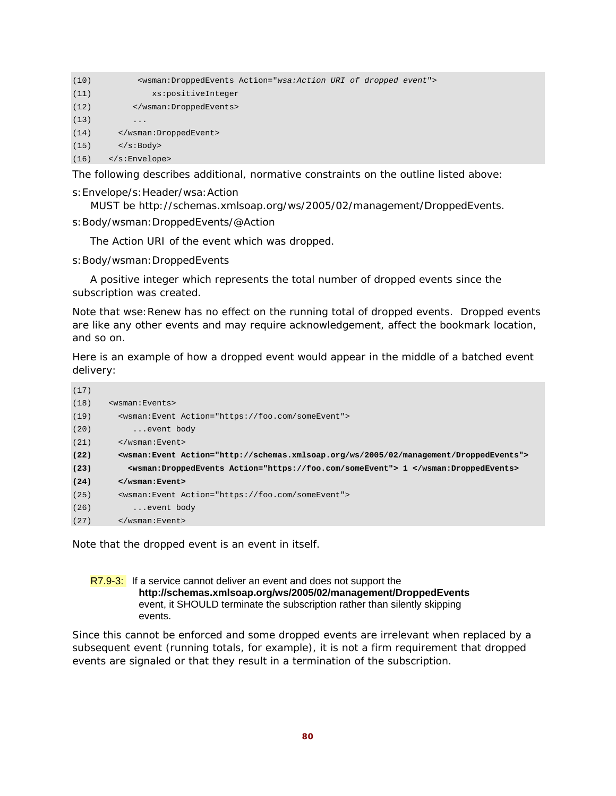| (10) | <wsman:droppedevents action="wsa:Action URI of dropped event"></wsman:droppedevents> |
|------|--------------------------------------------------------------------------------------|
| (11) | xs:positiveInteger                                                                   |
| (12) |                                                                                      |
| (13) | .                                                                                    |
| (14) |                                                                                      |
| (15) | $\langle s : \text{Body} \rangle$                                                    |
| (16) | $\langle$ s:Envelope>                                                                |

The following describes additional, normative constraints on the outline listed above:

#### s:Envelope/s:Header/wsa:Action

MUST be http://schemas.xmlsoap.org/ws/2005/02/management/DroppedEvents.

s:Body/wsman:DroppedEvents/@Action

The Action URI of the event which was dropped.

s:Body/wsman:DroppedEvents

 A positive integer which represents the total number of dropped events since the subscription was created.

Note that wse:Renew has no effect on the running total of dropped events. Dropped events are like any other events and may require acknowledgement, affect the bookmark location, and so on.

Here is an example of how a dropped event would appear in the middle of a batched event delivery:

| (17) |                                                                                                     |
|------|-----------------------------------------------------------------------------------------------------|
| (18) | <wsman:events></wsman:events>                                                                       |
| (19) | <wsman: action="https://foo.com/someEvent" event=""></wsman:>                                       |
| (20) | event body                                                                                          |
| (21) | $\langle$ /wsman:Event>                                                                             |
| (22) | <wsman:event action="http://schemas.xmlsoap.org/ws/2005/02/management/DroppedEvents"></wsman:event> |
| (23) | <wsman:droppedevents action="https://foo.com/someEvent"> 1 </wsman:droppedevents>                   |
| (24) | $\langle$ /wsman: Event>                                                                            |
| (25) | <wsman: action="https://foo.com/someEvent" event=""></wsman:>                                       |
| (26) | event body                                                                                          |
| (27) | $\langle$ /wsman:Event>                                                                             |

Note that the dropped event is an event in itself.

### R7.9-3: If a service cannot deliver an event and does not support the **http://schemas.xmlsoap.org/ws/2005/02/management/DroppedEvents** event, it SHOULD terminate the subscription rather than silently skipping events.

Since this cannot be enforced and some dropped events are irrelevant when replaced by a subsequent event (running totals, for example), it is not a firm requirement that dropped events are signaled or that they result in a termination of the subscription.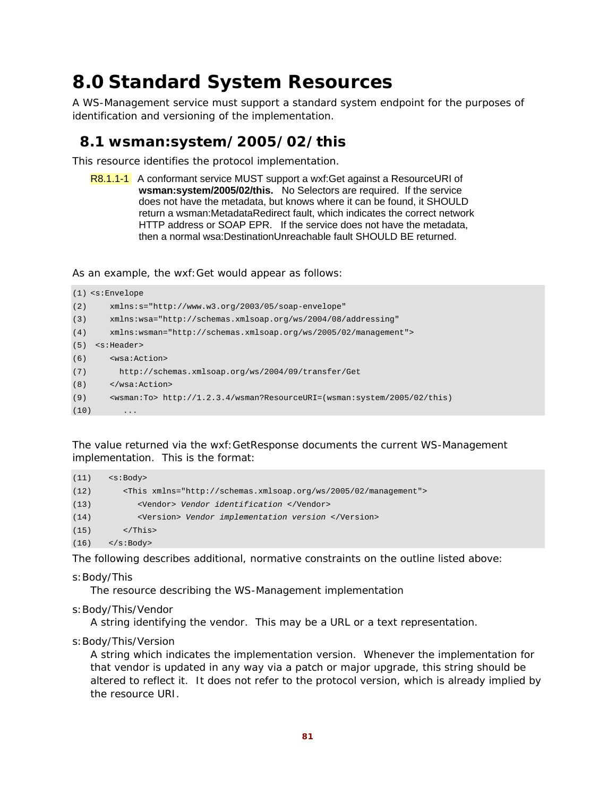# **8.0 Standard System Resources**

A WS-Management service must support a standard system endpoint for the purposes of identification and versioning of the implementation.

## **8.1 wsman:system/2005/02/this**

This resource identifies the protocol implementation.

R8.1.1-1 A conformant service MUST support a wxf:Get against a ResourceURI of **wsman:system/2005/02/this.** No Selectors are required. If the service does not have the metadata, but knows where it can be found, it SHOULD return a wsman:MetadataRedirect fault, which indicates the correct network HTTP address or SOAP EPR. If the service does not have the metadata, then a normal wsa:DestinationUnreachable fault SHOULD BE returned.

As an example, the wxf:Get would appear as follows:

```
(1) <s:Envelope 
(2) xmlns:s="http://www.w3.org/2003/05/soap-envelope" 
(3) xmlns:wsa="http://schemas.xmlsoap.org/ws/2004/08/addressing" 
(4) xmlns:wsman="http://schemas.xmlsoap.org/ws/2005/02/management"> 
(5) <s:Header> 
(6) <wsa:Action> 
(7) http://schemas.xmlsoap.org/ws/2004/09/transfer/Get 
(8) </wsa:Action> 
(9) <wsman:To> http://1.2.3.4/wsman?ResourceURI=(wsman:system/2005/02/this) 
(10)
```
The value returned via the wxf:GetResponse documents the current WS-Management implementation. This is the format:

```
(11) \leq \leq \geq \geq \geq(12) <This xmlns="http://schemas.xmlsoap.org/ws/2005/02/management"> 
(13) <Vendor> Vendor identification </Vendor> 
(14) <Version> Vendor implementation version </Version> 
(15) </This>
(16) </s:Body>
```
The following describes additional, normative constraints on the outline listed above:

s:Body/This

The resource describing the WS-Management implementation

s:Body/This/Vendor

A string identifying the vendor. This may be a URL or a text representation.

s:Body/This/Version

A string which indicates the implementation version. Whenever the implementation for that vendor is updated in any way via a patch or major upgrade, this string should be altered to reflect it. It does *not* refer to the protocol version, which is already implied by the resource URI.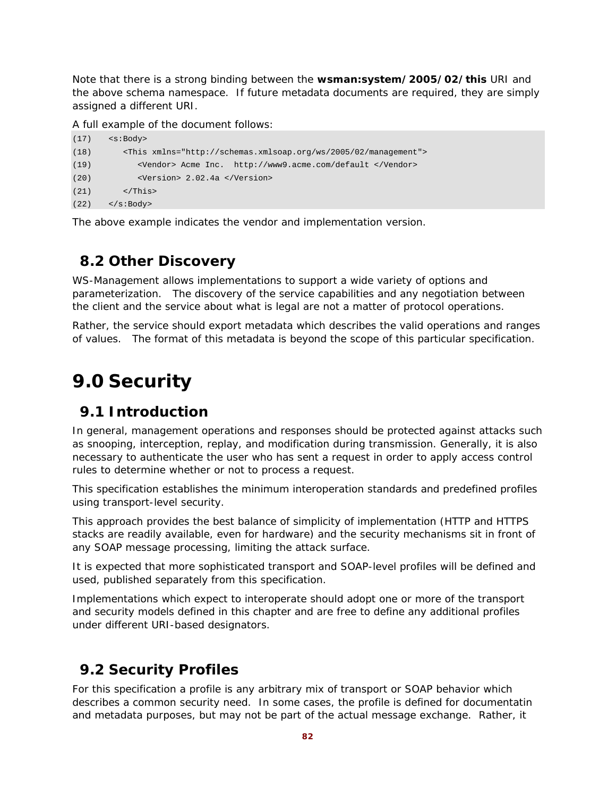Note that there is a strong binding between the **wsman:system/2005/02/this** URI and the above schema namespace. If future metadata documents are required, they are simply assigned a different URI.

A full example of the document follows:

| (17) | $\leq$ s:Body>                                                         |
|------|------------------------------------------------------------------------|
| (18) | <this xmlns="http://schemas.xmlsoap.org/ws/2005/02/management"></this> |
| (19) | <vendor> Acme Inc. http://www9.acme.com/default </vendor>              |
| (20) | <version> 2.02.4a </version>                                           |
| (21) | $\langle$ /This>                                                       |
| (22) | $\langle$ s:Body>                                                      |

The above example indicates the vendor and implementation version.

## **8.2 Other Discovery**

WS-Management allows implementations to support a wide variety of options and parameterization. The discovery of the service capabilities and any negotiation between the client and the service about what is legal are not a matter of protocol operations.

Rather, the service should export metadata which describes the valid operations and ranges of values. The format of this metadata is beyond the scope of this particular specification.

# **9.0 Security**

## **9.1 Introduction**

In general, management operations and responses should be protected against attacks such as snooping, interception, replay, and modification during transmission. Generally, it is also necessary to authenticate the user who has sent a request in order to apply access control rules to determine whether or not to process a request.

This specification establishes the minimum interoperation standards and predefined profiles using transport-level security.

This approach provides the best balance of simplicity of implementation (HTTP and HTTPS stacks are readily available, even for hardware) and the security mechanisms sit in front of any SOAP message processing, limiting the attack surface.

It is expected that more sophisticated transport and SOAP-level profiles will be defined and used, published separately from this specification.

Implementations which expect to interoperate should adopt one or more of the transport and security models defined in this chapter and are free to define any additional profiles under different URI-based designators.

# **9.2 Security Profiles**

For this specification a profile is any arbitrary mix of transport or SOAP behavior which describes a common security need. In some cases, the profile is defined for documentatin and metadata purposes, but may not be part of the actual message exchange. Rather, it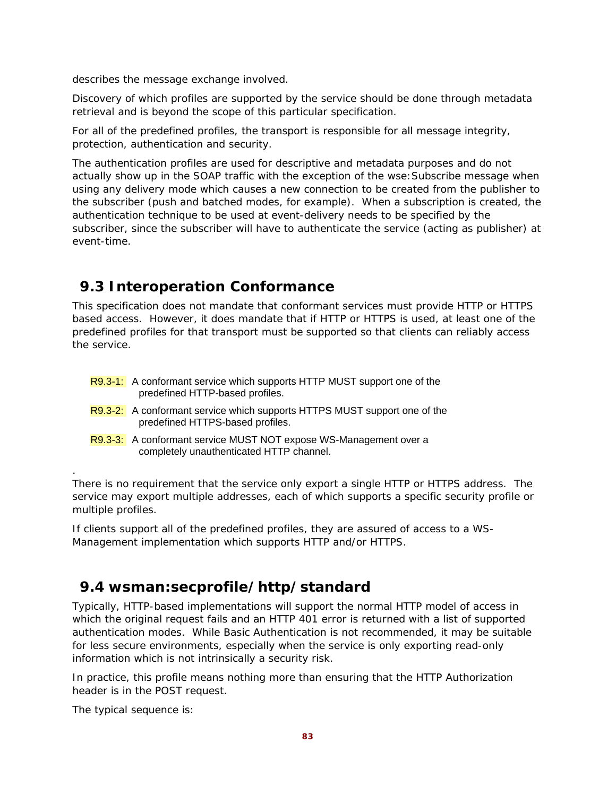*describes* the message exchange involved.

Discovery of which profiles are supported by the service should be done through metadata retrieval and is beyond the scope of this particular specification.

For all of the predefined profiles, the transport is responsible for all message integrity, protection, authentication and security.

The authentication profiles are used for descriptive and metadata purposes and do not actually show up in the SOAP traffic with the exception of the wse: Subscribe message when using any delivery mode which causes a new connection to be created from the publisher to the subscriber (push and batched modes, for example). When a subscription is created, the authentication technique to be used at event-delivery needs to be specified by the subscriber, since the subscriber will have to authenticate the service (acting as publisher) at event-time.

## **9.3 Interoperation Conformance**

This specification does not mandate that conformant services must provide HTTP or HTTPS based access. However, it does mandate that if HTTP or HTTPS is used, at least one of the predefined profiles for that transport must be supported so that clients can reliably access the service.

| R9.3-1: A conformant service which supports HTTP MUST support one of the |
|--------------------------------------------------------------------------|
| predefined HTTP-based profiles.                                          |

- R9.3-2: A conformant service which supports HTTPS MUST support one of the predefined HTTPS-based profiles.
- R9.3-3: A conformant service MUST NOT expose WS-Management over a completely unauthenticated HTTP channel.

There is no requirement that the service only export a single HTTP or HTTPS address. The service may export multiple addresses, each of which supports a specific security profile or multiple profiles.

If clients support all of the predefined profiles, they are assured of access to a WS-Management implementation which supports HTTP and/or HTTPS.

# **9.4 wsman:secprofile/http/standard**

Typically, HTTP-based implementations will support the normal HTTP model of access in which the original request fails and an HTTP 401 error is returned with a list of supported authentication modes. While Basic Authentication is not recommended, it may be suitable for less secure environments, especially when the service is only exporting read-only information which is not intrinsically a security risk.

In practice, this profile means nothing more than ensuring that the HTTP Authorization header is in the POST request.

The typical sequence is:

.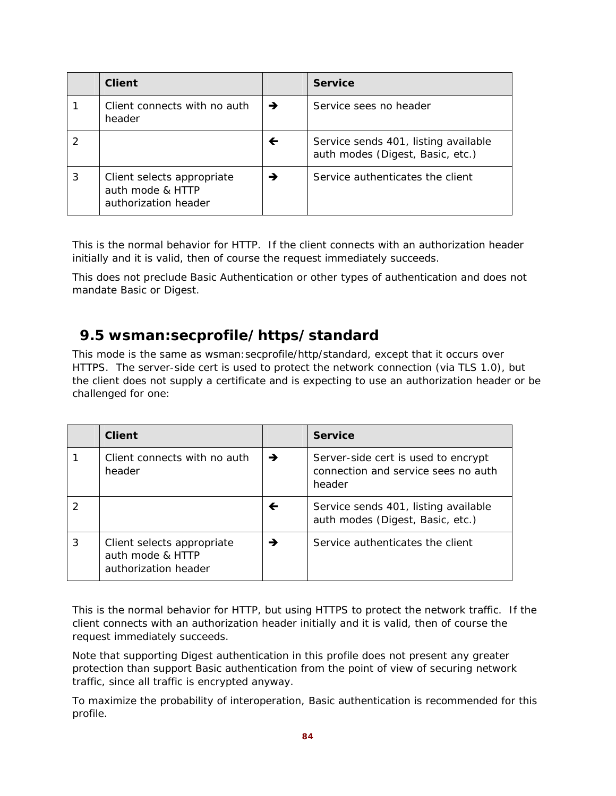|   | <b>Client</b>                                                          |               | <b>Service</b>                                                           |
|---|------------------------------------------------------------------------|---------------|--------------------------------------------------------------------------|
|   | Client connects with no auth<br>header                                 | $\rightarrow$ | Service sees no header                                                   |
|   |                                                                        | ←             | Service sends 401, listing available<br>auth modes (Digest, Basic, etc.) |
| 3 | Client selects appropriate<br>auth mode & HTTP<br>authorization header | →             | Service authenticates the client                                         |

This is the normal behavior for HTTP. If the client connects with an authorization header initially and it is valid, then of course the request immediately succeeds.

This does not preclude Basic Authentication or other types of authentication and does not mandate Basic or Digest.

## **9.5 wsman:secprofile/https/standard**

This mode is the same as wsman: secprofile/http/standard, except that it occurs over HTTPS. The server-side cert is used to protect the network connection (via TLS 1.0), but the client does not supply a certificate and is expecting to use an authorization header or be challenged for one:

|   | <b>Client</b>                                                          |   | <b>Service</b>                                                                       |
|---|------------------------------------------------------------------------|---|--------------------------------------------------------------------------------------|
|   | Client connects with no auth<br>header                                 | → | Server-side cert is used to encrypt<br>connection and service sees no auth<br>header |
|   |                                                                        | ← | Service sends 401, listing available<br>auth modes (Digest, Basic, etc.)             |
| 3 | Client selects appropriate<br>auth mode & HTTP<br>authorization header | → | Service authenticates the client                                                     |

This is the normal behavior for HTTP, but using HTTPS to protect the network traffic. If the client connects with an authorization header initially and it is valid, then of course the request immediately succeeds.

Note that supporting Digest authentication in this profile does not present any greater protection than support Basic authentication from the point of view of securing network traffic, since all traffic is encrypted anyway.

To maximize the probability of interoperation, Basic authentication is recommended for this profile.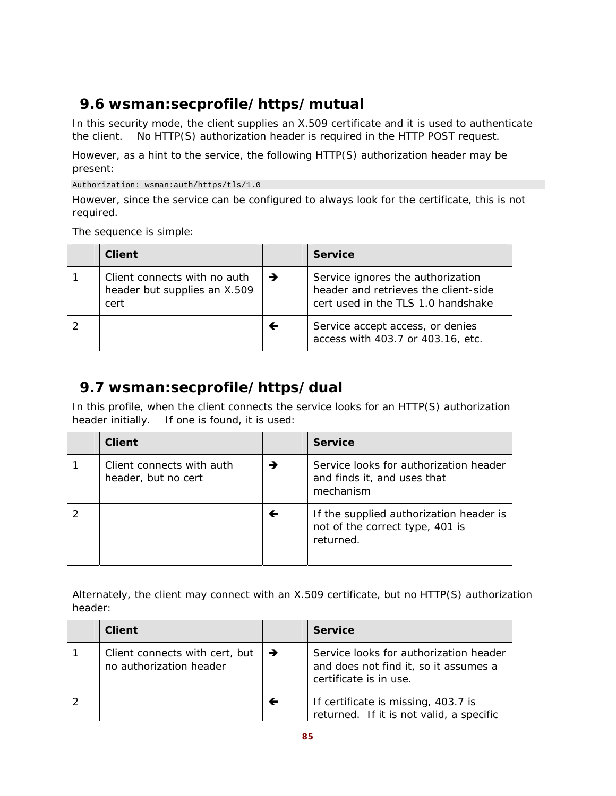# **9.6 wsman:secprofile/https/mutual**

In this security mode, the client supplies an X.509 certificate and it is used to authenticate the client. No HTTP(S) authorization header is required in the HTTP POST request.

However, as a hint to the service, the following HTTP(S) authorization header may be present:

Authorization: wsman:auth/https/tls/1.0

However, since the service can be configured to always look for the certificate, this is not required.

The sequence is simple:

| Client                                                               |   | <b>Service</b>                                                                                                  |
|----------------------------------------------------------------------|---|-----------------------------------------------------------------------------------------------------------------|
| Client connects with no auth<br>header but supplies an X.509<br>cert | → | Service ignores the authorization<br>header and retrieves the client-side<br>cert used in the TLS 1.0 handshake |
|                                                                      | ← | Service accept access, or denies<br>access with 403.7 or 403.16, etc.                                           |

# **9.7 wsman:secprofile/https/dual**

In this profile, when the client connects the service looks for an HTTP(S) authorization header initially. If one is found, it is used:

| <b>Client</b>                                    |   | <b>Service</b>                                                                          |
|--------------------------------------------------|---|-----------------------------------------------------------------------------------------|
| Client connects with auth<br>header, but no cert | → | Service looks for authorization header<br>and finds it, and uses that<br>mechanism      |
|                                                  | ← | If the supplied authorization header is<br>not of the correct type, 401 is<br>returned. |

Alternately, the client may connect with an X.509 certificate, but no HTTP(S) authorization header:

| <b>Client</b>                                             |   | <b>Service</b>                                                                                            |
|-----------------------------------------------------------|---|-----------------------------------------------------------------------------------------------------------|
| Client connects with cert, but<br>no authorization header | → | Service looks for authorization header<br>and does not find it, so it assumes a<br>certificate is in use. |
|                                                           | ← | If certificate is missing, 403.7 is<br>returned. If it is not valid, a specific                           |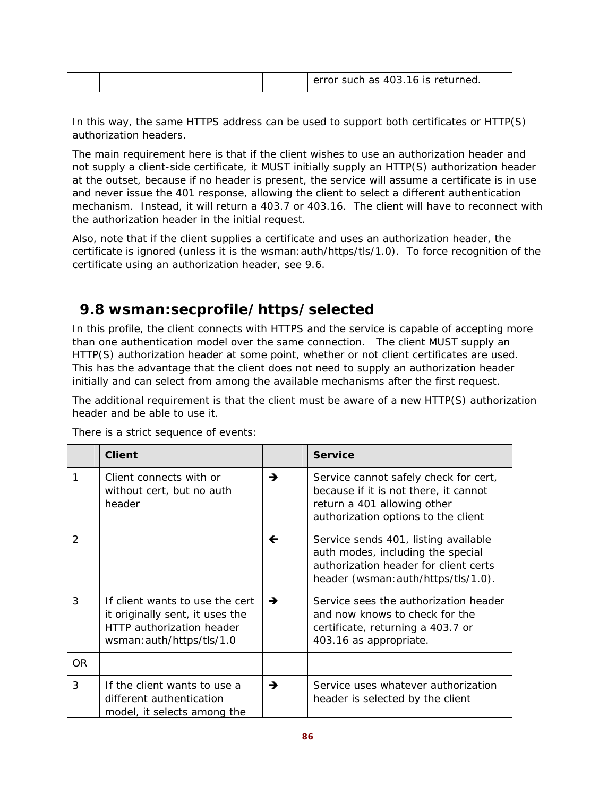|  | error such as 403.16 is returned. |  |
|--|-----------------------------------|--|
|--|-----------------------------------|--|

In this way, the same HTTPS address can be used to support both certificates or HTTP(S) authorization headers.

The main requirement here is that if the client wishes to use an authorization header and not supply a client-side certificate, it MUST initially supply an HTTP(S) authorization header at the outset, because if no header is present, the service will assume a certificate is in use and never issue the 401 response, allowing the client to select a different authentication mechanism. Instead, it will return a 403.7 or 403.16. The client will have to reconnect with the authorization header in the initial request.

Also, note that if the client supplies a certificate and uses an authorization header, the certificate is ignored (unless it is the wsman:auth/https/tls/1.0). To force recognition of the certificate using an authorization header, see 9.6.

## **9.8 wsman:secprofile/https/selected**

In this profile, the client connects with HTTPS and the service is capable of accepting more than one authentication model over the same connection. The client MUST supply an HTTP(S) authorization header at some point, whether or not client certificates are used. This has the advantage that the client does not need to supply an authorization header initially and can select from among the available mechanisms after the first request.

The additional requirement is that the client must be aware of a new HTTP(S) authorization header and be able to use it.

|               | <b>Client</b>                                                                                                                |   | <b>Service</b>                                                                                                                                            |
|---------------|------------------------------------------------------------------------------------------------------------------------------|---|-----------------------------------------------------------------------------------------------------------------------------------------------------------|
| 1             | Client connects with or<br>without cert, but no auth<br>header                                                               | → | Service cannot safely check for cert,<br>because if it is not there, it cannot<br>return a 401 allowing other<br>authorization options to the client      |
| $\mathcal{P}$ |                                                                                                                              | ← | Service sends 401, listing available<br>auth modes, including the special<br>authorization header for client certs<br>header (wsman: auth/https/tls/1.0). |
| 3             | If client wants to use the cert<br>it originally sent, it uses the<br>HTTP authorization header<br>wsman: auth/https/tls/1.0 | → | Service sees the authorization header<br>and now knows to check for the<br>certificate, returning a 403.7 or<br>403.16 as appropriate.                    |
| OR.           |                                                                                                                              |   |                                                                                                                                                           |
| 3             | If the client wants to use a<br>different authentication<br>model, it selects among the                                      | → | Service uses whatever authorization<br>header is selected by the client                                                                                   |

There is a strict sequence of events: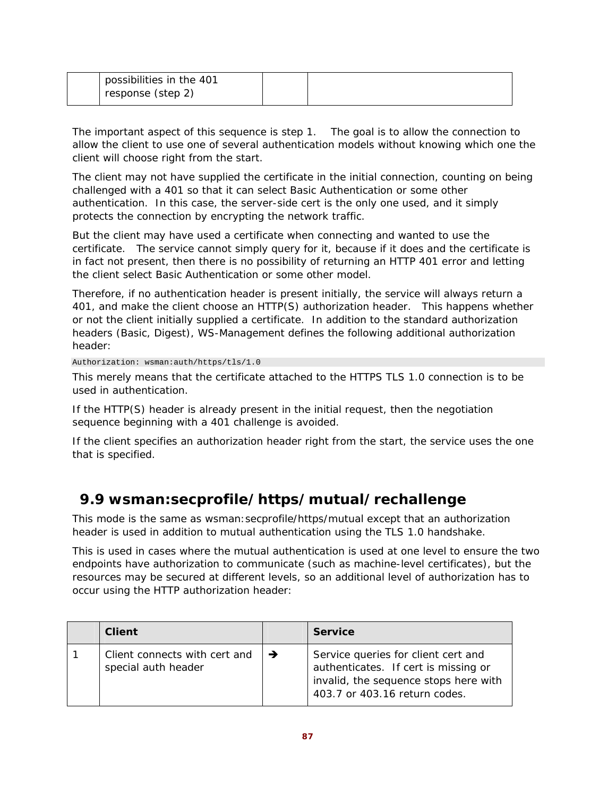| possibilities in the 401 |  |
|--------------------------|--|
| response (step 2)        |  |

The important aspect of this sequence is step 1. The goal is to allow the connection to allow the client to use one of several authentication models without knowing which one the client will choose right from the start.

The client may not have supplied the certificate in the initial connection, counting on being challenged with a 401 so that it can select Basic Authentication or some other authentication. In this case, the server-side cert is the only one used, and it simply protects the connection by encrypting the network traffic.

But the client may have used a certificate when connecting and wanted to use the certificate. The service cannot simply query for it, because if it does and the certificate is in fact not present, then there is no possibility of returning an HTTP 401 error and letting the client select Basic Authentication or some other model.

Therefore, if no authentication header is present initially, the service will always return a 401, and make the client choose an HTTP(S) authorization header. This happens whether or not the client initially supplied a certificate. In addition to the standard authorization headers (Basic, Digest), WS-Management defines the following additional authorization header:

Authorization: wsman:auth/https/tls/1.0

This merely means that the certificate attached to the HTTPS TLS 1.0 connection is to be used in authentication.

If the HTTP(S) header is already present in the initial request, then the negotiation sequence beginning with a 401 challenge is avoided.

If the client specifies an authorization header right from the start, the service uses the one that is specified.

# **9.9 wsman:secprofile/https/mutual/rechallenge**

This mode is the same as wsman:secprofile/https/mutual except that an authorization header is used *in addition* to mutual authentication using the TLS 1.0 handshake.

This is used in cases where the mutual authentication is used at one level to ensure the two endpoints have authorization to communicate (such as machine-level certificates), but the resources may be secured at different levels, so an additional level of authorization has to occur using the HTTP authorization header:

| <b>Client</b>                                        |   | <b>Service</b>                                                                                                                                        |
|------------------------------------------------------|---|-------------------------------------------------------------------------------------------------------------------------------------------------------|
| Client connects with cert and<br>special auth header | → | Service queries for client cert and<br>authenticates. If cert is missing or<br>invalid, the sequence stops here with<br>403.7 or 403.16 return codes. |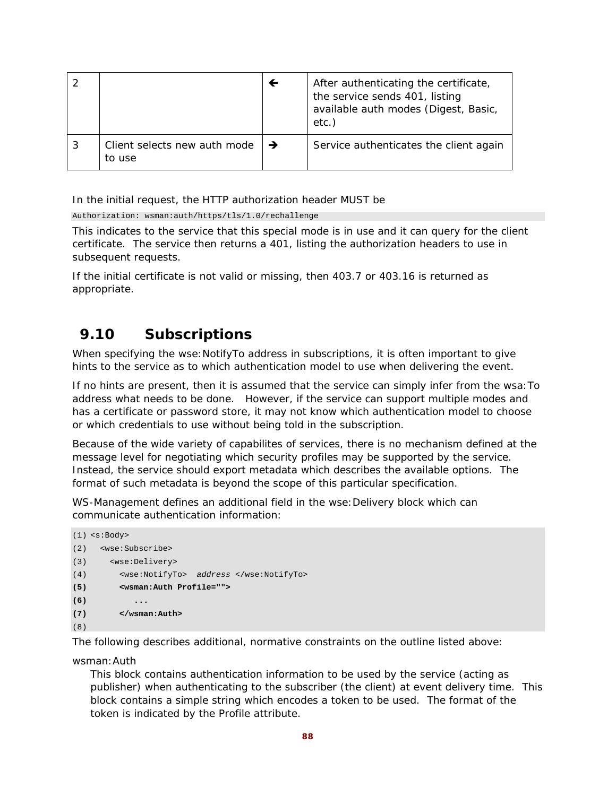|                                        | ← | After authenticating the certificate,<br>the service sends 401, listing<br>available auth modes (Digest, Basic,<br>etc.) |
|----------------------------------------|---|--------------------------------------------------------------------------------------------------------------------------|
| Client selects new auth mode<br>to use | → | Service authenticates the client again                                                                                   |

In the initial request, the HTTP authorization header MUST be

Authorization: wsman:auth/https/tls/1.0/rechallenge

This indicates to the service that this special mode is in use and it can query for the client certificate. The service then returns a 401, listing the authorization headers to use in subsequent requests.

If the initial certificate is not valid or missing, then 403.7 or 403.16 is returned as appropriate.

## **9.10 Subscriptions**

When specifying the wse: NotifyTo address in subscriptions, it is often important to give hints to the service as to which authentication model to use when delivering the event.

If no hints are present, then it is assumed that the service can simply infer from the wsa:To address what needs to be done. However, if the service can support multiple modes and has a certificate or password store, it may not know which authentication model to choose or which credentials to use without being told in the subscription.

Because of the wide variety of capabilites of services, there is no mechanism defined at the message level for negotiating which security profiles may be supported by the service. Instead, the service should export metadata which describes the available options. The format of such metadata is beyond the scope of this particular specification.

WS-Management defines an additional field in the wse: Delivery block which can communicate authentication information:

```
(1) <s:Body> 
(2) <wse:Subscribe> 
(3) <wse:Delivery> 
(4) <wse:NotifyTo> address </wse:NotifyTo> 
(5) <wsman:Auth Profile=""> 
(6) ... 
(7) </wsman:Auth> 
(8)
```
The following describes additional, normative constraints on the outline listed above:

wsman:Auth

This block contains authentication information to be used by the service (acting as publisher) when authenticating to the subscriber (the client) at event delivery time. This block contains a simple string which encodes a token to be used. The format of the token is indicated by the Profile attribute.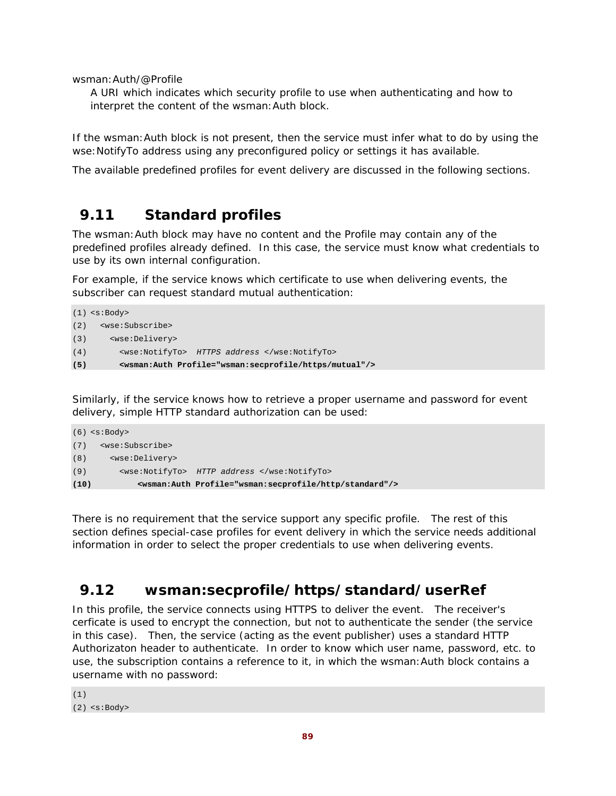wsman:Auth/@Profile

A URI which indicates which security profile to use when authenticating and how to interpret the content of the wsman:Auth block.

If the wsman: Auth block is not present, then the service must infer what to do by using the wse: NotifyTo address using any preconfigured policy or settings it has available.

The available predefined profiles for event delivery are discussed in the following sections.

## **9.11 Standard profiles**

The wsman:Auth block may have no content and the Profile may contain any of the predefined profiles already defined. In this case, the service must know what credentials to use by its own internal configuration.

For example, if the service knows which certificate to use when delivering events, the subscriber can request standard mutual authentication:

```
(1) <s:Body> 
(2) <wse:Subscribe> 
(3) <wse:Delivery> 
(4) <wse:NotifyTo> HTTPS address </wse:NotifyTo> 
(5) <wsman:Auth Profile="wsman:secprofile/https/mutual"/>
```
Similarly, if the service knows how to retrieve a proper username and password for event delivery, simple HTTP standard authorization can be used:

```
(6) <s:Body>
(7) <wse:Subscribe> 
(8) <wse:Delivery> 
(9) <wse:NotifyTo> HTTP address </wse:NotifyTo> 
(10) <wsman:Auth Profile="wsman:secprofile/http/standard"/>
```
There is no requirement that the service support any specific profile. The rest of this section defines special-case profiles for event delivery in which the service needs additional information in order to select the proper credentials to use when delivering events.

## **9.12 wsman:secprofile/https/standard/userRef**

In this profile, the service connects using HTTPS to deliver the event. The receiver's cerficate is used to encrypt the connection, but not to authenticate the sender (the service in this case). Then, the service (acting as the event publisher) uses a standard HTTP Authorizaton header to authenticate. In order to know which user name, password, etc. to use, the subscription contains a reference to it, in which the wsman:Auth block contains a username with no password:

```
(1)
(2) <s:Body>
```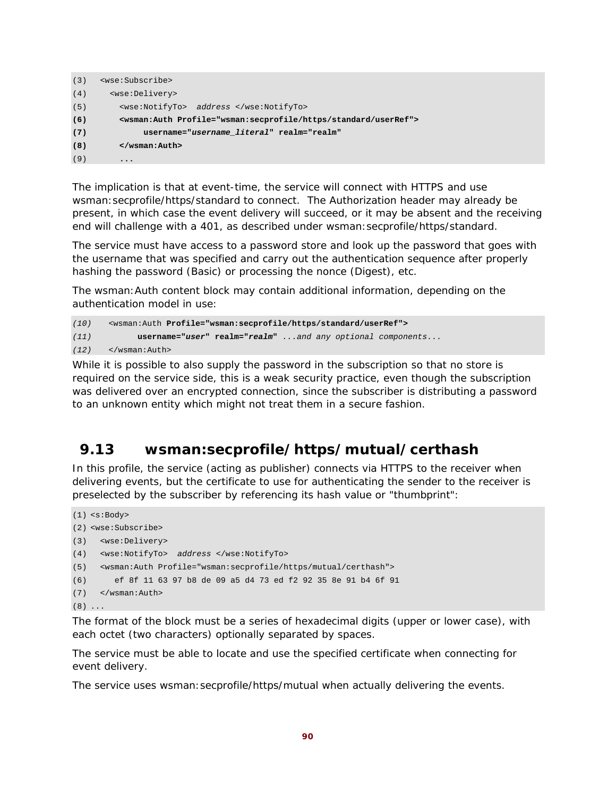```
(3) <wse:Subscribe> 
(4) <wse:Delivery> 
(5) <wse:NotifyTo> address </wse:NotifyTo> 
(6) <wsman:Auth Profile="wsman:secprofile/https/standard/userRef"> 
(7) username="username_literal" realm="realm" 
(8) </wsman:Auth> 
(9) ...
```
The implication is that at event-time, the service will connect with HTTPS and use wsman:secprofile/https/standard to connect. The Authorization header may already be present, in which case the event delivery will succeed, or it may be absent and the receiving end will challenge with a 401, as described under wsman:secprofile/https/standard.

The service must have access to a password store and look up the password that goes with the username that was specified and carry out the authentication sequence after properly hashing the password (Basic) or processing the nonce (Digest), etc.

The wsman:Auth content block may contain additional information, depending on the authentication model in use:

```
(10) <wsman:Auth Profile="wsman:secprofile/https/standard/userRef">
(11) username="user" realm="realm" ...and any optional components... 
(12) </wsman:Auth>
```
While it is possible to also supply the password in the subscription so that no store is required on the service side, this is a weak security practice, even though the subscription was delivered over an encrypted connection, since the subscriber is distributing a password to an unknown entity which might not treat them in a secure fashion.

## **9.13 wsman:secprofile/https/mutual/certhash**

In this profile, the service (acting as publisher) connects via HTTPS to the receiver when delivering events, but the certificate to use for authenticating the sender to the receiver is preselected by the subscriber by referencing its hash value or "thumbprint":

```
(1) <s:Body> 
(2) <wse:Subscribe> 
(3) <wse:Delivery> 
(4) <wse:NotifyTo> address </wse:NotifyTo> 
(5) <wsman:Auth Profile="wsman:secprofile/https/mutual/certhash"> 
(6) ef 8f 11 63 97 b8 de 09 a5 d4 73 ed f2 92 35 8e 91 b4 6f 91 
(7) </wsman:Auth> 
(8) ...
```
The format of the block must be a series of hexadecimal digits (upper or lower case), with each octet (two characters) optionally separated by spaces.

The service must be able to locate and use the specified certificate when connecting for event delivery.

The service uses wsman:secprofile/https/mutual when actually delivering the events.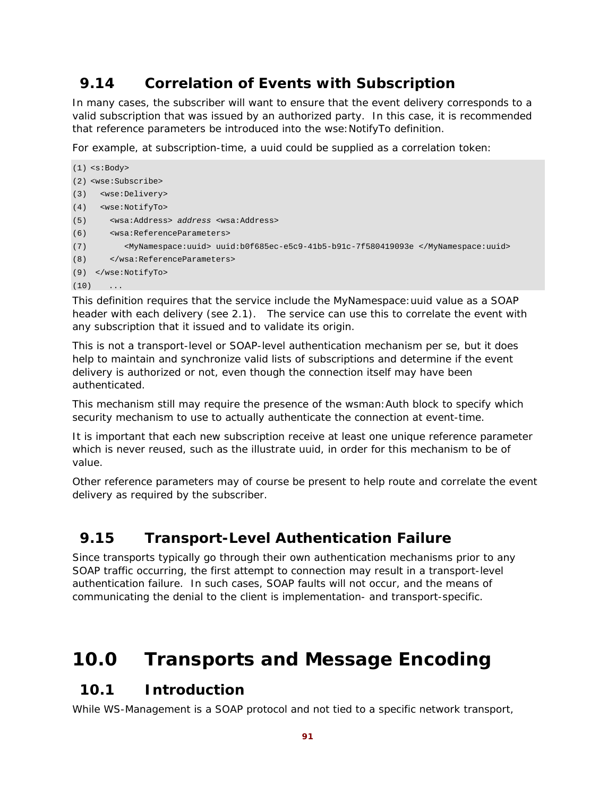# **9.14 Correlation of Events with Subscription**

In many cases, the subscriber will want to ensure that the event delivery corresponds to a valid subscription that was issued by an authorized party. In this case, it is recommended that reference parameters be introduced into the wse:NotifyTo definition.

For example, at subscription-time, a uuid could be supplied as a correlation token:

```
(1) <s:Body> 
(2) <wse:Subscribe> 
(3) <wse:Delivery> 
(4) <wse:NotifyTo> 
(5) <wsa:Address> address <wsa:Address> 
(6) <wsa:ReferenceParameters> 
(7) <MyNamespace:uuid> uuid:b0f685ec-e5c9-41b5-b91c-7f580419093e </MyNamespace:uuid> 
(8) </wsa:ReferenceParameters> 
(9) </wse:NotifyTo> 
(10)
```
This definition requires that the service include the MyNamespace:uuid value as a SOAP header with each delivery (see 2.1). The service can use this to correlate the event with any subscription that it issued and to validate its origin.

This is not a transport-level or SOAP-level authentication mechanism per se, but it does help to maintain and synchronize valid lists of subscriptions and determine if the event delivery is authorized or not, even though the connection itself may have been authenticated.

This mechanism still may require the presence of the wsman:Auth block to specify which security mechanism to use to actually authenticate the connection at event-time.

It is important that each new subscription receive at least one unique reference parameter which is never reused, such as the illustrate uuid, in order for this mechanism to be of value.

Other reference parameters may of course be present to help route and correlate the event delivery as required by the subscriber.

## **9.15 Transport-Level Authentication Failure**

Since transports typically go through their own authentication mechanisms prior to any SOAP traffic occurring, the first attempt to connection may result in a transport-level authentication failure. In such cases, SOAP faults will not occur, and the means of communicating the denial to the client is implementation- and transport-specific.

# **10.0 Transports and Message Encoding**

## **10.1 Introduction**

While WS-Management is a SOAP protocol and not tied to a specific network transport,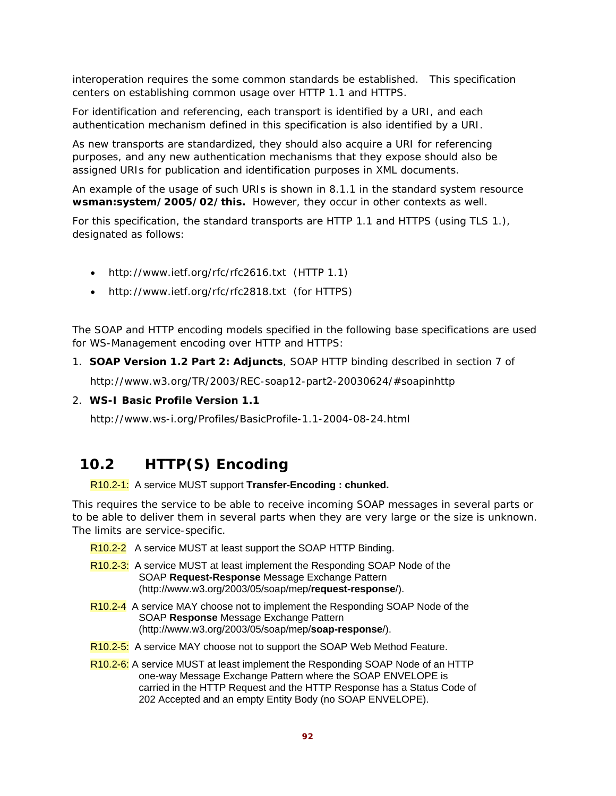interoperation requires the some common standards be established. This specification centers on establishing common usage over HTTP 1.1 and HTTPS.

For identification and referencing, each transport is identified by a URI, and each authentication mechanism defined in this specification is also identified by a URI.

As new transports are standardized, they should also acquire a URI for referencing purposes, and any new authentication mechanisms that they expose should also be assigned URIs for publication and identification purposes in XML documents.

An example of the usage of such URIs is shown in 8.1.1 in the standard system resource **wsman:system/2005/02/this.** However, they occur in other contexts as well.

For this specification, the standard transports are HTTP 1.1 and HTTPS (using TLS 1.), designated as follows:

- http://www.ietf.org/rfc/rfc2616.txt (HTTP 1.1)
- http://www.ietf.org/rfc/rfc2818.txt (for HTTPS)

The SOAP and HTTP encoding models specified in the following base specifications are used for WS-Management encoding over HTTP and HTTPS:

1. **SOAP Version 1.2 Part 2: Adjuncts**, SOAP HTTP binding described in section 7 of

http://www.w3.org/TR/2003/REC-soap12-part2-20030624/#soapinhttp

2. **WS-I Basic Profile Version 1.1** 

http://www.ws-i.org/Profiles/BasicProfile-1.1-2004-08-24.html

## **10.2 HTTP(S) Encoding**

R10.2-1: A service MUST support **Transfer-Encoding : chunked.**

This requires the service to be able to receive incoming SOAP messages in several parts or to be able to deliver them in several parts when they are very large or the size is unknown. The limits are service-specific.

- R10.2-2 A service MUST at least support the SOAP HTTP Binding.
- R10.2-3: A service MUST at least implement the Responding SOAP Node of the SOAP **Request-Response** Message Exchange Pattern (http://www.w3.org/2003/05/soap/mep/**request-response**/).
- R10.2-4 A service MAY choose not to implement the Responding SOAP Node of the SOAP **Response** Message Exchange Pattern (http://www.w3.org/2003/05/soap/mep/**soap-response**/).
- R10.2-5: A service MAY choose not to support the SOAP Web Method Feature.
- R10.2-6: A service MUST at least implement the Responding SOAP Node of an HTTP one-way Message Exchange Pattern where the SOAP ENVELOPE is carried in the HTTP Request and the HTTP Response has a Status Code of 202 Accepted and an empty Entity Body (no SOAP ENVELOPE).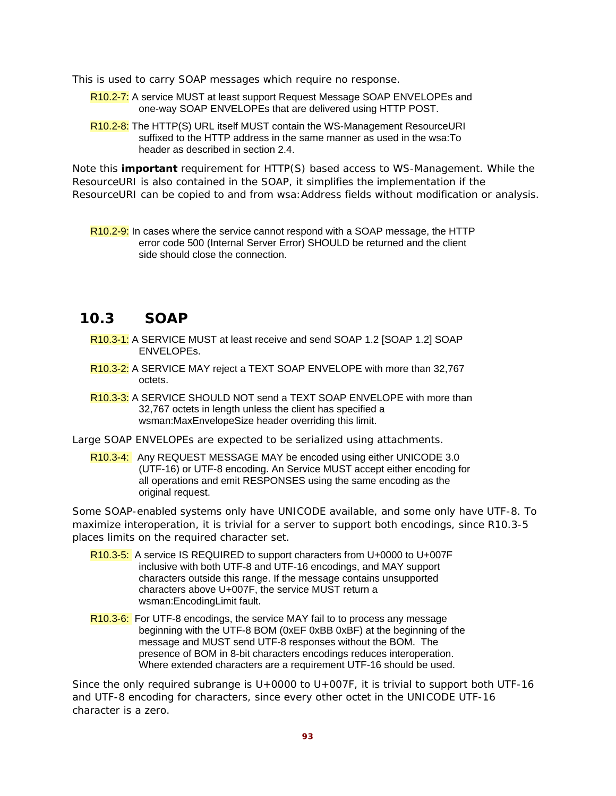This is used to carry SOAP messages which require no response.

- R10.2-7: A service MUST at least support Request Message SOAP ENVELOPEs and one-way SOAP ENVELOPEs that are delivered using HTTP POST.
- R10.2-8: The HTTP(S) URL itself MUST contain the WS-Management ResourceURI suffixed to the HTTP address in the same manner as used in the wsa:To header as described in section 2.4.

Note this **important** requirement for HTTP(S) based access to WS-Management. While the ResourceURI is also contained in the SOAP, it simplifies the implementation if the ResourceURI can be copied to and from wsa: Address fields without modification or analysis.

R10.2-9: In cases where the service cannot respond with a SOAP message, the HTTP error code 500 (Internal Server Error) SHOULD be returned and the client side should close the connection.

## **10.3 SOAP**

- R10.3-1: A SERVICE MUST at least receive and send SOAP 1.2 [SOAP 1.2] SOAP ENVELOPEs.
- R10.3-2: A SERVICE MAY reject a TEXT SOAP ENVELOPE with more than 32,767 octets.
- R10.3-3: A SERVICE SHOULD NOT send a TEXT SOAP ENVELOPE with more than 32,767 octets in length unless the client has specified a wsman:MaxEnvelopeSize header overriding this limit.
- Large SOAP ENVELOPEs are expected to be serialized using attachments.
	- R10.3-4: Any REQUEST MESSAGE MAY be encoded using either UNICODE 3.0 (UTF-16) or UTF-8 encoding. An Service MUST accept either encoding for all operations and emit RESPONSES using the same encoding as the original request.

Some SOAP-enabled systems only have UNICODE available, and some only have UTF-8. To maximize interoperation, it is trivial for a server to support both encodings, since R10.3-5 places limits on the required character set.

- R10.3-5: A service IS REQUIRED to support characters from U+0000 to U+007F inclusive with both UTF-8 and UTF-16 encodings, and MAY support characters outside this range. If the message contains unsupported characters above U+007F, the service MUST return a wsman:EncodingLimit fault.
- R10.3-6: For UTF-8 encodings, the service MAY fail to to process any message beginning with the UTF-8 BOM (0xEF 0xBB 0xBF) at the beginning of the message and MUST send UTF-8 responses without the BOM. The presence of BOM in 8-bit characters encodings reduces interoperation. Where extended characters are a requirement UTF-16 should be used.

Since the only required subrange is  $U+0000$  to  $U+007F$ , it is trivial to support both UTF-16 and UTF-8 encoding for characters, since every other octet in the UNICODE UTF-16 character is a zero.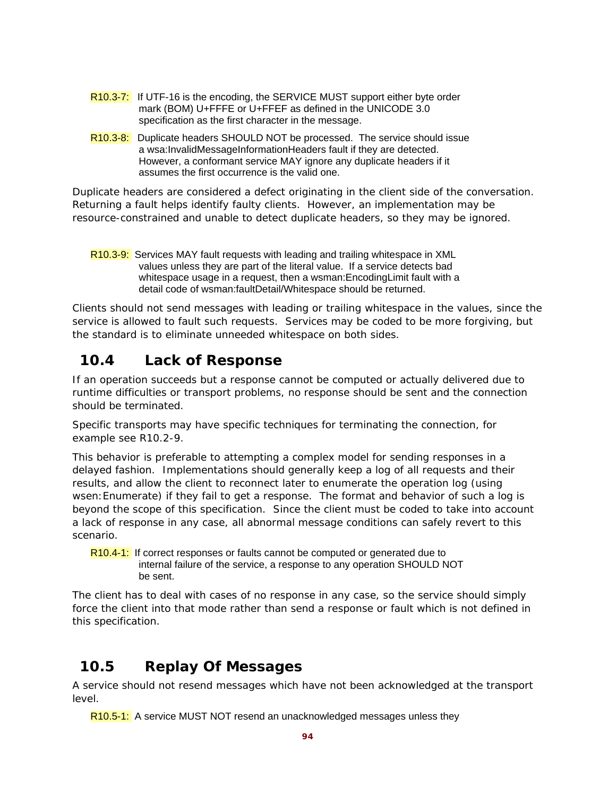- R10.3-7: If UTF-16 is the encoding, the SERVICE MUST support either byte order mark (BOM) U+FFFE or U+FFEF as defined in the UNICODE 3.0 specification as the first character in the message.
- R10.3-8: Duplicate headers SHOULD NOT be processed. The service should issue a wsa:InvalidMessageInformationHeaders fault if they are detected. However, a conformant service MAY ignore any duplicate headers if it assumes the first occurrence is the valid one.

Duplicate headers are considered a defect originating in the client side of the conversation. Returning a fault helps identify faulty clients. However, an implementation may be resource-constrained and unable to detect duplicate headers, so they may be ignored.

R10.3-9: Services MAY fault requests with leading and trailing whitespace in XML values unless they are part of the literal value. If a service detects bad whitespace usage in a request, then a wsman:EncodingLimit fault with a detail code of wsman:faultDetail/Whitespace should be returned.

Clients should not send messages with leading or trailing whitespace in the values, since the service is allowed to fault such requests. Services may be coded to be more forgiving, but the standard is to eliminate unneeded whitespace on both sides.

# **10.4 Lack of Response**

If an operation succeeds but a response cannot be computed or actually delivered due to runtime difficulties or transport problems, no response should be sent and the connection should be terminated.

Specific transports may have specific techniques for terminating the connection, for example see R10.2-9.

This behavior is preferable to attempting a complex model for sending responses in a delayed fashion. Implementations should generally keep a log of all requests and their results, and allow the client to reconnect later to enumerate the operation log (using wsen:Enumerate) if they fail to get a response. The format and behavior of such a log is beyond the scope of this specification. Since the client must be coded to take into account a lack of response in any case, all abnormal message conditions can safely revert to this scenario.

R10.4-1: If correct responses or faults cannot be computed or generated due to internal failure of the service, a response to any operation SHOULD NOT be sent.

The client has to deal with cases of no response in any case, so the service should simply force the client into that mode rather than send a response or fault which is not defined in this specification.

# **10.5 Replay Of Messages**

A service should not resend messages which have not been acknowledged at the transport level.

R10.5-1: A service MUST NOT resend an unacknowledged messages unless they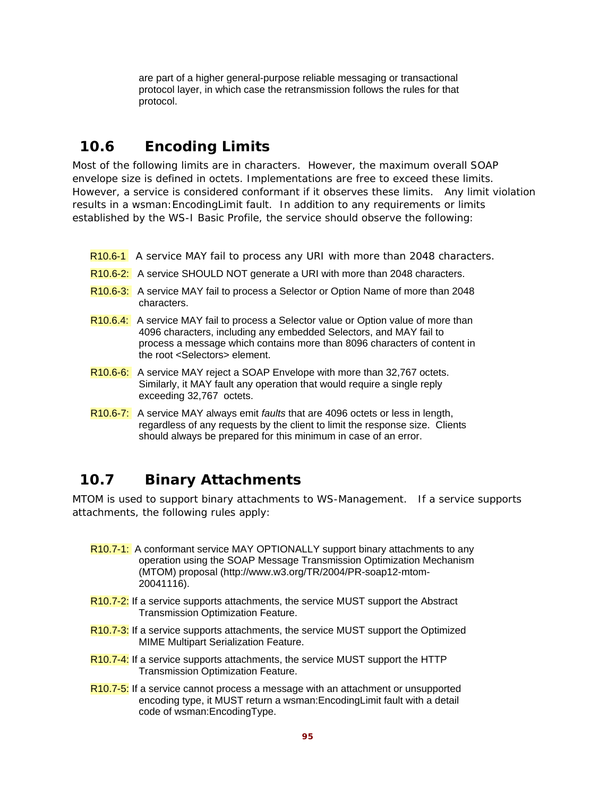are part of a higher general-purpose reliable messaging or transactional protocol layer, in which case the retransmission follows the rules for that protocol.

## **10.6 Encoding Limits**

Most of the following limits are in characters. However, the maximum overall SOAP envelope size is defined in octets. Implementations are free to exceed these limits. However, a service is considered conformant if it observes these limits. Any limit violation results in a wsman:EncodingLimit fault. In addition to any requirements or limits established by the WS-I Basic Profile, the service should observe the following:

- R<sub>10.6-1</sub> A service MAY fail to process any URI with more than 2048 characters.
- R10.6-2: A service SHOULD NOT generate a URI with more than 2048 characters.
- R<sub>10.6-3:</sub> A service MAY fail to process a Selector or Option Name of more than 2048 characters.
- R10.6.4: A service MAY fail to process a Selector value or Option value of more than 4096 characters, including any embedded Selectors, and MAY fail to process a message which contains more than 8096 characters of content in the root <Selectors> element.
- R10.6-6: A service MAY reject a SOAP Envelope with more than 32,767 octets. Similarly, it MAY fault any operation that would require a single reply exceeding 32,767 octets.
- R10.6-7: A service MAY always emit *faults* that are 4096 octets or less in length, regardless of any requests by the client to limit the response size. Clients should always be prepared for this minimum in case of an error.

# **10.7 Binary Attachments**

MTOM is used to support binary attachments to WS-Management. If a service supports attachments, the following rules apply:

- R10.7-1: A conformant service MAY OPTIONALLY support binary attachments to any operation using the SOAP Message Transmission Optimization Mechanism (MTOM) proposal (http://www.w3.org/TR/2004/PR-soap12-mtom-20041116).
- R10.7-2: If a service supports attachments, the service MUST support the Abstract Transmission Optimization Feature.
- R10.7-3: If a service supports attachments, the service MUST support the Optimized MIME Multipart Serialization Feature.
- R10.7-4: If a service supports attachments, the service MUST support the HTTP Transmission Optimization Feature.
- R10.7-5: If a service cannot process a message with an attachment or unsupported encoding type, it MUST return a wsman:EncodingLimit fault with a detail code of wsman:EncodingType.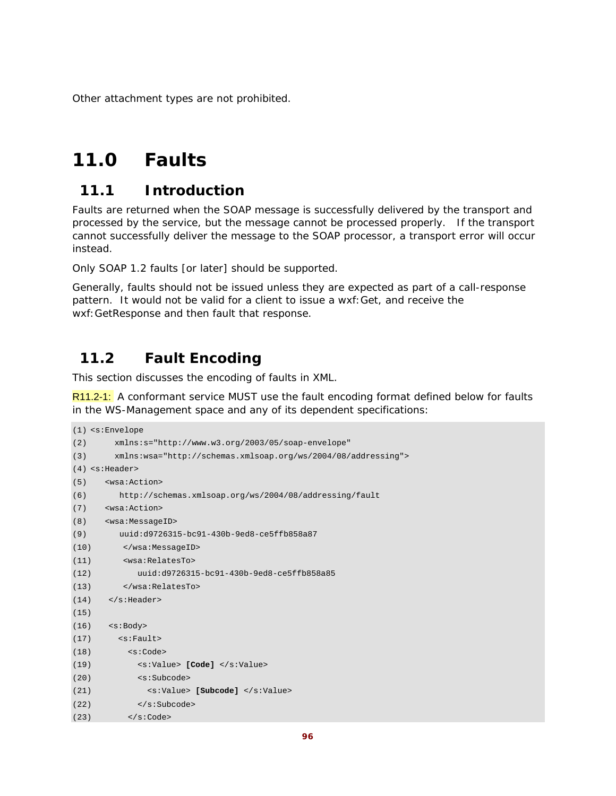Other attachment types are not prohibited.

# **11.0 Faults**

## **11.1 Introduction**

Faults are returned when the SOAP message is successfully delivered by the transport and processed by the service, but the message cannot be processed properly. If the transport cannot successfully deliver the message to the SOAP processor, a transport error will occur instead.

Only SOAP 1.2 faults [or later] should be supported.

Generally, faults should not be issued unless they are expected as part of a call-response pattern. It would not be valid for a client to issue a wxf:Get, and receive the wxf:GetResponse and then *fault* that response.

## **11.2 Fault Encoding**

This section discusses the encoding of faults in XML.

R11.2-1: A conformant service MUST use the fault encoding format defined below for faults in the WS-Management space and any of its dependent specifications:

```
(1) <s:Envelope 
(2) xmlns:s="http://www.w3.org/2003/05/soap-envelope" 
(3) xmlns:wsa="http://schemas.xmlsoap.org/ws/2004/08/addressing"> 
(4) <s:Header> 
(5) <wsa:Action> 
(6) http://schemas.xmlsoap.org/ws/2004/08/addressing/fault 
(7) <wsa:Action> 
(8) <wsa:MessageID> 
(9) uuid:d9726315-bc91-430b-9ed8-ce5ffb858a87 
(10) </wsa:MessageID> 
(11) <wsa:RelatesTo> 
(12) uuid:d9726315-bc91-430b-9ed8-ce5ffb858a85 
(13) </wsa:RelatesTo> 
(14) </s: Header>
(15)
(16) <s:Body> 
(17) <s:Fault> 
(18) \leq \leq \leq \leq \leq \leq \leq \leq \leq \leq \leq \leq \leq \leq \leq \leq \leq \leq \leq \leq \leq \leq \leq \leq \leq \leq \leq \leq \leq \leq \leq \leq \leq \leq \leq \leq(19) <s:Value> [Code] </s:Value> 
(20) <s:Subcode> 
(21) <s:Value> [Subcode] </s:Value> 
(22) \langle s:Subcode>
(23) \langle s:Code>
```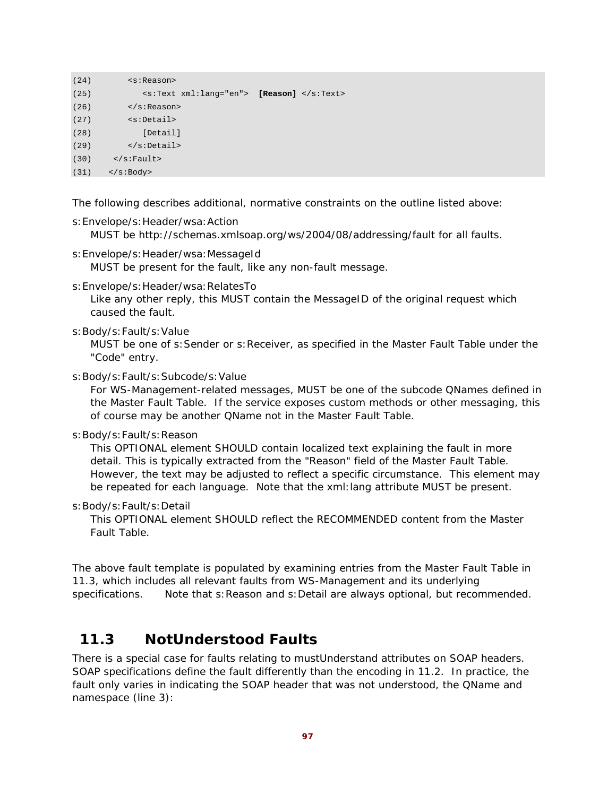```
(24) <s:Reason> 
(25) <s:Text xml:lang="en"> [Reason] </s:Text> 
(26) </s:Reason>
(27) <s:Detail> 
(28) [Detail] 
(29) </s:Detail> 
(30) \leq/s:Fault>
(31) </s:Body>
```
The following describes additional, normative constraints on the outline listed above:

s:Envelope/s:Header/wsa:Action

MUST be http://schemas.xmlsoap.org/ws/2004/08/addressing/fault for all faults.

- s:Envelope/s:Header/wsa:MessageId MUST be present for the fault, like any non-fault message.
- s:Envelope/s:Header/wsa:RelatesTo

Like any other reply, this MUST contain the MessageID of the original request which caused the fault.

s:Body/s:Fault/s:Value

MUST be one of s:Sender or s:Receiver, as specified in the Master Fault Table under the "Code" entry.

s:Body/s:Fault/s:Subcode/s:Value

For WS-Management-related messages, MUST be one of the subcode QNames defined in the Master Fault Table. If the service exposes custom methods or other messaging, this of course may be another QName not in the Master Fault Table.

s:Body/s:Fault/s:Reason

This OPTIONAL element SHOULD contain localized text explaining the fault in more detail. This is typically extracted from the "Reason" field of the Master Fault Table. However, the text may be adjusted to reflect a specific circumstance. This element may be repeated for each language. Note that the xml:lang attribute MUST be present.

s:Body/s:Fault/s:Detail

This OPTIONAL element SHOULD reflect the RECOMMENDED content from the Master Fault Table.

The above fault template is populated by examining entries from the Master Fault Table in 11.3, which includes all relevant faults from WS-Management and its underlying specifications. Note that s: Reason and s: Detail are always optional, but recommended.

## **11.3 NotUnderstood Faults**

There is a special case for faults relating to mustUnderstand attributes on SOAP headers. SOAP specifications define the fault differently than the encoding in 11.2. In practice, the fault only varies in indicating the SOAP header that was not understood, the QName and namespace (line 3):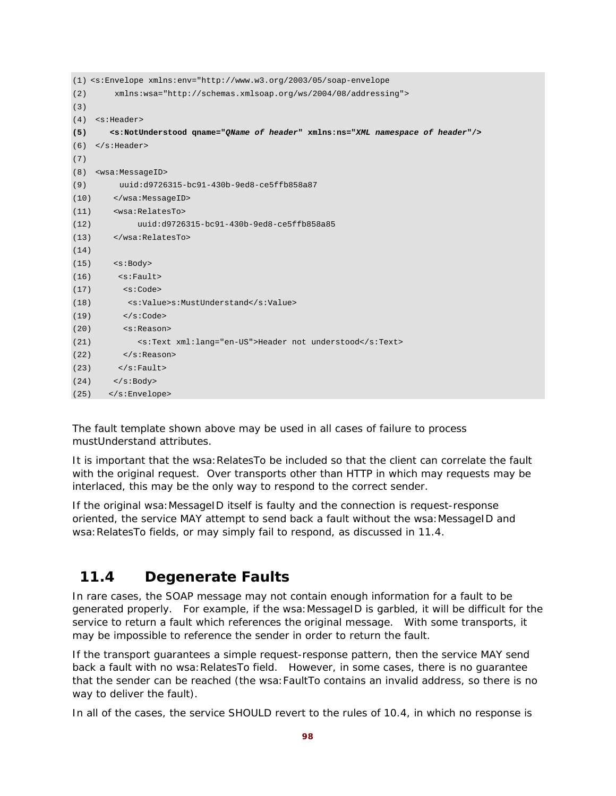|      | $(1)$ <s:envelope 08="" 2004="" addressing"="" http:="" schemas.xmlsoap.org="" ws="" xmlns:env="http://www.w3.org/2003/05/soap-envelope&lt;/th&gt;&lt;/tr&gt;&lt;tr&gt;&lt;th&gt;(2)&lt;/th&gt;&lt;th&gt;xmlns:wsa="></s:envelope> |
|------|------------------------------------------------------------------------------------------------------------------------------------------------------------------------------------------------------------------------------------|
| (3)  |                                                                                                                                                                                                                                    |
| (4)  | <s:header></s:header>                                                                                                                                                                                                              |
| (5)  | <s:notunderstood gname="QName of header" xmlns:ns="XML namespace of header"></s:notunderstood>                                                                                                                                     |
| (6)  | $\langle$ s:Header>                                                                                                                                                                                                                |
| (7)  |                                                                                                                                                                                                                                    |
| (8)  | <wsa:messageid></wsa:messageid>                                                                                                                                                                                                    |
| (9)  | uuid:d9726315-bc91-430b-9ed8-ce5ffb858a87                                                                                                                                                                                          |
| (10) |                                                                                                                                                                                                                                    |
| (11) | <wsa:relatesto></wsa:relatesto>                                                                                                                                                                                                    |
| (12) | uuid:d9726315-bc91-430b-9ed8-ce5ffb858a85                                                                                                                                                                                          |
| (13) |                                                                                                                                                                                                                                    |
| (14) |                                                                                                                                                                                                                                    |
| (15) | $<$ s:Body>                                                                                                                                                                                                                        |
| (16) | $\leq$ s: Fault>                                                                                                                                                                                                                   |
| (17) | < s : Code>                                                                                                                                                                                                                        |
| (18) | <s:value>s:MustUnderstand</s:value>                                                                                                                                                                                                |
| (19) | $\langle$ s:Code>                                                                                                                                                                                                                  |
| (20) | <s:reason></s:reason>                                                                                                                                                                                                              |
| (21) | <s:text xml:lang="en-US">Header not understood</s:text>                                                                                                                                                                            |
| (22) | $\langle$ s:Reason>                                                                                                                                                                                                                |
| (23) | $\langle$ s:Fault>                                                                                                                                                                                                                 |
| (24) | $\langle$ s:Body>                                                                                                                                                                                                                  |
| (25) |                                                                                                                                                                                                                                    |

The fault template shown above may be used in all cases of failure to process mustUnderstand attributes.

It is important that the wsa: RelatesTo be included so that the client can correlate the fault with the original request. Over transports other than HTTP in which may requests may be interlaced, this may be the only way to respond to the correct sender.

If the original wsa:MessageID itself is faulty and the connection is request-response oriented, the service MAY attempt to send back a fault without the wsa:MessageID and wsa: RelatesTo fields, or may simply fail to respond, as discussed in 11.4.

## **11.4 Degenerate Faults**

In rare cases, the SOAP message may not contain enough information for a fault to be generated properly. For example, if the wsa:MessageID is garbled, it will be difficult for the service to return a fault which references the original message. With some transports, it may be impossible to reference the sender in order to return the fault.

If the transport guarantees a simple request-response pattern, then the service MAY send back a fault with no wsa: RelatesTo field. However, in some cases, there is no guarantee that the sender can be reached (the wsa:FaultTo contains an invalid address, so there is no way to deliver the fault).

In all of the cases, the service SHOULD revert to the rules of 10.4, in which no response is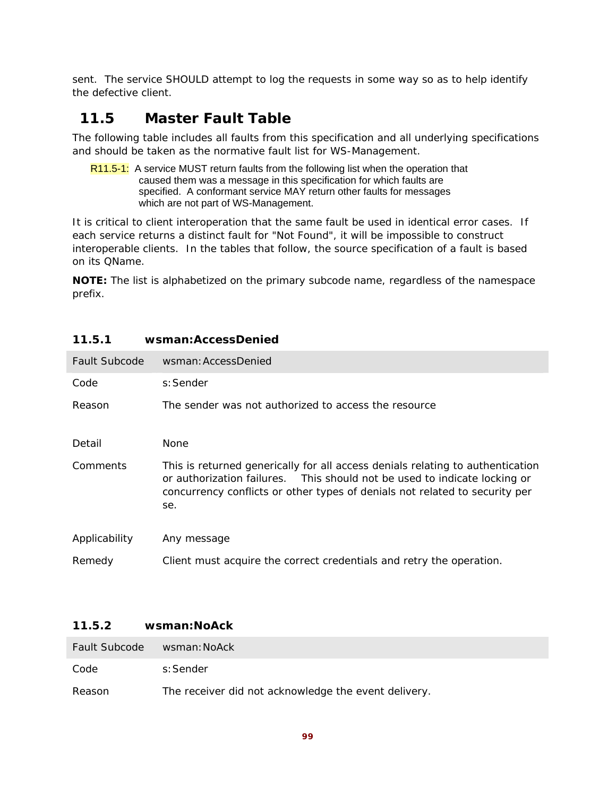sent. The service SHOULD attempt to log the requests in some way so as to help identify the defective client.

## **11.5 Master Fault Table**

The following table includes all faults from this specification and all underlying specifications and should be taken as the normative fault list for WS-Management.

R11.5-1: A service MUST return faults from the following list when the operation that caused them was a message in this specification for which faults are specified. A conformant service MAY return other faults for messages which are not part of WS-Management.

It is critical to client interoperation that the same fault be used in identical error cases. If each service returns a distinct fault for "Not Found", it will be impossible to construct interoperable clients. In the tables that follow, the source specification of a fault is based on its QName.

**NOTE:** The list is alphabetized on the primary subcode name, regardless of the namespace prefix.

| Fault Subcode | wsman: AccessDenied                                                                                                                                                                                                                               |
|---------------|---------------------------------------------------------------------------------------------------------------------------------------------------------------------------------------------------------------------------------------------------|
| Code          | s: Sender                                                                                                                                                                                                                                         |
| Reason        | The sender was not authorized to access the resource                                                                                                                                                                                              |
| Detail        | <b>None</b>                                                                                                                                                                                                                                       |
| Comments      | This is returned generically for all access denials relating to authentication<br>or authorization failures. This should not be used to indicate locking or<br>concurrency conflicts or other types of denials not related to security per<br>se. |
| Applicability | Any message                                                                                                                                                                                                                                       |
| Remedy        | Client must acquire the correct credentials and retry the operation.                                                                                                                                                                              |

### **11.5.1 wsman:AccessDenied**

### **11.5.2 wsman:NoAck**

| <b>Fault Subcode</b> | wsman: NoAck                                         |
|----------------------|------------------------------------------------------|
| Code                 | s:Sender                                             |
| Reason               | The receiver did not acknowledge the event delivery. |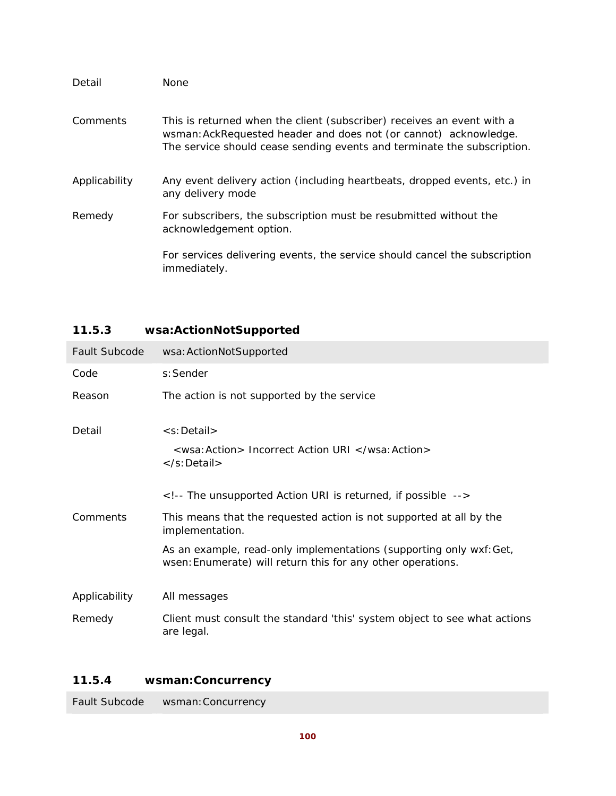| Detail        | None                                                                                                                                                                                                                  |
|---------------|-----------------------------------------------------------------------------------------------------------------------------------------------------------------------------------------------------------------------|
| Comments      | This is returned when the client (subscriber) receives an event with a<br>wsman: AckRequested header and does not (or cannot) acknowledge.<br>The service should cease sending events and terminate the subscription. |
| Applicability | Any event delivery action (including heartbeats, dropped events, etc.) in<br>any delivery mode                                                                                                                        |
| Remedy        | For subscribers, the subscription must be resubmitted without the<br>acknowledgement option.                                                                                                                          |
|               | For services delivering events, the service should cancel the subscription<br>immediately.                                                                                                                            |

## **11.5.3 wsa:ActionNotSupported**

| Fault Subcode | wsa: ActionNotSupported                                                                                                            |
|---------------|------------------------------------------------------------------------------------------------------------------------------------|
| Code          | s: Sender                                                                                                                          |
| Reason        | The action is not supported by the service                                                                                         |
| Detail        | <s:detail></s:detail>                                                                                                              |
|               | <wsa: action=""> Incorrect Action URI </wsa:><br>                                                                                  |
|               | The unsupported Action URI is returned, if possible                                                                                |
| Comments      | This means that the requested action is not supported at all by the<br>implementation.                                             |
|               | As an example, read-only implementations (supporting only wxf: Get,<br>wsen: Enumerate) will return this for any other operations. |
| Applicability | All messages                                                                                                                       |
| Remedy        | Client must consult the standard 'this' system object to see what actions<br>are legal.                                            |

## **11.5.4 wsman:Concurrency**

Fault Subcode wsman:Concurrency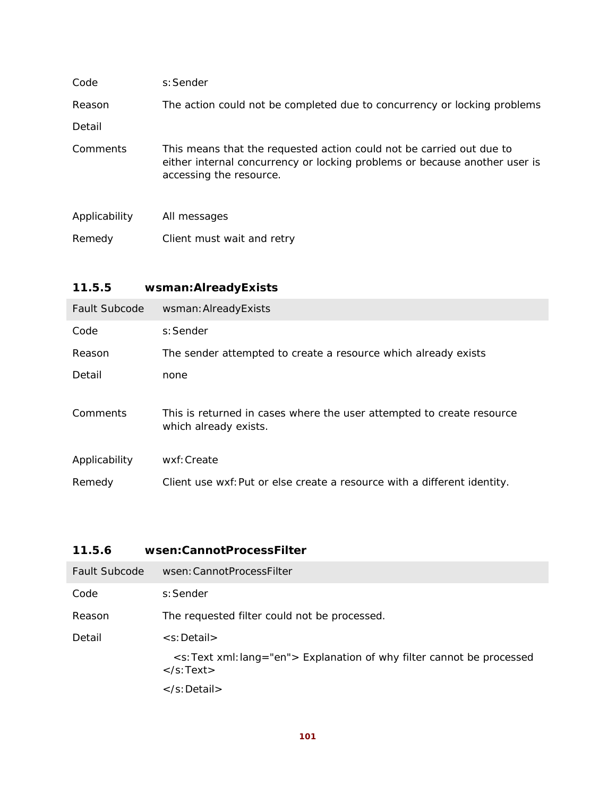| Code          | s: Sender                                                                                                                                                                     |
|---------------|-------------------------------------------------------------------------------------------------------------------------------------------------------------------------------|
| Reason        | The action could not be completed due to concurrency or locking problems                                                                                                      |
| Detail        |                                                                                                                                                                               |
| Comments      | This means that the requested action could not be carried out due to<br>either internal concurrency or locking problems or because another user is<br>accessing the resource. |
| Applicability | All messages                                                                                                                                                                  |
| Remedy        | Client must wait and retry                                                                                                                                                    |

## **11.5.5 wsman:AlreadyExists**

| <b>Fault Subcode</b> | wsman: AlreadyExists                                                                           |
|----------------------|------------------------------------------------------------------------------------------------|
| Code                 | s: Sender                                                                                      |
| Reason               | The sender attempted to create a resource which already exists                                 |
| Detail               | none                                                                                           |
| Comments             | This is returned in cases where the user attempted to create resource<br>which already exists. |
| Applicability        | wxf: Create                                                                                    |
| Remedy               | Client use wxf: Put or else create a resource with a different identity.                       |

## **11.5.6 wsen:CannotProcessFilter**

| Fault Subcode | wsen: Cannot Process Filter                                                                                                          |
|---------------|--------------------------------------------------------------------------------------------------------------------------------------|
| Code          | s: Sender                                                                                                                            |
| Reason        | The requested filter could not be processed.                                                                                         |
| Detail        | $\leq$ s: Detail $>$                                                                                                                 |
|               | <s:text lang="en" xml:=""> Explanation of why filter cannot be processed<br/><math>\langle</math>s:Text<math>\rangle</math></s:text> |
|               | $\langle$ s:Detail $\rangle$                                                                                                         |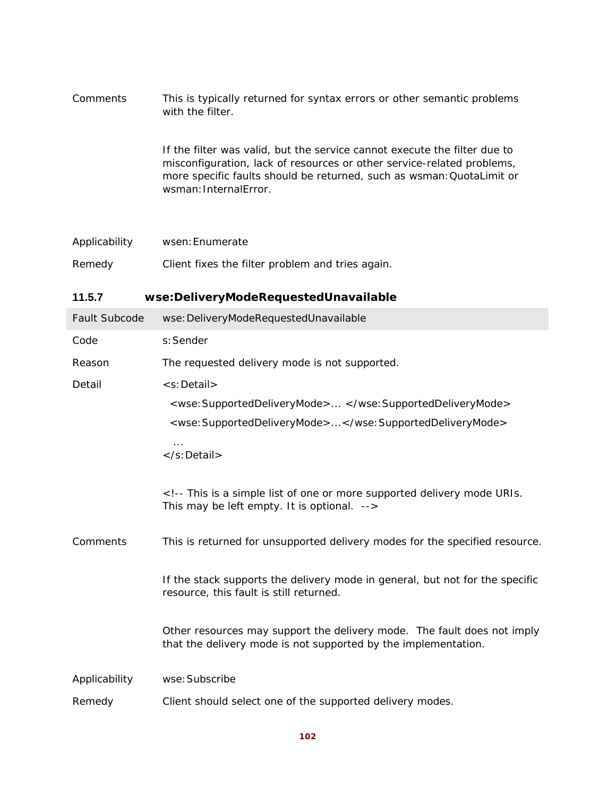| <b>Comments</b> | This is typically returned for syntax errors or other semantic problems<br>with the filter.                                                                                                                                                           |
|-----------------|-------------------------------------------------------------------------------------------------------------------------------------------------------------------------------------------------------------------------------------------------------|
|                 | If the filter was valid, but the service cannot execute the filter due to<br>misconfiguration, lack of resources or other service-related problems,<br>more specific faults should be returned, such as wsman: QuotaLimit or<br>wsman: InternalError. |

| Applicability | wsen: Enumerate                                  |
|---------------|--------------------------------------------------|
| Remedy        | Client fixes the filter problem and tries again. |

## **11.5.7 wse:DeliveryModeRequestedUnavailable**

| Fault Subcode | wse: DeliveryModeRequestedUnavailable                                                                                                     |
|---------------|-------------------------------------------------------------------------------------------------------------------------------------------|
| Code          | s: Sender                                                                                                                                 |
| Reason        | The requested delivery mode is not supported.                                                                                             |
| Detail        | <s:detail></s:detail>                                                                                                                     |
|               | <wse: supporteddeliverymode=""> </wse:>                                                                                                   |
|               | <wse:supporteddeliverymode></wse:supporteddeliverymode>                                                                                   |
|               | $\cdots$<br>$\langle$ s:Detail $\rangle$                                                                                                  |
|               | This is a simple list of one or more supported delivery mode URIs.<br>This may be left empty. It is optional.                             |
| Comments      | This is returned for unsupported delivery modes for the specified resource.                                                               |
|               | If the stack supports the delivery mode in general, but not for the specific<br>resource, this fault is still returned.                   |
|               | Other resources may support the delivery mode. The fault does not imply<br>that the delivery mode is not supported by the implementation. |
| Applicability | wse: Subscribe                                                                                                                            |
| Remedy        | Client should select one of the supported delivery modes.                                                                                 |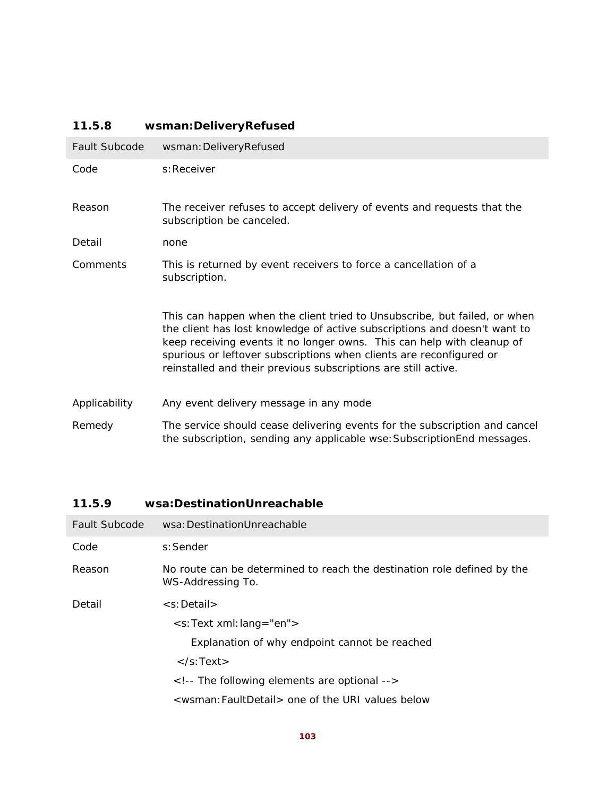## **11.5.8 wsman:DeliveryRefused**

| Fault Subcode | wsman: DeliveryRefused                                                                                                                                                                                                                                                                                                                                                    |
|---------------|---------------------------------------------------------------------------------------------------------------------------------------------------------------------------------------------------------------------------------------------------------------------------------------------------------------------------------------------------------------------------|
| Code          | s: Receiver                                                                                                                                                                                                                                                                                                                                                               |
| Reason        | The receiver refuses to accept delivery of events and requests that the<br>subscription be canceled.                                                                                                                                                                                                                                                                      |
| Detail        | none                                                                                                                                                                                                                                                                                                                                                                      |
| Comments      | This is returned by event receivers to force a cancellation of a<br>subscription.                                                                                                                                                                                                                                                                                         |
|               | This can happen when the client tried to Unsubscribe, but failed, or when<br>the client has lost knowledge of active subscriptions and doesn't want to<br>keep receiving events it no longer owns. This can help with cleanup of<br>spurious or leftover subscriptions when clients are reconfigured or<br>reinstalled and their previous subscriptions are still active. |
| Applicability | Any event delivery message in any mode                                                                                                                                                                                                                                                                                                                                    |
| Remedy        | The service should cease delivering events for the subscription and cancel<br>the subscription, sending any applicable wse: SubscriptionEnd messages.                                                                                                                                                                                                                     |

## **11.5.9 wsa:DestinationUnreachable**

| Fault Subcode | wsa: DestinationUnreachable                                                                  |
|---------------|----------------------------------------------------------------------------------------------|
| Code          | s: Sender                                                                                    |
| Reason        | No route can be determined to reach the destination role defined by the<br>WS-Addressing To. |
| Detail        | $\leq$ s: Detail $>$                                                                         |
|               | $\leq$ s:Text xml:lang="en">                                                                 |
|               | Explanation of why endpoint cannot be reached                                                |
|               | $\langle$ s:Text $\rangle$                                                                   |
|               | The following elements are optional                                                          |
|               | <wsman: faultdetail=""> one of the URI values below</wsman:>                                 |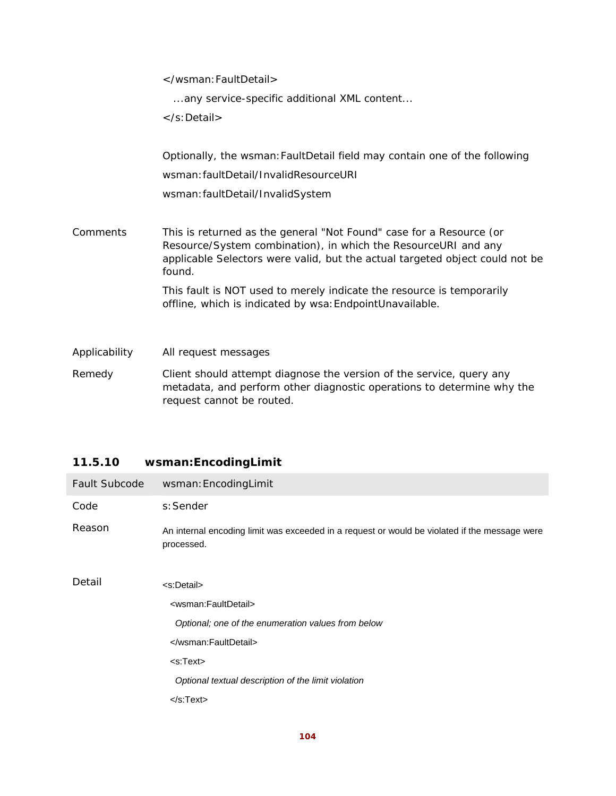</wsman:FaultDetail>

...any service-specific additional XML content...

</s:Detail>

Optionally, the wsman:FaultDetail field may contain one of the following wsman:faultDetail/InvalidResourceURI wsman:faultDetail/InvalidSystem

Comments This is returned as the general "Not Found" case for a Resource (or Resource/System combination), in which the ResourceURI and any applicable Selectors were valid, but the actual targeted object could not be found.

> This fault is NOT used to merely indicate the resource is temporarily offline, which is indicated by wsa:EndpointUnavailable.

Applicability All request messages

Remedy Client should attempt diagnose the version of the service, query any metadata, and perform other diagnostic operations to determine why the request cannot be routed.

### **11.5.10 wsman:EncodingLimit**

| Fault Subcode | wsman: EncodingLimit                                                                                        |
|---------------|-------------------------------------------------------------------------------------------------------------|
| Code          | s: Sender                                                                                                   |
| Reason        | An internal encoding limit was exceeded in a request or would be violated if the message were<br>processed. |
| Detail        | <s:detail></s:detail>                                                                                       |
|               | <wsman:faultdetail></wsman:faultdetail>                                                                     |
|               | Optional; one of the enumeration values from below                                                          |
|               |                                                                                                             |
|               | $<$ s:Text $>$                                                                                              |
|               | Optional textual description of the limit violation                                                         |
|               | $\langle$ s:Text $\rangle$                                                                                  |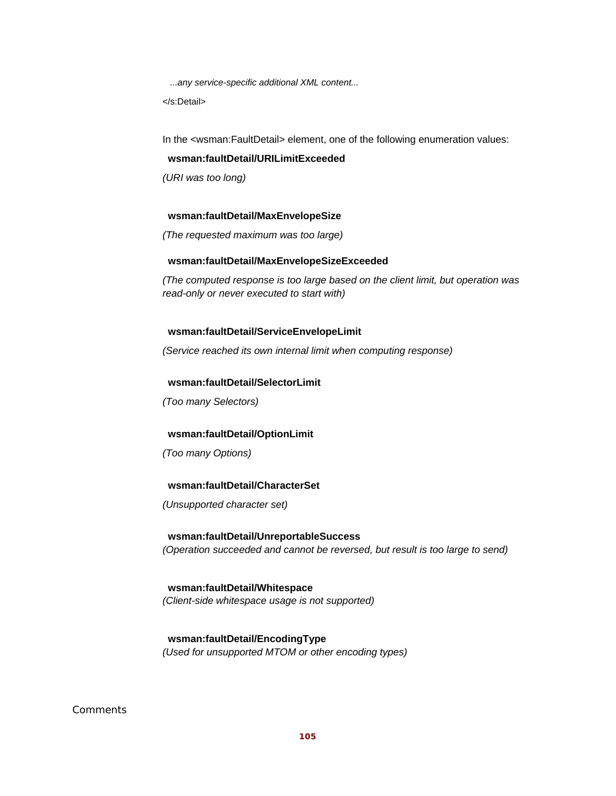*...any service-specific additional XML content...* 

</s:Detail>

In the <wsman:FaultDetail> element, one of the following enumeration values:

#### **wsman:faultDetail/URILimitExceeded**

*(URI was too long)* 

### **wsman:faultDetail/MaxEnvelopeSize**

*(The requested maximum was too large)* 

### **wsman:faultDetail/MaxEnvelopeSizeExceeded**

*(The computed response is too large based on the client limit, but operation was read-only or never executed to start with)* 

### **wsman:faultDetail/ServiceEnvelopeLimit**

*(Service reached its own internal limit when computing response)* 

### **wsman:faultDetail/SelectorLimit**

*(Too many Selectors)* 

### **wsman:faultDetail/OptionLimit**

*(Too many Options)* 

### **wsman:faultDetail/CharacterSet**

*(Unsupported character set)* 

### **wsman:faultDetail/UnreportableSuccess**  *(Operation succeeded and cannot be reversed, but result is too large to send)*

 **wsman:faultDetail/Whitespace**  *(Client-side whitespace usage is not supported)* 

 **wsman:faultDetail/EncodingType**  *(Used for unsupported MTOM or other encoding types)* 

### Comments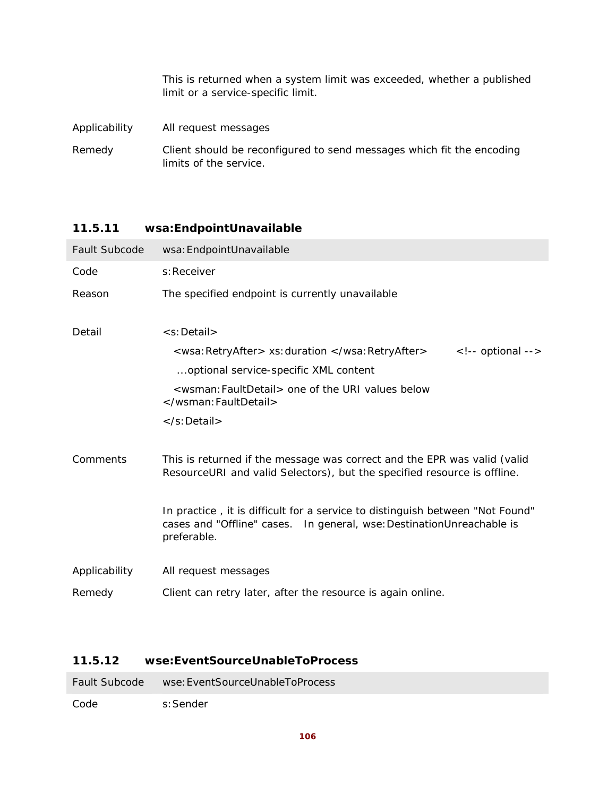This is returned when a system limit was exceeded, whether a published limit or a service-specific limit.

Applicability All request messages

Remedy Client should be reconfigured to send messages which fit the encoding limits of the service.

### **11.5.11 wsa:EndpointUnavailable**

| <b>Fault Subcode</b> | wsa: EndpointUnavailable                                                                                                                                                |
|----------------------|-------------------------------------------------------------------------------------------------------------------------------------------------------------------------|
| Code                 | s: Receiver                                                                                                                                                             |
| Reason               | The specified endpoint is currently unavailable                                                                                                                         |
| Detail               | <s:detail></s:detail>                                                                                                                                                   |
|                      | <wsa:retryafter> xs:duration </wsa:retryafter><br>$\langle$ !-- optional -->                                                                                            |
|                      | optional service-specific XML content                                                                                                                                   |
|                      | <wsman: faultdetail=""> one of the URI values below<br/></wsman:>                                                                                                       |
|                      |                                                                                                                                                                         |
| Comments             | This is returned if the message was correct and the EPR was valid (valid<br>ResourceURI and valid Selectors), but the specified resource is offline.                    |
|                      | In practice, it is difficult for a service to distinguish between "Not Found"<br>cases and "Offline" cases.  In general, wse: Destination Unreachable is<br>preferable. |
| Applicability        | All request messages                                                                                                                                                    |
| Remedy               | Client can retry later, after the resource is again online.                                                                                                             |

### **11.5.12 wse:EventSourceUnableToProcess**

Fault Subcode wse:EventSourceUnableToProcess

Code s:Sender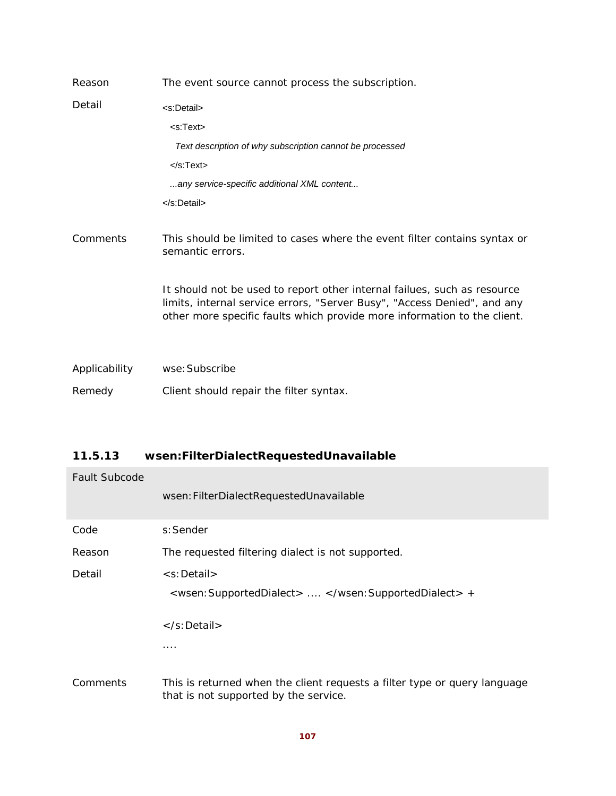| Reason        | The event source cannot process the subscription.                                                                                                                                                                                |
|---------------|----------------------------------------------------------------------------------------------------------------------------------------------------------------------------------------------------------------------------------|
| Detail        | <s:detail></s:detail>                                                                                                                                                                                                            |
|               | $<$ s:Text $>$                                                                                                                                                                                                                   |
|               | Text description of why subscription cannot be processed                                                                                                                                                                         |
|               | $<$ /s:Text $>$                                                                                                                                                                                                                  |
|               | any service-specific additional XML content                                                                                                                                                                                      |
|               | $<$ /s:Detail>                                                                                                                                                                                                                   |
| Comments      | This should be limited to cases where the event filter contains syntax or<br>semantic errors.                                                                                                                                    |
|               | It should not be used to report other internal failues, such as resource<br>limits, internal service errors, "Server Busy", "Access Denied", and any<br>other more specific faults which provide more information to the client. |
| Applicability | wse: Subscribe                                                                                                                                                                                                                   |

Remedy Client should repair the filter syntax.

## **11.5.13 wsen:FilterDialectRequestedUnavailable**

| <b>Fault Subcode</b> |                                                                                                                    |
|----------------------|--------------------------------------------------------------------------------------------------------------------|
|                      | wsen: FilterDialectRequestedUnavailable                                                                            |
| Code                 | s: Sender                                                                                                          |
| Reason               | The requested filtering dialect is not supported.                                                                  |
| Detail               | <s:detail></s:detail>                                                                                              |
|                      | <wsen: supporteddialect=""> </wsen:> +                                                                             |
|                      | $\langle$ s:Detail $\rangle$                                                                                       |
|                      | .                                                                                                                  |
| Comments             | This is returned when the client requests a filter type or query language<br>that is not supported by the service. |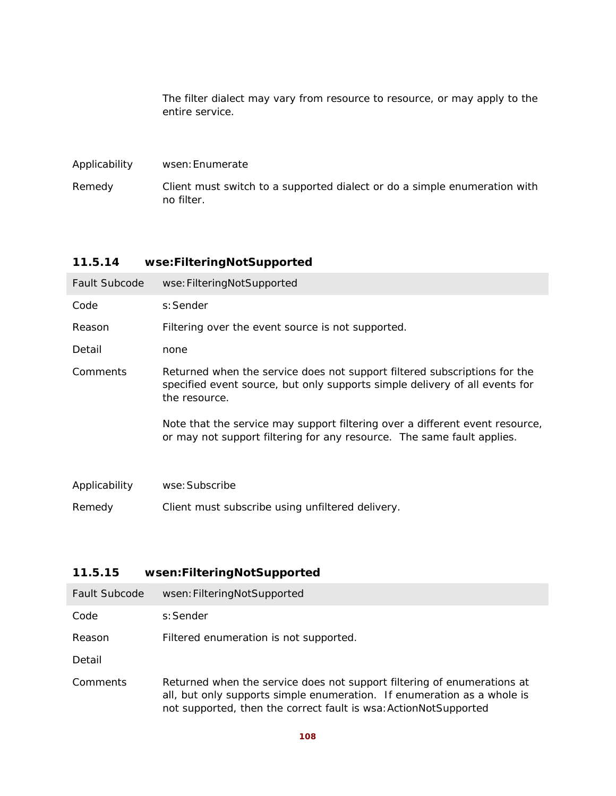The filter dialect may vary from resource to resource, or may apply to the entire service.

| Applicability | wsen: Enumerate                                                                         |
|---------------|-----------------------------------------------------------------------------------------|
| Remedy        | Client must switch to a supported dialect or do a simple enumeration with<br>no filter. |

## **11.5.14 wse:FilteringNotSupported**

| <b>Fault Subcode</b> | wse: FilteringNotSupported                                                                                                                                                |
|----------------------|---------------------------------------------------------------------------------------------------------------------------------------------------------------------------|
| Code                 | s: Sender                                                                                                                                                                 |
| Reason               | Filtering over the event source is not supported.                                                                                                                         |
| Detail               | none                                                                                                                                                                      |
| Comments             | Returned when the service does not support filtered subscriptions for the<br>specified event source, but only supports simple delivery of all events for<br>the resource. |
|                      | Note that the service may support filtering over a different event resource,<br>or may not support filtering for any resource. The same fault applies.                    |
| Applicability        | wse: Subscribe                                                                                                                                                            |
| Remedy               | Client must subscribe using unfiltered delivery.                                                                                                                          |

## **11.5.15 wsen:FilteringNotSupported**

| <b>Fault Subcode</b> | wsen: FilteringNotSupported                                                                                                                                                                                            |
|----------------------|------------------------------------------------------------------------------------------------------------------------------------------------------------------------------------------------------------------------|
| Code                 | s: Sender                                                                                                                                                                                                              |
| Reason               | Filtered enumeration is not supported.                                                                                                                                                                                 |
| Detail               |                                                                                                                                                                                                                        |
| Comments             | Returned when the service does not support filtering of enumerations at<br>all, but only supports simple enumeration. If enumeration as a whole is<br>not supported, then the correct fault is wsa: ActionNotSupported |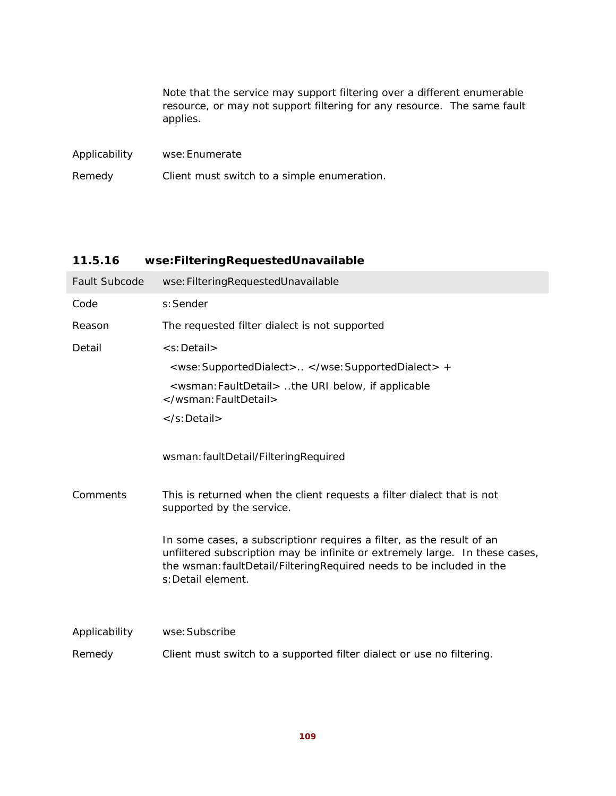|               | Note that the service may support filtering over a different enumerable<br>resource, or may not support filtering for <i>any</i> resource. The same fault<br>applies. |  |
|---------------|-----------------------------------------------------------------------------------------------------------------------------------------------------------------------|--|
| Applicability | wse: Enumerate                                                                                                                                                        |  |
| Remedy        | Client must switch to a simple enumeration.                                                                                                                           |  |

# **11.5.16 wse:FilteringRequestedUnavailable**

| <b>Fault Subcode</b> | wse: Filtering Requested Unavailable                                                                                                                                                                                                               |
|----------------------|----------------------------------------------------------------------------------------------------------------------------------------------------------------------------------------------------------------------------------------------------|
| Code                 | s: Sender                                                                                                                                                                                                                                          |
| Reason               | The requested filter dialect is not supported                                                                                                                                                                                                      |
| Detail               | <s:detail></s:detail>                                                                                                                                                                                                                              |
|                      | <wse: supporteddialect=""> </wse:> +                                                                                                                                                                                                               |
|                      | <wsman: faultdetail=""> the URI below, if applicable<br/></wsman:>                                                                                                                                                                                 |
|                      | $\langle$ s:Detail $\rangle$                                                                                                                                                                                                                       |
|                      | wsman: faultDetail/FilteringRequired                                                                                                                                                                                                               |
| Comments             | This is returned when the client requests a filter dialect that is not<br>supported by the service.                                                                                                                                                |
|                      | In some cases, a subscriptionr requires a filter, as the result of an<br>unfiltered subscription may be infinite or extremely large. In these cases,<br>the wsman: faultDetail/FilteringRequired needs to be included in the<br>s: Detail element. |
|                      |                                                                                                                                                                                                                                                    |
| Applicability        | wse: Subscribe                                                                                                                                                                                                                                     |
| Remedy               | Client must switch to a supported filter dialect or use no filtering.                                                                                                                                                                              |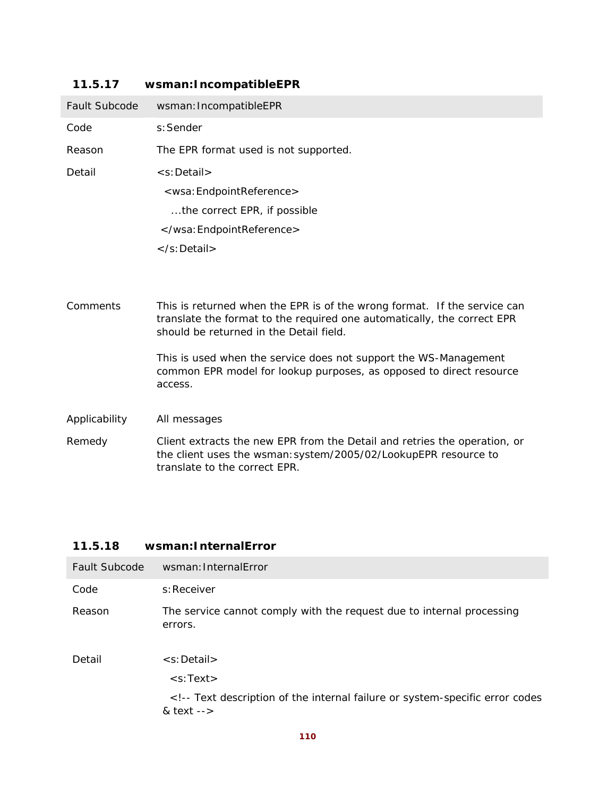| <b>Fault Subcode</b> | wsman: IncompatibleEPR                                                                                                                                                                         |
|----------------------|------------------------------------------------------------------------------------------------------------------------------------------------------------------------------------------------|
| Code                 | s: Sender                                                                                                                                                                                      |
| Reason               | The EPR format used is not supported.                                                                                                                                                          |
| Detail               | <s:detail></s:detail>                                                                                                                                                                          |
|                      | <wsa: endpointreference=""></wsa:>                                                                                                                                                             |
|                      | the correct EPR, if possible                                                                                                                                                                   |
|                      |                                                                                                                                                                                                |
|                      | $\langle$ s:Detail $\rangle$                                                                                                                                                                   |
|                      |                                                                                                                                                                                                |
| Comments             | This is returned when the EPR is of the wrong format. If the service can<br>translate the format to the required one automatically, the correct EPR<br>should be returned in the Detail field. |
|                      | This is used when the service does not support the WS-Management<br>common EPR model for lookup purposes, as opposed to direct resource<br>access.                                             |
| Applicability        | All messages                                                                                                                                                                                   |
| Remedy               | Client extracts the new EPR from the Detail and retries the operation, or<br>the client uses the wsman: system/2005/02/LookupEPR resource to<br>translate to the correct EPR.                  |

# **11.5.17 wsman:IncompatibleEPR**

# **11.5.18 wsman:InternalError**

| <b>Fault Subcode</b> | wsman: InternalError                                                                                                                                                                       |
|----------------------|--------------------------------------------------------------------------------------------------------------------------------------------------------------------------------------------|
| Code                 | s: Receiver                                                                                                                                                                                |
| Reason               | The service cannot comply with the request due to internal processing<br>errors.                                                                                                           |
| Detail               | <s:detail><br/><math>\leq</math>s:Text<math>&gt;</math><br/>&lt;!-- Text description of the internal failure or system-specific error codes&lt;br&gt;&amp; text <math>--</math></s:detail> |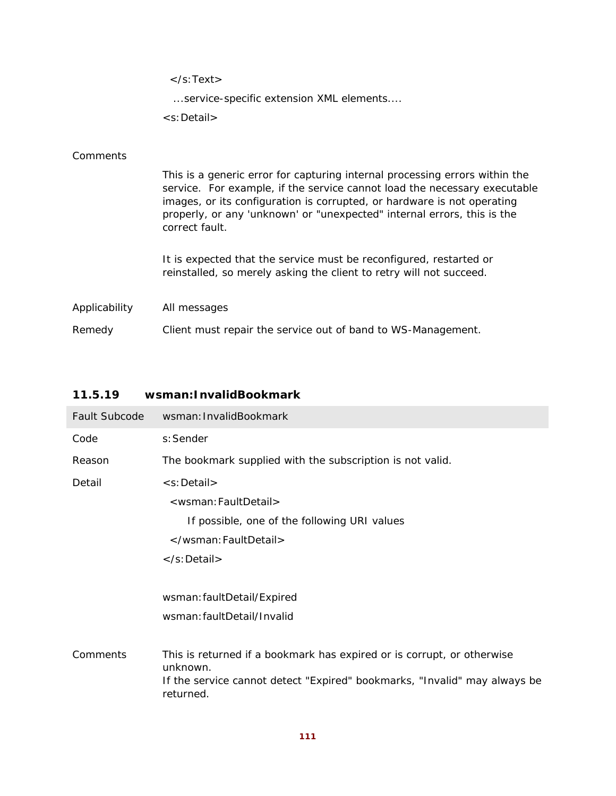|               | $\langle$ s:Text $\rangle$                                                                                                                                                                                                                                                                                                       |
|---------------|----------------------------------------------------------------------------------------------------------------------------------------------------------------------------------------------------------------------------------------------------------------------------------------------------------------------------------|
|               | service-specific extension XML elements                                                                                                                                                                                                                                                                                          |
|               | <s:detail></s:detail>                                                                                                                                                                                                                                                                                                            |
|               |                                                                                                                                                                                                                                                                                                                                  |
| Comments      |                                                                                                                                                                                                                                                                                                                                  |
|               | This is a generic error for capturing internal processing errors within the<br>service. For example, if the service cannot load the necessary executable<br>images, or its configuration is corrupted, or hardware is not operating<br>properly, or any 'unknown' or "unexpected" internal errors, this is the<br>correct fault. |
|               | It is expected that the service must be reconfigured, restarted or<br>reinstalled, so merely asking the client to retry will not succeed.                                                                                                                                                                                        |
| Applicability | All messages                                                                                                                                                                                                                                                                                                                     |
| Remedy        | Client must repair the service out of band to WS-Management.                                                                                                                                                                                                                                                                     |
|               |                                                                                                                                                                                                                                                                                                                                  |

# **11.5.19 wsman:InvalidBookmark**

| <b>Fault Subcode</b> | wsman: InvalidBookmark                                                                 |
|----------------------|----------------------------------------------------------------------------------------|
| Code                 | s: Sender                                                                              |
| Reason               | The bookmark supplied with the subscription is not valid.                              |
| Detail               | <s:detail></s:detail>                                                                  |
|                      | <wsman:faultdetail></wsman:faultdetail>                                                |
|                      | If possible, one of the following URI values                                           |
|                      |                                                                                        |
|                      | $\langle$ s:Detail $\rangle$                                                           |
|                      |                                                                                        |
|                      | wsman: faultDetail/Expired                                                             |
|                      | wsman: faultDetail/Invalid                                                             |
|                      |                                                                                        |
| Comments             | This is returned if a bookmark has expired or is corrupt, or otherwise<br>unknown.     |
|                      | If the service cannot detect "Expired" bookmarks, "Invalid" may always be<br>returned. |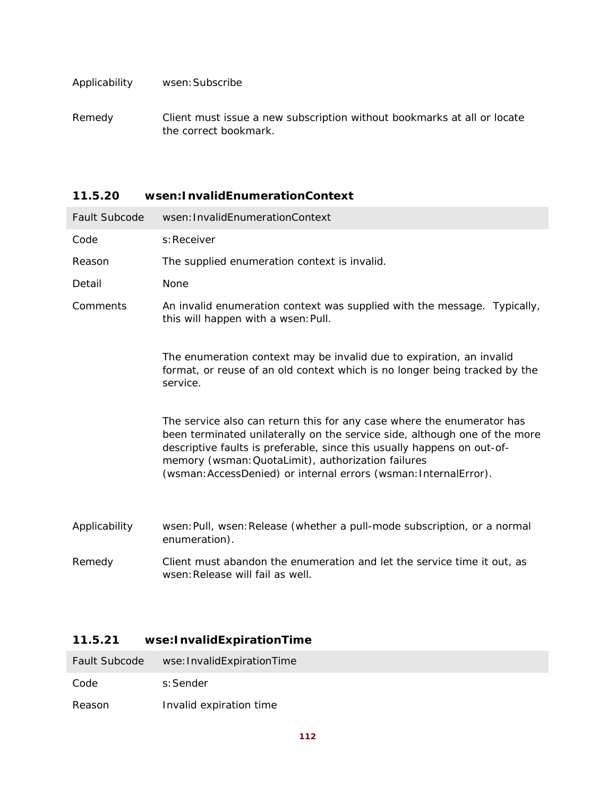### Applicability wsen:Subscribe

Remedy Client must issue a new subscription without bookmarks at all or locate the correct bookmark.

### **11.5.20 wsen:InvalidEnumerationContext**

| <b>Fault Subcode</b> | wsen: InvalidEnumerationContext                                                                                                                                                                                                                                                                                                                           |
|----------------------|-----------------------------------------------------------------------------------------------------------------------------------------------------------------------------------------------------------------------------------------------------------------------------------------------------------------------------------------------------------|
| Code                 | s: Receiver                                                                                                                                                                                                                                                                                                                                               |
| Reason               | The supplied enumeration context is invalid.                                                                                                                                                                                                                                                                                                              |
| Detail               | None                                                                                                                                                                                                                                                                                                                                                      |
| Comments             | An invalid enumeration context was supplied with the message. Typically,<br>this will happen with a wsen: Pull.                                                                                                                                                                                                                                           |
|                      | The enumeration context may be invalid due to expiration, an invalid<br>format, or reuse of an old context which is no longer being tracked by the<br>service.                                                                                                                                                                                            |
|                      | The service also can return this for any case where the enumerator has<br>been terminated unilaterally on the service side, although one of the more<br>descriptive faults is preferable, since this usually happens on out-of-<br>memory (wsman: QuotaLimit), authorization failures<br>(wsman: AccessDenied) or internal errors (wsman: InternalError). |
| Applicability        | wsen: Pull, wsen: Release (whether a pull-mode subscription, or a normal<br>enumeration).                                                                                                                                                                                                                                                                 |
| Remedy               | Client must abandon the enumeration and let the service time it out, as<br>wsen: Release will fail as well.                                                                                                                                                                                                                                               |

# **11.5.21 wse:InvalidExpirationTime**

Code s:Sender

Reason Invalid expiration time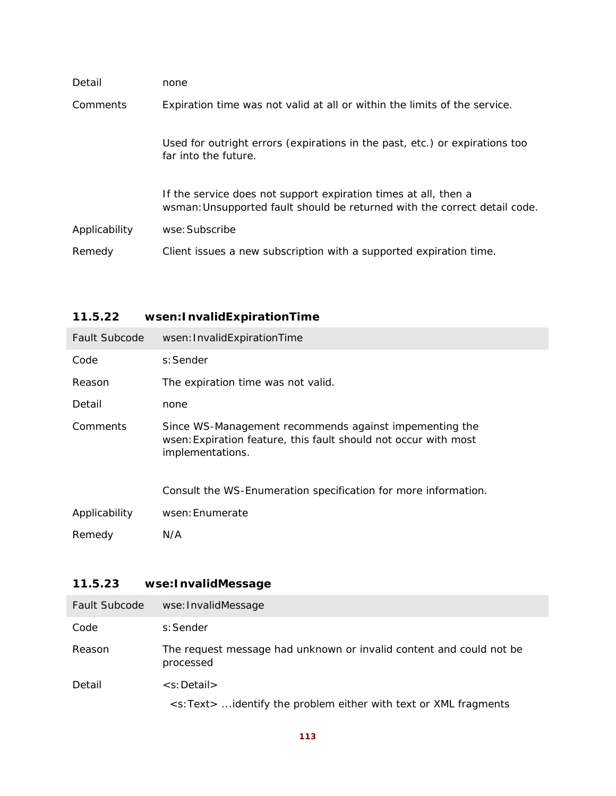| Detail        | none                                                                                                                                         |
|---------------|----------------------------------------------------------------------------------------------------------------------------------------------|
| Comments      | Expiration time was not valid at all or within the limits of the service.                                                                    |
|               | Used for outright errors (expirations in the past, etc.) or expirations too<br>far into the future.                                          |
|               | If the service does not support expiration times at all, then a<br>wsman: Unsupported fault should be returned with the correct detail code. |
| Applicability | wse: Subscribe                                                                                                                               |
| Remedy        | Client issues a new subscription with a supported expiration time.                                                                           |

# **11.5.22 wsen:InvalidExpirationTime**

| <b>Fault Subcode</b> | wsen: InvalidExpirationTime                                                                                                                   |
|----------------------|-----------------------------------------------------------------------------------------------------------------------------------------------|
| Code                 | s: Sender                                                                                                                                     |
| Reason               | The expiration time was not valid.                                                                                                            |
| Detail               | none                                                                                                                                          |
| Comments             | Since WS-Management recommends against impementing the<br>wsen: Expiration feature, this fault should not occur with most<br>implementations. |
|                      | Consult the WS-Enumeration specification for more information.                                                                                |
| Applicability        | wsen: Enumerate                                                                                                                               |
| Remedy               | N/A                                                                                                                                           |

# **11.5.23 wse:InvalidMessage**

| <b>Fault Subcode</b> | wse: InvalidMessage                                                              |
|----------------------|----------------------------------------------------------------------------------|
| Code                 | s:Sender                                                                         |
| Reason               | The request message had unknown or invalid content and could not be<br>processed |
| Detail               | $\leq$ s: Detail $>$                                                             |
|                      | <s:text>  identify the problem either with text or XML fragments</s:text>        |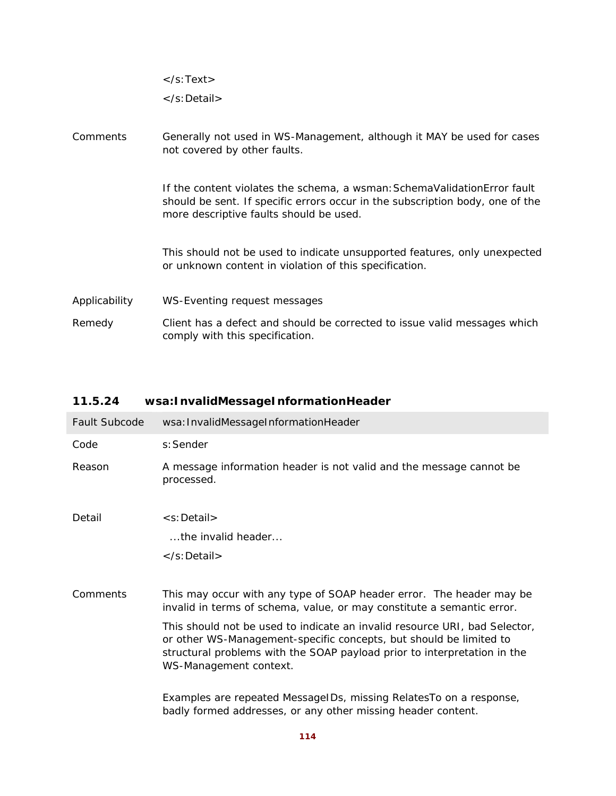|               | $\langle$ s:Text $\rangle$                                                                                                                                                                           |
|---------------|------------------------------------------------------------------------------------------------------------------------------------------------------------------------------------------------------|
|               | $\langle$ s:Detail $\rangle$                                                                                                                                                                         |
| Comments      | Generally not used in WS-Management, although it MAY be used for cases<br>not covered by other faults.                                                                                               |
|               | If the content violates the schema, a wsman: SchemaValidationError fault<br>should be sent. If specific errors occur in the subscription body, one of the<br>more descriptive faults should be used. |
|               | This should not be used to indicate unsupported features, only unexpected<br>or unknown content in violation of this specification.                                                                  |
| Applicability | WS-Eventing request messages                                                                                                                                                                         |
| Remedy        | Client has a defect and should be corrected to issue valid messages which<br>comply with this specification.                                                                                         |

# **11.5.24 wsa:InvalidMessageInformationHeader**

| <b>Fault Subcode</b> | wsa: InvalidMessageInformationHeader                                                                                                                                                                                                                   |
|----------------------|--------------------------------------------------------------------------------------------------------------------------------------------------------------------------------------------------------------------------------------------------------|
| Code                 | s: Sender                                                                                                                                                                                                                                              |
| Reason               | A message information header is not valid and the message cannot be<br>processed.                                                                                                                                                                      |
| Detail               | <s:detail></s:detail>                                                                                                                                                                                                                                  |
|                      | the invalid header                                                                                                                                                                                                                                     |
|                      | $\langle$ s: Detail $>$                                                                                                                                                                                                                                |
|                      |                                                                                                                                                                                                                                                        |
| Comments             | This may occur with any type of SOAP header error. The header may be<br>invalid in terms of schema, value, or may constitute a semantic error.                                                                                                         |
|                      | This should not be used to indicate an invalid resource URI, bad Selector,<br>or other WS-Management-specific concepts, but should be limited to<br>structural problems with the SOAP payload prior to interpretation in the<br>WS-Management context. |
|                      | Examples are repeated MessageIDs, missing RelatesTo on a response,<br>badly formed addresses, or any other missing header content.                                                                                                                     |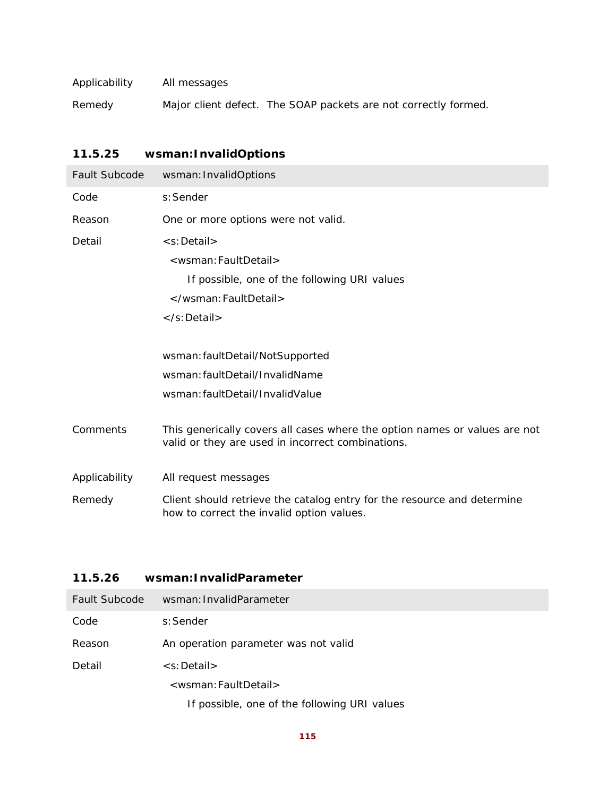| Applicability | All messages |                                                                 |
|---------------|--------------|-----------------------------------------------------------------|
| Remedy        |              | Major client defect. The SOAP packets are not correctly formed. |

# **11.5.25 wsman:InvalidOptions**

| Fault Subcode | wsman: InvalidOptions                                                                                                           |
|---------------|---------------------------------------------------------------------------------------------------------------------------------|
| Code          | s: Sender                                                                                                                       |
| Reason        | One or more options were not valid.                                                                                             |
| Detail        | <s:detail></s:detail>                                                                                                           |
|               | <wsman: faultdetail=""></wsman:>                                                                                                |
|               | If possible, one of the following URI values                                                                                    |
|               |                                                                                                                                 |
|               | $\langle$ s: Detail $\rangle$                                                                                                   |
|               |                                                                                                                                 |
|               | wsman: faultDetail/NotSupported                                                                                                 |
|               | wsman: faultDetail/InvalidName                                                                                                  |
|               | wsman: faultDetail/InvalidValue                                                                                                 |
| Comments      | This generically covers all cases where the option names or values are not<br>valid or they are used in incorrect combinations. |
| Applicability | All request messages                                                                                                            |
| Remedy        | Client should retrieve the catalog entry for the resource and determine<br>how to correct the invalid option values.            |

# **11.5.26 wsman:InvalidParameter**

| <b>Fault Subcode</b> | wsman: InvalidParameter                      |
|----------------------|----------------------------------------------|
| Code                 | s:Sender                                     |
| Reason               | An operation parameter was not valid         |
| Detail               | $\leq$ s: Detail $>$                         |
|                      | <wsman: faultdetail=""></wsman:>             |
|                      | If possible, one of the following URI values |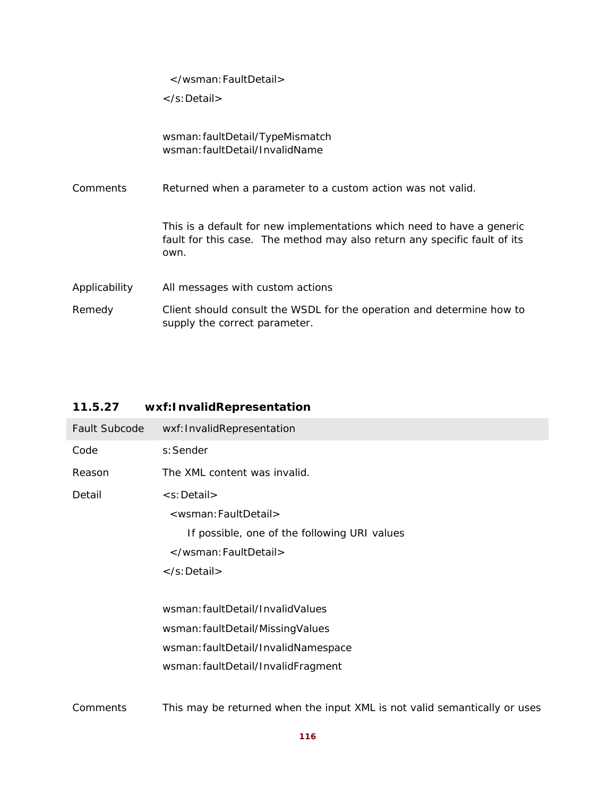</wsman:FaultDetail>

</s:Detail>

|               | wsman: faultDetail/TypeMismatch<br>wsman: faultDetail/InvalidName                                                                                           |
|---------------|-------------------------------------------------------------------------------------------------------------------------------------------------------------|
| Comments      | Returned when a parameter to a custom action was not valid.                                                                                                 |
|               | This is a default for new implementations which need to have a generic<br>fault for this case. The method may also return any specific fault of its<br>own. |
| Applicability | All messages with custom actions                                                                                                                            |
| Remedy        | Client should consult the WSDL for the operation and determine how to<br>supply the correct parameter.                                                      |

# **11.5.27 wxf:InvalidRepresentation**

| Fault Subcode | wxf: InvalidRepresentation                                                |
|---------------|---------------------------------------------------------------------------|
| Code          | s: Sender                                                                 |
| Reason        | The XML content was invalid.                                              |
| Detail        | <s:detail></s:detail>                                                     |
|               | <wsman: faultdetail=""></wsman:>                                          |
|               | If possible, one of the following URI values                              |
|               |                                                                           |
|               |                                                                           |
|               |                                                                           |
|               | wsman: faultDetail/InvalidValues                                          |
|               | wsman: faultDetail/MissingValues                                          |
|               | wsman: faultDetail/InvalidNamespace                                       |
|               | wsman: faultDetail/InvalidFragment                                        |
|               |                                                                           |
| Comments      | This may be returned when the input XML is not valid semantically or uses |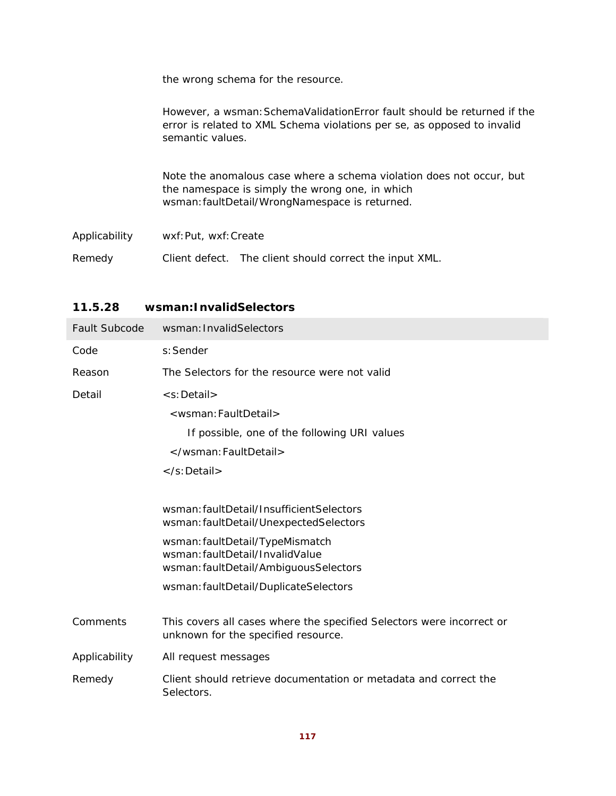|               | the wrong schema for the resource.                                                                                                                                        |
|---------------|---------------------------------------------------------------------------------------------------------------------------------------------------------------------------|
|               | However, a wsman: SchemaValidationError fault should be returned if the<br>error is related to XML Schema violations per se, as opposed to invalid<br>semantic values.    |
|               | Note the anomalous case where a schema violation does not occur, but<br>the namespace is simply the wrong one, in which<br>wsman: faultDetail/WrongNamespace is returned. |
| Applicability | wxf: Put, wxf: Create                                                                                                                                                     |
| Remedy        | Client defect. The client should correct the input XML.                                                                                                                   |

# **11.5.28 wsman:InvalidSelectors**

| <b>Fault Subcode</b> | wsman: InvalidSelectors                                                                                      |
|----------------------|--------------------------------------------------------------------------------------------------------------|
| Code                 | s: Sender                                                                                                    |
| Reason               | The Selectors for the resource were not valid                                                                |
| Detail               | <s:detail></s:detail>                                                                                        |
|                      | <wsman: faultdetail=""></wsman:>                                                                             |
|                      | If possible, one of the following URI values                                                                 |
|                      |                                                                                                              |
|                      |                                                                                                              |
|                      |                                                                                                              |
|                      | wsman: faultDetail/InsufficientSelectors<br>wsman: faultDetail/UnexpectedSelectors                           |
|                      | wsman: faultDetail/TypeMismatch<br>wsman: faultDetail/InvalidValue<br>wsman: faultDetail/AmbiguousSelectors  |
|                      | wsman: faultDetail/DuplicateSelectors                                                                        |
|                      |                                                                                                              |
| Comments             | This covers all cases where the specified Selectors were incorrect or<br>unknown for the specified resource. |
| Applicability        | All request messages                                                                                         |
| Remedy               | Client should retrieve documentation or metadata and correct the<br>Selectors.                               |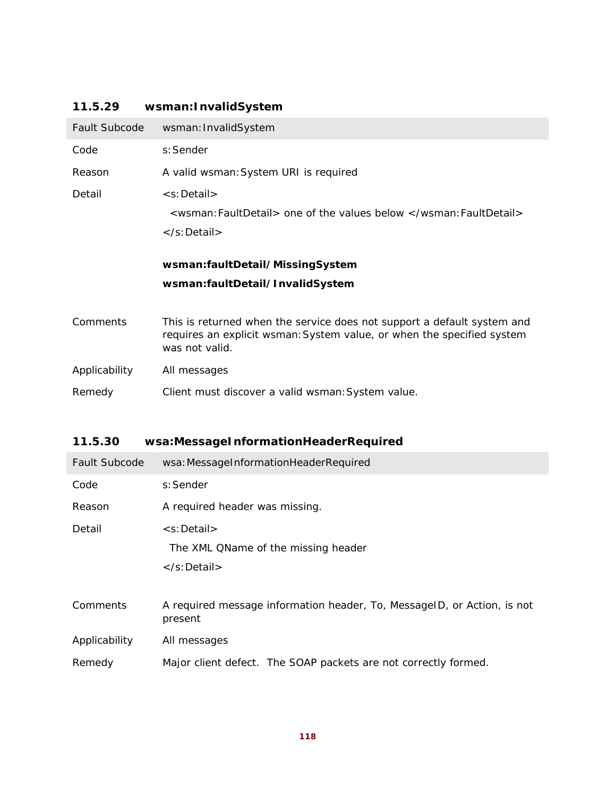# **11.5.29 wsman:InvalidSystem**

| Fault Subcode | wsman: InvalidSystem                                                                                                                                                |
|---------------|---------------------------------------------------------------------------------------------------------------------------------------------------------------------|
| Code          | s: Sender                                                                                                                                                           |
| Reason        | A valid wsman: System URI is required                                                                                                                               |
| Detail        | <s:detail><br/><wsman: faultdetail=""> <i>one of the values below </i></wsman:><br/><math>\langle</math>s:Detail<math>\rangle</math></s:detail>                     |
|               | wsman:faultDetail/MissingSystem<br>wsman:faultDetail/InvalidSystem                                                                                                  |
| Comments      | This is returned when the service does not support a default system and<br>requires an explicit wsman: System value, or when the specified system<br>was not valid. |
| Applicability | All messages                                                                                                                                                        |
|               |                                                                                                                                                                     |

# **11.5.30 wsa:MessageInformationHeaderRequired**

| <b>Fault Subcode</b> | wsa: MessageInformationHeaderRequired                                              |
|----------------------|------------------------------------------------------------------------------------|
| Code                 | s: Sender                                                                          |
| Reason               | A required header was missing.                                                     |
| Detail               | <s:detail></s:detail>                                                              |
|                      | The XML QName of the missing header                                                |
|                      | $\langle$ s:Detail $\rangle$                                                       |
|                      |                                                                                    |
| Comments             | A required message information header, To, MessageID, or Action, is not<br>present |
| Applicability        | All messages                                                                       |
| Remedy               | Major client defect. The SOAP packets are not correctly formed.                    |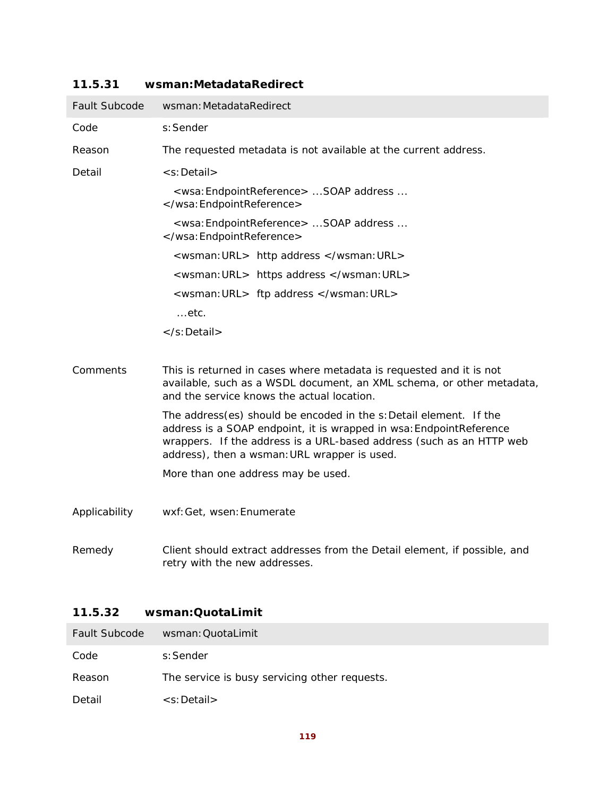| Fault Subcode | wsman: MetadataRedirect                                                                                                                                                                                                                                           |
|---------------|-------------------------------------------------------------------------------------------------------------------------------------------------------------------------------------------------------------------------------------------------------------------|
| Code          | s: Sender                                                                                                                                                                                                                                                         |
| Reason        | The requested metadata is not available at the current address.                                                                                                                                                                                                   |
| Detail        | <s:detail></s:detail>                                                                                                                                                                                                                                             |
|               | <wsa: endpointreference="">  SOAP address <br/></wsa:>                                                                                                                                                                                                            |
|               | <wsa: endpointreference="">  SOAP address <br/></wsa:>                                                                                                                                                                                                            |
|               | <wsman: url=""> http address </wsman:>                                                                                                                                                                                                                            |
|               | <wsman: url=""> https address </wsman:>                                                                                                                                                                                                                           |
|               | <wsman: url=""> ftp address </wsman:>                                                                                                                                                                                                                             |
|               | …etc.                                                                                                                                                                                                                                                             |
|               |                                                                                                                                                                                                                                                                   |
| Comments      | This is returned in cases where metadata is requested and it is not<br>available, such as a WSDL document, an XML schema, or other metadata,<br>and the service knows the actual location.                                                                        |
|               | The address(es) should be encoded in the s: Detail element. If the<br>address is a SOAP endpoint, it is wrapped in wsa: EndpointReference<br>wrappers. If the address is a URL-based address (such as an HTTP web<br>address), then a wsman: URL wrapper is used. |
|               | More than one address may be used.                                                                                                                                                                                                                                |
| Applicability | wxf: Get, wsen: Enumerate                                                                                                                                                                                                                                         |
| Remedy        | Client should extract addresses from the Detail element, if possible, and<br>retry with the new addresses.                                                                                                                                                        |

### **11.5.31 wsman:MetadataRedirect**

# **11.5.32 wsman:QuotaLimit**

| Fault Subcode | wsman: QuotaLimit                             |
|---------------|-----------------------------------------------|
| Code          | s:Sender                                      |
| Reason        | The service is busy servicing other requests. |
| Detail        | $\leq$ s: Detail $>$                          |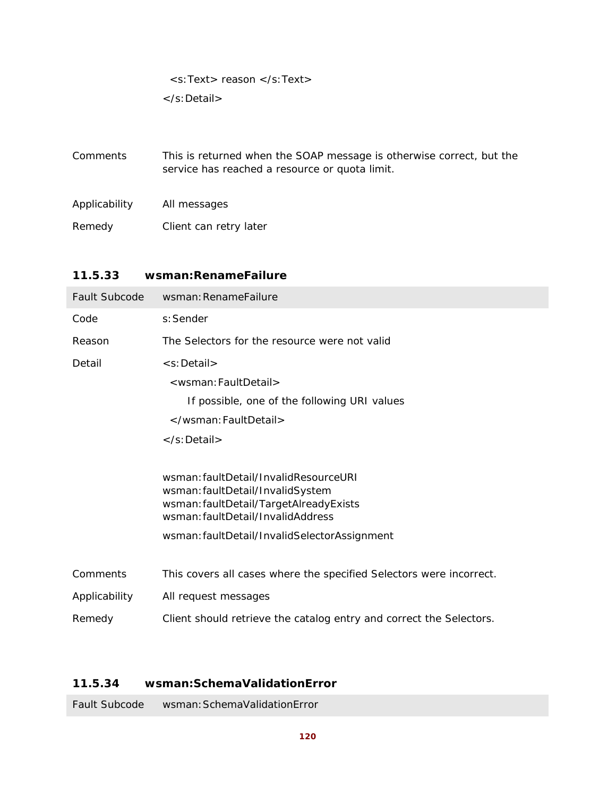<s:Text> reason </s:Text>

</s:Detail>

| Comments      | This is returned when the SOAP message is otherwise correct, but the<br>service has reached a resource or quota limit. |
|---------------|------------------------------------------------------------------------------------------------------------------------|
| Applicability | All messages                                                                                                           |
| Remedy        | Client can retry later                                                                                                 |

### **11.5.33 wsman:RenameFailure**

| Fault Subcode | wsman: RenameFailure                                                                                                                                                                                     |
|---------------|----------------------------------------------------------------------------------------------------------------------------------------------------------------------------------------------------------|
| Code          | s: Sender                                                                                                                                                                                                |
| Reason        | The Selectors for the resource were not valid                                                                                                                                                            |
| Detail        | <s:detail></s:detail>                                                                                                                                                                                    |
|               | <wsman: faultdetail=""></wsman:>                                                                                                                                                                         |
|               | If possible, one of the following URI values                                                                                                                                                             |
|               |                                                                                                                                                                                                          |
|               | $\langle$ s:Detail $\rangle$                                                                                                                                                                             |
|               | wsman: faultDetail/InvalidResourceURI<br>wsman: faultDetail/InvalidSystem<br>wsman: faultDetail/TargetAlreadyExists<br>wsman: faultDetail/InvalidAddress<br>wsman: faultDetail/InvalidSelectorAssignment |
| Comments      | This covers all cases where the specified Selectors were incorrect.                                                                                                                                      |
| Applicability | All request messages                                                                                                                                                                                     |
| Remedy        | Client should retrieve the catalog entry and correct the Selectors.                                                                                                                                      |

# **11.5.34 wsman:SchemaValidationError**

Fault Subcode wsman:SchemaValidationError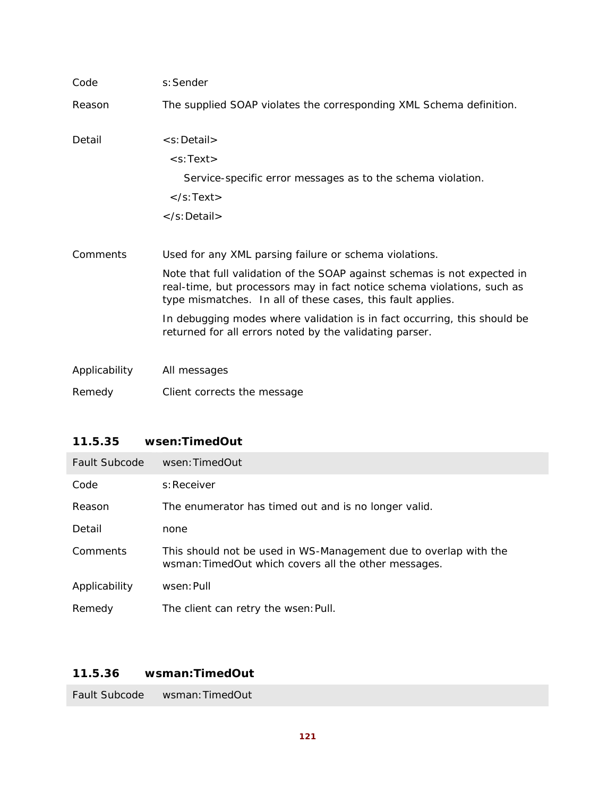| Code          | s: Sender                                                                                                                                                                                                                                                                                                                                                                                                           |
|---------------|---------------------------------------------------------------------------------------------------------------------------------------------------------------------------------------------------------------------------------------------------------------------------------------------------------------------------------------------------------------------------------------------------------------------|
| Reason        | The supplied SOAP violates the corresponding XML Schema definition.                                                                                                                                                                                                                                                                                                                                                 |
| Detail        | <s:detail><br/><math>&lt;</math>s:Text<math>&gt;</math><br/>Service-specific error messages as to the schema violation.<br/><math>\langle</math>s:Text<math>\rangle</math><br/><math>\langle</math>s:Detail<math>\rangle</math></s:detail>                                                                                                                                                                          |
| Comments      | Used for any XML parsing failure or schema violations.<br>Note that full validation of the SOAP against schemas is not expected in<br>real-time, but processors may in fact notice schema violations, such as<br>type mismatches. In all of these cases, this fault applies.<br>In debugging modes where validation is in fact occurring, this should be<br>returned for all errors noted by the validating parser. |
| Applicability | All messages                                                                                                                                                                                                                                                                                                                                                                                                        |
| Remedy        | Client corrects the message                                                                                                                                                                                                                                                                                                                                                                                         |

# **11.5.35 wsen:TimedOut**

| <b>Fault Subcode</b> | wsen: TimedOut                                                                                                           |
|----------------------|--------------------------------------------------------------------------------------------------------------------------|
| Code                 | s: Receiver                                                                                                              |
| Reason               | The enumerator has timed out and is no longer valid.                                                                     |
| Detail               | none                                                                                                                     |
| Comments             | This should not be used in WS-Management due to overlap with the<br>wsman: TimedOut which covers all the other messages. |
| Applicability        | wsen: Pull                                                                                                               |
| Remedy               | The client can retry the wsen: Pull.                                                                                     |

## **11.5.36 wsman:TimedOut**

Fault Subcode wsman:TimedOut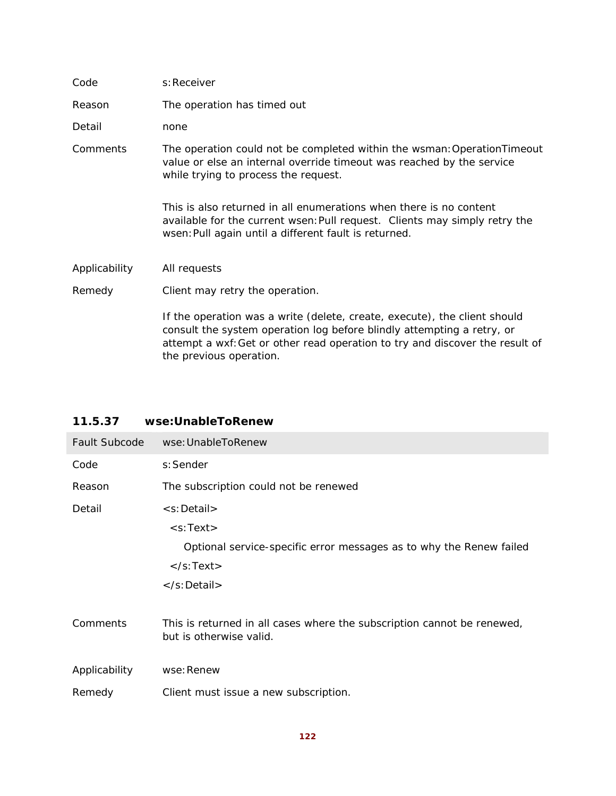| Code          | s: Receiver                                                                                                                                                                                                                                                    |
|---------------|----------------------------------------------------------------------------------------------------------------------------------------------------------------------------------------------------------------------------------------------------------------|
| Reason        | The operation has timed out                                                                                                                                                                                                                                    |
| Detail        | none                                                                                                                                                                                                                                                           |
| Comments      | The operation could not be completed within the wsman: Operation Timeout<br>value or else an internal override timeout was reached by the service<br>while trying to process the request.                                                                      |
|               | This is also returned in all enumerations when there is no content<br>available for the current wsen: Pull request. Clients may simply retry the<br>wsen: Pull again until a different fault is returned.                                                      |
| Applicability | All requests                                                                                                                                                                                                                                                   |
| Remedy        | Client may retry the operation.                                                                                                                                                                                                                                |
|               | If the operation was a write (delete, create, execute), the client should<br>consult the system operation log before blindly attempting a retry, or<br>attempt a wxf: Get or other read operation to try and discover the result of<br>the previous operation. |
|               |                                                                                                                                                                                                                                                                |

### **11.5.37 wse:UnableToRenew**

| <b>Fault Subcode</b> | wse: UnableToRenew                                                                                 |
|----------------------|----------------------------------------------------------------------------------------------------|
| Code                 | s: Sender                                                                                          |
| Reason               | The subscription could not be renewed                                                              |
| Detail               | $\leq$ s: Detail $>$                                                                               |
|                      | $<$ s:Text $>$                                                                                     |
|                      | Optional service-specific error messages as to why the Renew failed                                |
|                      | $\langle$ s:Text $\rangle$                                                                         |
|                      |                                                                                                    |
| Comments             | This is returned in all cases where the subscription cannot be renewed,<br>but is otherwise valid. |
| Applicability        | wse: Renew                                                                                         |
| Remedy               | Client must issue a new subscription.                                                              |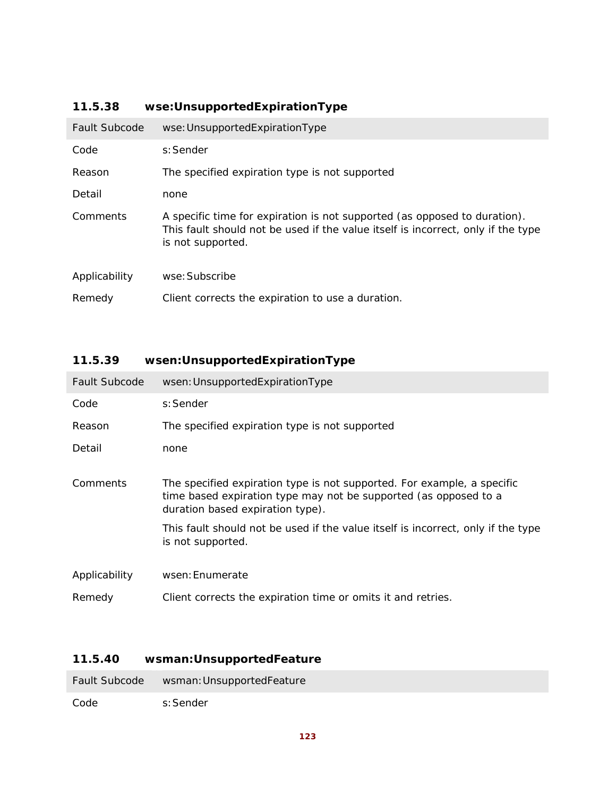| <b>Fault Subcode</b> | wse: UnsupportedExpirationType                                                                                                                                                     |
|----------------------|------------------------------------------------------------------------------------------------------------------------------------------------------------------------------------|
| Code                 | s: Sender                                                                                                                                                                          |
| Reason               | The specified expiration type is not supported                                                                                                                                     |
| Detail               | none                                                                                                                                                                               |
| Comments             | A specific time for expiration is not supported (as opposed to duration).<br>This fault should not be used if the value itself is incorrect, only if the type<br>is not supported. |
| Applicability        | wse: Subscribe                                                                                                                                                                     |
| Remedy               | Client corrects the expiration to use a duration.                                                                                                                                  |

# **11.5.38 wse:UnsupportedExpirationType**

# **11.5.39 wsen:UnsupportedExpirationType**

| <b>Fault Subcode</b> | wsen: UnsupportedExpirationType                                                                                                                                                                                                                                                          |
|----------------------|------------------------------------------------------------------------------------------------------------------------------------------------------------------------------------------------------------------------------------------------------------------------------------------|
| Code                 | s: Sender                                                                                                                                                                                                                                                                                |
| Reason               | The specified expiration type is not supported                                                                                                                                                                                                                                           |
| Detail               | none                                                                                                                                                                                                                                                                                     |
| Comments             | The specified expiration type is not supported. For example, a specific<br>time based expiration type may not be supported (as opposed to a<br>duration based expiration type).<br>This fault should not be used if the value itself is incorrect, only if the type<br>is not supported. |
| Applicability        | wsen: Enumerate                                                                                                                                                                                                                                                                          |
| Remedy               | Client corrects the expiration time or omits it and retries.                                                                                                                                                                                                                             |

# **11.5.40 wsman:UnsupportedFeature**

| Fault Subcode | wsman: UnsupportedFeature |
|---------------|---------------------------|
| Code          | s:Sender                  |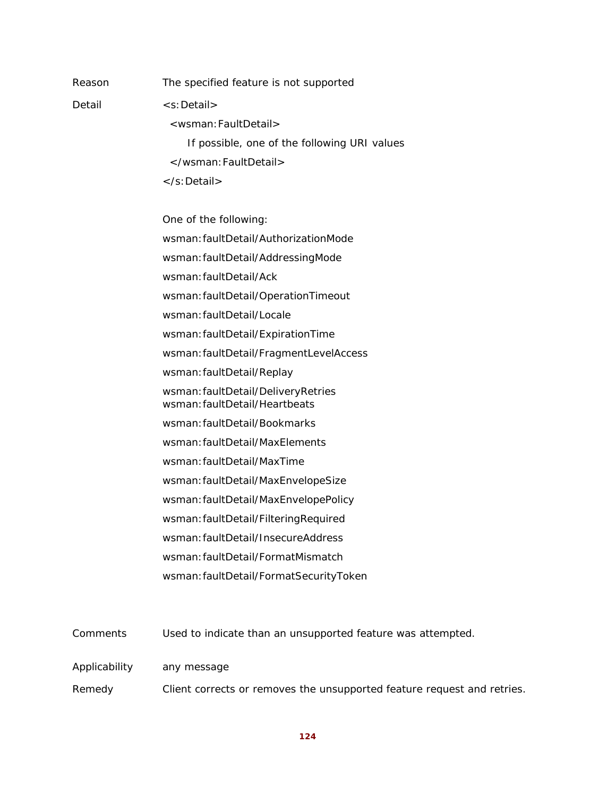Detail <s:Detail>

Reason The specified feature is not supported

 <wsman:FaultDetail> If possible, one of the following URI values </wsman:FaultDetail> </s:Detail>

One of the following:

wsman:faultDetail/AuthorizationMode

wsman:faultDetail/AddressingMode

wsman:faultDetail/Ack

wsman:faultDetail/OperationTimeout

wsman:faultDetail/Locale

wsman:faultDetail/ExpirationTime

wsman:faultDetail/FragmentLevelAccess

wsman:faultDetail/Replay

wsman:faultDetail/DeliveryRetries wsman:faultDetail/Heartbeats

wsman:faultDetail/Bookmarks

wsman:faultDetail/MaxElements

wsman:faultDetail/MaxTime

wsman:faultDetail/MaxEnvelopeSize

wsman:faultDetail/MaxEnvelopePolicy

wsman:faultDetail/FilteringRequired

wsman:faultDetail/InsecureAddress

wsman:faultDetail/FormatMismatch

wsman:faultDetail/FormatSecurityToken

Comments Used to indicate than an unsupported feature was attempted.

Applicability any message

Remedy Client corrects or removes the unsupported feature request and retries.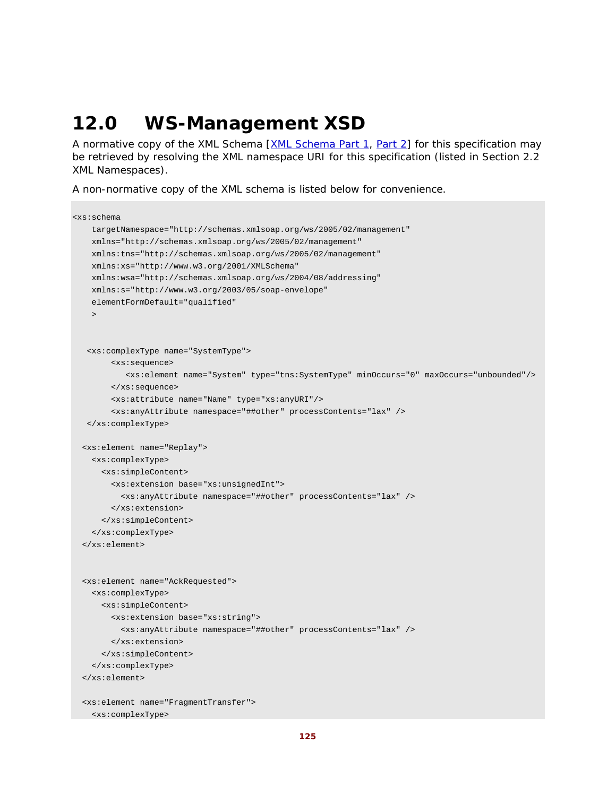# **12.0 WS-Management XSD**

A normative copy of the XML Schema [XML Schema Part 1, Part 2] for this specification may be retrieved by resolving the XML namespace URI for this specification (listed in Section 2.2 XML Namespaces).

A non-normative copy of the XML schema is listed below for convenience.

```
<xs:schema 
   targetNamespace="http://schemas.xmlsoap.org/ws/2005/02/management" 
   xmlns="http://schemas.xmlsoap.org/ws/2005/02/management" 
    xmlns:tns="http://schemas.xmlsoap.org/ws/2005/02/management" 
   xmlns:xs="http://www.w3.org/2001/XMLSchema" 
   xmlns:wsa="http://schemas.xmlsoap.org/ws/2004/08/addressing" 
   xmlns:s="http://www.w3.org/2003/05/soap-envelope" 
   elementFormDefault="qualified" 
   > 
   <xs:complexType name="SystemType"> 
       <xs:sequence> 
           <xs:element name="System" type="tns:SystemType" minOccurs="0" maxOccurs="unbounded"/> 
        </xs:sequence> 
        <xs:attribute name="Name" type="xs:anyURI"/> 
        <xs:anyAttribute namespace="##other" processContents="lax" /> 
   </xs:complexType> 
  <xs:element name="Replay"> 
   <xs:complexType> 
      <xs:simpleContent> 
        <xs:extension base="xs:unsignedInt"> 
          <xs:anyAttribute namespace="##other" processContents="lax" /> 
        </xs:extension> 
      </xs:simpleContent> 
    </xs:complexType> 
  </xs:element> 
  <xs:element name="AckRequested"> 
   <xs:complexType> 
     <xs:simpleContent> 
        <xs:extension base="xs:string"> 
          <xs:anyAttribute namespace="##other" processContents="lax" /> 
        </xs:extension> 
      </xs:simpleContent> 
    </xs:complexType> 
  </xs:element> 
  <xs:element name="FragmentTransfer"> 
   <xs:complexType>
```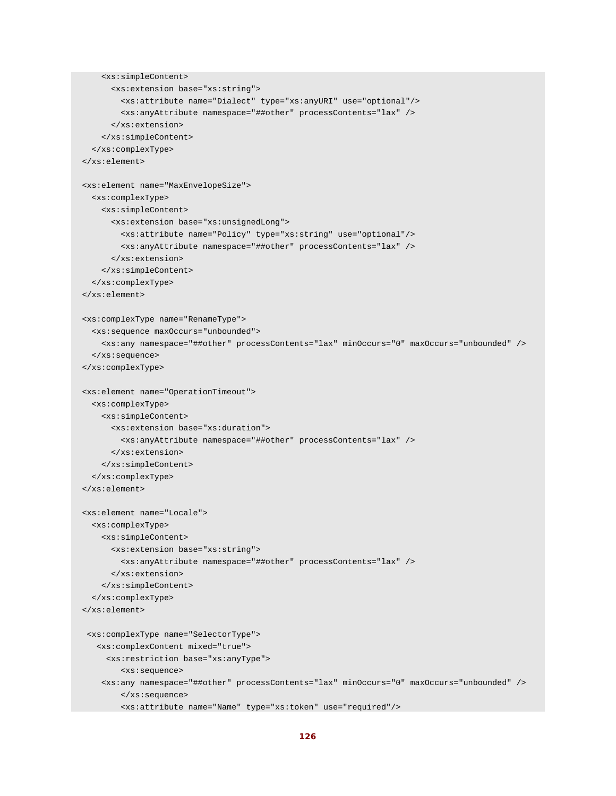```
 <xs:simpleContent> 
      <xs:extension base="xs:string"> 
        <xs:attribute name="Dialect" type="xs:anyURI" use="optional"/> 
        <xs:anyAttribute namespace="##other" processContents="lax" /> 
      </xs:extension> 
    </xs:simpleContent> 
  </xs:complexType> 
</xs:element> 
<xs:element name="MaxEnvelopeSize"> 
  <xs:complexType> 
    <xs:simpleContent> 
      <xs:extension base="xs:unsignedLong"> 
        <xs:attribute name="Policy" type="xs:string" use="optional"/> 
        <xs:anyAttribute namespace="##other" processContents="lax" /> 
      </xs:extension> 
    </xs:simpleContent> 
  </xs:complexType> 
</xs:element> 
<xs:complexType name="RenameType"> 
  <xs:sequence maxOccurs="unbounded"> 
    <xs:any namespace="##other" processContents="lax" minOccurs="0" maxOccurs="unbounded" /> 
  </xs:sequence> 
</xs:complexType> 
<xs:element name="OperationTimeout"> 
  <xs:complexType> 
    <xs:simpleContent> 
      <xs:extension base="xs:duration"> 
        <xs:anyAttribute namespace="##other" processContents="lax" /> 
      </xs:extension> 
    </xs:simpleContent> 
  </xs:complexType> 
</xs:element> 
<xs:element name="Locale"> 
  <xs:complexType> 
    <xs:simpleContent> 
     <xs:extension base="xs:string"> 
        <xs:anyAttribute namespace="##other" processContents="lax" /> 
      </xs:extension> 
    </xs:simpleContent> 
  </xs:complexType> 
</xs:element> 
 <xs:complexType name="SelectorType"> 
   <xs:complexContent mixed="true"> 
     <xs:restriction base="xs:anyType"> 
        <xs:sequence> 
    <xs:any namespace="##other" processContents="lax" minOccurs="0" maxOccurs="unbounded" /> 
        </xs:sequence> 
        <xs:attribute name="Name" type="xs:token" use="required"/>
```

```
126
```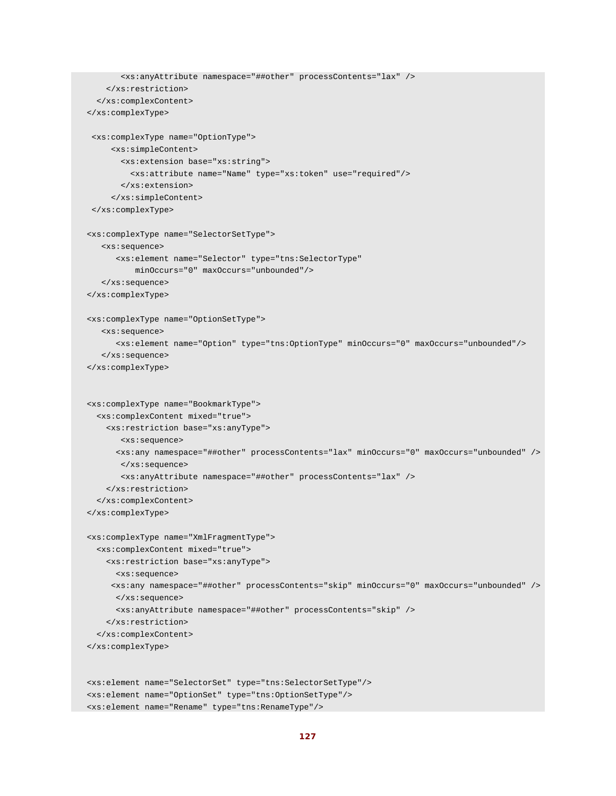```
 <xs:anyAttribute namespace="##other" processContents="lax" /> 
    </xs:restriction> 
  </xs:complexContent> 
</xs:complexType> 
 <xs:complexType name="OptionType"> 
     <xs:simpleContent> 
       <xs:extension base="xs:string"> 
         <xs:attribute name="Name" type="xs:token" use="required"/> 
       </xs:extension> 
     </xs:simpleContent> 
 </xs:complexType> 
<xs:complexType name="SelectorSetType"> 
   <xs:sequence> 
      <xs:element name="Selector" type="tns:SelectorType" 
          minOccurs="0" maxOccurs="unbounded"/> 
   </xs:sequence> 
</xs:complexType> 
<xs:complexType name="OptionSetType"> 
   <xs:sequence> 
      <xs:element name="Option" type="tns:OptionType" minOccurs="0" maxOccurs="unbounded"/> 
   </xs:sequence> 
</xs:complexType> 
<xs:complexType name="BookmarkType"> 
  <xs:complexContent mixed="true"> 
    <xs:restriction base="xs:anyType"> 
       <xs:sequence> 
      <xs:any namespace="##other" processContents="lax" minOccurs="0" maxOccurs="unbounded" /> 
       </xs:sequence> 
       <xs:anyAttribute namespace="##other" processContents="lax" /> 
    </xs:restriction> 
  </xs:complexContent> 
</xs:complexType> 
<xs:complexType name="XmlFragmentType"> 
  <xs:complexContent mixed="true"> 
    <xs:restriction base="xs:anyType"> 
      <xs:sequence> 
     <xs:any namespace="##other" processContents="skip" minOccurs="0" maxOccurs="unbounded" /> 
      </xs:sequence> 
      <xs:anyAttribute namespace="##other" processContents="skip" /> 
    </xs:restriction> 
  </xs:complexContent> 
</xs:complexType> 
<xs:element name="SelectorSet" type="tns:SelectorSetType"/> 
<xs:element name="OptionSet" type="tns:OptionSetType"/> 
<xs:element name="Rename" type="tns:RenameType"/>
```

```
127
```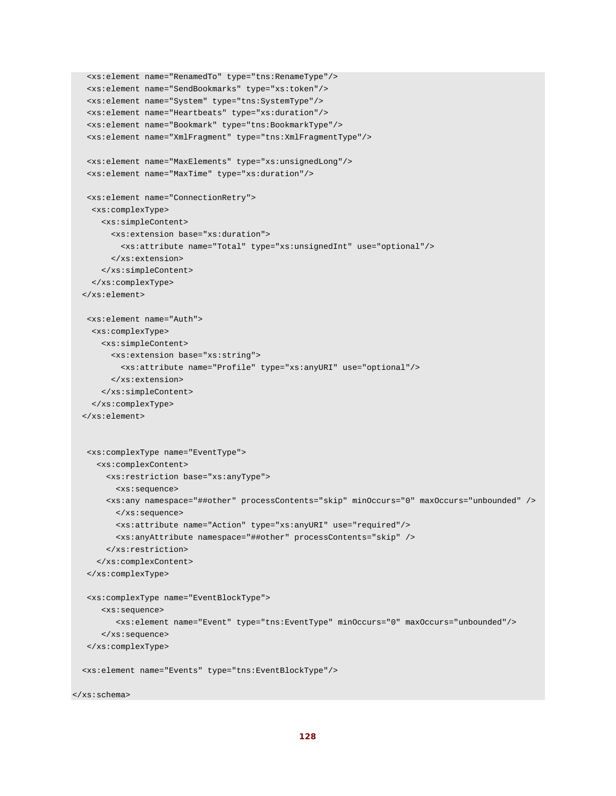```
 <xs:element name="RenamedTo" type="tns:RenameType"/> 
<xs:element name="SendBookmarks" type="xs:token"/> 
 <xs:element name="System" type="tns:SystemType"/> 
<xs:element name="Heartbeats" type="xs:duration"/> 
<xs:element name="Bookmark" type="tns:BookmarkType"/> 
<xs:element name="XmlFragment" type="tns:XmlFragmentType"/> 
<xs:element name="MaxElements" type="xs:unsignedLong"/> 
<xs:element name="MaxTime" type="xs:duration"/> 
<xs:element name="ConnectionRetry"> 
 <xs:complexType> 
   <xs:simpleContent> 
      <xs:extension base="xs:duration"> 
        <xs:attribute name="Total" type="xs:unsignedInt" use="optional"/> 
      </xs:extension> 
    </xs:simpleContent> 
 </xs:complexType> 
</xs:element> 
<xs:element name="Auth"> 
 <xs:complexType> 
   <xs:simpleContent> 
      <xs:extension base="xs:string"> 
        <xs:attribute name="Profile" type="xs:anyURI" use="optional"/> 
      </xs:extension> 
    </xs:simpleContent> 
 </xs:complexType> 
</xs:element> 
<xs:complexType name="EventType"> 
  <xs:complexContent> 
     <xs:restriction base="xs:anyType"> 
       <xs:sequence> 
     <xs:any namespace="##other" processContents="skip" minOccurs="0" maxOccurs="unbounded" /> 
       </xs:sequence> 
       <xs:attribute name="Action" type="xs:anyURI" use="required"/> 
       <xs:anyAttribute namespace="##other" processContents="skip" /> 
     </xs:restriction> 
   </xs:complexContent> 
</xs:complexType> 
<xs:complexType name="EventBlockType"> 
    <xs:sequence> 
       <xs:element name="Event" type="tns:EventType" minOccurs="0" maxOccurs="unbounded"/> 
   </xs:sequence> 
</xs:complexType> 
<xs:element name="Events" type="tns:EventBlockType"/>
```

```
</xs:schema>
```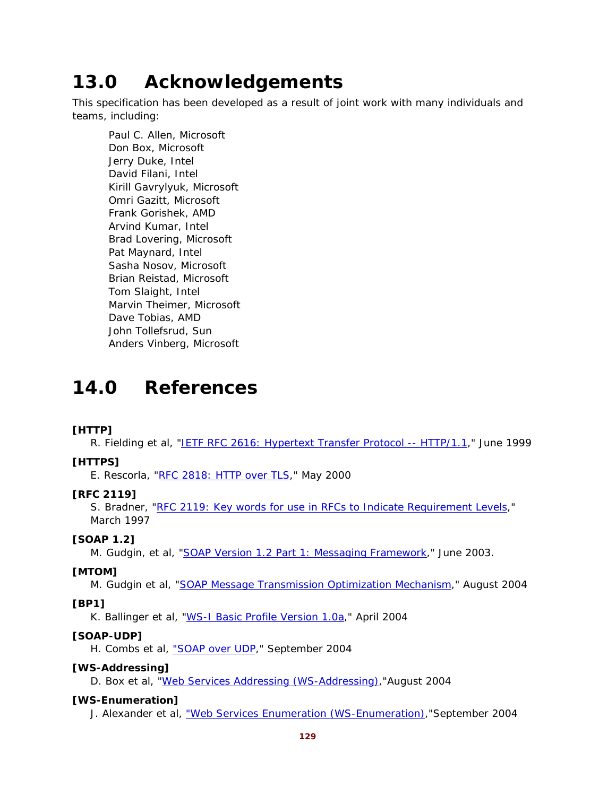# **13.0 Acknowledgements**

This specification has been developed as a result of joint work with many individuals and teams, including:

Paul C. Allen, Microsoft Don Box, Microsoft Jerry Duke, Intel David Filani, Intel Kirill Gavrylyuk, Microsoft Omri Gazitt, Microsoft Frank Gorishek, AMD Arvind Kumar, Intel Brad Lovering, Microsoft Pat Maynard, Intel Sasha Nosov, Microsoft Brian Reistad, Microsoft Tom Slaight, Intel Marvin Theimer, Microsoft Dave Tobias, AMD John Tollefsrud, Sun Anders Vinberg, Microsoft

# **14.0 References**

### **[HTTP]**

R. Fielding et al, "IETF RFC 2616: Hypertext Transfer Protocol -- HTTP/1.1," June 1999

### **[HTTPS]**

E. Rescorla, "RFC 2818: HTTP over TLS," May 2000

### **[RFC 2119]**

S. Bradner, "RFC 2119: Key words for use in RFCs to Indicate Requirement Levels," March 1997

### **[SOAP 1.2]**

M. Gudgin, et al, "SOAP Version 1.2 Part 1: Messaging Framework," June 2003.

### **[MTOM]**

M. Gudgin et al, "SOAP Message Transmission Optimization Mechanism," August 2004

### **[BP1]**

K. Ballinger et al, "WS-I Basic Profile Version 1.0a," April 2004

### **[SOAP-UDP]**

H. Combs et al, "SOAP over UDP," September 2004

### **[WS-Addressing]**

D. Box et al, "Web Services Addressing (WS-Addressing),"August 2004

### **[WS-Enumeration]**

J. Alexander et al, "Web Services Enumeration (WS-Enumeration),"September 2004